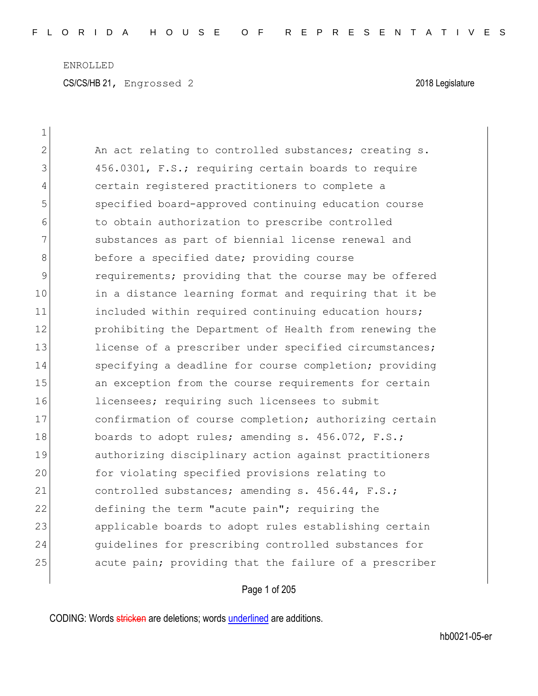| $\mathbf 1$ |                                                        |
|-------------|--------------------------------------------------------|
| 2           | An act relating to controlled substances; creating s.  |
| 3           | 456.0301, F.S.; requiring certain boards to require    |
| 4           | certain registered practitioners to complete a         |
| 5           | specified board-approved continuing education course   |
| 6           | to obtain authorization to prescribe controlled        |
| 7           | substances as part of biennial license renewal and     |
| 8           | before a specified date; providing course              |
| 9           | requirements; providing that the course may be offered |
| 10          | in a distance learning format and requiring that it be |
| 11          | included within required continuing education hours;   |
| 12          | prohibiting the Department of Health from renewing the |
| 13          | license of a prescriber under specified circumstances; |
| 14          | specifying a deadline for course completion; providing |
| 15          | an exception from the course requirements for certain  |
| 16          | licensees; requiring such licensees to submit          |
| 17          | confirmation of course completion; authorizing certain |
| 18          | boards to adopt rules; amending s. 456.072, F.S.;      |
| 19          | authorizing disciplinary action against practitioners  |
| 20          | for violating specified provisions relating to         |
| 21          | controlled substances; amending s. 456.44, F.S.;       |
| 22          | defining the term "acute pain"; requiring the          |
| 23          | applicable boards to adopt rules establishing certain  |
| 24          | guidelines for prescribing controlled substances for   |
| 25          | acute pain; providing that the failure of a prescriber |

# Page 1 of 205

CODING: Words stricken are deletions; words underlined are additions.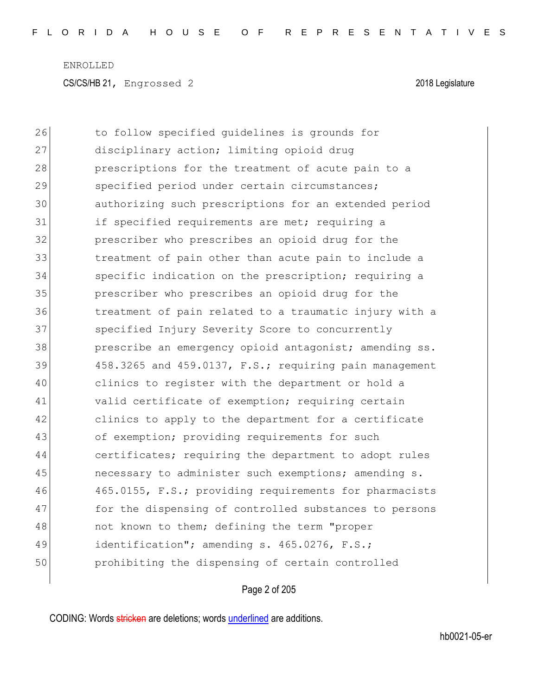26 to follow specified guidelines is grounds for 27 disciplinary action; limiting opioid drug 28 prescriptions for the treatment of acute pain to a 29 specified period under certain circumstances; 30 authorizing such prescriptions for an extended period 31 if specified requirements are met; requiring a 32 prescriber who prescribes an opioid drug for the 33 treatment of pain other than acute pain to include a 34 Specific indication on the prescription; requiring a 35 prescriber who prescribes an opioid drug for the 36 treatment of pain related to a traumatic injury with a 37 Specified Injury Severity Score to concurrently 38 prescribe an emergency opioid antagonist; amending ss.  $39$  458.3265 and 459.0137, F.S.; requiring pain management 40 clinics to register with the department or hold a 41 valid certificate of exemption; requiring certain 42 clinics to apply to the department for a certificate 43 of exemption; providing requirements for such 44 certificates; requiring the department to adopt rules 45 necessary to administer such exemptions; amending s. 46 465.0155, F.S.; providing requirements for pharmacists 47 for the dispensing of controlled substances to persons 48 not known to them; defining the term "proper 49 identification"; amending s. 465.0276, F.S.; 50 prohibiting the dispensing of certain controlled

### Page 2 of 205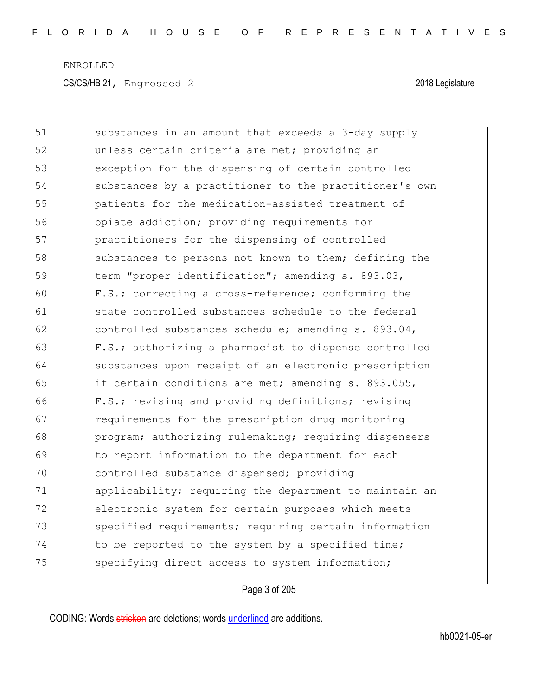51 substances in an amount that exceeds a 3-day supply 52 unless certain criteria are met; providing an 53 exception for the dispensing of certain controlled 54 substances by a practitioner to the practitioner's own 55 patients for the medication-assisted treatment of 56 opiate addiction; providing requirements for 57 practitioners for the dispensing of controlled 58 substances to persons not known to them; defining the 59 term "proper identification"; amending s. 893.03, 60 F.S.; correcting a cross-reference; conforming the 61 state controlled substances schedule to the federal  $62$  controlled substances schedule; amending s. 893.04, 63 F.S.; authorizing a pharmacist to dispense controlled 64 substances upon receipt of an electronic prescription 65 if certain conditions are met; amending s. 893.055, 66 F.S.; revising and providing definitions; revising 67 **requirements for the prescription drug monitoring** 68 program; authorizing rulemaking; requiring dispensers 69 to report information to the department for each 70 controlled substance dispensed; providing 71 applicability; requiring the department to maintain an 72 electronic system for certain purposes which meets 73 Specified requirements; requiring certain information 74 to be reported to the system by a specified time; 75 specifying direct access to system information;

## Page 3 of 205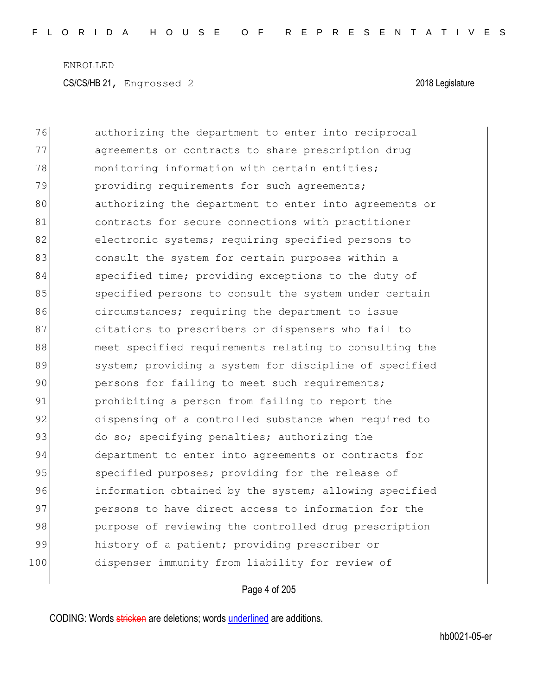76 authorizing the department to enter into reciprocal 77 agreements or contracts to share prescription drug 78 monitoring information with certain entities; 79 providing requirements for such agreements; 80 authorizing the department to enter into agreements or 81 contracts for secure connections with practitioner 82 electronic systems; requiring specified persons to 83 83 6 consult the system for certain purposes within a 84 specified time; providing exceptions to the duty of 85 specified persons to consult the system under certain 86 circumstances; requiring the department to issue 87 citations to prescribers or dispensers who fail to 88 meet specified requirements relating to consulting the 89 system; providing a system for discipline of specified 90 persons for failing to meet such requirements; 91 **prohibiting a person from failing to report the** 92 dispensing of a controlled substance when required to 93 do so; specifying penalties; authorizing the 94 department to enter into agreements or contracts for 95 specified purposes; providing for the release of 96 **information obtained by the system;** allowing specified 97 persons to have direct access to information for the 98 purpose of reviewing the controlled drug prescription 99 history of a patient; providing prescriber or 100 dispenser immunity from liability for review of

## Page 4 of 205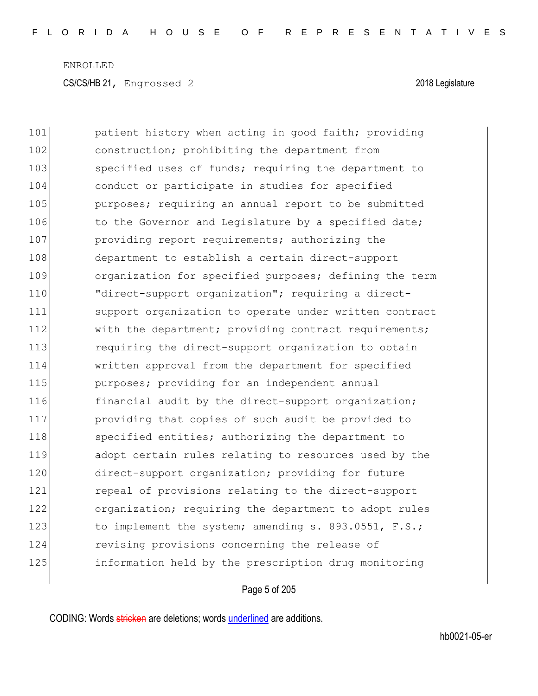101 **patient history when acting in good faith;** providing 102 construction; prohibiting the department from 103 specified uses of funds; requiring the department to 104 conduct or participate in studies for specified 105 **purposes;** requiring an annual report to be submitted 106 to the Governor and Legislature by a specified date; 107 **providing report requirements;** authorizing the 108 department to establish a certain direct-support 109 organization for specified purposes; defining the term 110 "direct-support organization"; requiring a direct-111 support organization to operate under written contract 112 With the department; providing contract requirements; 113 requiring the direct-support organization to obtain 114 written approval from the department for specified 115 **purposes;** providing for an independent annual 116 financial audit by the direct-support organization; 117 providing that copies of such audit be provided to 118 specified entities; authorizing the department to 119 adopt certain rules relating to resources used by the 120 direct-support organization; providing for future 121 **repeal of provisions relating to the direct-support** 122 organization; requiring the department to adopt rules 123 to implement the system; amending s. 893.0551, F.S.; 124 revising provisions concerning the release of 125 information held by the prescription drug monitoring

## Page 5 of 205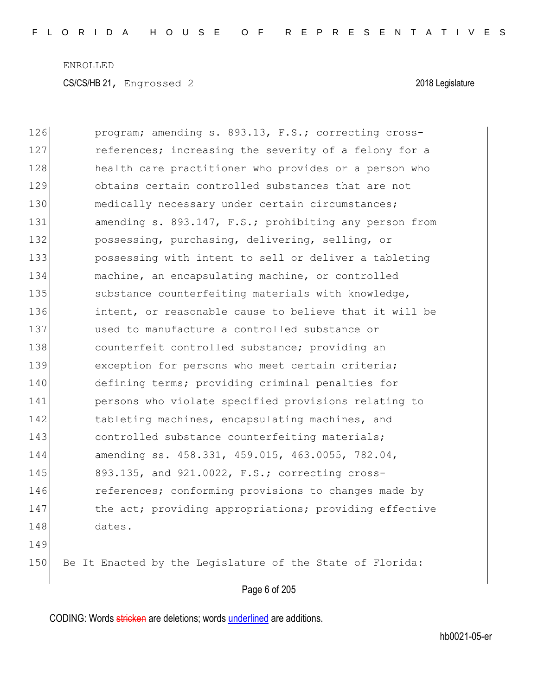| 126 | program; amending s. 893.13, F.S.; correcting cross-      |
|-----|-----------------------------------------------------------|
| 127 | references; increasing the severity of a felony for a     |
| 128 | health care practitioner who provides or a person who     |
| 129 | obtains certain controlled substances that are not        |
| 130 | medically necessary under certain circumstances;          |
| 131 | amending s. 893.147, F.S.; prohibiting any person from    |
| 132 | possessing, purchasing, delivering, selling, or           |
| 133 | possessing with intent to sell or deliver a tableting     |
| 134 | machine, an encapsulating machine, or controlled          |
| 135 | substance counterfeiting materials with knowledge,        |
| 136 | intent, or reasonable cause to believe that it will be    |
| 137 | used to manufacture a controlled substance or             |
| 138 | counterfeit controlled substance; providing an            |
| 139 | exception for persons who meet certain criteria;          |
| 140 | defining terms; providing criminal penalties for          |
| 141 | persons who violate specified provisions relating to      |
| 142 | tableting machines, encapsulating machines, and           |
| 143 | controlled substance counterfeiting materials;            |
| 144 | amending ss. 458.331, 459.015, 463.0055, 782.04,          |
| 145 | 893.135, and 921.0022, F.S.; correcting cross-            |
| 146 | references; conforming provisions to changes made by      |
| 147 | the act; providing appropriations; providing effective    |
| 148 | dates.                                                    |
| 149 |                                                           |
| 150 | Be It Enacted by the Legislature of the State of Florida: |
|     |                                                           |

Page 6 of 205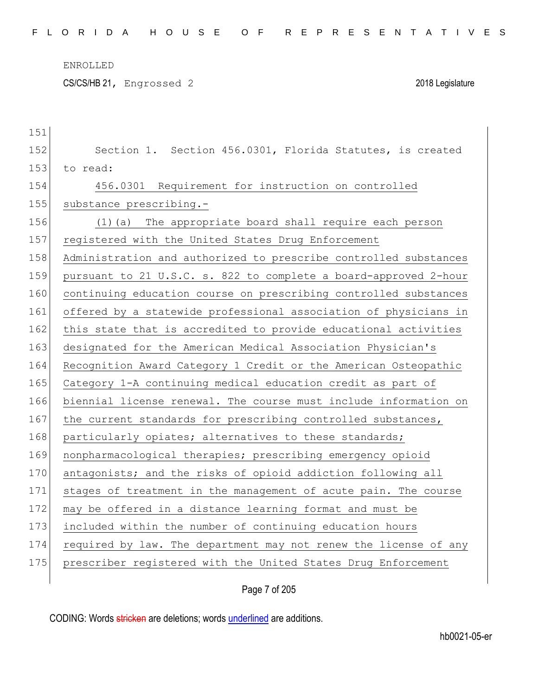CS/CS/HB 21, Engrossed 2 2018 Legislature

| 151 |                                                                  |
|-----|------------------------------------------------------------------|
| 152 | Section 1. Section 456.0301, Florida Statutes, is created        |
| 153 | to read:                                                         |
| 154 | 456.0301 Requirement for instruction on controlled               |
| 155 | substance prescribing.-                                          |
| 156 | The appropriate board shall require each person<br>(1) (a)       |
| 157 | registered with the United States Drug Enforcement               |
| 158 | Administration and authorized to prescribe controlled substances |
| 159 | pursuant to 21 U.S.C. s. 822 to complete a board-approved 2-hour |
| 160 | continuing education course on prescribing controlled substances |
| 161 | offered by a statewide professional association of physicians in |
| 162 | this state that is accredited to provide educational activities  |
| 163 | designated for the American Medical Association Physician's      |
| 164 | Recognition Award Category 1 Credit or the American Osteopathic  |
| 165 | Category 1-A continuing medical education credit as part of      |
| 166 | biennial license renewal. The course must include information on |
| 167 | the current standards for prescribing controlled substances,     |
| 168 | particularly opiates; alternatives to these standards;           |
| 169 | nonpharmacological therapies; prescribing emergency opioid       |
| 170 | antagonists; and the risks of opioid addiction following all     |
| 171 | stages of treatment in the management of acute pain. The course  |
| 172 | may be offered in a distance learning format and must be         |
| 173 | included within the number of continuing education hours         |
| 174 | required by law. The department may not renew the license of any |
| 175 | prescriber registered with the United States Drug Enforcement    |
|     |                                                                  |

Page 7 of 205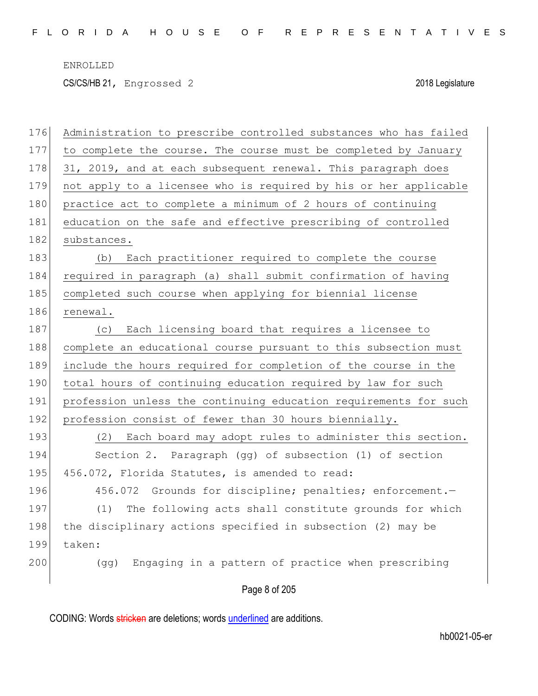CS/CS/HB 21, Engrossed 2 2018 Legislature

| 176 | Administration to prescribe controlled substances who has failed |
|-----|------------------------------------------------------------------|
| 177 | to complete the course. The course must be completed by January  |
| 178 | 31, 2019, and at each subsequent renewal. This paragraph does    |
| 179 | not apply to a licensee who is required by his or her applicable |
| 180 | practice act to complete a minimum of 2 hours of continuing      |
| 181 | education on the safe and effective prescribing of controlled    |
| 182 | substances.                                                      |
| 183 | (b) Each practitioner required to complete the course            |
| 184 | required in paragraph (a) shall submit confirmation of having    |
| 185 | completed such course when applying for biennial license         |
| 186 | renewal.                                                         |
| 187 | Each licensing board that requires a licensee to<br>(C)          |
| 188 | complete an educational course pursuant to this subsection must  |
| 189 | include the hours required for completion of the course in the   |
| 190 | total hours of continuing education required by law for such     |
| 191 | profession unless the continuing education requirements for such |
| 192 | profession consist of fewer than 30 hours biennially.            |
| 193 | (2) Each board may adopt rules to administer this section.       |
| 194 | Section 2. Paragraph (gg) of subsection (1) of section           |
| 195 | 456.072, Florida Statutes, is amended to read:                   |
| 196 | 456.072 Grounds for discipline; penalties; enforcement.-         |
| 197 | The following acts shall constitute grounds for which<br>(1)     |
| 198 | the disciplinary actions specified in subsection (2) may be      |
| 199 | taken:                                                           |
| 200 | Engaging in a pattern of practice when prescribing<br>(qq)       |
|     | Page 8 of 205                                                    |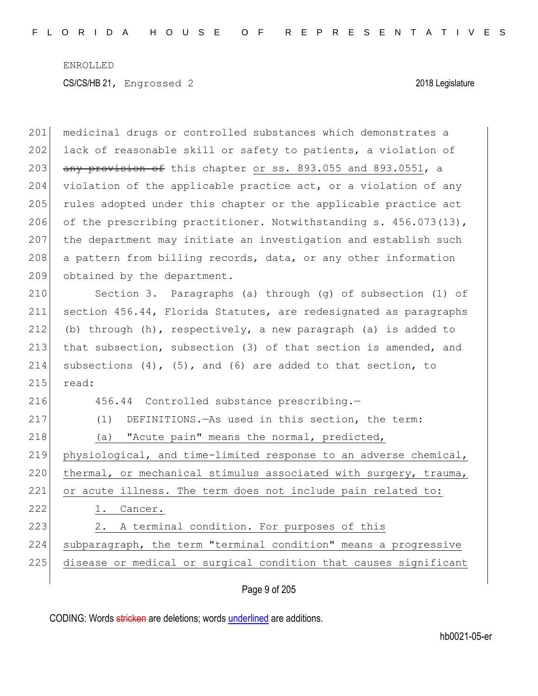| 201 | medicinal drugs or controlled substances which demonstrates a       |
|-----|---------------------------------------------------------------------|
| 202 | lack of reasonable skill or safety to patients, a violation of      |
| 203 | any provision of this chapter or ss. 893.055 and 893.0551, a        |
| 204 | violation of the applicable practice act, or a violation of any     |
| 205 | rules adopted under this chapter or the applicable practice act     |
| 206 | of the prescribing practitioner. Notwithstanding s. 456.073(13),    |
| 207 | the department may initiate an investigation and establish such     |
| 208 | a pattern from billing records, data, or any other information      |
| 209 | obtained by the department.                                         |
| 210 | Section 3. Paragraphs (a) through (g) of subsection (1) of          |
| 211 | section 456.44, Florida Statutes, are redesignated as paragraphs    |
| 212 | (b) through (h), respectively, a new paragraph (a) is added to      |
| 213 | that subsection, subsection (3) of that section is amended, and     |
| 214 | subsections $(4)$ , $(5)$ , and $(6)$ are added to that section, to |
| 215 | read:                                                               |
| 216 | 456.44 Controlled substance prescribing.-                           |
| 217 | DEFINITIONS. - As used in this section, the term:<br>(1)            |
| 218 | "Acute pain" means the normal, predicted,<br>(a)                    |
| 219 | physiological, and time-limited response to an adverse chemical,    |
| 220 | thermal, or mechanical stimulus associated with surgery, trauma,    |
| 221 | or acute illness. The term does not include pain related to:        |
| 222 | 1. Cancer.                                                          |
| 223 | A terminal condition. For purposes of this<br>2.                    |
| 224 | subparagraph, the term "terminal condition" means a progressive     |
| 225 | disease or medical or surgical condition that causes significant    |
|     |                                                                     |

# Page 9 of 205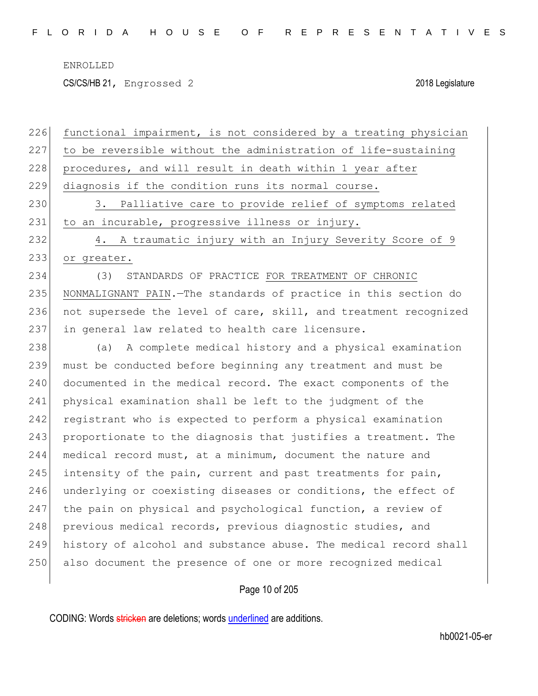CS/CS/HB 21, Engrossed 2 2018 Legislature

| 226 | functional impairment, is not considered by a treating physician  |
|-----|-------------------------------------------------------------------|
| 227 | to be reversible without the administration of life-sustaining    |
| 228 | procedures, and will result in death within 1 year after          |
| 229 | diagnosis if the condition runs its normal course.                |
| 230 | 3. Palliative care to provide relief of symptoms related          |
| 231 | to an incurable, progressive illness or injury.                   |
| 232 | 4. A traumatic injury with an Injury Severity Score of 9          |
| 233 | or greater.                                                       |
| 234 | (3)<br>STANDARDS OF PRACTICE FOR TREATMENT OF CHRONIC             |
| 235 | NONMALIGNANT PAIN. - The standards of practice in this section do |
| 236 | not supersede the level of care, skill, and treatment recognized  |
| 237 | in general law related to health care licensure.                  |
| 238 | (a) A complete medical history and a physical examination         |
| 239 | must be conducted before beginning any treatment and must be      |
| 240 | documented in the medical record. The exact components of the     |
| 241 | physical examination shall be left to the judgment of the         |
| 242 | registrant who is expected to perform a physical examination      |
| 243 | proportionate to the diagnosis that justifies a treatment. The    |
| 244 | medical record must, at a minimum, document the nature and        |
| 245 | intensity of the pain, current and past treatments for pain,      |
| 246 | underlying or coexisting diseases or conditions, the effect of    |
| 247 | the pain on physical and psychological function, a review of      |
| 248 | previous medical records, previous diagnostic studies, and        |
| 249 | history of alcohol and substance abuse. The medical record shall  |
| 250 | also document the presence of one or more recognized medical      |
|     |                                                                   |
|     | Page 10 of 205                                                    |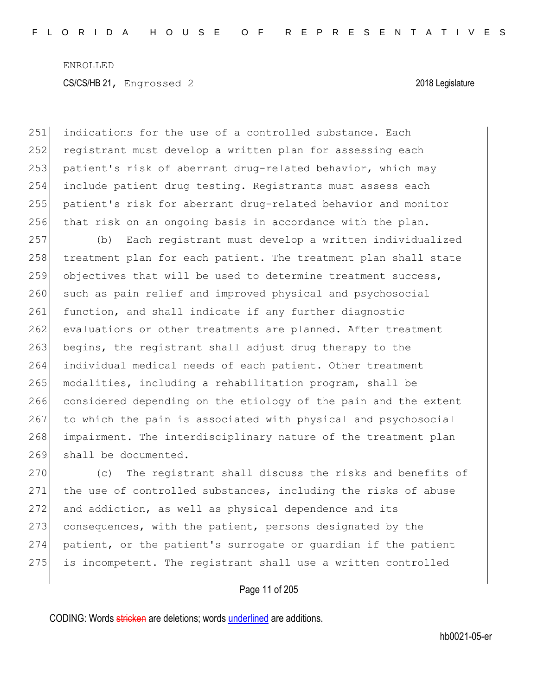251 indications for the use of a controlled substance. Each 252 registrant must develop a written plan for assessing each 253 patient's risk of aberrant drug-related behavior, which may 254 include patient drug testing. Registrants must assess each 255 patient's risk for aberrant drug-related behavior and monitor 256 that risk on an ongoing basis in accordance with the plan.

257 (b) Each registrant must develop a written individualized 258 treatment plan for each patient. The treatment plan shall state 259 objectives that will be used to determine treatment success, 260 such as pain relief and improved physical and psychosocial 261 function, and shall indicate if any further diagnostic 262 evaluations or other treatments are planned. After treatment 263 begins, the registrant shall adjust drug therapy to the 264 individual medical needs of each patient. Other treatment 265 modalities, including a rehabilitation program, shall be 266 considered depending on the etiology of the pain and the extent 267 to which the pain is associated with physical and psychosocial 268 impairment. The interdisciplinary nature of the treatment plan 269 shall be documented.

270 (c) The registrant shall discuss the risks and benefits of 271 the use of controlled substances, including the risks of abuse 272 and addiction, as well as physical dependence and its 273 consequences, with the patient, persons designated by the 274 patient, or the patient's surrogate or guardian if the patient 275 is incompetent. The registrant shall use a written controlled

Page 11 of 205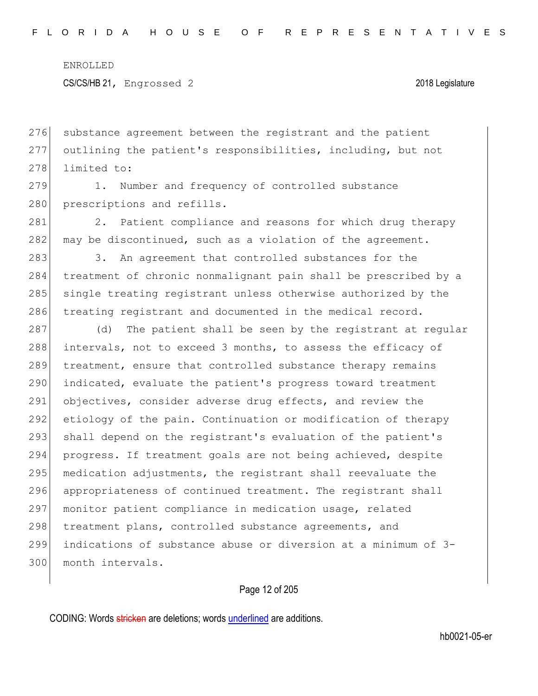276 substance agreement between the registrant and the patient 277 outlining the patient's responsibilities, including, but not 278 limited to:

279 1. Number and frequency of controlled substance 280 prescriptions and refills.

281 2. Patient compliance and reasons for which drug therapy 282 may be discontinued, such as a violation of the agreement.

283 3. An agreement that controlled substances for the 284 treatment of chronic nonmalignant pain shall be prescribed by a 285 single treating registrant unless otherwise authorized by the 286 treating registrant and documented in the medical record.

287 (d) The patient shall be seen by the registrant at regular 288 intervals, not to exceed 3 months, to assess the efficacy of 289 treatment, ensure that controlled substance therapy remains 290 indicated, evaluate the patient's progress toward treatment 291 objectives, consider adverse drug effects, and review the 292 etiology of the pain. Continuation or modification of therapy 293 shall depend on the registrant's evaluation of the patient's 294 progress. If treatment goals are not being achieved, despite  $295$  medication adjustments, the registrant shall reevaluate the 296 appropriateness of continued treatment. The registrant shall 297 monitor patient compliance in medication usage, related 298 treatment plans, controlled substance agreements, and 299 indications of substance abuse or diversion at a minimum of 3- 300 month intervals.

### Page 12 of 205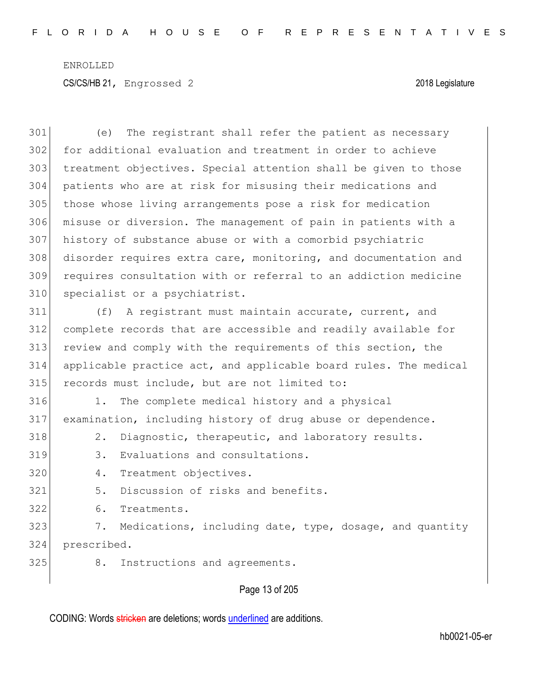Page 13 of 205 (e) The registrant shall refer the patient as necessary for additional evaluation and treatment in order to achieve treatment objectives. Special attention shall be given to those patients who are at risk for misusing their medications and those whose living arrangements pose a risk for medication misuse or diversion. The management of pain in patients with a history of substance abuse or with a comorbid psychiatric disorder requires extra care, monitoring, and documentation and requires consultation with or referral to an addiction medicine 310 specialist or a psychiatrist. (f) A registrant must maintain accurate, current, and complete records that are accessible and readily available for 313 review and comply with the requirements of this section, the applicable practice act, and applicable board rules. The medical records must include, but are not limited to: 1. The complete medical history and a physical examination, including history of drug abuse or dependence. 318 2. Diagnostic, therapeutic, and laboratory results. 319 3. Evaluations and consultations. 4. Treatment objectives. 321 5. Discussion of risks and benefits. 6. Treatments. 323 7. Medications, including date, type, dosage, and quantity prescribed. 325 8. Instructions and agreements.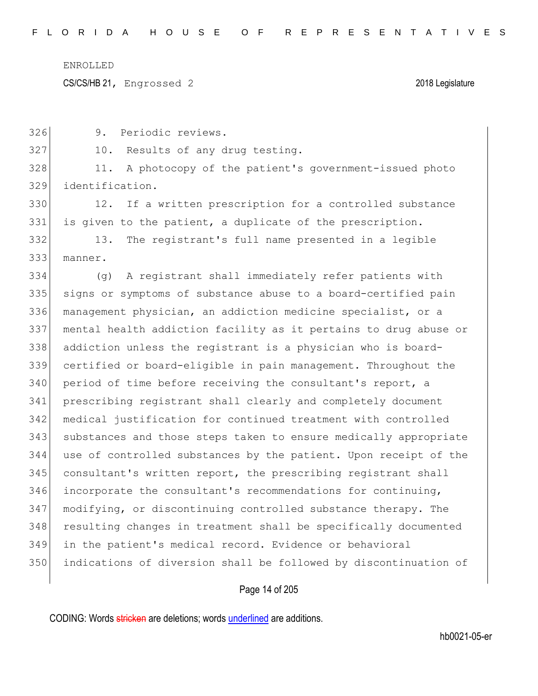CS/CS/HB 21, Engrossed 2 2018 Legislature

326 9. Periodic reviews.

327 10. Results of any drug testing.

328 11. A photocopy of the patient's government-issued photo 329 identification.

330 12. If a written prescription for a controlled substance 331 is given to the patient, a duplicate of the prescription.

332 13. The registrant's full name presented in a legible 333 manner.

 (g) A registrant shall immediately refer patients with signs or symptoms of substance abuse to a board-certified pain management physician, an addiction medicine specialist, or a mental health addiction facility as it pertains to drug abuse or 338 addiction unless the registrant is a physician who is board- certified or board-eligible in pain management. Throughout the 340 period of time before receiving the consultant's report, a prescribing registrant shall clearly and completely document medical justification for continued treatment with controlled substances and those steps taken to ensure medically appropriate use of controlled substances by the patient. Upon receipt of the 345 consultant's written report, the prescribing registrant shall incorporate the consultant's recommendations for continuing, modifying, or discontinuing controlled substance therapy. The 348 resulting changes in treatment shall be specifically documented in the patient's medical record. Evidence or behavioral indications of diversion shall be followed by discontinuation of

# Page 14 of 205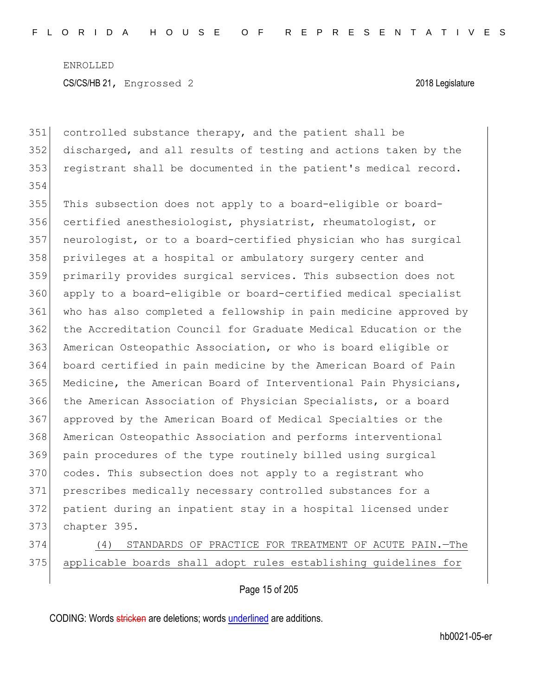controlled substance therapy, and the patient shall be discharged, and all results of testing and actions taken by the registrant shall be documented in the patient's medical record. This subsection does not apply to a board-eligible or board-356 certified anesthesiologist, physiatrist, rheumatologist, or neurologist, or to a board-certified physician who has surgical privileges at a hospital or ambulatory surgery center and primarily provides surgical services. This subsection does not apply to a board-eligible or board-certified medical specialist who has also completed a fellowship in pain medicine approved by the Accreditation Council for Graduate Medical Education or the 363 American Osteopathic Association, or who is board eligible or board certified in pain medicine by the American Board of Pain Medicine, the American Board of Interventional Pain Physicians, 366 the American Association of Physician Specialists, or a board approved by the American Board of Medical Specialties or the American Osteopathic Association and performs interventional pain procedures of the type routinely billed using surgical 370 codes. This subsection does not apply to a registrant who prescribes medically necessary controlled substances for a patient during an inpatient stay in a hospital licensed under chapter 395.

 (4) STANDARDS OF PRACTICE FOR TREATMENT OF ACUTE PAIN.—The applicable boards shall adopt rules establishing guidelines for

Page 15 of 205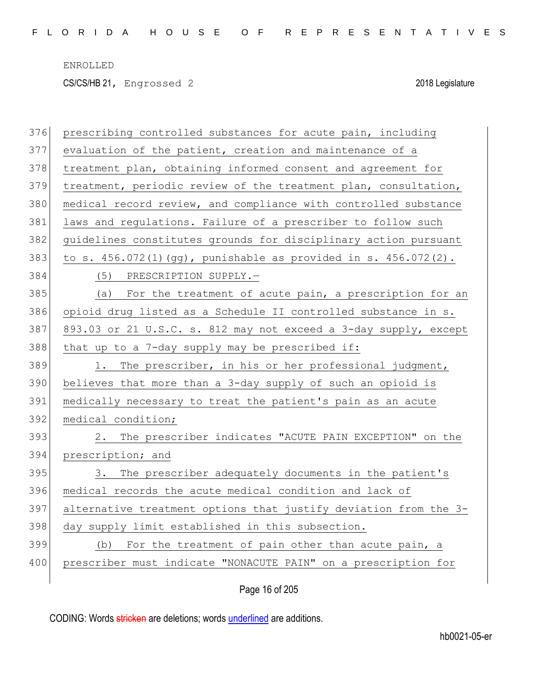CS/CS/HB 21, Engrossed 2 2018 Legislature

| 376 | prescribing controlled substances for acute pain, including      |
|-----|------------------------------------------------------------------|
| 377 | evaluation of the patient, creation and maintenance of a         |
| 378 | treatment plan, obtaining informed consent and agreement for     |
| 379 | treatment, periodic review of the treatment plan, consultation,  |
| 380 | medical record review, and compliance with controlled substance  |
| 381 | laws and regulations. Failure of a prescriber to follow such     |
| 382 | guidelines constitutes grounds for disciplinary action pursuant  |
| 383 | to s. 456.072(1)(gg), punishable as provided in s. 456.072(2).   |
| 384 | (5) PRESCRIPTION SUPPLY.-                                        |
| 385 | For the treatment of acute pain, a prescription for an<br>(a)    |
| 386 | opioid drug listed as a Schedule II controlled substance in s.   |
| 387 | 893.03 or 21 U.S.C. s. 812 may not exceed a 3-day supply, except |
| 388 | that up to a 7-day supply may be prescribed if:                  |
| 389 | The prescriber, in his or her professional judgment,<br>1.       |
| 390 | believes that more than a 3-day supply of such an opioid is      |
| 391 | medically necessary to treat the patient's pain as an acute      |
| 392 | medical condition;                                               |
| 393 | 2. The prescriber indicates "ACUTE PAIN EXCEPTION" on the        |
| 394 | prescription; and                                                |
| 395 | 3. The prescriber adequately documents in the patient's          |
| 396 | medical records the acute medical condition and lack of          |
| 397 | alternative treatment options that justify deviation from the 3- |
| 398 | day supply limit established in this subsection.                 |
| 399 | (b) For the treatment of pain other than acute pain, a           |
| 400 | prescriber must indicate "NONACUTE PAIN" on a prescription for   |
|     |                                                                  |

Page 16 of 205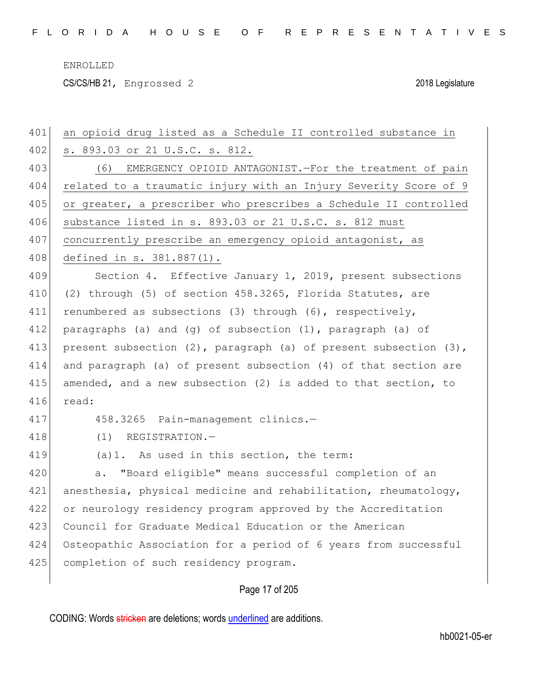CS/CS/HB 21, Engrossed 2 2018 Legislature

| 401 | an opioid drug listed as a Schedule II controlled substance in           |
|-----|--------------------------------------------------------------------------|
| 402 | s. 893.03 or 21 U.S.C. s. 812.                                           |
| 403 | (6) EMERGENCY OPIOID ANTAGONIST. - For the treatment of pain             |
| 404 | related to a traumatic injury with an Injury Severity Score of 9         |
| 405 | or greater, a prescriber who prescribes a Schedule II controlled         |
| 406 | substance listed in s. 893.03 or 21 U.S.C. s. 812 must                   |
| 407 | concurrently prescribe an emergency opioid antagonist, as                |
| 408 | defined in s. 381.887(1).                                                |
| 409 | Section 4. Effective January 1, 2019, present subsections                |
| 410 | (2) through (5) of section 458.3265, Florida Statutes, are               |
| 411 | renumbered as subsections (3) through (6), respectively,                 |
| 412 | paragraphs (a) and (g) of subsection (1), paragraph (a) of               |
| 413 | present subsection $(2)$ , paragraph $(a)$ of present subsection $(3)$ , |
| 414 | and paragraph (a) of present subsection (4) of that section are          |
| 415 | amended, and a new subsection (2) is added to that section, to           |
| 416 | read:                                                                    |
| 417 | 458.3265 Pain-management clinics.-                                       |
| 418 | $(1)$ REGISTRATION. -                                                    |
| 419 | (a) 1. As used in this section, the term:                                |
| 420 | "Board eligible" means successful completion of an<br>a.                 |
| 421 | anesthesia, physical medicine and rehabilitation, rheumatology,          |
| 422 | or neurology residency program approved by the Accreditation             |
| 423 | Council for Graduate Medical Education or the American                   |
| 424 | Osteopathic Association for a period of 6 years from successful          |
| 425 | completion of such residency program.                                    |
|     |                                                                          |

Page 17 of 205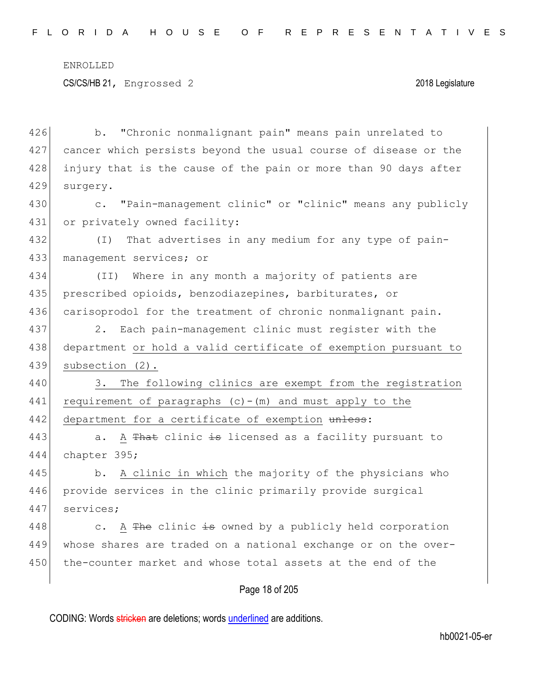426 b. "Chronic nonmalignant pain" means pain unrelated to 427 cancer which persists beyond the usual course of disease or the 428 injury that is the cause of the pain or more than 90 days after 429 surgery. 430 c. "Pain-management clinic" or "clinic" means any publicly 431 or privately owned facility: 432 (I) That advertises in any medium for any type of pain-433 management services; or 434 (II) Where in any month a majority of patients are 435 prescribed opioids, benzodiazepines, barbiturates, or 436 carisoprodol for the treatment of chronic nonmalignant pain. 437 2. Each pain-management clinic must register with the 438 department or hold a valid certificate of exemption pursuant to 439 subsection (2). 440 3. The following clinics are exempt from the registration 441 requirement of paragraphs  $(c) - (m)$  and must apply to the 442 department for a certificate of exemption unless: 443 a. A That clinic is licensed as a facility pursuant to 444 chapter 395; 445 b. A clinic in which the majority of the physicians who 446 provide services in the clinic primarily provide surgical 447 services; 448 c. A  $\frac{m}{2}$  c. A  $\frac{m}{2}$  clinic is owned by a publicly held corporation 449 whose shares are traded on a national exchange or on the over-450 the-counter market and whose total assets at the end of the

# Page 18 of 205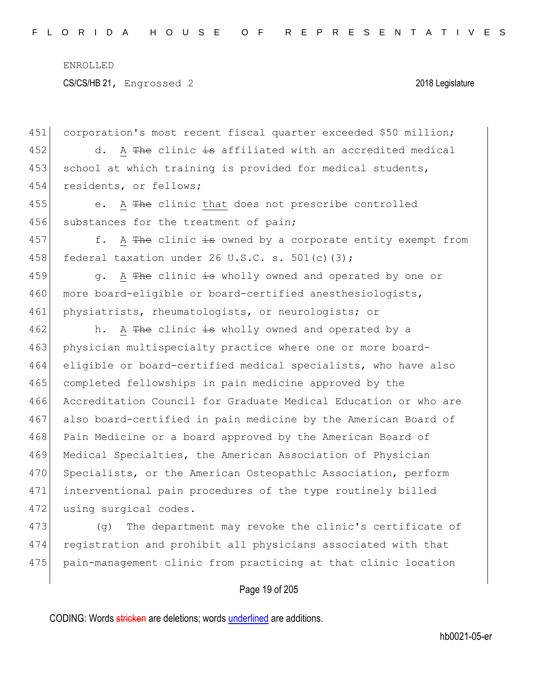451 corporation's most recent fiscal quarter exceeded \$50 million; 452 d. A  $\text{The }$  clinic is affiliated with an accredited medical 453 school at which training is provided for medical students, 454 residents, or fellows; 455 e. A The clinic that does not prescribe controlled 456 substances for the treatment of pain; 457 f. A The clinic is owned by a corporate entity exempt from 458 federal taxation under 26 U.S.C. s. 501(c)(3); 459  $\vert$  g. A The clinic is wholly owned and operated by one or 460 more board-eligible or board-certified anesthesiologists, 461 physiatrists, rheumatologists, or neurologists; or 462 h. A The clinic is wholly owned and operated by a 463 physician multispecialty practice where one or more board-464 eligible or board-certified medical specialists, who have also 465 completed fellowships in pain medicine approved by the 466 Accreditation Council for Graduate Medical Education or who are 467 also board-certified in pain medicine by the American Board of 468 Pain Medicine or a board approved by the American Board of 469 Medical Specialties, the American Association of Physician 470 Specialists, or the American Osteopathic Association, perform 471 interventional pain procedures of the type routinely billed 472 using surgical codes. 473 (g) The department may revoke the clinic's certificate of 474 registration and prohibit all physicians associated with that 475 pain-management clinic from practicing at that clinic location

# Page 19 of 205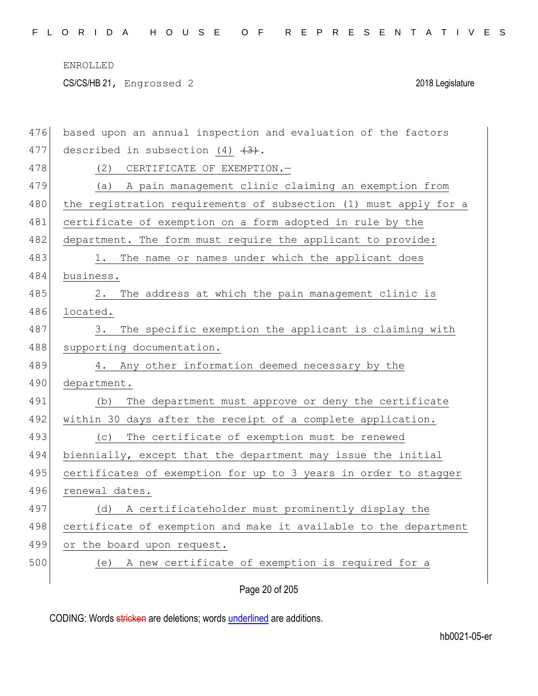CS/CS/HB 21, Engrossed 2 2018 Legislature

| 476 | based upon an annual inspection and evaluation of the factors    |
|-----|------------------------------------------------------------------|
| 477 | described in subsection (4) $\{3\}$ .                            |
| 478 | (2)<br>CERTIFICATE OF EXEMPTION.-                                |
| 479 | (a) A pain management clinic claiming an exemption from          |
| 480 | the registration requirements of subsection (1) must apply for a |
| 481 | certificate of exemption on a form adopted in rule by the        |
| 482 | department. The form must require the applicant to provide:      |
| 483 | The name or names under which the applicant does                 |
| 484 | business.                                                        |
| 485 | The address at which the pain management clinic is<br>2.         |
| 486 | located.                                                         |
| 487 | The specific exemption the applicant is claiming with<br>3.      |
| 488 | supporting documentation.                                        |
| 489 | 4. Any other information deemed necessary by the                 |
| 490 | department.                                                      |
| 491 | The department must approve or deny the certificate<br>(b)       |
| 492 | within 30 days after the receipt of a complete application.      |
| 493 | (c) The certificate of exemption must be renewed                 |
| 494 | biennially, except that the department may issue the initial     |
| 495 | certificates of exemption for up to 3 years in order to stagger  |
| 496 | renewal dates.                                                   |
| 497 | A certificateholder must prominently display the<br>(d)          |
| 498 | certificate of exemption and make it available to the department |
| 499 | or the board upon request.                                       |
| 500 | A new certificate of exemption is required for a<br>(e)          |
|     |                                                                  |

Page 20 of 205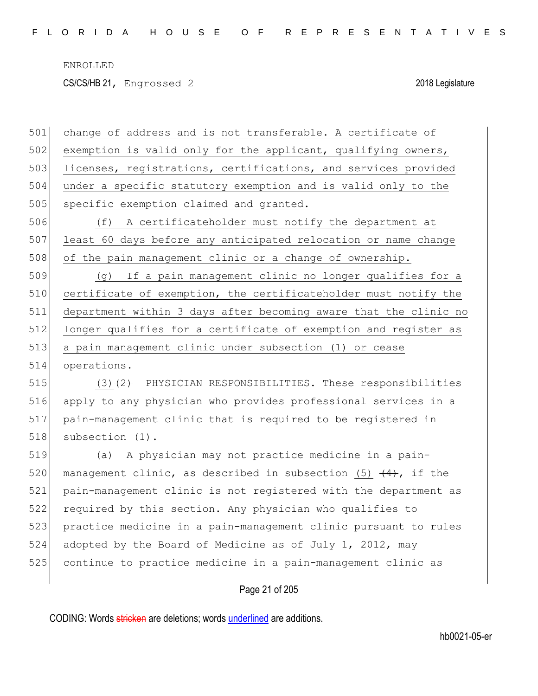CS/CS/HB 21, Engrossed 2 2018 Legislature

501 change of address and is not transferable. A certificate of 502 exemption is valid only for the applicant, qualifying owners, 503 licenses, registrations, certifications, and services provided 504 under a specific statutory exemption and is valid only to the 505 specific exemption claimed and granted.

506 (f) A certificateholder must notify the department at 507 least 60 days before any anticipated relocation or name change 508 of the pain management clinic or a change of ownership.

 (g) If a pain management clinic no longer qualifies for a 510 certificate of exemption, the certificateholder must notify the department within 3 days after becoming aware that the clinic no 512 longer qualifies for a certificate of exemption and register as a pain management clinic under subsection (1) or cease operations.

515 (3)<del>(2)</del> PHYSICIAN RESPONSIBILITIES.—These responsibilities 516 apply to any physician who provides professional services in a 517 pain-management clinic that is required to be registered in 518 subsection (1).

 (a) A physician may not practice medicine in a pain-520 management clinic, as described in subsection (5)  $\left(4\right)$ , if the pain-management clinic is not registered with the department as required by this section. Any physician who qualifies to practice medicine in a pain-management clinic pursuant to rules adopted by the Board of Medicine as of July 1, 2012, may continue to practice medicine in a pain-management clinic as

Page 21 of 205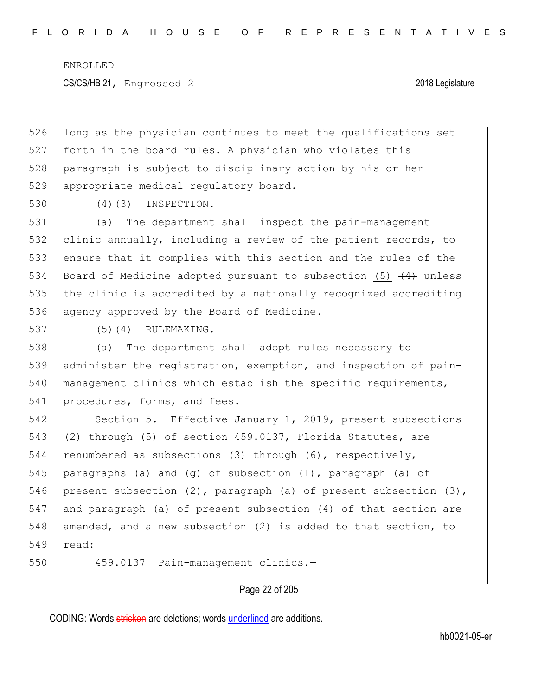526 long as the physician continues to meet the qualifications set 527 forth in the board rules. A physician who violates this 528 paragraph is subject to disciplinary action by his or her 529 appropriate medical regulatory board.

530 (4)  $(4)$  (4) INSPECTION.

 (a) The department shall inspect the pain-management clinic annually, including a review of the patient records, to ensure that it complies with this section and the rules of the 534 Board of Medicine adopted pursuant to subsection (5)  $(4)$  unless the clinic is accredited by a nationally recognized accrediting 536 agency approved by the Board of Medicine.

 $537$  (5)<del>(4)</del> RULEMAKING.

538 (a) The department shall adopt rules necessary to 539 administer the registration, exemption, and inspection of pain-540 management clinics which establish the specific requirements, 541 procedures, forms, and fees.

542 Section 5. Effective January 1, 2019, present subsections 543 (2) through (5) of section 459.0137, Florida Statutes, are 544 renumbered as subsections (3) through (6), respectively, 545 paragraphs (a) and (g) of subsection (1), paragraph (a) of 546 present subsection (2), paragraph (a) of present subsection (3), 547 and paragraph (a) of present subsection (4) of that section are 548 amended, and a new subsection (2) is added to that section, to 549 read:

550 459.0137 Pain-management clinics.—

# Page 22 of 205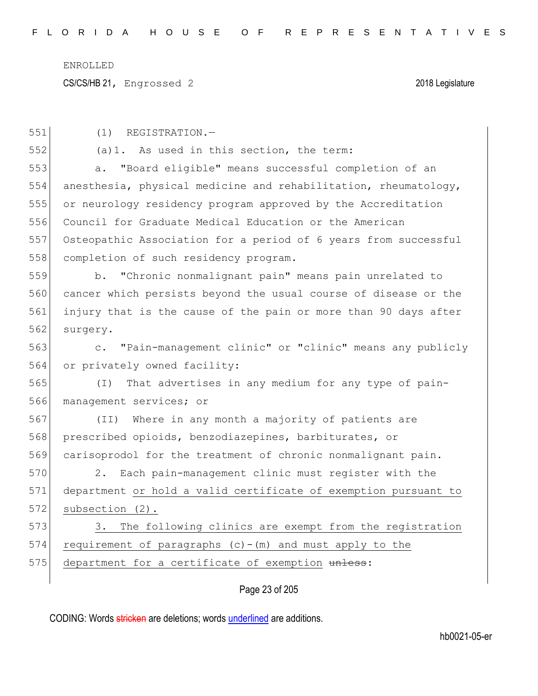CS/CS/HB 21, Engrossed 2 2018 Legislature

| 551 | (1)<br>REGISTRATION.-                                           |
|-----|-----------------------------------------------------------------|
| 552 | (a) 1. As used in this section, the term:                       |
| 553 | "Board eligible" means successful completion of an<br>a.        |
| 554 | anesthesia, physical medicine and rehabilitation, rheumatology, |
| 555 | or neurology residency program approved by the Accreditation    |
| 556 | Council for Graduate Medical Education or the American          |
| 557 | Osteopathic Association for a period of 6 years from successful |
| 558 | completion of such residency program.                           |
| 559 | b. "Chronic nonmalignant pain" means pain unrelated to          |
| 560 | cancer which persists beyond the usual course of disease or the |
| 561 | injury that is the cause of the pain or more than 90 days after |
| 562 | surgery.                                                        |
| 563 | c. "Pain-management clinic" or "clinic" means any publicly      |
| 564 | or privately owned facility:                                    |
| 565 | That advertises in any medium for any type of pain-<br>$(\top)$ |
| 566 | management services; or                                         |
| 567 | Where in any month a majority of patients are<br>(II)           |
| 568 | prescribed opioids, benzodiazepines, barbiturates, or           |
| 569 | carisoprodol for the treatment of chronic nonmalignant pain.    |
| 570 | Each pain-management clinic must register with the<br>2.        |
| 571 | department or hold a valid certificate of exemption pursuant to |
| 572 | subsection (2).                                                 |
| 573 | The following clinics are exempt from the registration<br>3.    |
| 574 | requirement of paragraphs $(c) - (m)$ and must apply to the     |
| 575 | department for a certificate of exemption unless:               |
|     | Page 23 of 205                                                  |
|     |                                                                 |

CODING: Words stricken are deletions; words underlined are additions.

hb0021-05-er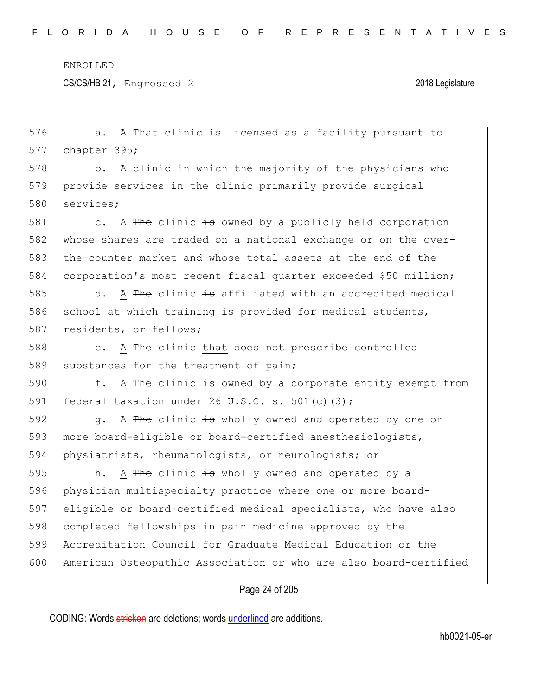CS/CS/HB 21, Engrossed 2 2018 Legislature

Page 24 of 205 576 a. A <del>That</del> clinic is licensed as a facility pursuant to 577 chapter 395; 578 b. A clinic in which the majority of the physicians who 579 provide services in the clinic primarily provide surgical 580 services; 581 c. A  $\frac{m}{100}$  c. A  $\frac{m}{100}$  clinic is owned by a publicly held corporation 582 whose shares are traded on a national exchange or on the over-583 the-counter market and whose total assets at the end of the 584 corporation's most recent fiscal quarter exceeded \$50 million; 585  $\vert$  d. A The clinic is affiliated with an accredited medical 586 school at which training is provided for medical students, 587 residents, or fellows; 588 e. A The clinic that does not prescribe controlled 589 substances for the treatment of pain; 590  $\vert$  f. A The clinic is owned by a corporate entity exempt from 591 federal taxation under 26 U.S.C. s. 501(c)(3); 592 g. A The clinic is wholly owned and operated by one or 593 more board-eligible or board-certified anesthesiologists, 594 physiatrists, rheumatologists, or neurologists; or 595 h. A The clinic  $\frac{1}{15}$  wholly owned and operated by a 596 physician multispecialty practice where one or more board-597 eligible or board-certified medical specialists, who have also 598 completed fellowships in pain medicine approved by the 599 Accreditation Council for Graduate Medical Education or the 600 American Osteopathic Association or who are also board-certified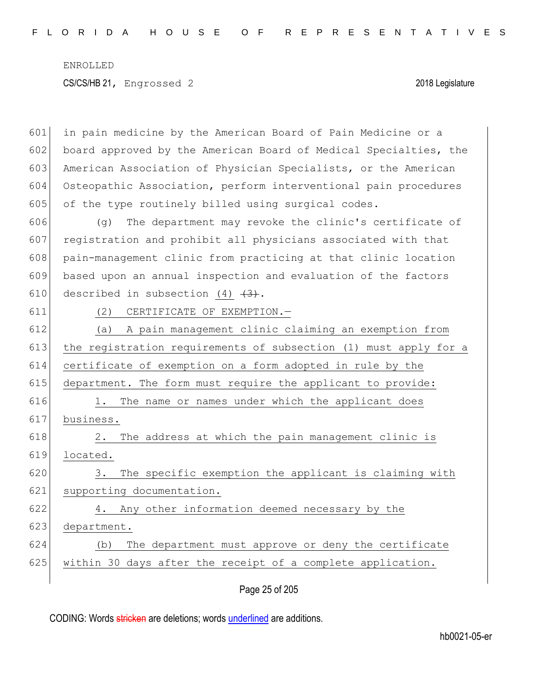601 in pain medicine by the American Board of Pain Medicine or a 602 board approved by the American Board of Medical Specialties, the 603 American Association of Physician Specialists, or the American 604 Osteopathic Association, perform interventional pain procedures 605 of the type routinely billed using surgical codes. 606 (g) The department may revoke the clinic's certificate of 607 registration and prohibit all physicians associated with that 608 pain-management clinic from practicing at that clinic location 609 based upon an annual inspection and evaluation of the factors 610 described in subsection  $(4)$   $(3)$ . 611 (2) CERTIFICATE OF EXEMPTION.— 612 (a) A pain management clinic claiming an exemption from 613 the registration requirements of subsection (1) must apply for a 614 certificate of exemption on a form adopted in rule by the 615 department. The form must require the applicant to provide: 616 1. The name or names under which the applicant does 617 business. 618 2. The address at which the pain management clinic is 619 located. 620 3. The specific exemption the applicant is claiming with 621 supporting documentation. 622 4. Any other information deemed necessary by the 623 department. 624 (b) The department must approve or deny the certificate 625 within 30 days after the receipt of a complete application.

Page 25 of 205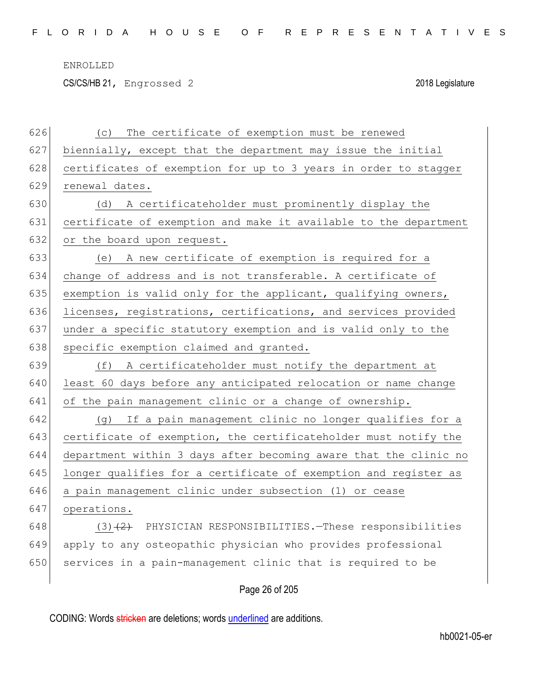CS/CS/HB 21, Engrossed 2 2018 Legislature

| 626 | The certificate of exemption must be renewed<br>(C)              |
|-----|------------------------------------------------------------------|
| 627 | biennially, except that the department may issue the initial     |
| 628 | certificates of exemption for up to 3 years in order to stagger  |
| 629 | renewal dates.                                                   |
| 630 | A certificateholder must prominently display the<br>(d)          |
| 631 | certificate of exemption and make it available to the department |
| 632 | or the board upon request.                                       |
| 633 | A new certificate of exemption is required for a<br>(e)          |
| 634 | change of address and is not transferable. A certificate of      |
| 635 | exemption is valid only for the applicant, qualifying owners,    |
| 636 | licenses, registrations, certifications, and services provided   |
| 637 | under a specific statutory exemption and is valid only to the    |
| 638 | specific exemption claimed and granted.                          |
| 639 | (f)<br>A certificateholder must notify the department at         |
| 640 | least 60 days before any anticipated relocation or name change   |
| 641 | of the pain management clinic or a change of ownership.          |
| 642 | (g) If a pain management clinic no longer qualifies for a        |
| 643 | certificate of exemption, the certificateholder must notify the  |
| 644 | department within 3 days after becoming aware that the clinic no |
| 645 | longer qualifies for a certificate of exemption and register as  |
| 646 | a pain management clinic under subsection (1) or cease           |
| 647 | operations.                                                      |
| 648 | PHYSICIAN RESPONSIBILITIES. - These responsibilities<br>$(3) +2$ |
| 649 | apply to any osteopathic physician who provides professional     |
| 650 | services in a pain-management clinic that is required to be      |
|     | Page 26 of 205                                                   |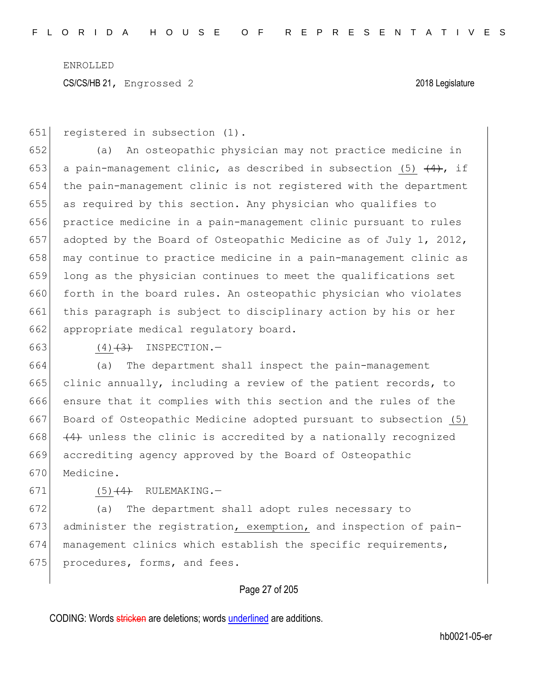651 registered in subsection (1).

652 (a) An osteopathic physician may not practice medicine in 653 a pain-management clinic, as described in subsection (5)  $\{4\}$ , if 654 the pain-management clinic is not registered with the department 655 as required by this section. Any physician who qualifies to 656 practice medicine in a pain-management clinic pursuant to rules 657 adopted by the Board of Osteopathic Medicine as of July 1, 2012, 658 may continue to practice medicine in a pain-management clinic as 659 long as the physician continues to meet the qualifications set 660 forth in the board rules. An osteopathic physician who violates 661 this paragraph is subject to disciplinary action by his or her 662 appropriate medical regulatory board.

663 (4)<del>(3)</del> INSPECTION.-

 (a) The department shall inspect the pain-management clinic annually, including a review of the patient records, to ensure that it complies with this section and the rules of the Board of Osteopathic Medicine adopted pursuant to subsection (5)  $(4)$  unless the clinic is accredited by a nationally recognized accrediting agency approved by the Board of Osteopathic Medicine.

671  $(5)$   $(4)$  RULEMAKING.

672 (a) The department shall adopt rules necessary to 673 administer the registration, exemption, and inspection of pain-674 management clinics which establish the specific requirements, 675 procedures, forms, and fees.

# Page 27 of 205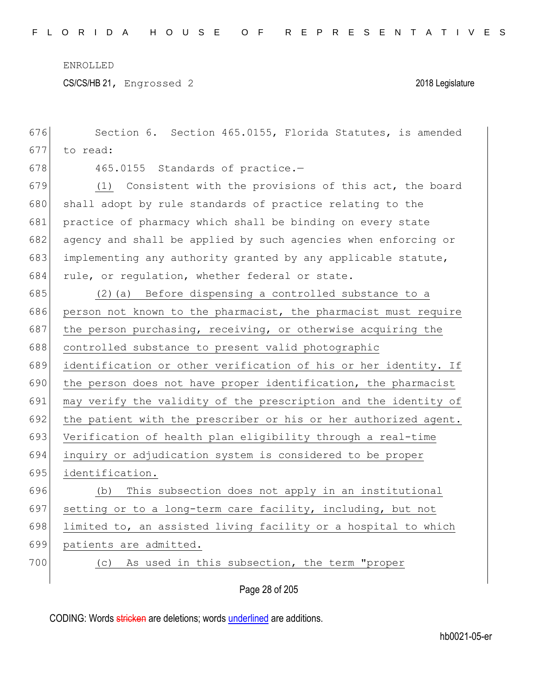CS/CS/HB 21, Engrossed 2 2018 Legislature

| 676 | Section 6. Section 465.0155, Florida Statutes, is amended       |
|-----|-----------------------------------------------------------------|
| 677 | to read:                                                        |
| 678 | 465.0155 Standards of practice.-                                |
| 679 | (1) Consistent with the provisions of this act, the board       |
| 680 | shall adopt by rule standards of practice relating to the       |
| 681 | practice of pharmacy which shall be binding on every state      |
| 682 | agency and shall be applied by such agencies when enforcing or  |
| 683 | implementing any authority granted by any applicable statute,   |
| 684 | rule, or regulation, whether federal or state.                  |
| 685 | (2) (a) Before dispensing a controlled substance to a           |
| 686 | person not known to the pharmacist, the pharmacist must require |
| 687 | the person purchasing, receiving, or otherwise acquiring the    |
| 688 | controlled substance to present valid photographic              |
| 689 | identification or other verification of his or her identity. If |
| 690 | the person does not have proper identification, the pharmacist  |
| 691 | may verify the validity of the prescription and the identity of |
| 692 | the patient with the prescriber or his or her authorized agent. |
| 693 | Verification of health plan eligibility through a real-time     |
| 694 | inquiry or adjudication system is considered to be proper       |
| 695 | identification.                                                 |
| 696 | This subsection does not apply in an institutional<br>(b)       |
| 697 | setting or to a long-term care facility, including, but not     |
| 698 | limited to, an assisted living facility or a hospital to which  |
| 699 | patients are admitted.                                          |
| 700 | As used in this subsection, the term "proper<br>(C)             |
|     |                                                                 |

Page 28 of 205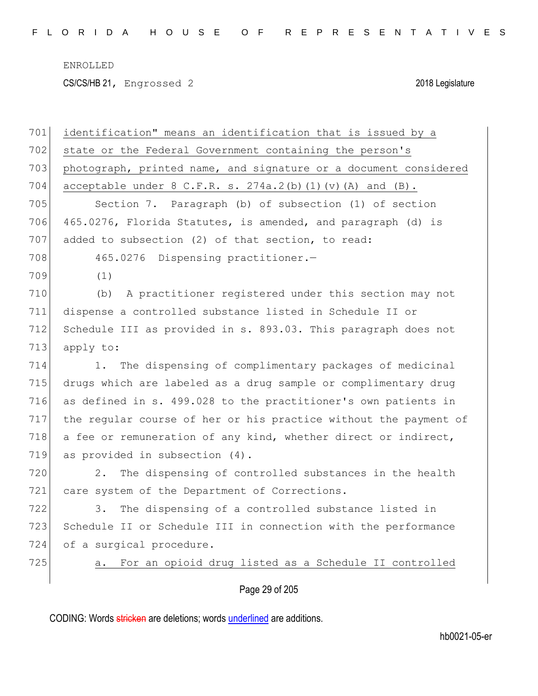CS/CS/HB 21, Engrossed 2 2018 Legislature

|     | Page 29 of 205                                                   |
|-----|------------------------------------------------------------------|
| 725 | For an opioid drug listed as a Schedule II controlled<br>a.      |
| 724 | of a surgical procedure.                                         |
| 723 | Schedule II or Schedule III in connection with the performance   |
| 722 | The dispensing of a controlled substance listed in<br>3.         |
| 721 | care system of the Department of Corrections.                    |
| 720 | The dispensing of controlled substances in the health<br>2.      |
| 719 | as provided in subsection (4).                                   |
| 718 | a fee or remuneration of any kind, whether direct or indirect,   |
| 717 | the regular course of her or his practice without the payment of |
| 716 | as defined in s. 499.028 to the practitioner's own patients in   |
| 715 | drugs which are labeled as a drug sample or complimentary drug   |
| 714 | The dispensing of complimentary packages of medicinal<br>1.      |
| 713 | apply to:                                                        |
| 712 | Schedule III as provided in s. 893.03. This paragraph does not   |
| 711 | dispense a controlled substance listed in Schedule II or         |
| 710 | A practitioner registered under this section may not<br>(b)      |
| 709 | (1)                                                              |
| 708 | 465.0276 Dispensing practitioner.-                               |
| 707 | added to subsection (2) of that section, to read:                |
| 706 | 465.0276, Florida Statutes, is amended, and paragraph (d) is     |
| 705 | Section 7. Paragraph (b) of subsection (1) of section            |
| 704 | acceptable under $8$ C.F.R. s. $274a.2(b)$ (1) (v) (A) and (B).  |
| 703 | photograph, printed name, and signature or a document considered |
| 702 | state or the Federal Government containing the person's          |
| 701 | identification" means an identification that is issued by a      |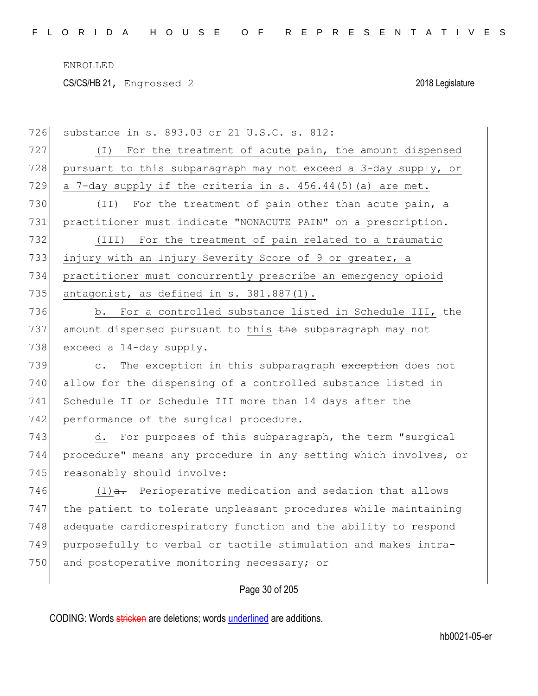CS/CS/HB 21, Engrossed 2 2018 Legislature

| 726 | substance in s. 893.03 or 21 U.S.C. s. 812:                        |
|-----|--------------------------------------------------------------------|
| 727 | (I) For the treatment of acute pain, the amount dispensed          |
| 728 | pursuant to this subparagraph may not exceed a 3-day supply, or    |
| 729 | a 7-day supply if the criteria in s. 456.44(5) (a) are met.        |
| 730 | (II) For the treatment of pain other than acute pain, a            |
| 731 | practitioner must indicate "NONACUTE PAIN" on a prescription.      |
| 732 | (III) For the treatment of pain related to a traumatic             |
| 733 | injury with an Injury Severity Score of 9 or greater, a            |
| 734 | practitioner must concurrently prescribe an emergency opioid       |
| 735 | antagonist, as defined in s. 381.887(1).                           |
| 736 | b. For a controlled substance listed in Schedule III, the          |
| 737 | amount dispensed pursuant to this the subparagraph may not         |
| 738 | exceed a 14-day supply.                                            |
| 739 | The exception in this subparagraph exception does not<br>$\circ$ . |
| 740 | allow for the dispensing of a controlled substance listed in       |
| 741 | Schedule II or Schedule III more than 14 days after the            |
| 742 | performance of the surgical procedure.                             |
| 743 | d. For purposes of this subparagraph, the term "surgical           |
| 744 | procedure" means any procedure in any setting which involves, or   |
| 745 | reasonably should involve:                                         |
| 746 | $(I)$ a. Perioperative medication and sedation that allows         |
| 747 | the patient to tolerate unpleasant procedures while maintaining    |
| 748 | adequate cardiorespiratory function and the ability to respond     |
| 749 | purposefully to verbal or tactile stimulation and makes intra-     |
| 750 | and postoperative monitoring necessary; or                         |
|     | Page 30 of 205                                                     |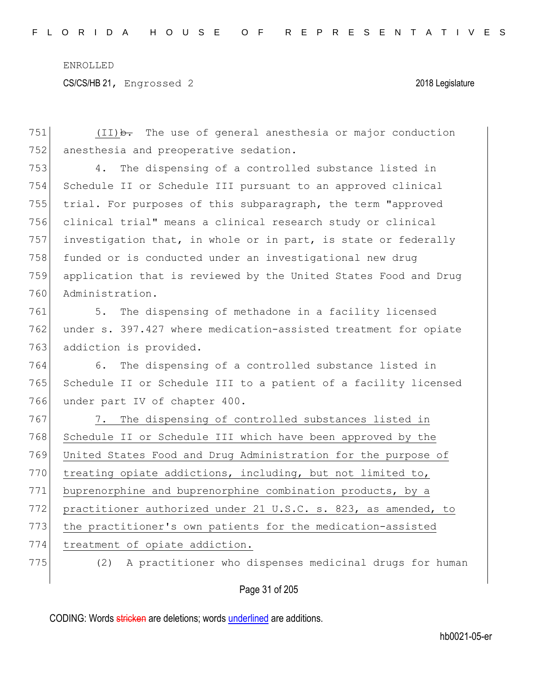Page 31 of 205 751  $(II)$   $\rightarrow$  The use of general anesthesia or major conduction 752 anesthesia and preoperative sedation. 753 4. The dispensing of a controlled substance listed in 754 Schedule II or Schedule III pursuant to an approved clinical 755 trial. For purposes of this subparagraph, the term "approved 756 clinical trial" means a clinical research study or clinical 757 investigation that, in whole or in part, is state or federally 758 funded or is conducted under an investigational new drug 759 application that is reviewed by the United States Food and Drug 760 Administration. 761 5. The dispensing of methadone in a facility licensed 762 under s. 397.427 where medication-assisted treatment for opiate 763 addiction is provided. 764 6. The dispensing of a controlled substance listed in 765 Schedule II or Schedule III to a patient of a facility licensed 766 under part IV of chapter 400. 767 7. The dispensing of controlled substances listed in 768 Schedule II or Schedule III which have been approved by the 769 United States Food and Drug Administration for the purpose of 770 treating opiate addictions, including, but not limited to, 771 buprenorphine and buprenorphine combination products, by a 772 practitioner authorized under 21 U.S.C. s. 823, as amended, to 773 the practitioner's own patients for the medication-assisted 774 treatment of opiate addiction. 775 (2) A practitioner who dispenses medicinal drugs for human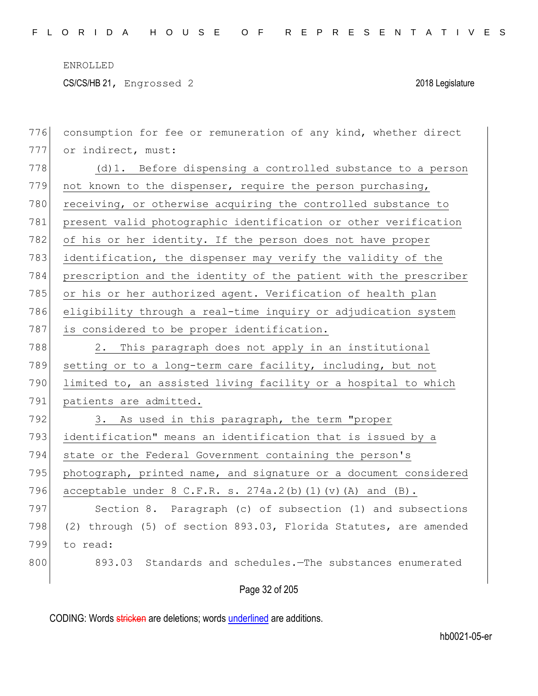CS/CS/HB 21, Engrossed 2 2018 Legislature

| 776 | consumption for fee or remuneration of any kind, whether direct  |
|-----|------------------------------------------------------------------|
| 777 | or indirect, must:                                               |
| 778 | (d) 1. Before dispensing a controlled substance to a person      |
| 779 | not known to the dispenser, require the person purchasing,       |
| 780 | receiving, or otherwise acquiring the controlled substance to    |
| 781 | present valid photographic identification or other verification  |
| 782 | of his or her identity. If the person does not have proper       |
| 783 | identification, the dispenser may verify the validity of the     |
| 784 | prescription and the identity of the patient with the prescriber |
| 785 | or his or her authorized agent. Verification of health plan      |
| 786 | eligibility through a real-time inquiry or adjudication system   |
| 787 | is considered to be proper identification.                       |
| 788 | This paragraph does not apply in an institutional<br>2.          |
| 789 | setting or to a long-term care facility, including, but not      |
| 790 | limited to, an assisted living facility or a hospital to which   |
| 791 | patients are admitted.                                           |
| 792 | 3. As used in this paragraph, the term "proper                   |
| 793 | identification" means an identification that is issued by a      |
| 794 | state or the Federal Government containing the person's          |
| 795 | photograph, printed name, and signature or a document considered |
| 796 | acceptable under $8$ C.F.R. s. $274a.2(b)$ (1) (v) (A) and (B).  |
| 797 | Section 8. Paragraph (c) of subsection (1) and subsections       |
| 798 | (2) through (5) of section 893.03, Florida Statutes, are amended |
| 799 | to read:                                                         |
| 800 | Standards and schedules. The substances enumerated<br>893.03     |
|     | Page 32 of 205                                                   |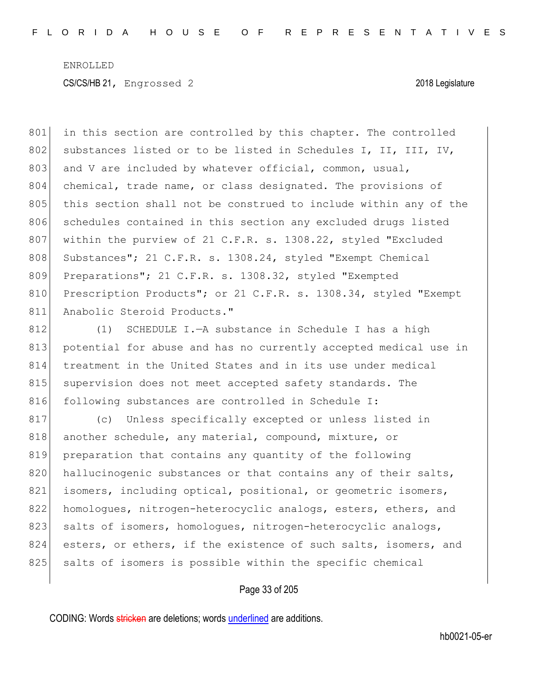801 in this section are controlled by this chapter. The controlled 802 substances listed or to be listed in Schedules I, II, III, IV, 803 and V are included by whatever official, common, usual, 804 chemical, trade name, or class designated. The provisions of 805 this section shall not be construed to include within any of the 806 schedules contained in this section any excluded drugs listed 807 within the purview of 21 C.F.R. s. 1308.22, styled "Excluded 808 Substances"; 21 C.F.R. s. 1308.24, styled "Exempt Chemical 809 Preparations"; 21 C.F.R. s. 1308.32, styled "Exempted" 810 Prescription Products"; or 21 C.F.R. s. 1308.34, styled "Exempt 811 Anabolic Steroid Products."

812 (1) SCHEDULE I.—A substance in Schedule I has a high 813 potential for abuse and has no currently accepted medical use in 814 treatment in the United States and in its use under medical 815 supervision does not meet accepted safety standards. The 816 following substances are controlled in Schedule I:

817 (c) Unless specifically excepted or unless listed in 818 another schedule, any material, compound, mixture, or 819 preparation that contains any quantity of the following 820 hallucinogenic substances or that contains any of their salts, 821 isomers, including optical, positional, or geometric isomers, 822 homologues, nitrogen-heterocyclic analogs, esters, ethers, and 823 salts of isomers, homologues, nitrogen-heterocyclic analogs, 824 esters, or ethers, if the existence of such salts, isomers, and 825 salts of isomers is possible within the specific chemical

### Page 33 of 205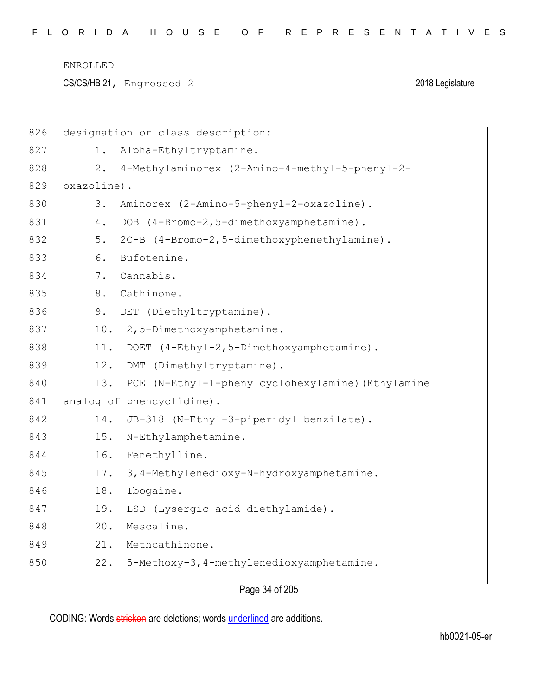CS/CS/HB 21, Engrossed 2 2018 Legislature

| 826 | designation or class description:                        |
|-----|----------------------------------------------------------|
| 827 | Alpha-Ethyltryptamine.<br>1.                             |
| 828 | $2$ .<br>4-Methylaminorex (2-Amino-4-methyl-5-phenyl-2-  |
| 829 | oxazoline).                                              |
| 830 | 3.<br>Aminorex (2-Amino-5-phenyl-2-oxazoline).           |
| 831 | 4.<br>DOB (4-Bromo-2,5-dimethoxyamphetamine).            |
| 832 | 5.<br>2C-B (4-Bromo-2, 5-dimethoxyphenethylamine).       |
| 833 | 6.<br>Bufotenine.                                        |
| 834 | 7.<br>Cannabis.                                          |
| 835 | 8.<br>Cathinone.                                         |
| 836 | 9.<br>DET (Diethyltryptamine).                           |
| 837 | 2,5-Dimethoxyamphetamine.<br>10.                         |
| 838 | DOET (4-Ethyl-2,5-Dimethoxyamphetamine).<br>11.          |
| 839 | 12.<br>DMT (Dimethyltryptamine).                         |
| 840 | 13.<br>PCE (N-Ethyl-1-phenylcyclohexylamine) (Ethylamine |
| 841 | analog of phencyclidine).                                |
| 842 | JB-318 (N-Ethyl-3-piperidyl benzilate).<br>14.           |
| 843 | 15.<br>N-Ethylamphetamine.                               |
| 844 | 16.<br>Fenethylline.                                     |
| 845 | 17.<br>3, 4-Methylenedioxy-N-hydroxyamphetamine.         |
| 846 | 18.<br>Ibogaine.                                         |
| 847 | 19.<br>LSD (Lysergic acid diethylamide).                 |
| 848 | 20.<br>Mescaline.                                        |
| 849 | Methcathinone.<br>21.                                    |
| 850 | 5-Methoxy-3, 4-methylenedioxyamphetamine.<br>22.         |
|     |                                                          |

Page 34 of 205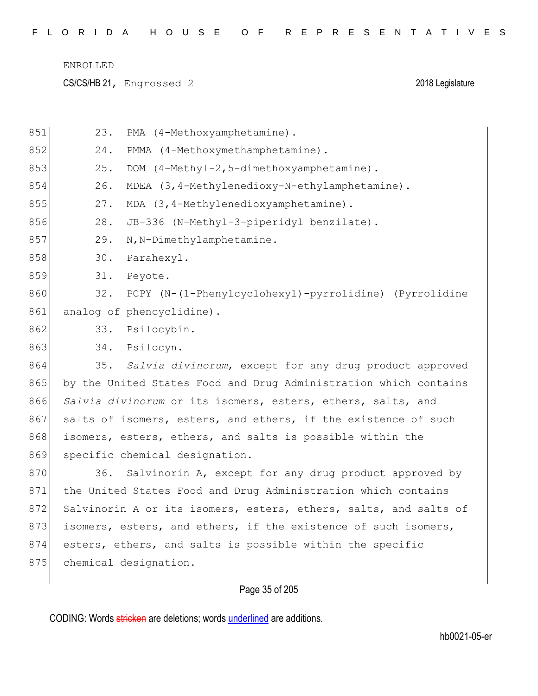CS/CS/HB 21, Engrossed 2 2018 Legislature

| 851 | 23.                       | PMA (4-Methoxyamphetamine).                                      |
|-----|---------------------------|------------------------------------------------------------------|
| 852 | 24.                       | PMMA (4-Methoxymethamphetamine).                                 |
| 853 | 25.                       | DOM (4-Methyl-2,5-dimethoxyamphetamine).                         |
| 854 | 26.                       | MDEA (3,4-Methylenedioxy-N-ethylamphetamine).                    |
| 855 | 27.                       | MDA (3, 4-Methylenedioxyamphetamine).                            |
| 856 | 28.                       | JB-336 (N-Methyl-3-piperidyl benzilate).                         |
| 857 | 29.                       | N, N-Dimethylamphetamine.                                        |
| 858 | 30.                       | Parahexyl.                                                       |
| 859 | 31.                       | Peyote.                                                          |
| 860 | 32.                       | PCPY (N-(1-Phenylcyclohexyl)-pyrrolidine) (Pyrrolidine           |
| 861 | analog of phencyclidine). |                                                                  |
| 862 | 33.                       | Psilocybin.                                                      |
| 863 | 34.                       | Psilocyn.                                                        |
| 864 | 35.                       | Salvia divinorum, except for any drug product approved           |
| 865 |                           | by the United States Food and Drug Administration which contains |
| 866 |                           | Salvia divinorum or its isomers, esters, ethers, salts, and      |
| 867 |                           | salts of isomers, esters, and ethers, if the existence of such   |
| 868 |                           | isomers, esters, ethers, and salts is possible within the        |
| 869 |                           | specific chemical designation.                                   |
| 870 | 36.                       | Salvinorin A, except for any drug product approved by            |
| 871 |                           | the United States Food and Drug Administration which contains    |
| 872 |                           | Salvinorin A or its isomers, esters, ethers, salts, and salts of |
| 873 |                           | isomers, esters, and ethers, if the existence of such isomers,   |
| 874 |                           | esters, ethers, and salts is possible within the specific        |
| 875 | chemical designation.     |                                                                  |
|     |                           |                                                                  |
|     |                           | Page 35 of 205                                                   |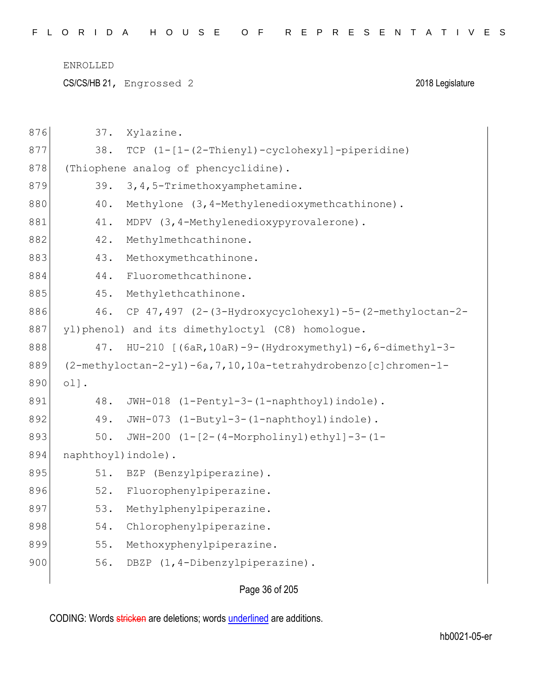CS/CS/HB 21, Engrossed 2 2018 Legislature

| 876 | 37.                 | Xylazine.                                                                      |
|-----|---------------------|--------------------------------------------------------------------------------|
| 877 | 38.                 | TCP $(1 - [1 - (2 - \text{Thienyl}) - \text{cyclohexyl}] - \text{piperidine})$ |
| 878 |                     | (Thiophene analog of phencyclidine).                                           |
| 879 | 39.                 | 3, 4, 5-Trimethoxyamphetamine.                                                 |
| 880 | 40.                 | Methylone (3, 4-Methylenedioxymethcathinone).                                  |
| 881 | 41.                 | MDPV (3, 4-Methylenedioxypyrovalerone).                                        |
| 882 | 42.                 | Methylmethcathinone.                                                           |
| 883 | 43.                 | Methoxymethcathinone.                                                          |
| 884 | 44.                 | Fluoromethcathinone.                                                           |
| 885 | 45.                 | Methylethcathinone.                                                            |
| 886 | 46.                 | CP 47,497 (2-(3-Hydroxycyclohexyl)-5-(2-methyloctan-2-                         |
| 887 |                     | yl)phenol) and its dimethyloctyl (C8) homologue.                               |
| 888 | 47.                 | $HU-210$ [(6aR, 10aR) -9-(Hydroxymethyl) -6, 6-dimethyl-3-                     |
| 889 |                     | (2-methyloctan-2-yl)-6a, 7, 10, 10a-tetrahydrobenzo [c] chromen-1-             |
| 890 | ol.                 |                                                                                |
| 891 | 48.                 | JWH-018 (1-Pentyl-3-(1-naphthoyl)indole).                                      |
| 892 | 49.                 |                                                                                |
| 893 |                     | JWH-073 (1-Butyl-3-(1-naphthoyl)indole).                                       |
|     | 50.                 | JWH-200 (1-[2-(4-Morpholinyl)ethyl]-3-(1-                                      |
| 894 | naphthoyl) indole). |                                                                                |
| 895 | 51.                 | BZP (Benzylpiperazine).                                                        |
| 896 | 52.                 | Fluorophenylpiperazine.                                                        |
| 897 | 53.                 | Methylphenylpiperazine.                                                        |
| 898 | 54.                 | Chlorophenylpiperazine.                                                        |
| 899 | 55.                 | Methoxyphenylpiperazine.                                                       |
| 900 | 56.                 | DBZP (1,4-Dibenzylpiperazine).                                                 |

Page 36 of 205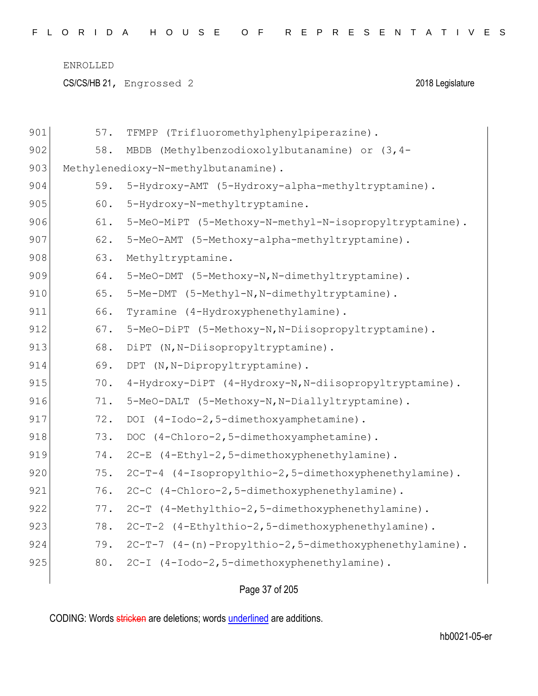CS/CS/HB 21, Engrossed 2 2018 Legislature

| 901 | 57. | TFMPP (Trifluoromethylphenylpiperazine).               |
|-----|-----|--------------------------------------------------------|
| 902 | 58. | MBDB (Methylbenzodioxolylbutanamine) or (3,4-          |
| 903 |     | Methylenedioxy-N-methylbutanamine).                    |
| 904 | 59. | 5-Hydroxy-AMT (5-Hydroxy-alpha-methyltryptamine).      |
| 905 | 60. | 5-Hydroxy-N-methyltryptamine.                          |
| 906 | 61. | 5-MeO-MiPT (5-Methoxy-N-methyl-N-isopropyltryptamine). |
| 907 | 62. | 5-MeO-AMT (5-Methoxy-alpha-methyltryptamine).          |
| 908 | 63. | Methyltryptamine.                                      |
| 909 | 64. | 5-MeO-DMT (5-Methoxy-N, N-dimethyltryptamine).         |
| 910 | 65. | 5-Me-DMT (5-Methyl-N, N-dimethyltryptamine).           |
| 911 | 66. | Tyramine (4-Hydroxyphenethylamine).                    |
| 912 | 67. | 5-MeO-DiPT (5-Methoxy-N, N-Diisopropyltryptamine).     |
| 913 | 68. | DiPT (N, N-Diisopropyltryptamine).                     |
| 914 | 69. | DPT (N, N-Dipropyltryptamine).                         |
| 915 | 70. | 4-Hydroxy-DiPT (4-Hydroxy-N, N-diisopropyltryptamine). |
| 916 | 71. | 5-MeO-DALT (5-Methoxy-N, N-Diallyltryptamine).         |
| 917 | 72. | DOI (4-Iodo-2,5-dimethoxyamphetamine).                 |
| 918 | 73. | DOC (4-Chloro-2,5-dimethoxyamphetamine).               |
| 919 | 74. | 2C-E (4-Ethyl-2,5-dimethoxyphenethylamine).            |
| 920 | 75. | 2C-T-4 (4-Isopropylthio-2,5-dimethoxyphenethylamine).  |
| 921 | 76. | 2C-C (4-Chloro-2,5-dimethoxyphenethylamine).           |
| 922 | 77. | 2C-T (4-Methylthio-2,5-dimethoxyphenethylamine).       |
| 923 | 78. | 2C-T-2 (4-Ethylthio-2,5-dimethoxyphenethylamine).      |
| 924 | 79. | 2C-T-7 (4-(n)-Propylthio-2,5-dimethoxyphenethylamine). |
| 925 | 80. | 2C-I (4-Iodo-2,5-dimethoxyphenethylamine).             |
|     |     |                                                        |

Page 37 of 205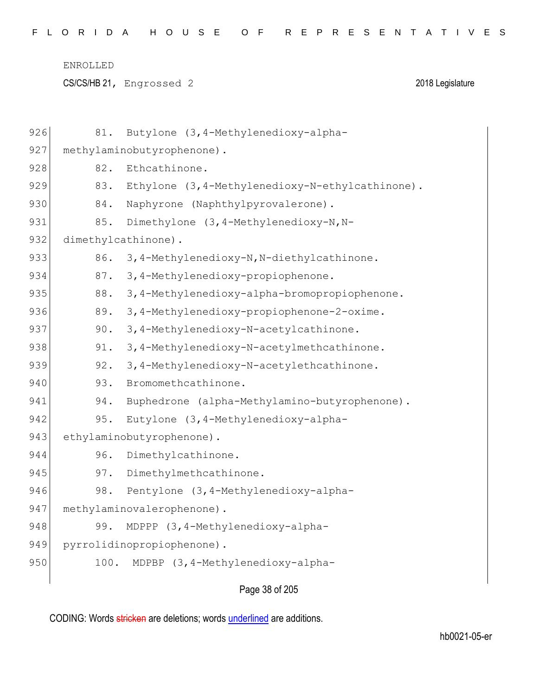CS/CS/HB 21, Engrossed 2 2018 Legislature

| 926 | 81.  | Butylone (3, 4-Methylenedioxy-alpha-             |
|-----|------|--------------------------------------------------|
| 927 |      | methylaminobutyrophenone).                       |
| 928 | 82.  | Ethcathinone.                                    |
| 929 | 83.  | Ethylone (3, 4-Methylenedioxy-N-ethylcathinone). |
| 930 | 84.  | Naphyrone (Naphthylpyrovalerone).                |
| 931 | 85.  | Dimethylone (3, 4-Methylenedioxy-N, N-           |
| 932 |      | dimethylcathinone).                              |
| 933 | 86.  | 3,4-Methylenedioxy-N, N-diethylcathinone.        |
| 934 | 87.  | 3, 4-Methylenedioxy-propiophenone.               |
| 935 | 88.  | 3,4-Methylenedioxy-alpha-bromopropiophenone.     |
| 936 | 89.  | 3, 4-Methylenedioxy-propiophenone-2-oxime.       |
| 937 | 90.  | 3,4-Methylenedioxy-N-acetylcathinone.            |
| 938 | 91.  | 3,4-Methylenedioxy-N-acetylmethcathinone.        |
| 939 | 92.  | 3,4-Methylenedioxy-N-acetylethcathinone.         |
| 940 | 93.  | Bromomethcathinone.                              |
| 941 | 94.  | Buphedrone (alpha-Methylamino-butyrophenone).    |
| 942 | 95.  | Eutylone (3, 4-Methylenedioxy-alpha-             |
| 943 |      | ethylaminobutyrophenone).                        |
| 944 | 96.  | Dimethylcathinone.                               |
| 945 | 97.  | Dimethylmethcathinone.                           |
| 946 | 98.  | Pentylone (3, 4-Methylenedioxy-alpha-            |
| 947 |      | methylaminovalerophenone).                       |
| 948 | 99.  | MDPPP (3, 4-Methylenedioxy-alpha-                |
| 949 |      | pyrrolidinopropiophenone).                       |
| 950 | 100. | MDPBP (3, 4-Methylenedioxy-alpha-                |
|     |      | Page 38 of 205                                   |
|     |      |                                                  |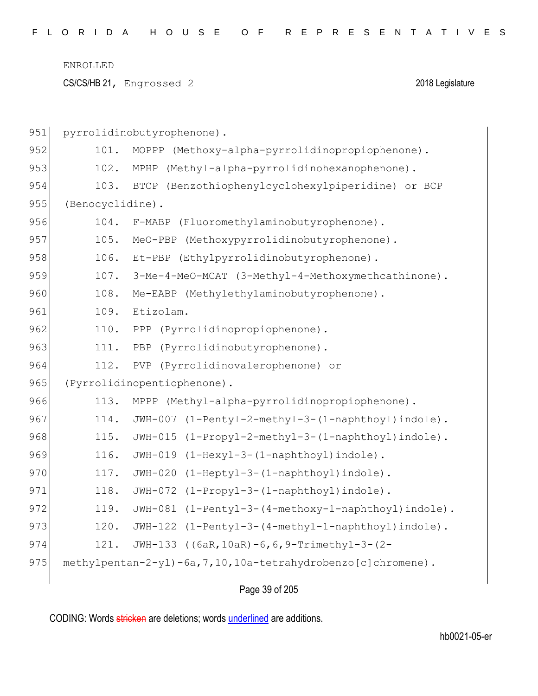CS/CS/HB 21, Engrossed 2 2018 Legislature

| 951 |                  | pyrrolidinobutyrophenone).                                     |
|-----|------------------|----------------------------------------------------------------|
| 952 | 101.             | MOPPP (Methoxy-alpha-pyrrolidinopropiophenone).                |
| 953 | 102.             | (Methyl-alpha-pyrrolidinohexanophenone).<br>MPHP               |
| 954 | 103.             | BTCP (Benzothiophenylcyclohexylpiperidine) or BCP              |
| 955 | (Benocyclidine). |                                                                |
| 956 | 104.             | F-MABP (Fluoromethylaminobutyrophenone).                       |
| 957 | 105.             | (Methoxypyrrolidinobutyrophenone).<br>MeO-PBP                  |
| 958 | 106.             | Et-PBP (Ethylpyrrolidinobutyrophenone).                        |
| 959 | 107.             | 3-Me-4-MeO-MCAT (3-Methyl-4-Methoxymethcathinone).             |
| 960 | 108.             | Me-EABP (Methylethylaminobutyrophenone).                       |
| 961 | 109.             | Etizolam.                                                      |
| 962 | 110.             | (Pyrrolidinopropiophenone).<br>PPP                             |
| 963 | 111.             | (Pyrrolidinobutyrophenone).<br>PBP                             |
| 964 | 112.             | (Pyrrolidinovalerophenone) or<br>PVP                           |
| 965 |                  | (Pyrrolidinopentiophenone).                                    |
| 966 | 113.             | MPPP (Methyl-alpha-pyrrolidinopropiophenone).                  |
| 967 | 114.             | (1-Pentyl-2-methyl-3-(1-naphthoyl)indole).<br>JWH-007          |
| 968 | 115.             | (1-Propyl-2-methyl-3-(1-naphthoyl)indole).<br>$JWH-015$        |
| 969 | 116.             | JWH-019 (1-Hexyl-3-(1-naphthoyl)indole).                       |
| 970 | 117.             | JWH-020 (1-Heptyl-3-(1-naphthoyl)indole).                      |
| 971 | 118.             | JWH-072 (1-Propyl-3-(1-naphthoyl)indole).                      |
| 972 | 119.             | JWH-081 (1-Pentyl-3-(4-methoxy-1-naphthoyl)indole).            |
| 973 | 120.             | JWH-122 (1-Pentyl-3-(4-methyl-1-naphthoyl)indole).             |
| 974 | 121.             | JWH-133 ((6aR, 10aR) -6, 6, 9-Trimethyl-3-(2-                  |
| 975 |                  | methylpentan-2-yl)-6a, 7, 10, 10a-tetrahydrobenzo[c]chromene). |
|     |                  |                                                                |

Page 39 of 205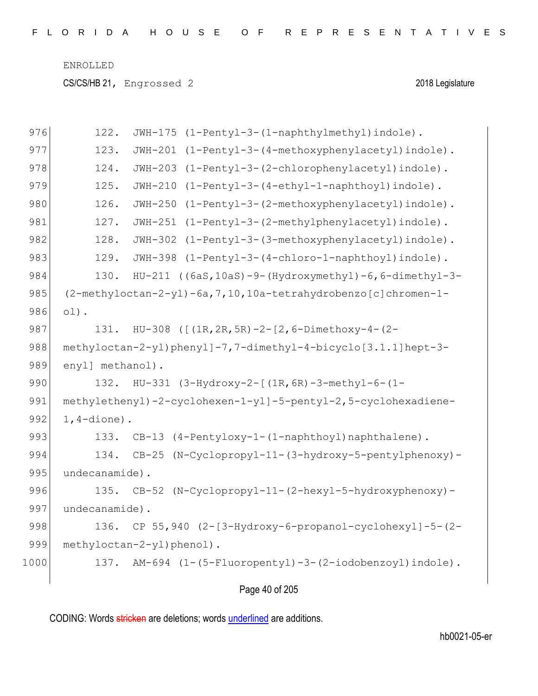CS/CS/HB 21, Engrossed 2 2018 Legislature

| 976  | 122.<br>(1-Pentyl-3-(1-naphthylmethyl)indole).<br>JWH-175            |
|------|----------------------------------------------------------------------|
| 977  | 123.<br>(1-Pentyl-3-(4-methoxyphenylacetyl)indole).<br>$JWH-201$     |
| 978  | 124.<br>$JWH-203$<br>(1-Pentyl-3-(2-chlorophenylacetyl)indole).      |
| 979  | 125.<br>$JWH-210$<br>(1-Pentyl-3-(4-ethyl-1-naphthoyl)indole).       |
| 980  | 126.<br>(1-Pentyl-3-(2-methoxyphenylacetyl)indole).<br>$JWH - 250$   |
| 981  | 127.<br>$JWH-251$<br>(1-Pentyl-3-(2-methylphenylacetyl)indole).      |
| 982  | 128.<br>JWH-302<br>(1-Pentyl-3-(3-methoxyphenylacetyl)indole).       |
| 983  | 129.<br>JWH-398<br>(1-Pentyl-3-(4-chloro-1-naphthoyl)indole).        |
| 984  | 130.<br>HU-211 ((6aS, 10aS)-9-(Hydroxymethyl)-6, 6-dimethyl-3-       |
| 985  | (2-methyloctan-2-yl)-6a, 7, 10, 10a-tetrahydrobenzo [c] chromen-1-   |
| 986  | $ol$ ).                                                              |
| 987  | HU-308 ( $[(1R, 2R, 5R) - 2 - [2, 6 - Dimethoxy-4 - (2 -$<br>131.    |
| 988  | methyloctan-2-yl)phenyl]-7,7-dimethyl-4-bicyclo[3.1.1]hept-3-        |
| 989  | enyl] methanol).                                                     |
| 990  | HU-331 (3-Hydroxy-2-[(1R, 6R)-3-methyl-6-(1-<br>132.                 |
| 991  | methylethenyl)-2-cyclohexen-1-yl]-5-pentyl-2,5-cyclohexadiene-       |
| 992  | $1, 4$ -dione).                                                      |
| 993  | (4-Pentyloxy-1-(1-naphthoyl)naphthalene).<br>133.<br>$CB-13$         |
| 994  | $(N-Cyclopropyl-11-(3-hydroxy-5-penty1phenoxy)$ -<br>134.<br>$CB-25$ |
| 995  | undecanamide).                                                       |
| 996  | 135.<br>$(N-Cyclopropyl-11-(2-hexyl-5-hydroxyphenoxy)-$<br>$CB-52$   |
| 997  | undecanamide).                                                       |
| 998  | 136. CP 55,940 (2-[3-Hydroxy-6-propanol-cyclohexyl]-5-(2-            |
| 999  | methyloctan-2-yl)phenol).                                            |
| 1000 | AM-694 (1-(5-Fluoropentyl)-3-(2-iodobenzoyl)indole).<br>137.         |
|      |                                                                      |

Page 40 of 205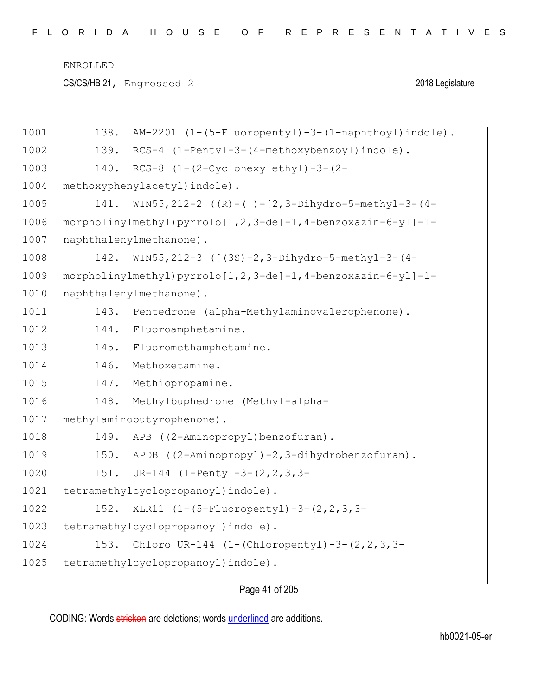CS/CS/HB 21, Engrossed 2 2018 Legislature

| 1001 | AM-2201 (1-(5-Fluoropentyl)-3-(1-naphthoyl)indole).<br>138.    |
|------|----------------------------------------------------------------|
| 1002 | RCS-4 (1-Pentyl-3-(4-methoxybenzoyl)indole).<br>139.           |
| 1003 | 140.<br>$RCS-8$ $(1-(2-Cyclohexylethyl)-3-(2-$                 |
| 1004 | methoxyphenylacetyl) indole).                                  |
| 1005 | WIN55, 212-2 $((R)-(+) - [2, 3-Dihydro-5-methyl-3-(4-$<br>141. |
| 1006 | $morpholinylmethyl) pyrrolo[1,2,3-de]-1,4-benzoxazin-6-yl]-1-$ |
| 1007 | naphthalenylmethanone).                                        |
| 1008 | WIN55, 212-3 ([(3S)-2, 3-Dihydro-5-methyl-3-(4-<br>142.        |
| 1009 | morpholinylmethyl) pyrrolo[1,2,3-de]-1,4-benzoxazin-6-yl]-1-   |
| 1010 | naphthalenylmethanone).                                        |
| 1011 | Pentedrone (alpha-Methylaminovalerophenone).<br>143.           |
| 1012 | 144.<br>Fluoroamphetamine.                                     |
| 1013 | 145.<br>Fluoromethamphetamine.                                 |
| 1014 | 146.<br>Methoxetamine.                                         |
| 1015 | Methiopropamine.<br>147.                                       |
| 1016 | 148.<br>Methylbuphedrone (Methyl-alpha-                        |
| 1017 | methylaminobutyrophenone).                                     |
| 1018 | 149.<br>APB ((2-Aminopropyl)benzofuran).                       |
| 1019 | APDB ((2-Aminopropyl)-2,3-dihydrobenzofuran).<br>150.          |
| 1020 | 151.<br>UR-144 $(1-Pentyl-3-(2, 2, 3, 3-$                      |
| 1021 | tetramethylcyclopropanoyl) indole).                            |
| 1022 | XLR11 (1-(5-Fluoropentyl)-3-(2, 2, 3, 3-<br>152.               |
| 1023 | tetramethylcyclopropanoyl) indole).                            |
| 1024 | Chloro UR-144 $(1-(Chloropenty1)-3-(2,2,3,3-$<br>153.          |
| 1025 | tetramethylcyclopropanoyl) indole).                            |
|      |                                                                |

# Page 41 of 205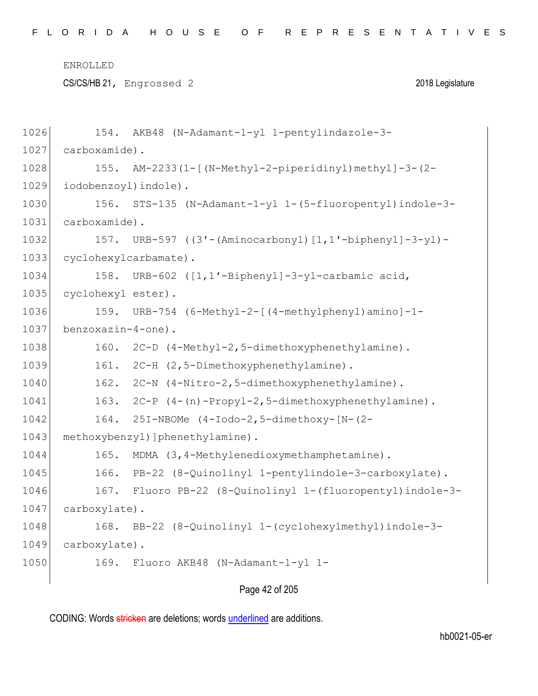CS/CS/HB 21, Engrossed 2 2018 Legislature

| 1026 |                       | 154. AKB48 (N-Adamant-1-yl 1-pentylindazole-3-            |
|------|-----------------------|-----------------------------------------------------------|
| 1027 | carboxamide).         |                                                           |
| 1028 |                       | 155. AM-2233 (1-[ (N-Methyl-2-piperidinyl) methyl]-3-(2-  |
| 1029 | iodobenzoyl) indole). |                                                           |
| 1030 |                       | 156. STS-135 (N-Adamant-1-yl 1-(5-fluoropentyl) indole-3- |
| 1031 | carboxamide).         |                                                           |
| 1032 |                       | 157. URB-597 ((3'-(Aminocarbonyl)[1,1'-biphenyl]-3-yl)-   |
| 1033 |                       | cyclohexylcarbamate).                                     |
| 1034 | 158.                  | URB-602 ([1,1'-Biphenyl]-3-yl-carbamic acid,              |
| 1035 | cyclohexyl ester).    |                                                           |
| 1036 | 159.                  | URB-754 (6-Methyl-2-[(4-methylphenyl)amino]-1-            |
| 1037 | benzoxazin-4-one).    |                                                           |
| 1038 | 160.                  | 2C-D (4-Methyl-2,5-dimethoxyphenethylamine).              |
| 1039 | 161.                  | 2C-H (2,5-Dimethoxyphenethylamine).                       |
| 1040 |                       | 162. 2C-N (4-Nitro-2,5-dimethoxyphenethylamine).          |
| 1041 |                       | 163. 2C-P (4-(n)-Propyl-2,5-dimethoxyphenethylamine).     |
| 1042 |                       | 164. 251-NBOMe (4-Iodo-2,5-dimethoxy-[N-(2-               |
| 1043 |                       | methoxybenzyl) ] phenethylamine) .                        |
| 1044 | 165.                  | MDMA (3,4-Methylenedioxymethamphetamine).                 |
| 1045 | 166.                  | PB-22 (8-Quinolinyl 1-pentylindole-3-carboxylate).        |
| 1046 |                       | 167. Fluoro PB-22 (8-Quinolinyl 1-(fluoropentyl)indole-3- |
| 1047 | carboxylate).         |                                                           |
| 1048 |                       | 168. BB-22 (8-Quinolinyl 1-(cyclohexylmethyl) indole-3-   |
| 1049 | carboxylate).         |                                                           |
| 1050 | 169.                  | Fluoro AKB48 (N-Adamant-1-yl 1-                           |
|      |                       |                                                           |

Page 42 of 205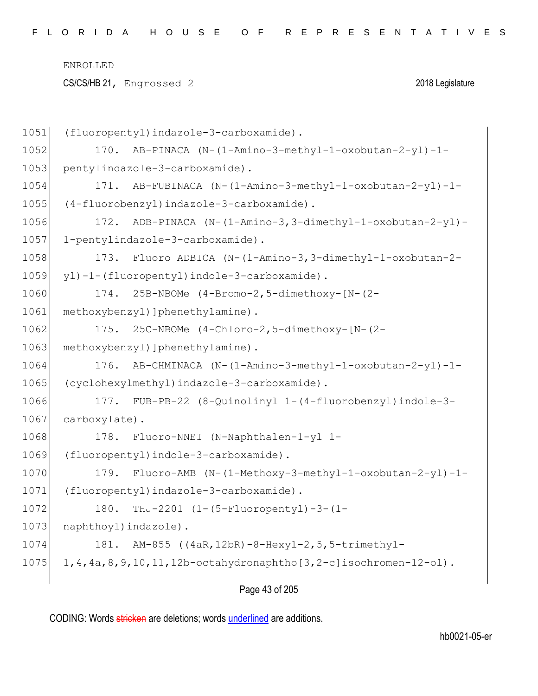CS/CS/HB 21, Engrossed 2 2018 Legislature

| 1051 | (fluoropentyl)indazole-3-carboxamide).                                   |
|------|--------------------------------------------------------------------------|
| 1052 | 170. AB-PINACA (N-(1-Amino-3-methyl-1-oxobutan-2-yl)-1-                  |
| 1053 | pentylindazole-3-carboxamide).                                           |
| 1054 | AB-FUBINACA (N-(1-Amino-3-methyl-1-oxobutan-2-yl)-1-<br>171.             |
| 1055 | (4-fluorobenzyl)indazole-3-carboxamide).                                 |
| 1056 | ADB-PINACA (N-(1-Amino-3,3-dimethyl-1-oxobutan-2-yl)-<br>172.            |
| 1057 | 1-pentylindazole-3-carboxamide).                                         |
| 1058 | Fluoro ADBICA (N-(1-Amino-3,3-dimethyl-1-oxobutan-2-<br>173.             |
| 1059 | yl)-1-(fluoropentyl)indole-3-carboxamide).                               |
| 1060 | 174. 25B-NBOMe (4-Bromo-2,5-dimethoxy-[N-(2-                             |
| 1061 | methoxybenzyl) ] phenethylamine) .                                       |
| 1062 | 175. 25C-NBOMe (4-Chloro-2,5-dimethoxy-[N-(2-                            |
| 1063 | methoxybenzyl) ] phenethylamine) .                                       |
| 1064 | 176. AB-CHMINACA (N-(1-Amino-3-methyl-1-oxobutan-2-yl)-1-                |
| 1065 | (cyclohexylmethyl)indazole-3-carboxamide).                               |
| 1066 | 177. FUB-PB-22 (8-Quinolinyl 1-(4-fluorobenzyl)indole-3-                 |
| 1067 | carboxylate).                                                            |
| 1068 | 178. Fluoro-NNEI (N-Naphthalen-1-yl 1-                                   |
| 1069 | (fluoropentyl)indole-3-carboxamide).                                     |
| 1070 | Fluoro-AMB (N-(1-Methoxy-3-methyl-1-oxobutan-2-yl)-1-<br>179.            |
| 1071 | (fluoropentyl)indazole-3-carboxamide).                                   |
| 1072 | THJ-2201 (1-(5-Fluoropentyl)-3-(1-<br>180.                               |
| 1073 | naphthoyl) indazole).                                                    |
| 1074 | AM-855 ((4aR, 12bR) -8-Hexyl-2, 5, 5-trimethyl-<br>181.                  |
| 1075 | 1, 4, 4a, 8, 9, 10, 11, 12b-octahydronaphtho [3, 2-c] isochromen-12-ol). |
|      |                                                                          |

Page 43 of 205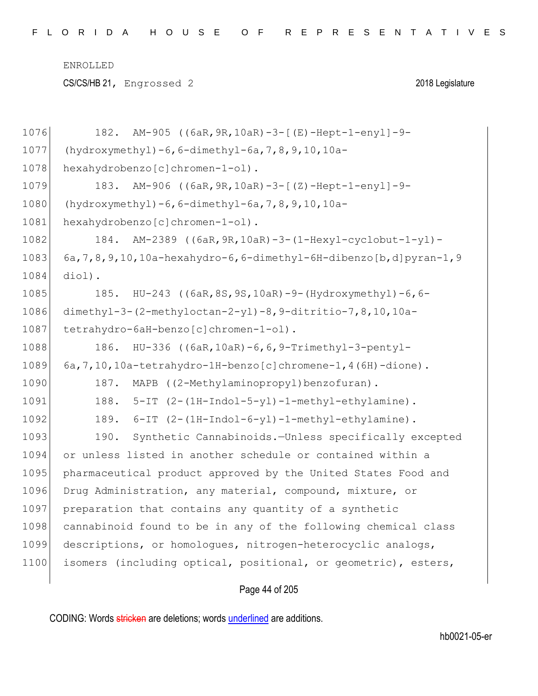CS/CS/HB 21, Engrossed 2 2018 Legislature

| 1076 | AM-905 ((6aR, 9R, 10aR) -3-[(E)-Hept-1-enyl]-9-<br>182.                 |
|------|-------------------------------------------------------------------------|
| 1077 | $(hydroxymethyl) - 6, 6-dimethyl-6a, 7, 8, 9, 10, 10a-$                 |
| 1078 | hexahydrobenzo[c]chromen-1-ol).                                         |
| 1079 | AM-906 ((6aR, 9R, 10aR) -3-[(Z)-Hept-1-enyl]-9-<br>183.                 |
| 1080 | (hydroxymethyl) $-6, 6$ -dimethyl-6a, 7, 8, 9, 10, 10a-                 |
| 1081 | hexahydrobenzo[c]chromen-1-ol).                                         |
| 1082 | AM-2389 ((6aR, 9R, 10aR) -3-(1-Hexyl-cyclobut-1-yl)-<br>184.            |
| 1083 | $6a, 7, 8, 9, 10, 10a$ -hexahydro-6,6-dimethyl-6H-dibenzo[b,d]pyran-1,9 |
| 1084 | diol).                                                                  |
| 1085 | HU-243 ((6aR, 8S, 9S, 10aR) -9-(Hydroxymethyl) -6, 6-<br>185.           |
| 1086 | dimethyl-3-(2-methyloctan-2-yl)-8, 9-ditritio-7, 8, 10, 10a-            |
| 1087 | tetrahydro-6aH-benzo[c]chromen-1-ol).                                   |
| 1088 | HU-336 ((6aR, 10aR) -6, 6, 9-Trimethyl-3-pentyl-<br>186.                |
| 1089 | 6a, 7, 10, 10a-tetrahydro-1H-benzo [c] chromene-1, 4 (6H) -dione).      |
| 1090 | MAPB ((2-Methylaminopropyl)benzofuran).<br>187.                         |
| 1091 | 188.<br>5-IT (2-(1H-Indol-5-yl)-1-methyl-ethylamine).                   |
| 1092 | 189.<br>6-IT (2-(1H-Indol-6-yl)-1-methyl-ethylamine).                   |
| 1093 | 190.<br>Synthetic Cannabinoids.-Unless specifically excepted            |
| 1094 | or unless listed in another schedule or contained within a              |
| 1095 | pharmaceutical product approved by the United States Food and           |
| 1096 | Drug Administration, any material, compound, mixture, or                |
| 1097 | preparation that contains any quantity of a synthetic                   |
| 1098 | cannabinoid found to be in any of the following chemical class          |
| 1099 | descriptions, or homologues, nitrogen-heterocyclic analogs,             |
| 1100 | isomers (including optical, positional, or geometric), esters,          |
|      |                                                                         |

## Page 44 of 205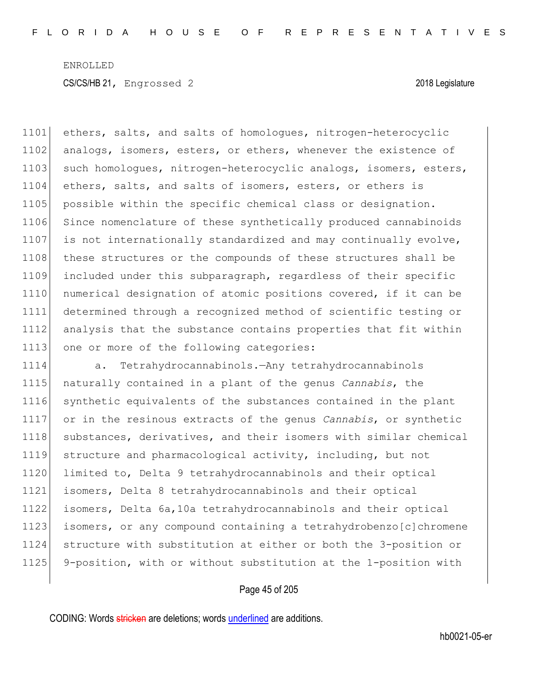1101 ethers, salts, and salts of homologues, nitrogen-heterocyclic 1102 analogs, isomers, esters, or ethers, whenever the existence of 1103 such homologues, nitrogen-heterocyclic analogs, isomers, esters, 1104 ethers, salts, and salts of isomers, esters, or ethers is 1105 possible within the specific chemical class or designation. 1106 Since nomenclature of these synthetically produced cannabinoids 1107 is not internationally standardized and may continually evolve, 1108 these structures or the compounds of these structures shall be 1109 included under this subparagraph, regardless of their specific 1110 numerical designation of atomic positions covered, if it can be 1111 determined through a recognized method of scientific testing or 1112 analysis that the substance contains properties that fit within 1113 one or more of the following categories:

 a. Tetrahydrocannabinols.—Any tetrahydrocannabinols naturally contained in a plant of the genus *Cannabis*, the synthetic equivalents of the substances contained in the plant or in the resinous extracts of the genus *Cannabis*, or synthetic 1118 substances, derivatives, and their isomers with similar chemical structure and pharmacological activity, including, but not limited to, Delta 9 tetrahydrocannabinols and their optical isomers, Delta 8 tetrahydrocannabinols and their optical isomers, Delta 6a,10a tetrahydrocannabinols and their optical isomers, or any compound containing a tetrahydrobenzo[c]chromene structure with substitution at either or both the 3-position or 9-position, with or without substitution at the 1-position with

### Page 45 of 205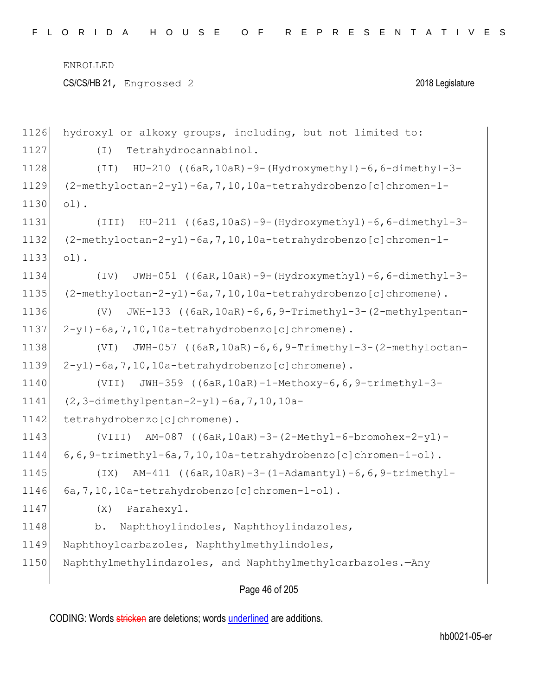hydroxyl or alkoxy groups, including, but not limited to: 1127 (I) Tetrahydrocannabinol. (II) HU-210 ((6aR,10aR)-9-(Hydroxymethyl)-6,6-dimethyl-3- (2-methyloctan-2-yl)-6a,7,10,10a-tetrahydrobenzo[c]chromen-1-  $1130 | 01$ . (III) HU-211 ((6aS,10aS)-9-(Hydroxymethyl)-6,6-dimethyl-3- (2-methyloctan-2-yl)-6a,7,10,10a-tetrahydrobenzo[c]chromen-1- 1133 ol). (IV) JWH-051 ((6aR,10aR)-9-(Hydroxymethyl)-6,6-dimethyl-3- (2-methyloctan-2-yl)-6a,7,10,10a-tetrahydrobenzo[c]chromene). (V) JWH-133 ((6aR,10aR)-6,6,9-Trimethyl-3-(2-methylpentan- $2-yl$   $-6a$ ,  $7$ ,  $10$ ,  $10a$   $-tetrahydrobenzo[c]$ chromene). (VI) JWH-057 ((6aR,10aR)-6,6,9-Trimethyl-3-(2-methyloctan- $2-yl$  -6a, 7, 10, 10a-tetrahydrobenzo [c]chromene). (VII) JWH-359 ((6aR,10aR)-1-Methoxy-6,6,9-trimethyl-3- (2,3-dimethylpentan-2-yl)-6a,7,10,10a-1142 tetrahydrobenzo[c]chromene). (VIII) AM-087 ((6aR,10aR)-3-(2-Methyl-6-bromohex-2-yl)- 6,6,9-trimethyl-6a,7,10,10a-tetrahydrobenzo[c]chromen-1-ol). (IX) AM-411 ((6aR,10aR)-3-(1-Adamantyl)-6,6,9-trimethyl-1146 6a, 7, 10, 10a-tetrahydrobenzo [c]chromen-1-ol). 1147 (X) Parahexyl. 1148 b. Naphthoylindoles, Naphthoylindazoles, 1149 Naphthoylcarbazoles, Naphthylmethylindoles, 1150 Naphthylmethylindazoles, and Naphthylmethylcarbazoles.—Any

### Page 46 of 205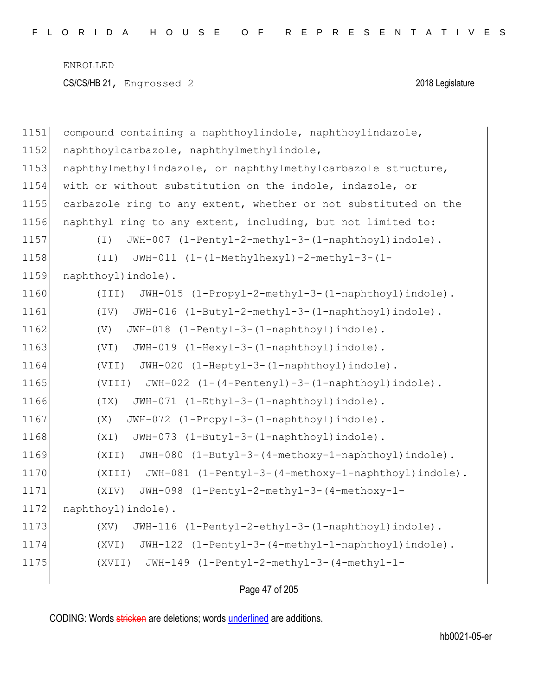```
1151 compound containing a naphthoylindole, naphthoylindazole, 
1152 naphthoylcarbazole, naphthylmethylindole,
1153 naphthylmethylindazole, or naphthylmethylcarbazole structure,
1154 with or without substitution on the indole, indazole, or 
1155 carbazole ring to any extent, whether or not substituted on the
1156 naphthyl ring to any extent, including, but not limited to:
1157 (I) JWH-007 (1-Pentyl-2-methyl-3-(1-naphthoyl)indole).
1158 (II) JWH-011 (1-(1-Methylhexyl)-2-methyl-3-(1-
1159 naphthoyl)indole).
1160 (III) JWH-015 (1-Propyl-2-methyl-3-(1-naphthoyl)indole).
1161 (IV) JWH-016 (1-Butyl-2-methyl-3-(1-naphthoyl)indole).
1162 (V) JWH-018 (1-Pentyl-3-(1-naphthoyl)indole).
1163 (VI) JWH-019 (1-Hexyl-3-(1-naphthoyl)indole).
1164 (VII) JWH-020 (1-Heptyl-3-(1-naphthoyl)indole).
1165 (VIII) JWH-022 (1-(4-Pentenyl)-3-(1-naphthoyl)indole).
1166 (IX) JWH-071 (1-Ethyl-3-(1-naphthoyl)indole).
1167 (X) JWH-072 (1-Propyl-3-(1-naphthoyl)indole).
1168 (XI) JWH-073 (1-Butyl-3-(1-naphthoyl)indole).
1169 (XII) JWH-080 (1-Butyl-3-(4-methoxy-1-naphthoyl)indole).
1170 (XIII) JWH-081 (1-Pentyl-3-(4-methoxy-1-naphthoyl)indole).
1171 (XIV) JWH-098 (1-Pentyl-2-methyl-3-(4-methoxy-1-
1172 naphthoyl) indole).
1173 (XV) JWH-116 (1-Pentyl-2-ethyl-3-(1-naphthoyl)indole).
1174 (XVI) JWH-122 (1-Pentyl-3-(4-methyl-1-naphthoyl)indole).
1175 (XVII) JWH-149 (1-Pentyl-2-methyl-3-(4-methyl-1-
```
Page 47 of 205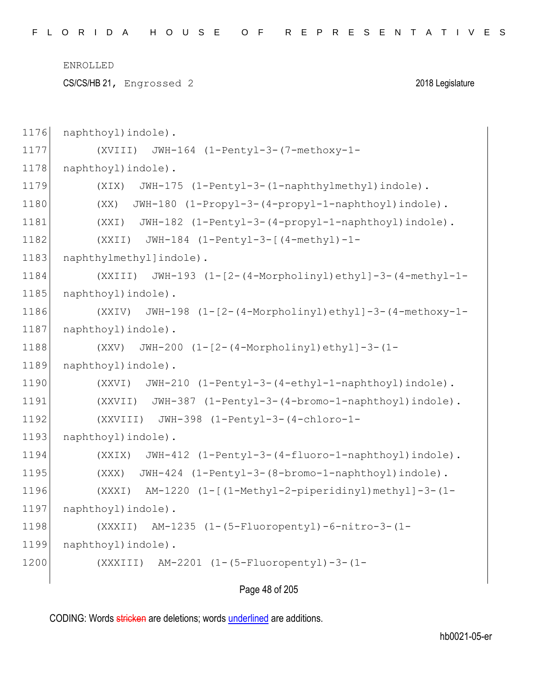CS/CS/HB 21, Engrossed 2 2018 Legislature

```
1176 naphthoyl) indole).
1177 (XVIII) JWH-164 (1-Pentyl-3-(7-methoxy-1-
1178 naphthoyl) indole).
1179 (XIX) JWH-175 (1-Pentyl-3-(1-naphthylmethyl)indole).
1180 (XX) JWH-180 (1-Propyl-3-(4-propyl-1-naphthoyl)indole).
1181 (XXI) JWH-182 (1-Pentyl-3-(4-propyl-1-naphthoyl)indole).
1182 (XXII) JWH-184 (1-Pentyl-3-[(4-methyl)-1-
1183 naphthylmethyllindole).
1184 (XXIII) JWH-193 (1-[2-(4-Morpholinyl)ethyl]-3-(4-methyl-1-
1185 naphthoyl) indole).
1186 (XXIV) JWH-198 (1-[2-(4-Morpholinyl)ethyl]-3-(4-methoxy-1-
1187 | naphthoyl) indole).
1188 (XXV) JWH-200 (1-[2-(4-Morpholinyl)ethyl]-3-(1-
1189 naphthoyl) indole).
1190 (XXVI) JWH-210 (1-Pentyl-3-(4-ethyl-1-naphthoyl)indole).
1191 (XXVII) JWH-387 (1-Pentyl-3-(4-bromo-1-naphthoyl)indole).
1192 (XXVIII) JWH-398 (1-Pentyl-3-(4-chloro-1-
1193 naphthoyl)indole).
1194 (XXIX) JWH-412 (1-Pentyl-3-(4-fluoro-1-naphthoyl)indole).
1195 (XXX) JWH-424 (1-Pentyl-3-(8-bromo-1-naphthoyl)indole).
1196 (XXXI) AM-1220 (1-[(1-Methyl-2-piperidinyl)methyl]-3-(1-
1197 | naphthoyl)indole).
1198 (XXXII) AM-1235 (1-(5-Fluoropentyl)-6-nitro-3-(1-
1199 naphthoyl) indole).
1200 (XXXIII) AM-2201 (1-(5-Fluoropentyl)-3-(1-
```
Page 48 of 205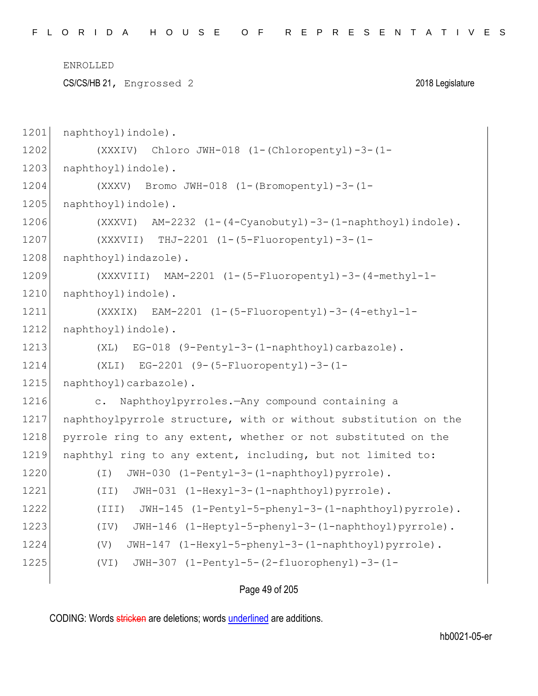CS/CS/HB 21, Engrossed 2 2018 Legislature

1201 naphthoyl)indole). 1202 (XXXIV) Chloro JWH-018 (1-(Chloropentyl)-3-(1- 1203 naphthoyl)indole). 1204 (XXXV) Bromo JWH-018 (1-(Bromopentyl)-3-(1- 1205 naphthoyl) indole). 1206 (XXXVI) AM-2232 (1-(4-Cyanobutyl)-3-(1-naphthoyl)indole). 1207 (XXXVII) THJ-2201 (1-(5-Fluoropentyl)-3-(1- 1208 naphthoyl)indazole). 1209 (XXXVIII) MAM-2201 (1-(5-Fluoropentyl)-3-(4-methyl-1- 1210 naphthoyl) indole). 1211 (XXXIX) EAM-2201 (1-(5-Fluoropentyl)-3-(4-ethyl-1- 1212 naphthoyl) indole). 1213 (XL) EG-018 (9-Pentyl-3-(1-naphthoyl)carbazole). 1214 (XLI) EG-2201 (9-(5-Fluoropentyl)-3-(1- 1215 naphthoyl)carbazole). 1216 c. Naphthoylpyrroles.—Any compound containing a 1217 | naphthoylpyrrole structure, with or without substitution on the 1218 pyrrole ring to any extent, whether or not substituted on the 1219 naphthyl ring to any extent, including, but not limited to: 1220 (I) JWH-030 (1-Pentyl-3-(1-naphthoyl)pyrrole). 1221 (II) JWH-031 (1-Hexyl-3-(1-naphthoyl)pyrrole). 1222 (III) JWH-145 (1-Pentyl-5-phenyl-3-(1-naphthoyl)pyrrole). 1223 (IV) JWH-146 (1-Heptyl-5-phenyl-3-(1-naphthoyl)pyrrole). 1224 (V) JWH-147 (1-Hexyl-5-phenyl-3-(1-naphthoyl)pyrrole). 1225 (VI) JWH-307 (1-Pentyl-5-(2-fluorophenyl)-3-(1-

Page 49 of 205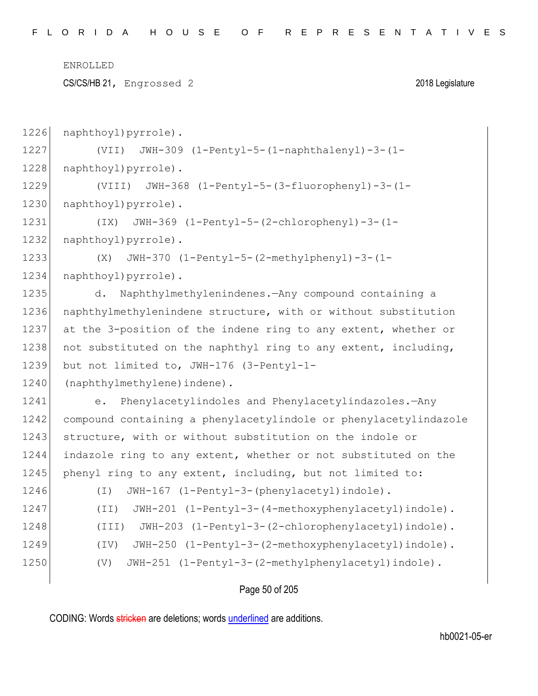CS/CS/HB 21, Engrossed 2 2018 Legislature

1226 naphthoyl)pyrrole). 1227 (VII) JWH-309 (1-Pentyl-5-(1-naphthalenyl)-3-(1- 1228 naphthoyl)pyrrole). 1229 (VIII) JWH-368 (1-Pentyl-5-(3-fluorophenyl)-3-(1- 1230 naphthoyl) pyrrole). 1231 (IX) JWH-369 (1-Pentyl-5-(2-chlorophenyl)-3-(1- 1232 naphthoyl)pyrrole). 1233 (X) JWH-370 (1-Pentyl-5-(2-methylphenyl)-3-(1- 1234 naphthoyl)pyrrole). 1235 d. Naphthylmethylenindenes.—Any compound containing a 1236 naphthylmethylenindene structure, with or without substitution 1237 at the 3-position of the indene ring to any extent, whether or 1238 not substituted on the naphthyl ring to any extent, including, 1239 but not limited to, JWH-176 (3-Pentyl-1- 1240 (naphthylmethylene) indene). 1241 e. Phenylacetylindoles and Phenylacetylindazoles.—Any 1242 compound containing a phenylacetylindole or phenylacetylindazole 1243 structure, with or without substitution on the indole or 1244 indazole ring to any extent, whether or not substituted on the 1245 phenyl ring to any extent, including, but not limited to: 1246 (I) JWH-167 (1-Pentyl-3-(phenylacetyl)indole). 1247 (II) JWH-201 (1-Pentyl-3-(4-methoxyphenylacetyl)indole). 1248 (III) JWH-203 (1-Pentyl-3-(2-chlorophenylacetyl)indole). 1249 (IV) JWH-250 (1-Pentyl-3-(2-methoxyphenylacetyl)indole). 1250 (V) JWH-251 (1-Pentyl-3-(2-methylphenylacetyl)indole).

Page 50 of 205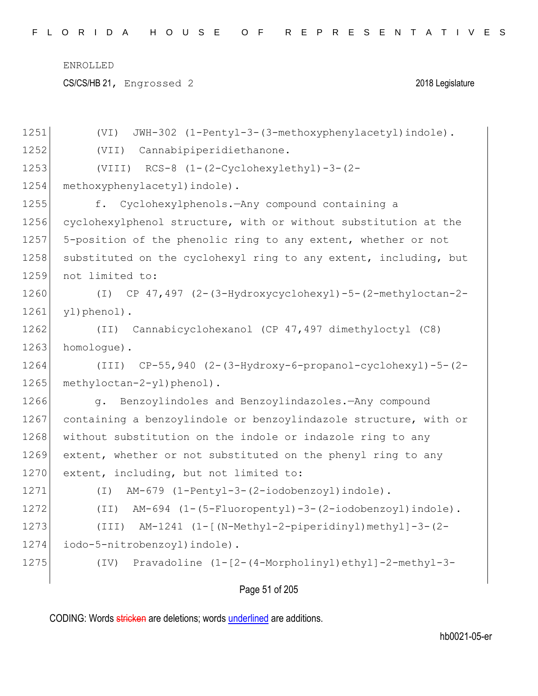CS/CS/HB 21, Engrossed 2 2018 Legislature

| 1251 | JWH-302 (1-Pentyl-3-(3-methoxyphenylacetyl)indole).<br>(VI)      |
|------|------------------------------------------------------------------|
| 1252 | (VII) Cannabipiperidiethanone.                                   |
| 1253 | $(VIII)$ RCS-8 $(1-(2-Cyclohexylethyl)-3-(2-$                    |
| 1254 | methoxyphenylacetyl) indole).                                    |
| 1255 | f. Cyclohexylphenols. - Any compound containing a                |
| 1256 | cyclohexylphenol structure, with or without substitution at the  |
| 1257 | 5-position of the phenolic ring to any extent, whether or not    |
| 1258 | substituted on the cyclohexyl ring to any extent, including, but |
| 1259 | not limited to:                                                  |
| 1260 | (I) CP 47,497 (2-(3-Hydroxycyclohexyl)-5-(2-methyloctan-2-       |
| 1261 | yl)phenol).                                                      |
| 1262 | (II) Cannabicyclohexanol (CP 47,497 dimethyloctyl (C8)           |
| 1263 | homologue).                                                      |
| 1264 | $(TII)$ CP-55,940 $(2-(3-Hydroxy-6-propanol-cyclohexyl)-5-(2-$   |
| 1265 | methyloctan-2-yl)phenol).                                        |
| 1266 | g. Benzoylindoles and Benzoylindazoles.-Any compound             |
| 1267 | containing a benzoylindole or benzoylindazole structure, with or |
| 1268 | without substitution on the indole or indazole ring to any       |
| 1269 | extent, whether or not substituted on the phenyl ring to any     |
| 1270 | extent, including, but not limited to:                           |
| 1271 | AM-679 (1-Pentyl-3-(2-iodobenzoyl)indole).<br>$(\top)$           |
| 1272 | (II) AM-694 (1-(5-Fluoropentyl)-3-(2-iodobenzoyl)indole).        |
| 1273 | AM-1241 (1-[(N-Methyl-2-piperidinyl)methyl]-3-(2-<br>(III)       |
| 1274 | iodo-5-nitrobenzoyl) indole).                                    |
| 1275 | Pravadoline (1-[2-(4-Morpholinyl)ethyl]-2-methyl-3-<br>(TV)      |
|      |                                                                  |

Page 51 of 205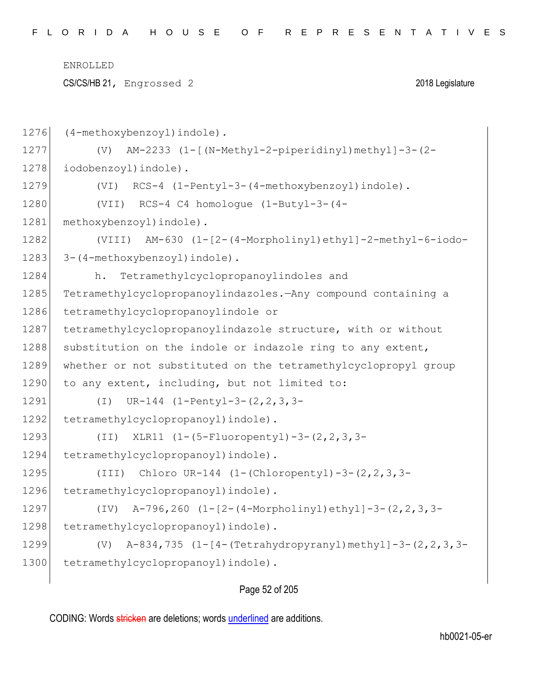CS/CS/HB 21, Engrossed 2 2018 Legislature

1276 (4-methoxybenzoyl) indole). 1277 (V) AM-2233 (1-[(N-Methyl-2-piperidinyl)methyl]-3-(2- 1278 iodobenzoyl) indole). 1279 (VI) RCS-4 (1-Pentyl-3-(4-methoxybenzoyl)indole). 1280 (VII) RCS-4 C4 homologue (1-Butyl-3-(4- 1281 methoxybenzoyl) indole). 1282 (VIII) AM-630 (1-[2-(4-Morpholinyl)ethyl]-2-methyl-6-iodo-1283 3-(4-methoxybenzoyl) indole). 1284 h. Tetramethylcyclopropanoylindoles and 1285 Tetramethylcyclopropanoylindazoles.—Any compound containing a 1286 tetramethylcyclopropanoylindole or 1287 | tetramethylcyclopropanoylindazole structure, with or without 1288 substitution on the indole or indazole ring to any extent, 1289 whether or not substituted on the tetramethylcyclopropyl group 1290 to any extent, including, but not limited to: 1291 (I) UR-144 (1-Pentyl-3-(2,2,3,3- 1292 tetramethylcyclopropanoyl) indole). 1293 (II) XLR11 (1-(5-Fluoropentyl)-3-(2,2,3,3-1294 tetramethylcyclopropanoyl) indole). 1295 (III) Chloro UR-144 (1-(Chloropentyl)-3-(2,2,3,3- 1296 tetramethylcyclopropanoyl) indole). 1297 (IV) A-796,260 (1-[2-(4-Morpholinyl)ethyl]-3-(2,2,3,3- 1298 tetramethylcyclopropanoyl) indole). 1299 (V) A-834,735 (1-[4-(Tetrahydropyranyl)methyl]-3-(2,2,3,3- 1300 tetramethylcyclopropanoyl) indole).

### Page 52 of 205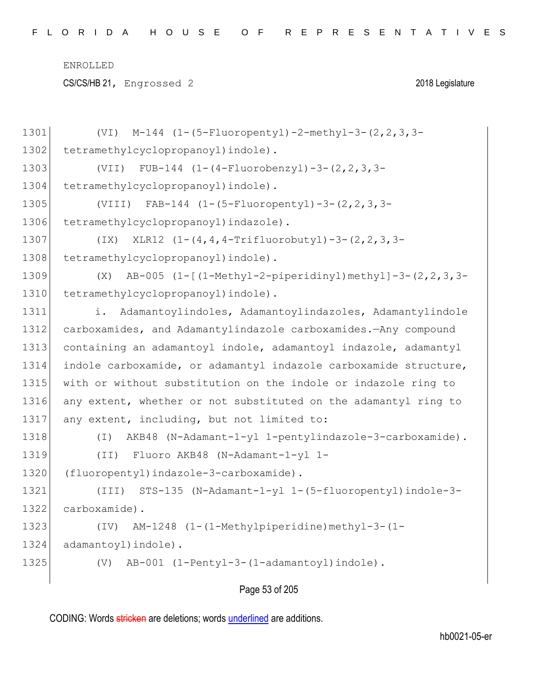CS/CS/HB 21, Engrossed 2 2018 Legislature

| 1301 | $M-144$ (1-(5-Fluoropentyl)-2-methyl-3-(2, 2, 3, 3-<br>(VI)        |
|------|--------------------------------------------------------------------|
| 1302 | tetramethylcyclopropanoyl) indole).                                |
| 1303 | FUB-144 $(1-(4-Fluorobenzyl)-3-(2, 2, 3, 3-$<br>(VII)              |
| 1304 | tetramethylcyclopropanoyl) indole).                                |
| 1305 | (VIII) FAB-144 $(1-(5-Fluoropenty1)-3-(2,2,3,3-$                   |
| 1306 | tetramethylcyclopropanoyl) indazole).                              |
| 1307 | XLR12 (1-(4,4,4-Trifluorobutyl)-3-(2,2,3,3-<br>(TX)                |
| 1308 | tetramethylcyclopropanoyl) indole).                                |
| 1309 | AB-005 (1-[(1-Methyl-2-piperidinyl)methyl]-3-(2, 2, 3, 3-<br>(X)   |
| 1310 | tetramethylcyclopropanoyl) indole).                                |
| 1311 | Adamantoylindoles, Adamantoylindazoles, Adamantylindole<br>i.      |
| 1312 | carboxamides, and Adamantylindazole carboxamides.-Any compound     |
| 1313 | containing an adamantoyl indole, adamantoyl indazole, adamantyl    |
| 1314 | indole carboxamide, or adamantyl indazole carboxamide structure,   |
| 1315 | with or without substitution on the indole or indazole ring to     |
| 1316 | any extent, whether or not substituted on the adamantyl ring to    |
| 1317 | any extent, including, but not limited to:                         |
| 1318 | AKB48 (N-Adamant-1-yl 1-pentylindazole-3-carboxamide).<br>$(\top)$ |
| 1319 | (II) Fluoro AKB48 (N-Adamant-1-yl 1-                               |
| 1320 | (fluoropentyl)indazole-3-carboxamide).                             |
| 1321 | STS-135 (N-Adamant-1-yl 1-(5-fluoropentyl)indole-3-<br>(III)       |
| 1322 | carboxamide).                                                      |
| 1323 | AM-1248 (1-(1-Methylpiperidine)methyl-3-(1-<br>(TV)                |
| 1324 | adamantoyl) indole).                                               |
| 1325 | AB-001 (1-Pentyl-3-(1-adamantoyl)indole).<br>(V)                   |
|      |                                                                    |

Page 53 of 205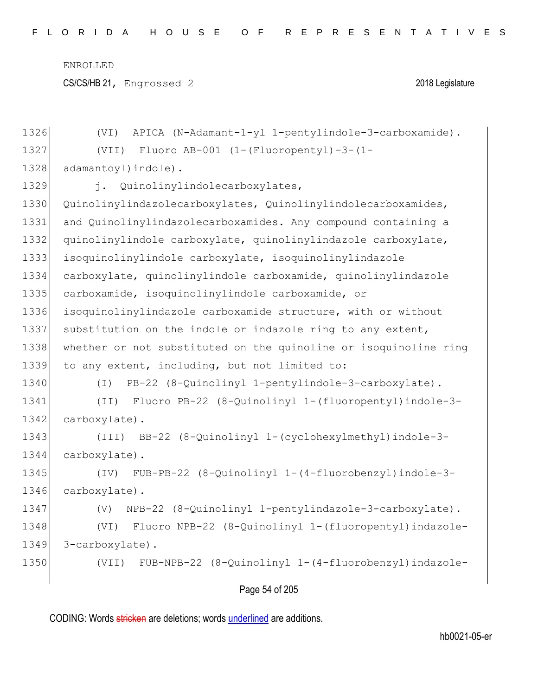CS/CS/HB 21, Engrossed 2 2018 Legislature

| 1326 | APICA (N-Adamant-1-yl 1-pentylindole-3-carboxamide).<br>(VI)     |
|------|------------------------------------------------------------------|
| 1327 | Fluoro AB-001 $(1-(Fluoropenty1)-3-(1-$<br>(VII)                 |
| 1328 | adamantoyl) indole).                                             |
| 1329 | j. Quinolinylindolecarboxylates,                                 |
| 1330 | Quinolinylindazolecarboxylates, Quinolinylindolecarboxamides,    |
| 1331 | and Quinolinylindazolecarboxamides. - Any compound containing a  |
| 1332 | quinolinylindole carboxylate, quinolinylindazole carboxylate,    |
| 1333 | isoquinolinylindole carboxylate, isoquinolinylindazole           |
| 1334 | carboxylate, quinolinylindole carboxamide, quinolinylindazole    |
| 1335 | carboxamide, isoquinolinylindole carboxamide, or                 |
| 1336 | isoquinolinylindazole carboxamide structure, with or without     |
| 1337 | substitution on the indole or indazole ring to any extent,       |
| 1338 | whether or not substituted on the quinoline or isoquinoline ring |
| 1339 | to any extent, including, but not limited to:                    |
| 1340 | PB-22 (8-Quinolinyl 1-pentylindole-3-carboxylate).<br>$(\top)$   |
| 1341 | (II) Fluoro PB-22 (8-Quinolinyl 1-(fluoropentyl)indole-3-        |
| 1342 | carboxylate).                                                    |
| 1343 | (III) BB-22 (8-Quinolinyl 1-(cyclohexylmethyl) indole-3-         |
| 1344 | carboxylate).                                                    |
| 1345 | FUB-PB-22 (8-Quinolinyl 1-(4-fluorobenzyl)indole-3-<br>(TV)      |
| 1346 | carboxylate).                                                    |
| 1347 | NPB-22 (8-Quinolinyl 1-pentylindazole-3-carboxylate).<br>(V)     |
| 1348 | Fluoro NPB-22 (8-Quinolinyl 1-(fluoropentyl) indazole-<br>(VI)   |
| 1349 | 3-carboxylate).                                                  |
| 1350 | FUB-NPB-22 (8-Quinolinyl 1-(4-fluorobenzyl)indazole-<br>(VII)    |
|      |                                                                  |

## Page 54 of 205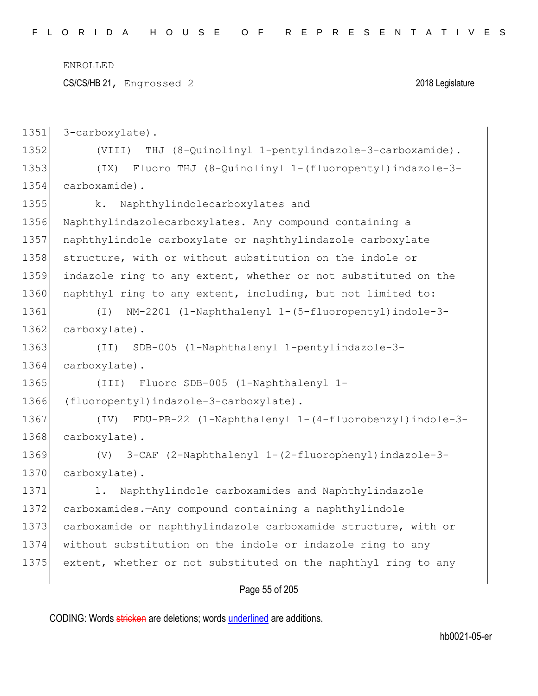|      | ENROLLED                                                        |
|------|-----------------------------------------------------------------|
|      | CS/CS/HB 21, Engrossed 2<br>2018 Legislature                    |
|      |                                                                 |
| 1351 | 3-carboxylate).                                                 |
| 1352 | THJ (8-Quinolinyl 1-pentylindazole-3-carboxamide).<br>(VIII)    |
| 1353 | Fluoro THJ (8-Quinolinyl 1-(fluoropentyl)indazole-3-<br>(TX)    |
| 1354 | carboxamide).                                                   |
| 1355 | Naphthylindolecarboxylates and<br>k.                            |
| 1356 | Naphthylindazolecarboxylates. - Any compound containing a       |
| 1357 | naphthylindole carboxylate or naphthylindazole carboxylate      |
| 1358 | structure, with or without substitution on the indole or        |
| 1359 | indazole ring to any extent, whether or not substituted on the  |
| 1360 | naphthyl ring to any extent, including, but not limited to:     |
| 1361 | NM-2201 (1-Naphthalenyl 1-(5-fluoropentyl)indole-3-<br>$(\bot)$ |
| 1362 | carboxylate).                                                   |
| 1363 | SDB-005 (1-Naphthalenyl 1-pentylindazole-3-<br>(TI)             |
| 1364 | carboxylate).                                                   |
| 1365 | Fluoro SDB-005 (1-Naphthalenyl 1-<br>(III)                      |
| 1366 | (fluoropentyl)indazole-3-carboxylate).                          |
| 1367 | (IV) FDU-PB-22 (1-Naphthalenyl 1-(4-fluorobenzyl)indole-3-      |
| 1368 | carboxylate).                                                   |
| 1369 | (V) 3-CAF (2-Naphthalenyl 1-(2-fluorophenyl)indazole-3-         |
| 1370 | carboxylate).                                                   |
| 1371 | Naphthylindole carboxamides and Naphthylindazole<br>1.          |
| 1372 | carboxamides.-Any compound containing a naphthylindole          |
| 1373 | carboxamide or naphthylindazole carboxamide structure, with or  |
| 1374 | without substitution on the indole or indazole ring to any      |
| 1375 | extent, whether or not substituted on the naphthyl ring to any  |
|      |                                                                 |

# Page 55 of 205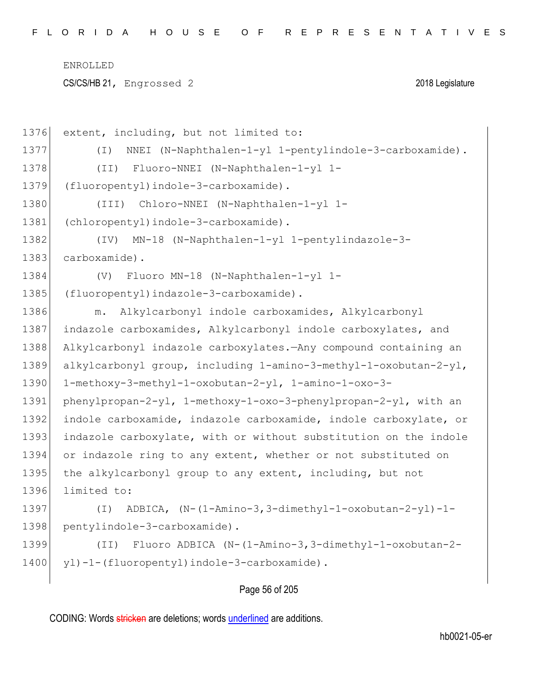CS/CS/HB 21, Engrossed 2 2018 Legislature

| 1376 | extent, including, but not limited to:                                |
|------|-----------------------------------------------------------------------|
| 1377 | NNEI (N-Naphthalen-1-yl 1-pentylindole-3-carboxamide).<br>( I )       |
| 1378 | Fluoro-NNEI (N-Naphthalen-1-yl 1-<br>(TI)                             |
| 1379 | (fluoropentyl)indole-3-carboxamide).                                  |
| 1380 | Chloro-NNEI (N-Naphthalen-1-yl 1-<br>(III)                            |
| 1381 | (chloropentyl)indole-3-carboxamide).                                  |
| 1382 | MN-18 (N-Naphthalen-1-yl 1-pentylindazole-3-<br>(TV)                  |
| 1383 | carboxamide).                                                         |
| 1384 | Fluoro MN-18 (N-Naphthalen-1-yl 1-<br>(V)                             |
| 1385 | (fluoropentyl)indazole-3-carboxamide).                                |
| 1386 | Alkylcarbonyl indole carboxamides, Alkylcarbonyl<br>${\mathfrak m}$ . |
| 1387 | indazole carboxamides, Alkylcarbonyl indole carboxylates, and         |
| 1388 | Alkylcarbonyl indazole carboxylates. Any compound containing an       |
| 1389 | alkylcarbonyl group, including 1-amino-3-methyl-1-oxobutan-2-yl,      |
| 1390 | 1-methoxy-3-methyl-1-oxobutan-2-yl, 1-amino-1-oxo-3-                  |
| 1391 | phenylpropan-2-yl, 1-methoxy-1-oxo-3-phenylpropan-2-yl, with an       |
| 1392 | indole carboxamide, indazole carboxamide, indole carboxylate, or      |
| 1393 | indazole carboxylate, with or without substitution on the indole      |
| 1394 | or indazole ring to any extent, whether or not substituted on         |
| 1395 | the alkylcarbonyl group to any extent, including, but not             |
| 1396 | limited to:                                                           |
| 1397 | ADBICA, (N-(1-Amino-3,3-dimethyl-1-oxobutan-2-yl)-1-<br>$(\bot)$      |
| 1398 | pentylindole-3-carboxamide).                                          |
| 1399 | Fluoro ADBICA (N-(1-Amino-3,3-dimethyl-1-oxobutan-2-<br>(TI)          |
| 1400 | yl)-1-(fluoropentyl)indole-3-carboxamide).                            |
|      |                                                                       |

# Page 56 of 205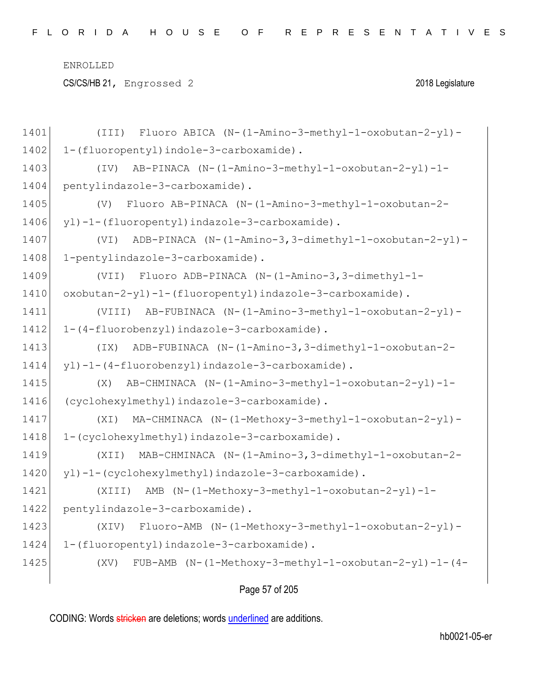CS/CS/HB 21, Engrossed 2 2018 Legislature

| 1401 | Fluoro ABICA (N-(1-Amino-3-methyl-1-oxobutan-2-yl)-<br>(III)  |
|------|---------------------------------------------------------------|
| 1402 | 1-(fluoropentyl)indole-3-carboxamide).                        |
| 1403 | AB-PINACA (N-(1-Amino-3-methyl-1-oxobutan-2-yl)-1-<br>(TV)    |
| 1404 | pentylindazole-3-carboxamide).                                |
| 1405 | Fluoro AB-PINACA (N-(1-Amino-3-methyl-1-oxobutan-2-<br>(V)    |
| 1406 | yl)-1-(fluoropentyl)indazole-3-carboxamide).                  |
| 1407 | ADB-PINACA (N-(1-Amino-3,3-dimethyl-1-oxobutan-2-yl)-<br>(VI) |
| 1408 | 1-pentylindazole-3-carboxamide).                              |
| 1409 | Fluoro ADB-PINACA (N-(1-Amino-3,3-dimethyl-1-<br>(VII)        |
| 1410 | oxobutan-2-yl)-1-(fluoropentyl)indazole-3-carboxamide).       |
| 1411 | AB-FUBINACA (N-(1-Amino-3-methyl-1-oxobutan-2-yl)-<br>(VIII)  |
| 1412 | 1-(4-fluorobenzyl)indazole-3-carboxamide).                    |
| 1413 | ADB-FUBINACA (N-(1-Amino-3,3-dimethyl-1-oxobutan-2-<br>(TX)   |
| 1414 | yl)-1-(4-fluorobenzyl)indazole-3-carboxamide).                |
| 1415 | AB-CHMINACA (N-(1-Amino-3-methyl-1-oxobutan-2-yl)-1-<br>(X)   |
| 1416 | (cyclohexylmethyl)indazole-3-carboxamide).                    |
| 1417 | MA-CHMINACA (N-(1-Methoxy-3-methyl-1-oxobutan-2-yl)-<br>(XI)  |
| 1418 | 1-(cyclohexylmethyl)indazole-3-carboxamide).                  |
| 1419 | MAB-CHMINACA (N-(1-Amino-3,3-dimethyl-1-oxobutan-2-<br>(XII)  |
| 1420 | yl)-1-(cyclohexylmethyl)indazole-3-carboxamide).              |
| 1421 | AMB (N-(1-Methoxy-3-methyl-1-oxobutan-2-yl)-1-<br>(XIII)      |
| 1422 | pentylindazole-3-carboxamide).                                |
| 1423 | Fluoro-AMB (N-(1-Methoxy-3-methyl-1-oxobutan-2-yl)-<br>(XIV)  |
| 1424 | 1-(fluoropentyl)indazole-3-carboxamide).                      |
| 1425 | FUB-AMB (N-(1-Methoxy-3-methyl-1-oxobutan-2-yl)-1-(4-<br>(XV) |
|      |                                                               |

## Page 57 of 205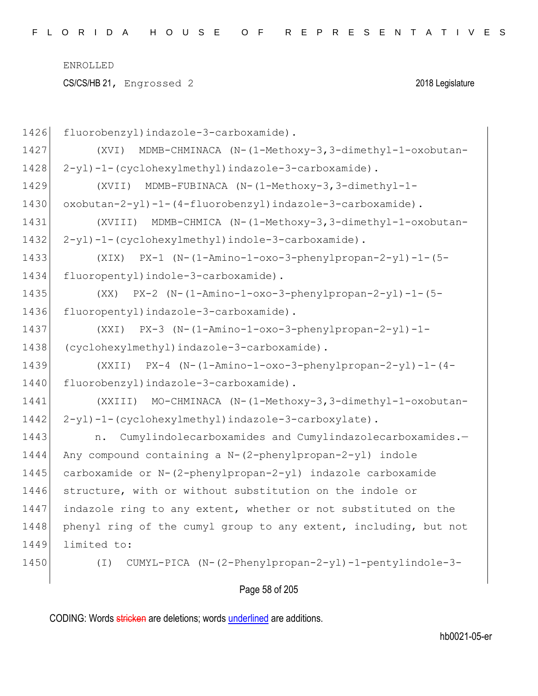CS/CS/HB 21, Engrossed 2 2018 Legislature

| 1426 | fluorobenzyl) indazole-3-carboxamide).                            |
|------|-------------------------------------------------------------------|
| 1427 | MDMB-CHMINACA (N-(1-Methoxy-3,3-dimethyl-1-oxobutan-<br>(XVI)     |
| 1428 | 2-yl)-1-(cyclohexylmethyl)indazole-3-carboxamide).                |
| 1429 | MDMB-FUBINACA (N-(1-Methoxy-3,3-dimethyl-1-<br>(XVII)             |
| 1430 | $oxobutan-2-yl$ )-1-(4-fluorobenzyl)indazole-3-carboxamide).      |
| 1431 | MDMB-CHMICA (N-(1-Methoxy-3,3-dimethyl-1-oxobutan-<br>(XVIII)     |
| 1432 | 2-yl)-1-(cyclohexylmethyl)indole-3-carboxamide).                  |
| 1433 | $PX-1$ (N-(1-Amino-1-oxo-3-phenylpropan-2-yl)-1-(5-<br>(XIX)      |
| 1434 | fluoropentyl) indole-3-carboxamide).                              |
| 1435 | $PX-2$ (N- $(1-Amino-1-oxo-3-phenylpropan-2-yl) -1-(5-$<br>(XX)   |
| 1436 | fluoropentyl)indazole-3-carboxamide).                             |
| 1437 | PX-3 (N-(1-Amino-1-oxo-3-phenylpropan-2-yl)-1-<br>(XXI)           |
| 1438 | (cyclohexylmethyl)indazole-3-carboxamide).                        |
| 1439 | $(XXII)$ PX-4 $(N-(1-Amino-1-oxo-3-phenylpropan-2-yl)-1-(4-$      |
| 1440 | fluorobenzyl) indazole-3-carboxamide).                            |
| 1441 | (XXIII) MO-CHMINACA (N-(1-Methoxy-3,3-dimethyl-1-oxobutan-        |
| 1442 | 2-yl)-1-(cyclohexylmethyl)indazole-3-carboxylate).                |
| 1443 | Cumylindolecarboxamides and Cumylindazolecarboxamides.-<br>n.     |
| 1444 | Any compound containing a N-(2-phenylpropan-2-yl) indole          |
| 1445 | carboxamide or N-(2-phenylpropan-2-yl) indazole carboxamide       |
| 1446 | structure, with or without substitution on the indole or          |
| 1447 | indazole ring to any extent, whether or not substituted on the    |
| 1448 | phenyl ring of the cumyl group to any extent, including, but not  |
| 1449 | limited to:                                                       |
| 1450 | CUMYL-PICA (N-(2-Phenylpropan-2-yl)-1-pentylindole-3-<br>$(\bot)$ |
|      |                                                                   |

# Page 58 of 205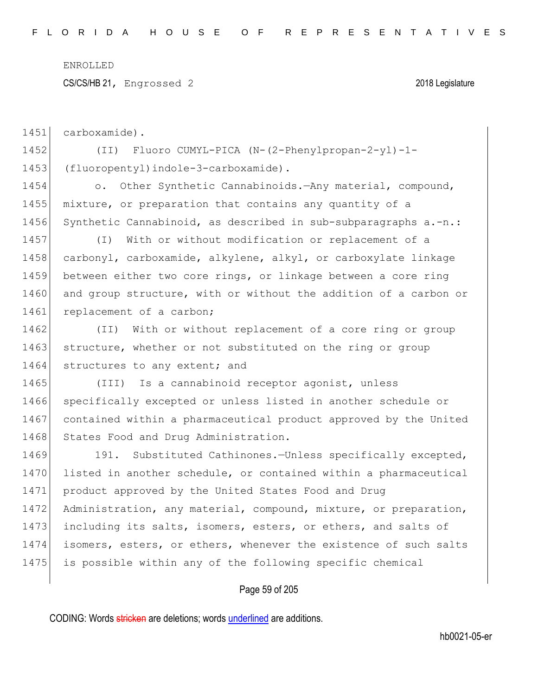CS/CS/HB 21, Engrossed 2 2018 Legislature

1451 carboxamide).

1452 (II) Fluoro CUMYL-PICA (N-(2-Phenylpropan-2-yl)-1- 1453 (fluoropentyl)indole-3-carboxamide).

1454 o. Other Synthetic Cannabinoids.—Any material, compound, 1455 mixture, or preparation that contains any quantity of a 1456 Synthetic Cannabinoid, as described in sub-subparagraphs a.-n.:

1457 (I) With or without modification or replacement of a 1458 carbonyl, carboxamide, alkylene, alkyl, or carboxylate linkage 1459 between either two core rings, or linkage between a core ring 1460 and group structure, with or without the addition of a carbon or 1461 replacement of a carbon;

1462 (II) With or without replacement of a core ring or group 1463 structure, whether or not substituted on the ring or group 1464 structures to any extent; and

1465 (III) Is a cannabinoid receptor agonist, unless 1466 specifically excepted or unless listed in another schedule or 1467 contained within a pharmaceutical product approved by the United 1468 States Food and Drug Administration.

1469 191. Substituted Cathinones.—Unless specifically excepted, 1470 listed in another schedule, or contained within a pharmaceutical 1471 product approved by the United States Food and Drug 1472 Administration, any material, compound, mixture, or preparation, 1473 including its salts, isomers, esters, or ethers, and salts of 1474 isomers, esters, or ethers, whenever the existence of such salts 1475 is possible within any of the following specific chemical

### Page 59 of 205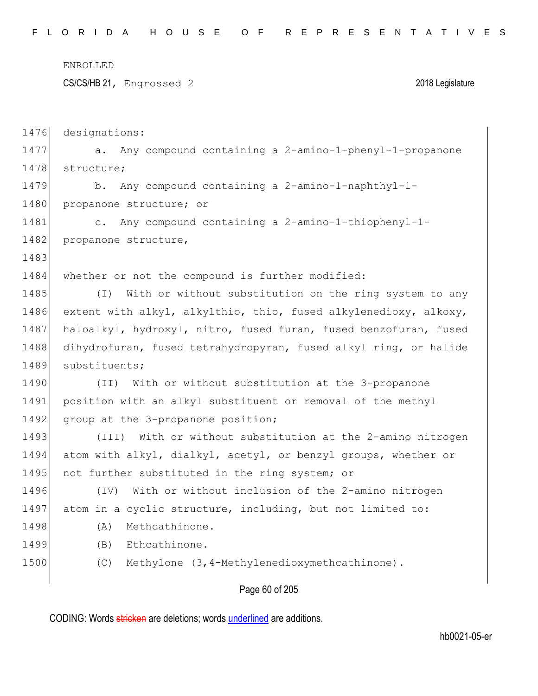ENROLLED CS/CS/HB 21, Engrossed 2 2018 Legislature 1476 designations: 1477 a. Any compound containing a 2-amino-1-phenyl-1-propanone 1478 structure; 1479 b. Any compound containing a 2-amino-1-naphthyl-1-1480 propanone structure; or 1481 c. Any compound containing a 2-amino-1-thiophenyl-1- 1482 propanone structure, 1483 1484 whether or not the compound is further modified: 1485 (I) With or without substitution on the ring system to any 1486 extent with alkyl, alkylthio, thio, fused alkylenedioxy, alkoxy, 1487 haloalkyl, hydroxyl, nitro, fused furan, fused benzofuran, fused 1488 dihydrofuran, fused tetrahydropyran, fused alkyl ring, or halide 1489 substituents; 1490 (II) With or without substitution at the 3-propanone 1491 position with an alkyl substituent or removal of the methyl 1492 group at the 3-propanone position; 1493 (III) With or without substitution at the 2-amino nitrogen 1494 atom with alkyl, dialkyl, acetyl, or benzyl groups, whether or 1495 not further substituted in the ring system; or 1496 (IV) With or without inclusion of the 2-amino nitrogen 1497 atom in a cyclic structure, including, but not limited to: 1498 (A) Methcathinone. 1499 (B) Ethcathinone. 1500 (C) Methylone (3,4-Methylenedioxymethcathinone).

Page 60 of 205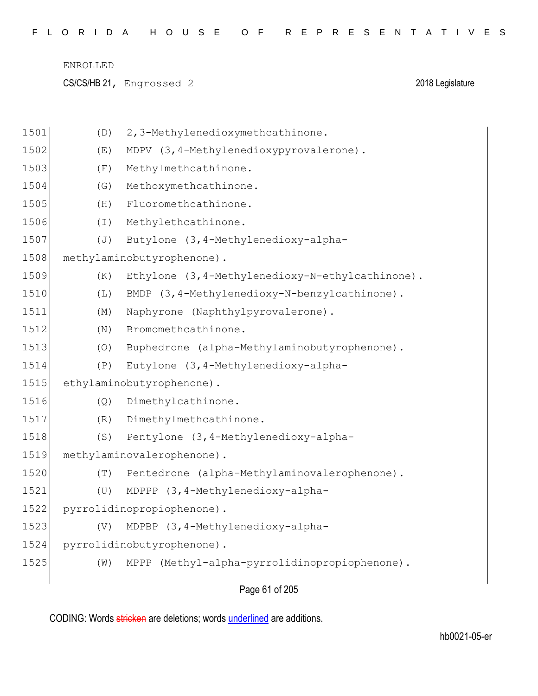| FLORIDA HOUSE OF REPRESENTATIVES |  |  |  |  |  |  |  |  |  |  |  |  |  |  |  |  |  |  |  |  |  |  |  |  |  |  |  |  |  |
|----------------------------------|--|--|--|--|--|--|--|--|--|--|--|--|--|--|--|--|--|--|--|--|--|--|--|--|--|--|--|--|--|
|----------------------------------|--|--|--|--|--|--|--|--|--|--|--|--|--|--|--|--|--|--|--|--|--|--|--|--|--|--|--|--|--|

CS/CS/HB 21, Engrossed 2 2018 Legislature

| 1501 | (D)            | 2,3-Methylenedioxymethcathinone.                |
|------|----------------|-------------------------------------------------|
| 1502 | (E)            | MDPV (3, 4-Methylenedioxypyrovalerone).         |
| 1503 | (F)            | Methylmethcathinone.                            |
| 1504 | (G)            | Methoxymethcathinone.                           |
| 1505 | (H)            | Fluoromethcathinone.                            |
| 1506 | $(\bot)$       | Methylethcathinone.                             |
| 1507 | $(\mathbb{J})$ | Butylone (3, 4-Methylenedioxy-alpha-            |
| 1508 |                | methylaminobutyrophenone).                      |
| 1509 | (K)            | Ethylone (3,4-Methylenedioxy-N-ethylcathinone). |
| 1510 | (L)            | BMDP (3, 4-Methylenedioxy-N-benzylcathinone).   |
| 1511 | (M)            | Naphyrone (Naphthylpyrovalerone).               |
| 1512 | (N)            | Bromomethcathinone.                             |
| 1513 | (0)            | Buphedrone (alpha-Methylaminobutyrophenone).    |
| 1514 | (P)            | Eutylone (3, 4-Methylenedioxy-alpha-            |
| 1515 |                | ethylaminobutyrophenone).                       |
| 1516 | (Q)            | Dimethylcathinone.                              |
| 1517 | (R)            | Dimethylmethcathinone.                          |
| 1518 | (S)            | Pentylone (3, 4-Methylenedioxy-alpha-           |
| 1519 |                | methylaminovalerophenone).                      |
| 1520 | (T)            | Pentedrone (alpha-Methylaminovalerophenone).    |
| 1521 | (U)            | MDPPP (3, 4-Methylenedioxy-alpha-               |
| 1522 |                | pyrrolidinopropiophenone).                      |
| 1523 | (V)            | MDPBP (3,4-Methylenedioxy-alpha-                |
| 1524 |                | pyrrolidinobutyrophenone).                      |
| 1525 | (W)            | MPPP (Methyl-alpha-pyrrolidinopropiophenone).   |
|      |                | Page 61 of 205                                  |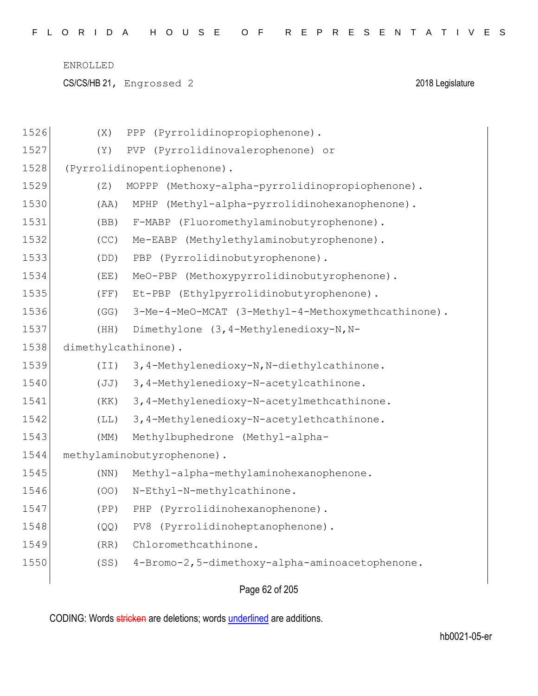CS/CS/HB 21, Engrossed 2 2018 Legislature

| 1526 | (X)                 | PPP (Pyrrolidinopropiophenone).                    |
|------|---------------------|----------------------------------------------------|
| 1527 | (Y)                 | PVP (Pyrrolidinovalerophenone) or                  |
| 1528 |                     | (Pyrrolidinopentiophenone).                        |
| 1529 | (Z)                 | MOPPP (Methoxy-alpha-pyrrolidinopropiophenone).    |
| 1530 | (AA)                | (Methyl-alpha-pyrrolidinohexanophenone).<br>MPHP   |
| 1531 | (BB)                | F-MABP (Fluoromethylaminobutyrophenone).           |
| 1532 | (CC)                | Me-EABP (Methylethylaminobutyrophenone).           |
| 1533 | (DD)                | PBP (Pyrrolidinobutyrophenone).                    |
| 1534 | (EE)                | MeO-PBP (Methoxypyrrolidinobutyrophenone).         |
| 1535 | (FF)                | Et-PBP (Ethylpyrrolidinobutyrophenone).            |
| 1536 | (GG)                | 3-Me-4-MeO-MCAT (3-Methyl-4-Methoxymethcathinone). |
| 1537 | (HH)                | Dimethylone (3, 4-Methylenedioxy-N, N-             |
| 1538 | dimethylcathinone). |                                                    |
| 1539 | (TI)                | 3,4-Methylenedioxy-N, N-diethylcathinone.          |
| 1540 | (JJ)                | 3,4-Methylenedioxy-N-acetylcathinone.              |
| 1541 | (KK)                | 3,4-Methylenedioxy-N-acetylmethcathinone.          |
| 1542 | (LL)                | 3,4-Methylenedioxy-N-acetylethcathinone.           |
| 1543 | (MM)                | Methylbuphedrone (Methyl-alpha-                    |
| 1544 |                     | methylaminobutyrophenone).                         |
| 1545 | (NN)                | Methyl-alpha-methylaminohexanophenone.             |
| 1546 | (OO)                | N-Ethyl-N-methylcathinone.                         |
| 1547 | (PP)                | (Pyrrolidinohexanophenone).<br>PHP                 |
| 1548 | (QQ)                | PV8 (Pyrrolidinoheptanophenone).                   |
| 1549 | (RR)                | Chloromethcathinone.                               |
| 1550 | (SS)                | 4-Bromo-2,5-dimethoxy-alpha-aminoacetophenone.     |
|      |                     |                                                    |

Page 62 of 205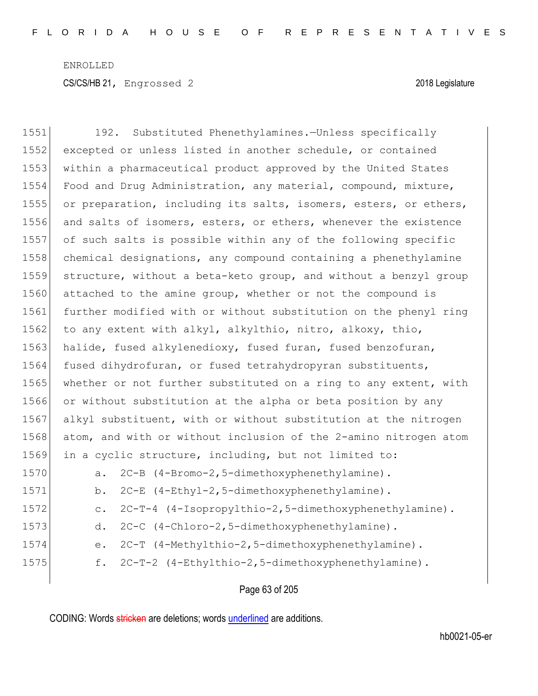| 1551 | Substituted Phenethylamines.-Unless specifically<br>192.                |
|------|-------------------------------------------------------------------------|
| 1552 | excepted or unless listed in another schedule, or contained             |
| 1553 | within a pharmaceutical product approved by the United States           |
| 1554 | Food and Drug Administration, any material, compound, mixture,          |
| 1555 | or preparation, including its salts, isomers, esters, or ethers,        |
| 1556 | and salts of isomers, esters, or ethers, whenever the existence         |
| 1557 | of such salts is possible within any of the following specific          |
| 1558 | chemical designations, any compound containing a phenethylamine         |
| 1559 | structure, without a beta-keto group, and without a benzyl group        |
| 1560 | attached to the amine group, whether or not the compound is             |
| 1561 | further modified with or without substitution on the phenyl ring        |
| 1562 | to any extent with alkyl, alkylthio, nitro, alkoxy, thio,               |
| 1563 | halide, fused alkylenedioxy, fused furan, fused benzofuran,             |
| 1564 | fused dihydrofuran, or fused tetrahydropyran substituents,              |
| 1565 | whether or not further substituted on a ring to any extent, with        |
| 1566 | or without substitution at the alpha or beta position by any            |
| 1567 | alkyl substituent, with or without substitution at the nitrogen         |
| 1568 | atom, and with or without inclusion of the 2-amino nitrogen atom        |
| 1569 | in a cyclic structure, including, but not limited to:                   |
| 1570 | 2C-B (4-Bromo-2,5-dimethoxyphenethylamine).<br>a.                       |
| 1571 | 2C-E (4-Ethyl-2,5-dimethoxyphenethylamine).<br>b.                       |
| 1572 | 2C-T-4 (4-Isopropylthio-2,5-dimethoxyphenethylamine).<br>$\mathtt{C}$ . |
| 1573 | 2C-C (4-Chloro-2,5-dimethoxyphenethylamine).<br>d.                      |
| 1574 | 2C-T (4-Methylthio-2,5-dimethoxyphenethylamine).<br>е.                  |
| 1575 | 2C-T-2 (4-Ethylthio-2,5-dimethoxyphenethylamine).<br>f.                 |
|      |                                                                         |

Page 63 of 205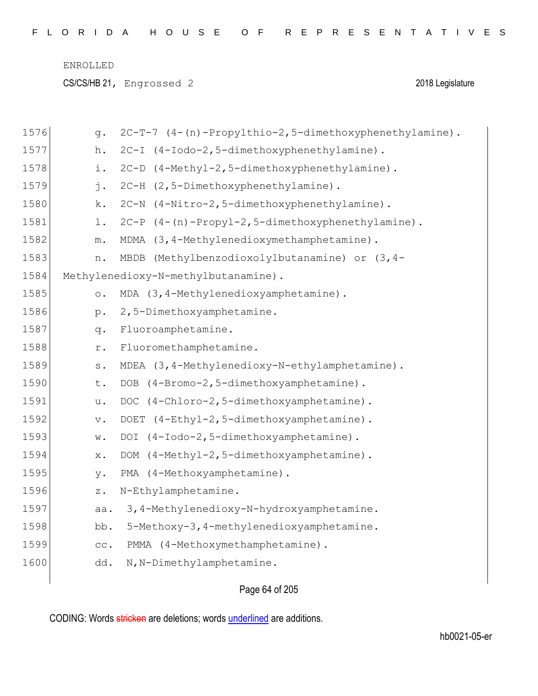CS/CS/HB 21, Engrossed 2 2018 Legislature

| 1576 | g.                | 2C-T-7 (4-(n)-Propylthio-2,5-dimethoxyphenethylamine). |
|------|-------------------|--------------------------------------------------------|
| 1577 | h.                | 2C-I (4-Iodo-2,5-dimethoxyphenethylamine).             |
| 1578 | i.                | 2C-D (4-Methyl-2,5-dimethoxyphenethylamine).           |
| 1579 | j.                | 2C-H (2,5-Dimethoxyphenethylamine).                    |
| 1580 | k.                | 2C-N (4-Nitro-2,5-dimethoxyphenethylamine).            |
| 1581 | 1.                | 2C-P (4-(n)-Propyl-2,5-dimethoxyphenethylamine).       |
| 1582 | ${\mathfrak m}$ . | MDMA (3,4-Methylenedioxymethamphetamine).              |
| 1583 | n.                | (Methylbenzodioxolylbutanamine) or (3, 4-<br>MBDB      |
| 1584 |                   | Methylenedioxy-N-methylbutanamine).                    |
| 1585 | $\circ$ .         | MDA (3,4-Methylenedioxyamphetamine).                   |
| 1586 | $p$ .             | 2,5-Dimethoxyamphetamine.                              |
| 1587 | q.                | Fluoroamphetamine.                                     |
| 1588 | r.                | Fluoromethamphetamine.                                 |
| 1589 | $\texttt{s}$ .    | MDEA (3, 4-Methylenedioxy-N-ethylamphetamine).         |
| 1590 | t.                | DOB (4-Bromo-2,5-dimethoxyamphetamine).                |
| 1591 | u.                | DOC (4-Chloro-2,5-dimethoxyamphetamine).               |
| 1592 | $\mathbf v$ .     | DOET (4-Ethyl-2,5-dimethoxyamphetamine).               |
| 1593 | W.                | (4-Iodo-2,5-dimethoxyamphetamine).<br>DOI              |
| 1594 | $X$ .             | (4-Methyl-2,5-dimethoxyamphetamine).<br>DOM            |
| 1595 | у.                | PMA (4-Methoxyamphetamine).                            |
| 1596 | $\mathbf{z}$ .    | N-Ethylamphetamine.                                    |
| 1597 | aa.               | 3, 4-Methylenedioxy-N-hydroxyamphetamine.              |
| 1598 | bb.               | 5-Methoxy-3, 4-methylenedioxyamphetamine.              |
| 1599 | cc.               | PMMA (4-Methoxymethamphetamine).                       |
| 1600 | dd.               | N, N-Dimethylamphetamine.                              |
|      |                   |                                                        |

# Page 64 of 205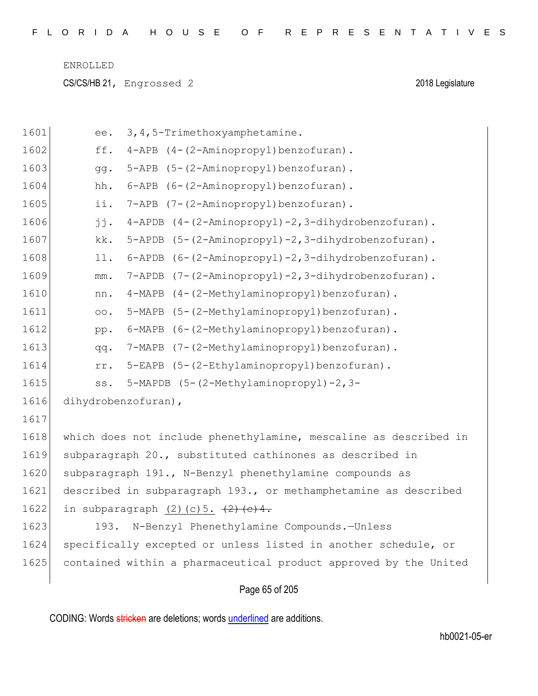CS/CS/HB 21, Engrossed 2 2018 Legislature

| 1601 | ee.             | 3, 4, 5-Trimethoxyamphetamine.                                   |
|------|-----------------|------------------------------------------------------------------|
| 1602 | ff.             | 4-APB (4-(2-Aminopropyl)benzofuran).                             |
| 1603 | gg.             | 5-APB (5-(2-Aminopropyl)benzofuran).                             |
| 1604 | hh.             | 6-APB (6-(2-Aminopropyl)benzofuran).                             |
| 1605 | ii.             | 7-APB (7-(2-Aminopropyl)benzofuran).                             |
| 1606 | jj.             | 4-APDB (4-(2-Aminopropyl)-2,3-dihydrobenzofuran).                |
| 1607 | kk.             | 5-APDB (5-(2-Aminopropyl)-2,3-dihydrobenzofuran).                |
| 1608 | 11.             | 6-APDB (6-(2-Aminopropyl)-2,3-dihydrobenzofuran).                |
| 1609 | mm.             | 7-APDB (7-(2-Aminopropyl)-2,3-dihydrobenzofuran).                |
| 1610 | nn.             | 4-MAPB (4-(2-Methylaminopropyl)benzofuran).                      |
| 1611 | $\circ \circ$ . | 5-MAPB (5-(2-Methylaminopropyl)benzofuran).                      |
| 1612 | pp.             | 6-MAPB (6-(2-Methylaminopropyl)benzofuran).                      |
| 1613 | qq.             | 7-MAPB (7-(2-Methylaminopropyl)benzofuran).                      |
| 1614 | rr.             | 5-EAPB (5-(2-Ethylaminopropyl)benzofuran).                       |
| 1615 | SS.             | 5-MAPDB (5-(2-Methylaminopropyl)-2,3-                            |
| 1616 |                 | dihydrobenzofuran),                                              |
| 1617 |                 |                                                                  |
| 1618 |                 | which does not include phenethylamine, mescaline as described in |
| 1619 |                 | subparagraph 20., substituted cathinones as described in         |
| 1620 |                 | subparagraph 191., N-Benzyl phenethylamine compounds as          |
| 1621 |                 | described in subparagraph 193., or methamphetamine as described  |
| 1622 |                 | in subparagraph $(2)$ (c) 5. $\frac{2}{2}$ (e) 4.                |
| 1623 | 193.            | N-Benzyl Phenethylamine Compounds.-Unless                        |
| 1624 |                 | specifically excepted or unless listed in another schedule, or   |
| 1625 |                 | contained within a pharmaceutical product approved by the United |
|      |                 |                                                                  |

# Page 65 of 205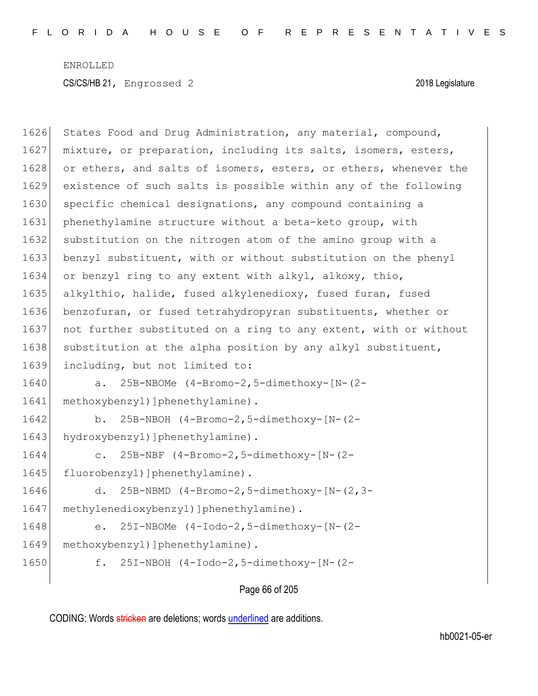| 1626 | States Food and Drug Administration, any material, compound,     |
|------|------------------------------------------------------------------|
| 1627 | mixture, or preparation, including its salts, isomers, esters,   |
| 1628 | or ethers, and salts of isomers, esters, or ethers, whenever the |
| 1629 | existence of such salts is possible within any of the following  |
| 1630 | specific chemical designations, any compound containing a        |
| 1631 | phenethylamine structure without a beta-keto group, with         |
| 1632 | substitution on the nitrogen atom of the amino group with a      |
| 1633 | benzyl substituent, with or without substitution on the phenyl   |
| 1634 | or benzyl ring to any extent with alkyl, alkoxy, thio,           |
| 1635 | alkylthio, halide, fused alkylenedioxy, fused furan, fused       |
| 1636 | benzofuran, or fused tetrahydropyran substituents, whether or    |
| 1637 | not further substituted on a ring to any extent, with or without |
| 1638 | substitution at the alpha position by any alkyl substituent,     |
| 1639 | including, but not limited to:                                   |
| 1640 | 25B-NBOMe (4-Bromo-2,5-dimethoxy-[N-(2-<br>a.                    |
| 1641 | methoxybenzyl) ] phenethylamine).                                |
| 1642 | 25B-NBOH (4-Bromo-2,5-dimethoxy-[N-(2-<br>b.                     |
| 1643 | hydroxybenzyl) ]phenethylamine).                                 |
| 1644 | 25B-NBF (4-Bromo-2,5-dimethoxy-[N-(2-<br>$\mathsf{C}$ .          |
| 1645 | fluorobenzyl) ]phenethylamine).                                  |
| 1646 | 25B-NBMD (4-Bromo-2,5-dimethoxy-[N-(2,3-<br>d.                   |
| 1647 | methylenedioxybenzyl) ]phenethylamine).                          |
| 1648 | 25I-NBOMe (4-Iodo-2,5-dimethoxy-[N-(2-<br>e.                     |
| 1649 | methoxybenzyl) ] phenethylamine) .                               |
| 1650 | 25I-NBOH (4-Iodo-2,5-dimethoxy-[N-(2-<br>f.                      |
|      |                                                                  |

Page 66 of 205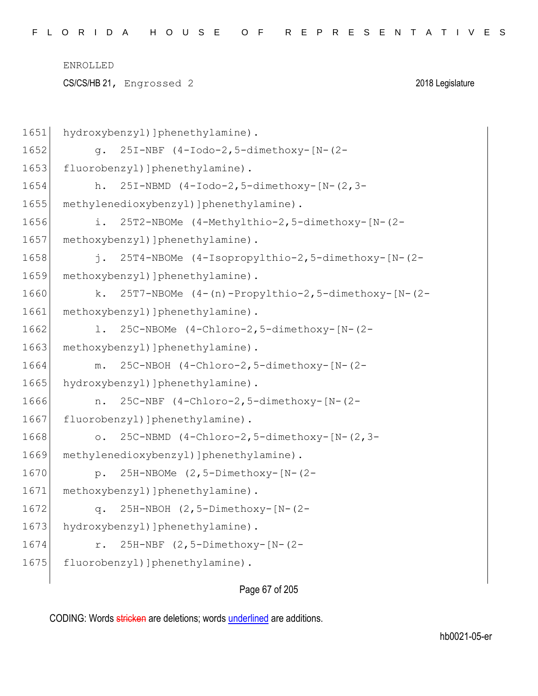CS/CS/HB 21, Engrossed 2 2018 Legislature

```
1651 hydroxybenzyl) ]phenethylamine).
1652 g. 25I-NBF (4-Iodo-2,5-dimethoxy-[N-(2-
1653 fluorobenzyl)]phenethylamine).
1654 h. 25I-NBMD (4-Iodo-2,5-dimethoxy-[N-(2,3-
1655 methylenedioxybenzyl) ]phenethylamine).
1656 i. 25T2-NBOMe (4-Methylthio-2,5-dimethoxy-[N-(2-
1657 methoxybenzyl) ]phenethylamine).
1658 j. 25T4-NBOMe (4-Isopropylthio-2,5-dimethoxy-[N-(2-
1659 methoxybenzyl) ]phenethylamine).
1660 k. 25T7-NBOMe (4-(n)-Propylthio-2,5-dimethoxy-[N-(2-
1661 methoxybenzyl) ]phenethylamine).
1662 l. 25C-NBOMe (4-Chloro-2,5-dimethoxy-[N-(2-
1663 methoxybenzyl) ]phenethylamine).
1664 m. 25C-NBOH (4-Chloro-2,5-dimethoxy-[N-(2-
1665 hydroxybenzyl) ]phenethylamine).
1666 n. 25C-NBF (4-Chloro-2,5-dimethoxy-[N-(2-
1667 fluorobenzyl)]phenethylamine).
1668 o. 25C-NBMD (4-Chloro-2,5-dimethoxy-[N-(2,3-
1669 methylenedioxybenzyl) ]phenethylamine).
1670 p. 25H-NBOMe (2,5-Dimethoxy-[N-(2-
1671 methoxybenzyl) ]phenethylamine).
1672 q. 25H-NBOH (2,5-Dimethoxy-[N-(2-
1673 hydroxybenzyl) ]phenethylamine).
1674 r. 25H-NBF (2,5-Dimethoxy-[N-(2-
1675 fluorobenzyl) ]phenethylamine).
```
### Page 67 of 205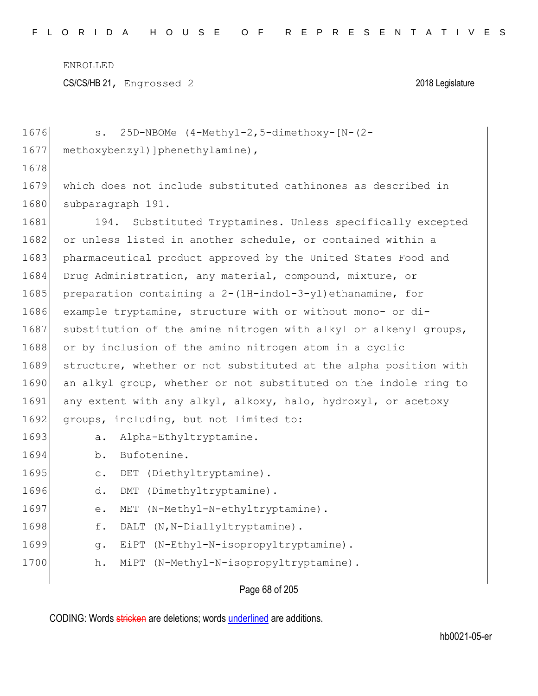CS/CS/HB 21, Engrossed 2 2018 Legislature

| 1676 | 25D-NBOMe (4-Methyl-2,5-dimethoxy-[N-(2-<br>$S$ .                    |
|------|----------------------------------------------------------------------|
| 1677 | methoxybenzyl) ] phenethylamine),                                    |
| 1678 |                                                                      |
| 1679 | which does not include substituted cathinones as described in        |
| 1680 | subparagraph 191.                                                    |
| 1681 | Substituted Tryptamines.-Unless specifically excepted<br>194.        |
| 1682 | or unless listed in another schedule, or contained within a          |
| 1683 | pharmaceutical product approved by the United States Food and        |
| 1684 | Drug Administration, any material, compound, mixture, or             |
| 1685 | preparation containing a $2 - (1H - indol - 3 - yl)$ ethanamine, for |
| 1686 | example tryptamine, structure with or without mono- or di-           |
| 1687 | substitution of the amine nitrogen with alkyl or alkenyl groups,     |
| 1688 | or by inclusion of the amino nitrogen atom in a cyclic               |
| 1689 | structure, whether or not substituted at the alpha position with     |
| 1690 | an alkyl group, whether or not substituted on the indole ring to     |
| 1691 | any extent with any alkyl, alkoxy, halo, hydroxyl, or acetoxy        |
| 1692 | groups, including, but not limited to:                               |
| 1693 | Alpha-Ethyltryptamine.<br>a.                                         |
| 1694 | Bufotenine.<br>b.                                                    |
| 1695 | DET (Diethyltryptamine).<br>$\mathsf{C}$ .                           |
| 1696 | d.<br>(Dimethyltryptamine).<br>DMT                                   |
| 1697 | (N-Methyl-N-ethyltryptamine).<br>е.<br>MET                           |
| 1698 | f.<br>DALT (N, N-Diallyltryptamine).                                 |
| 1699 | (N-Ethyl-N-isopropyltryptamine).<br>q.<br>EiPT                       |
| 1700 | (N-Methyl-N-isopropyltryptamine).<br>h.<br>MiPT                      |
|      |                                                                      |

# Page 68 of 205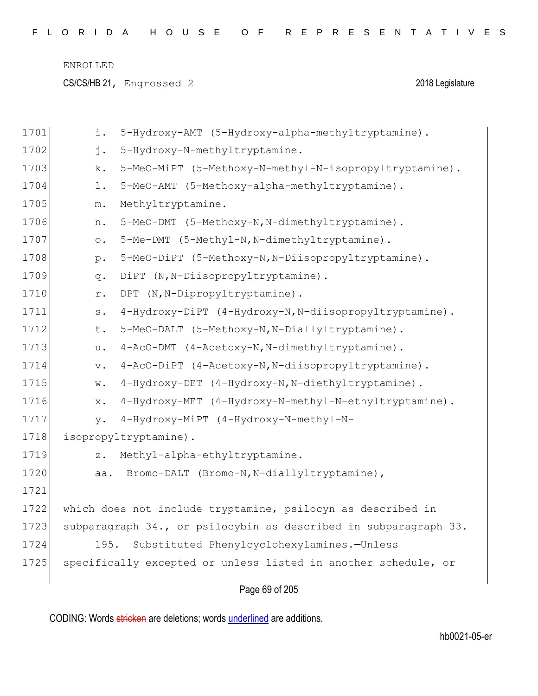CS/CS/HB 21, Engrossed 2 2018 Legislature

| 1701 | i.        | 5-Hydroxy-AMT (5-Hydroxy-alpha-methyltryptamine).                |
|------|-----------|------------------------------------------------------------------|
| 1702 | j.        | 5-Hydroxy-N-methyltryptamine.                                    |
| 1703 | k.        | 5-MeO-MiPT (5-Methoxy-N-methyl-N-isopropyltryptamine).           |
| 1704 | $1$ .     | 5-MeO-AMT (5-Methoxy-alpha-methyltryptamine).                    |
| 1705 | m.        | Methyltryptamine.                                                |
| 1706 | n.        | 5-MeO-DMT (5-Methoxy-N, N-dimethyltryptamine).                   |
| 1707 | $\circ$ . | 5-Me-DMT (5-Methyl-N, N-dimethyltryptamine).                     |
| 1708 | $p$ .     | 5-MeO-DiPT (5-Methoxy-N, N-Diisopropyltryptamine).               |
| 1709 | q.        | DiPT (N, N-Diisopropyltryptamine).                               |
| 1710 | r.        | DPT (N, N-Dipropyltryptamine).                                   |
| 1711 | $s$ .     | 4-Hydroxy-DiPT (4-Hydroxy-N, N-diisopropyltryptamine).           |
| 1712 | t.        | 5-MeO-DALT (5-Methoxy-N, N-Diallyltryptamine).                   |
| 1713 | u.        | 4-AcO-DMT (4-Acetoxy-N, N-dimethyltryptamine).                   |
| 1714 | $V$ .     | 4-AcO-DiPT (4-Acetoxy-N, N-diisopropyltryptamine).               |
| 1715 | w.        | 4-Hydroxy-DET (4-Hydroxy-N, N-diethyltryptamine).                |
| 1716 | $X$ .     | 4-Hydroxy-MET (4-Hydroxy-N-methyl-N-ethyltryptamine).            |
| 1717 | V.        | 4-Hydroxy-MiPT (4-Hydroxy-N-methyl-N-                            |
| 1718 |           | isopropyltryptamine).                                            |
| 1719 | $Z$ .     | Methyl-alpha-ethyltryptamine.                                    |
| 1720 | aa.       | Bromo-DALT (Bromo-N, N-diallyltryptamine),                       |
| 1721 |           |                                                                  |
| 1722 |           | which does not include tryptamine, psilocyn as described in      |
| 1723 |           | subparagraph 34., or psilocybin as described in subparagraph 33. |
| 1724 | 195.      | Substituted Phenylcyclohexylamines.-Unless                       |
| 1725 |           | specifically excepted or unless listed in another schedule, or   |
|      |           |                                                                  |

Page 69 of 205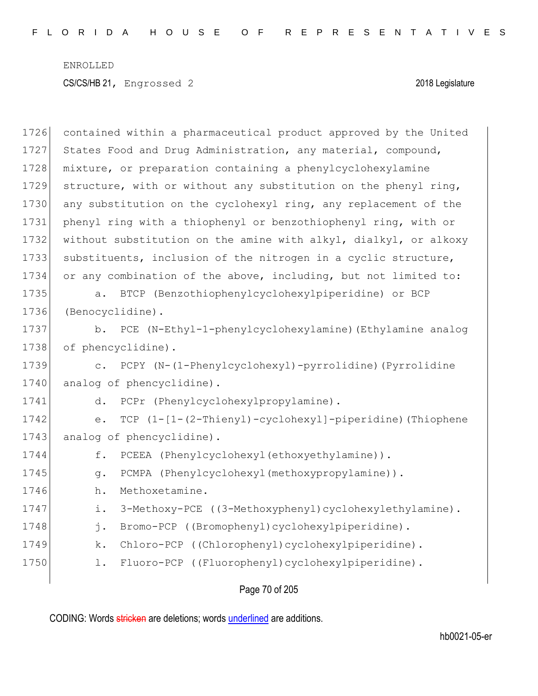| 1726 | contained within a pharmaceutical product approved by the United    |
|------|---------------------------------------------------------------------|
| 1727 | States Food and Drug Administration, any material, compound,        |
| 1728 | mixture, or preparation containing a phenylcyclohexylamine          |
| 1729 | structure, with or without any substitution on the phenyl ring,     |
| 1730 | any substitution on the cyclohexyl ring, any replacement of the     |
| 1731 | phenyl ring with a thiophenyl or benzothiophenyl ring, with or      |
| 1732 | without substitution on the amine with alkyl, dialkyl, or alkoxy    |
| 1733 | substituents, inclusion of the nitrogen in a cyclic structure,      |
| 1734 | or any combination of the above, including, but not limited to:     |
| 1735 | BTCP (Benzothiophenylcyclohexylpiperidine) or BCP<br>$a$ .          |
| 1736 | (Benocyclidine).                                                    |
| 1737 | b. PCE (N-Ethyl-1-phenylcyclohexylamine) (Ethylamine analog         |
| 1738 | of phencyclidine).                                                  |
| 1739 | c. PCPY (N-(1-Phenylcyclohexyl)-pyrrolidine) (Pyrrolidine           |
| 1740 | analog of phencyclidine).                                           |
| 1741 | PCPr (Phenylcyclohexylpropylamine).<br>d.                           |
| 1742 | $TCP (1-[1-(2-Thienyl)-cyclelohexyl]-piperidine) (Thiophene)$<br>e. |
| 1743 | analog of phencyclidine).                                           |
| 1744 | PCEEA (Phenylcyclohexyl(ethoxyethylamine)).<br>f.                   |
| 1745 | PCMPA (Phenylcyclohexyl(methoxypropylamine)).<br>q.                 |
| 1746 | Methoxetamine.<br>h.                                                |
| 1747 | 3-Methoxy-PCE ((3-Methoxyphenyl)cyclohexylethylamine).<br>i.        |
| 1748 | j.<br>Bromo-PCP ((Bromophenyl)cyclohexylpiperidine).                |
| 1749 | Chloro-PCP ((Chlorophenyl)cyclohexylpiperidine).<br>k.              |
| 1750 | Fluoro-PCP ((Fluorophenyl)cyclohexylpiperidine).<br>$1$ .           |
|      |                                                                     |

Page 70 of 205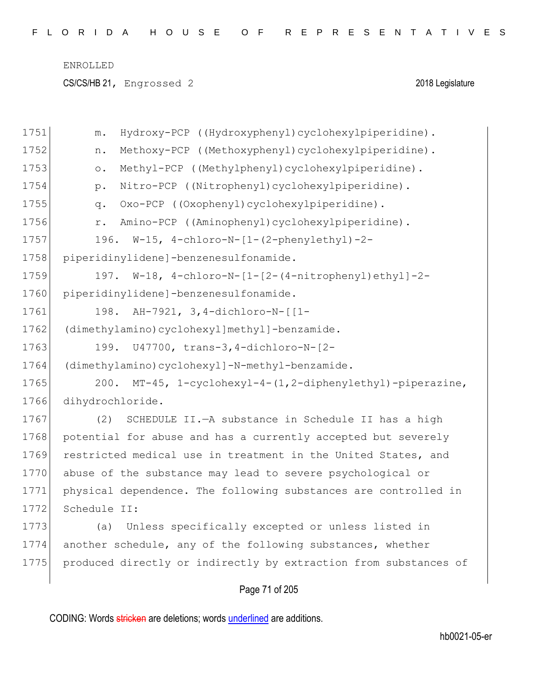CS/CS/HB 21, Engrossed 2 2018 Legislature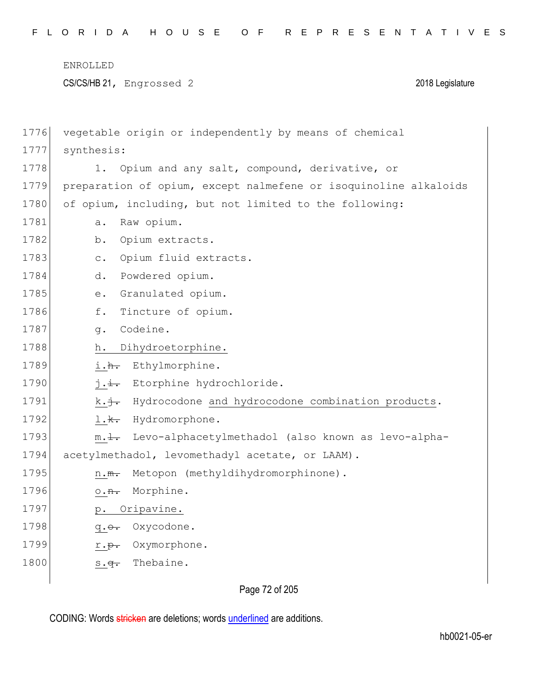CS/CS/HB 21, Engrossed 2 2018 Legislature

| 1776 | vegetable origin or independently by means of chemical              |
|------|---------------------------------------------------------------------|
| 1777 | synthesis:                                                          |
| 1778 | Opium and any salt, compound, derivative, or<br>1.                  |
| 1779 | preparation of opium, except nalmefene or isoquinoline alkaloids    |
| 1780 | of opium, including, but not limited to the following:              |
| 1781 | Raw opium.<br>$\overline{a}$ .                                      |
| 1782 | Opium extracts.<br>b.                                               |
| 1783 | Opium fluid extracts.<br>$\circ$ .                                  |
| 1784 | Powdered opium.<br>d.                                               |
| 1785 | Granulated opium.<br>е.                                             |
| 1786 | f.<br>Tincture of opium.                                            |
| 1787 | Codeine.<br>q.                                                      |
| 1788 | Dihydroetorphine.<br>h.                                             |
| 1789 | i.h. Ethylmorphine.                                                 |
| 1790 | Etorphine hydrochloride.<br>$j \cdot \pm \cdot$                     |
| 1791 | k. j. Hydrocodone and hydrocodone combination products.             |
| 1792 | $1.\$<br>Hydromorphone.                                             |
| 1793 | m. <del>l.</del> Levo-alphacetylmethadol (also known as levo-alpha- |
| 1794 | acetylmethadol, levomethadyl acetate, or LAAM).                     |
| 1795 | Metopon (methyldihydromorphinone).<br>$n \cdot m$ .                 |
| 1796 | Morphine.<br>$\circ$ . <del>n.</del>                                |
| 1797 | Oripavine.<br>$p$ .                                                 |
| 1798 | Oxycodone.<br>$q.\theta.$                                           |
| 1799 | Oxymorphone.<br>$r \cdot p$ .                                       |
| 1800 | Thebaine.<br>$s.\overline{q}$ .                                     |
|      |                                                                     |

Page 72 of 205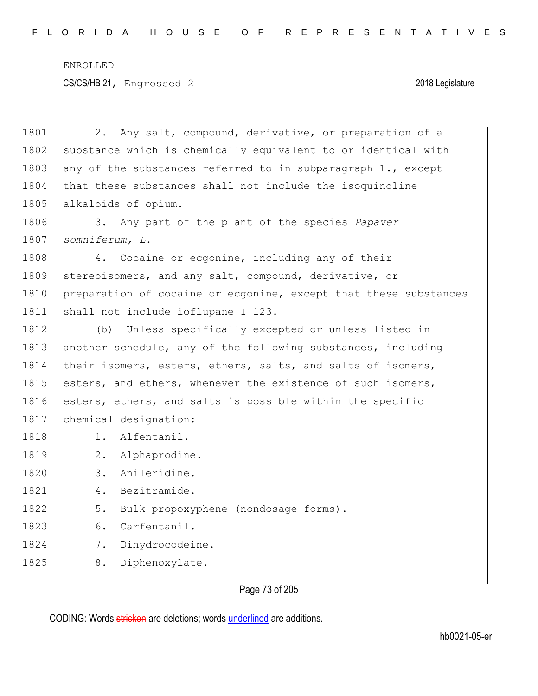1801 2. Any salt, compound, derivative, or preparation of a 1802 substance which is chemically equivalent to or identical with 1803 any of the substances referred to in subparagraph  $1.,$  except 1804 that these substances shall not include the isoquinoline 1805 alkaloids of opium.

1806 3. Any part of the plant of the species *Papaver*  1807 *somniferum, L.*

1808 4. Cocaine or ecgonine, including any of their 1809 stereoisomers, and any salt, compound, derivative, or 1810 preparation of cocaine or ecgonine, except that these substances 1811 shall not include ioflupane I 123.

1812 (b) Unless specifically excepted or unless listed in 1813 another schedule, any of the following substances, including 1814 their isomers, esters, ethers, salts, and salts of isomers, 1815 esters, and ethers, whenever the existence of such isomers, 1816 esters, ethers, and salts is possible within the specific 1817 chemical designation:

- 1818 1. Alfentanil.
- 1819 2. Alphaprodine.
- 1820 3. Anileridine.
- 1821 4. Bezitramide.
- 1822 5. Bulk propoxyphene (nondosage forms).
- 1823 6. Carfentanil.
- 1824 7. Dihydrocodeine.
- 1825 8. Diphenoxylate.

## Page 73 of 205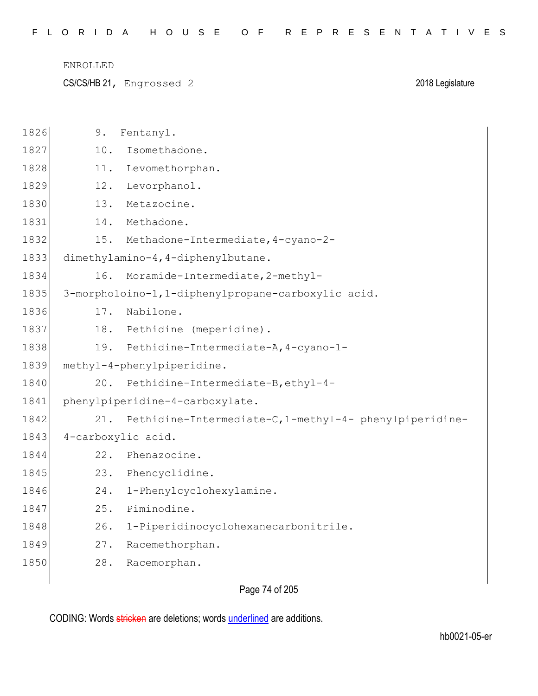CS/CS/HB 21, Engrossed 2 2018 Legislature

| 1826 | 9.  | Fentanyl.                                               |
|------|-----|---------------------------------------------------------|
| 1827 | 10. | Isomethadone.                                           |
| 1828 | 11. | Levomethorphan.                                         |
| 1829 | 12. | Levorphanol.                                            |
| 1830 | 13. | Metazocine.                                             |
| 1831 | 14. | Methadone.                                              |
| 1832 | 15. | Methadone-Intermediate, 4-cyano-2-                      |
| 1833 |     | dimethylamino-4, 4-diphenylbutane.                      |
| 1834 | 16. | Moramide-Intermediate, 2-methyl-                        |
| 1835 |     | 3-morpholoino-1,1-diphenylpropane-carboxylic acid.      |
| 1836 | 17. | Nabilone.                                               |
| 1837 | 18. | Pethidine (meperidine).                                 |
| 1838 | 19. | Pethidine-Intermediate-A, 4-cyano-1-                    |
| 1839 |     | methyl-4-phenylpiperidine.                              |
| 1840 | 20. | Pethidine-Intermediate-B, ethyl-4-                      |
| 1841 |     | phenylpiperidine-4-carboxylate.                         |
| 1842 | 21. | Pethidine-Intermediate-C, 1-methyl-4- phenylpiperidine- |
| 1843 |     | 4-carboxylic acid.                                      |
| 1844 | 22. | Phenazocine.                                            |
| 1845 | 23. | Phencyclidine.                                          |
| 1846 | 24. | 1-Phenylcyclohexylamine.                                |
| 1847 | 25. | Piminodine.                                             |
| 1848 | 26. | 1-Piperidinocyclohexanecarbonitrile.                    |
| 1849 | 27. | Racemethorphan.                                         |
| 1850 | 28. | Racemorphan.                                            |
|      |     |                                                         |

Page 74 of 205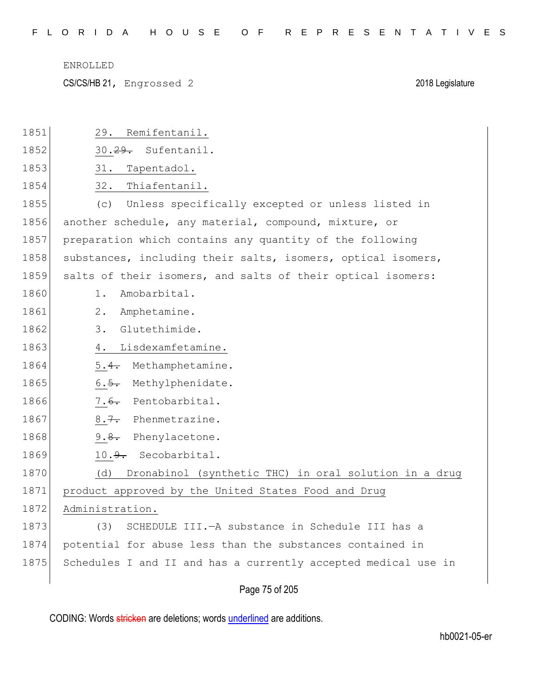CS/CS/HB 21, Engrossed 2 2018 Legislature

| 1851 | Remifentanil.<br>29.                                           |
|------|----------------------------------------------------------------|
| 1852 | 30.29. Sufentanil.                                             |
| 1853 | 31.<br>Tapentadol.                                             |
| 1854 | 32.<br>Thiafentanil.                                           |
| 1855 | Unless specifically excepted or unless listed in<br>(c)        |
| 1856 | another schedule, any material, compound, mixture, or          |
| 1857 | preparation which contains any quantity of the following       |
| 1858 | substances, including their salts, isomers, optical isomers,   |
| 1859 | salts of their isomers, and salts of their optical isomers:    |
| 1860 | Amobarbital.<br>1.                                             |
| 1861 | $2$ .<br>Amphetamine.                                          |
| 1862 | Glutethimide.<br>3.                                            |
| 1863 | Lisdexamfetamine.<br>4.                                        |
| 1864 | Methamphetamine.<br>5.4.                                       |
| 1865 | Methylphenidate.<br>$6.5 -$                                    |
| 1866 | 7.6. Pentobarbital.                                            |
| 1867 | $8.7 -$<br>Phenmetrazine.                                      |
| 1868 | $9.8-$<br>Phenylacetone.                                       |
| 1869 | 10.9. Secobarbital.                                            |
| 1870 | Dronabinol (synthetic THC) in oral solution in a drug<br>(d)   |
| 1871 | product approved by the United States Food and Drug            |
| 1872 | Administration.                                                |
| 1873 | (3)<br>SCHEDULE III. - A substance in Schedule III has a       |
| 1874 | potential for abuse less than the substances contained in      |
| 1875 | Schedules I and II and has a currently accepted medical use in |
|      | Page 75 of 205                                                 |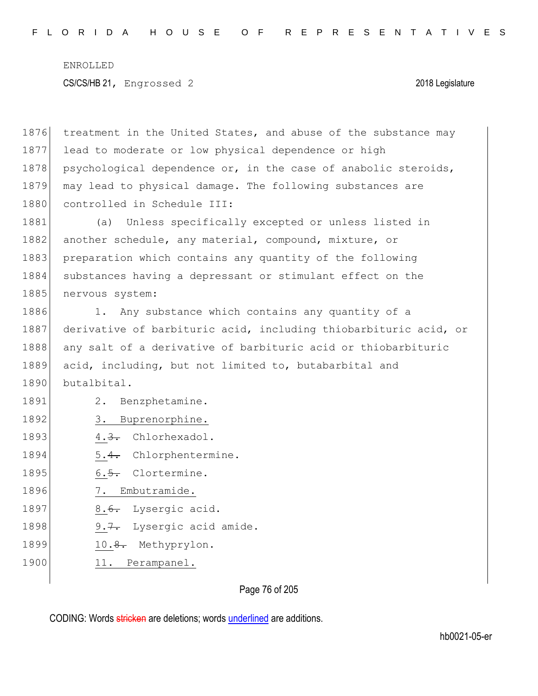1876 treatment in the United States, and abuse of the substance may 1877 lead to moderate or low physical dependence or high 1878 psychological dependence or, in the case of anabolic steroids, 1879 may lead to physical damage. The following substances are 1880 controlled in Schedule III: 1881 (a) Unless specifically excepted or unless listed in 1882 another schedule, any material, compound, mixture, or 1883 preparation which contains any quantity of the following 1884 substances having a depressant or stimulant effect on the 1885 nervous system: 1886 1. Any substance which contains any quantity of a 1887 derivative of barbituric acid, including thiobarbituric acid, or 1888 any salt of a derivative of barbituric acid or thiobarbituric 1889 acid, including, but not limited to, butabarbital and 1890 butalbital. 1891 2. Benzphetamine. 1892 3. Buprenorphine. 1893 4.3. Chlorhexadol. 1894 5.4. Chlorphentermine. 1895  $\left| \right|$  6.5. Clortermine. 1896 7. Embutramide. 1897 8.6. Lysergic acid. 1898 9.7. Lysergic acid amide. 1899 10.8. Methyprylon. 1900 11. Perampanel.

Page 76 of 205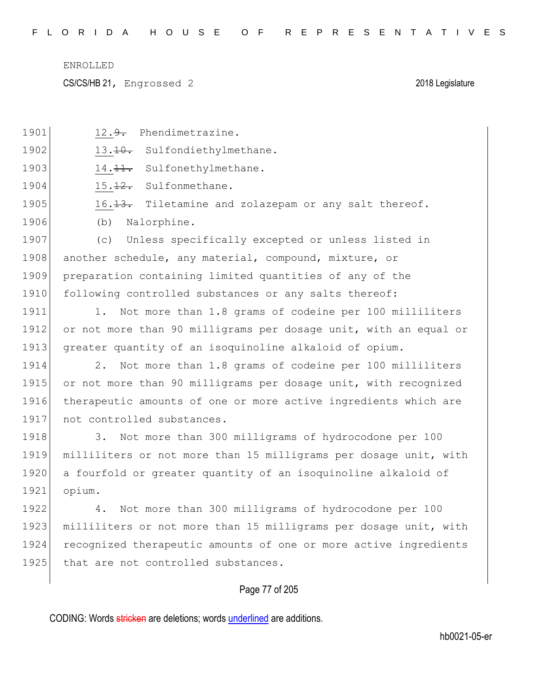CS/CS/HB 21, Engrossed 2 2018 Legislature

|      | Page 77 of 205                                                   |
|------|------------------------------------------------------------------|
| 1925 | that are not controlled substances.                              |
| 1924 | recognized therapeutic amounts of one or more active ingredients |
| 1923 | milliliters or not more than 15 milligrams per dosage unit, with |
| 1922 | Not more than 300 milligrams of hydrocodone per 100<br>4.        |
| 1921 | opium.                                                           |
| 1920 | a fourfold or greater quantity of an isoquinoline alkaloid of    |
| 1919 | milliliters or not more than 15 milligrams per dosage unit, with |
| 1918 | Not more than 300 milligrams of hydrocodone per 100<br>3.        |
| 1917 | not controlled substances.                                       |
| 1916 | therapeutic amounts of one or more active ingredients which are  |
| 1915 | or not more than 90 milligrams per dosage unit, with recognized  |
| 1914 | Not more than 1.8 grams of codeine per 100 milliliters<br>2.     |
| 1913 | greater quantity of an isoquinoline alkaloid of opium.           |
| 1912 | or not more than 90 milligrams per dosage unit, with an equal or |
| 1911 | Not more than 1.8 grams of codeine per 100 milliliters<br>1.     |
| 1910 | following controlled substances or any salts thereof:            |
| 1909 | preparation containing limited quantities of any of the          |
| 1908 | another schedule, any material, compound, mixture, or            |
| 1907 | Unless specifically excepted or unless listed in<br>(C)          |
| 1906 | Nalorphine.<br>(b)                                               |
| 1905 | 16. 13. Tiletamine and zolazepam or any salt thereof.            |
| 1904 | Sulfonmethane.<br>15.12.                                         |
| 1903 | Sulfonethylmethane.<br>$14.11$ .                                 |
| 1902 | Sulfondiethylmethane.<br>$13.10 -$                               |
| 1901 | Phendimetrazine.<br>$12.9$ .                                     |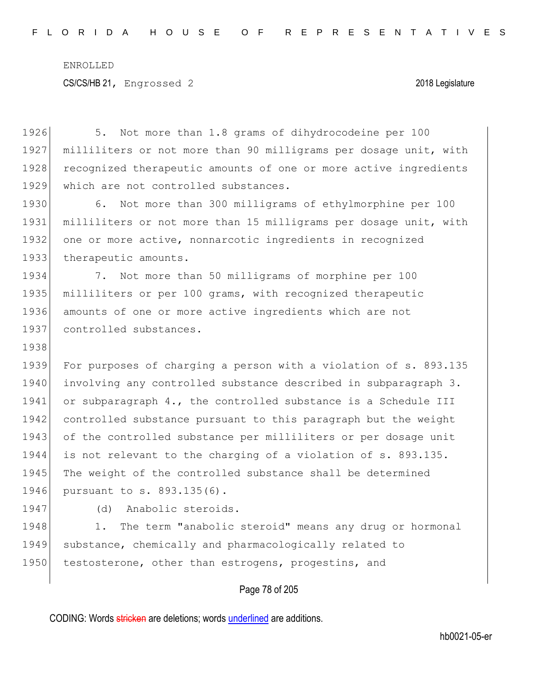1926 5. Not more than 1.8 grams of dihydrocodeine per 100 1927 milliliters or not more than 90 milligrams per dosage unit, with 1928 recognized therapeutic amounts of one or more active ingredients 1929 which are not controlled substances. 1930 6. Not more than 300 milligrams of ethylmorphine per 100 1931 milliliters or not more than 15 milligrams per dosage unit, with 1932 one or more active, nonnarcotic ingredients in recognized 1933 therapeutic amounts. 1934 7. Not more than 50 milligrams of morphine per 100 1935 milliliters or per 100 grams, with recognized therapeutic 1936 amounts of one or more active ingredients which are not 1937 controlled substances. 1938 1939 For purposes of charging a person with a violation of s. 893.135 1940 involving any controlled substance described in subparagraph 3. 1941 or subparagraph 4., the controlled substance is a Schedule III 1942 controlled substance pursuant to this paragraph but the weight 1943 of the controlled substance per milliliters or per dosage unit 1944 is not relevant to the charging of a violation of s. 893.135. 1945 The weight of the controlled substance shall be determined 1946 pursuant to s. 893.135(6). 1947 (d) Anabolic steroids. 1948 1. The term "anabolic steroid" means any drug or hormonal

1949 substance, chemically and pharmacologically related to 1950 testosterone, other than estrogens, progestins, and

Page 78 of 205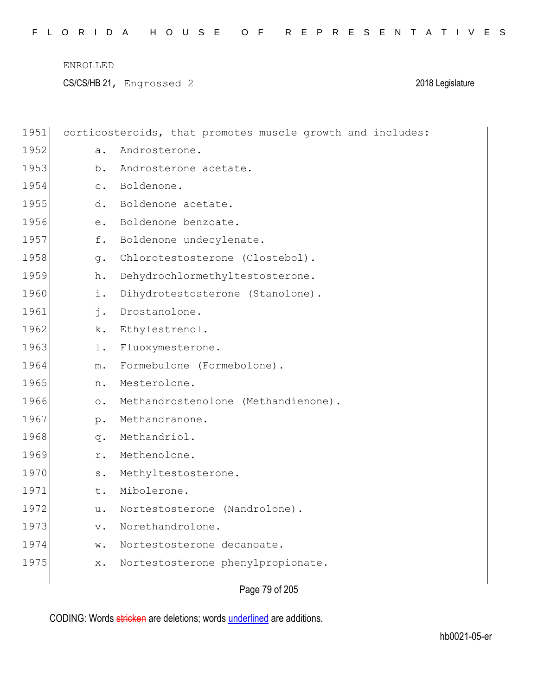CS/CS/HB 21, Engrossed 2 2018 Legislature

| 1951 |                | corticosteroids, that promotes muscle growth and includes: |
|------|----------------|------------------------------------------------------------|
| 1952 | a.             | Androsterone.                                              |
| 1953 | b.             | Androsterone acetate.                                      |
| 1954 | $\mathsf{C}$ . | Boldenone.                                                 |
| 1955 | d.             | Boldenone acetate.                                         |
| 1956 | е.             | Boldenone benzoate.                                        |
| 1957 | f.             | Boldenone undecylenate.                                    |
| 1958 | q.             | Chlorotestosterone (Clostebol).                            |
| 1959 | h.             | Dehydrochlormethyltestosterone.                            |
| 1960 | i.             | Dihydrotestosterone (Stanolone).                           |
| 1961 | $\mathbf{j}$ . | Drostanolone.                                              |
| 1962 | k.             | Ethylestrenol.                                             |
| 1963 | $1$ .          | Fluoxymesterone.                                           |
| 1964 | $m$ .          | Formebulone (Formebolone).                                 |
| 1965 | n.             | Mesterolone.                                               |
| 1966 | $\circ$ .      | Methandrostenolone (Methandienone).                        |
| 1967 | $p$ .          | Methandranone.                                             |
| 1968 | q.             | Methandriol.                                               |
| 1969 | r.             | Methenolone.                                               |
| 1970 | $\texttt{s}$ . | Methyltestosterone.                                        |
| 1971 | t.             | Mibolerone.                                                |
| 1972 | u.             | Nortestosterone (Nandrolone).                              |
| 1973 | $\mathbf v$ .  | Norethandrolone.                                           |
| 1974 | w.             | Nortestosterone decanoate.                                 |
| 1975 | $\times$ .     | Nortestosterone phenylpropionate.                          |
|      |                |                                                            |

Page 79 of 205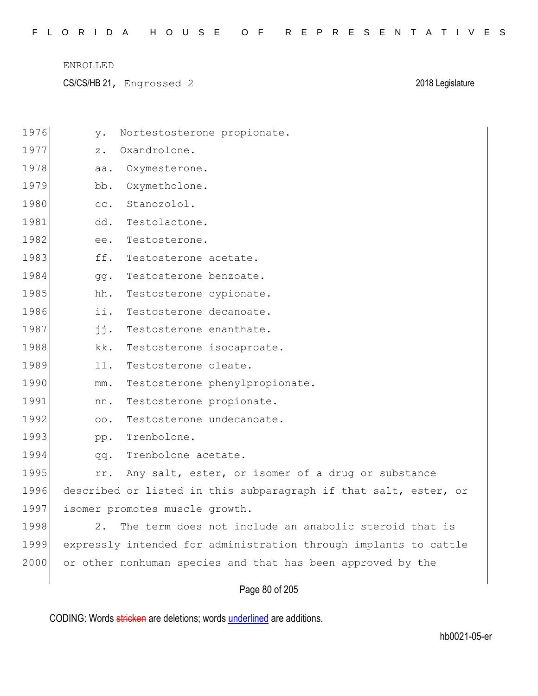|  |  |  |  |  |  |  |  |  |  |  |  |  |  |  |  |  | FLORIDA HOUSE OF REPRESENTATIVES |  |  |  |  |  |  |  |  |  |  |  |  |  |  |  |  |
|--|--|--|--|--|--|--|--|--|--|--|--|--|--|--|--|--|----------------------------------|--|--|--|--|--|--|--|--|--|--|--|--|--|--|--|--|
|--|--|--|--|--|--|--|--|--|--|--|--|--|--|--|--|--|----------------------------------|--|--|--|--|--|--|--|--|--|--|--|--|--|--|--|--|

CS/CS/HB 21, Engrossed 2 2018 Legislature

| 1976 | у.            | Nortestosterone propionate.                                      |
|------|---------------|------------------------------------------------------------------|
| 1977 | z.            | Oxandrolone.                                                     |
| 1978 | aa.           | Oxymesterone.                                                    |
| 1979 | bb.           | Oxymetholone.                                                    |
| 1980 | CC.           | Stanozolol.                                                      |
| 1981 | dd.           | Testolactone.                                                    |
| 1982 | ee.           | Testosterone.                                                    |
| 1983 | ff.           | Testosterone acetate.                                            |
| 1984 | gg.           | Testosterone benzoate.                                           |
| 1985 | hh.           | Testosterone cypionate.                                          |
| 1986 | ii.           | Testosterone decanoate.                                          |
| 1987 | jj.           | Testosterone enanthate.                                          |
| 1988 | kk.           | Testosterone isocaproate.                                        |
| 1989 | 11.           | Testosterone oleate.                                             |
| 1990 | $\text{mm}$ . | Testosterone phenylpropionate.                                   |
| 1991 | nn.           | Testosterone propionate.                                         |
| 1992 | 00.           | Testosterone undecanoate.                                        |
| 1993 | pp.           | Trenbolone.                                                      |
| 1994 | qq.           | Trenbolone acetate.                                              |
| 1995 | rr.           | Any salt, ester, or isomer of a drug or substance                |
| 1996 |               | described or listed in this subparagraph if that salt, ester, or |
| 1997 |               | isomer promotes muscle growth.                                   |
| 1998 | 2.            | The term does not include an anabolic steroid that is            |
| 1999 |               | expressly intended for administration through implants to cattle |
| 2000 |               | or other nonhuman species and that has been approved by the      |
|      |               | Page 80 of 205                                                   |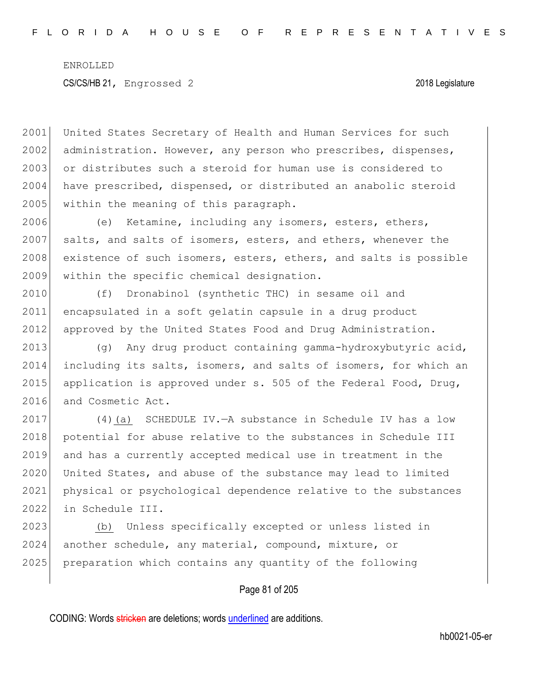2001 United States Secretary of Health and Human Services for such 2002 administration. However, any person who prescribes, dispenses, 2003 or distributes such a steroid for human use is considered to 2004 have prescribed, dispensed, or distributed an anabolic steroid 2005 within the meaning of this paragraph.

2006 (e) Ketamine, including any isomers, esters, ethers, 2007 salts, and salts of isomers, esters, and ethers, whenever the 2008 existence of such isomers, esters, ethers, and salts is possible 2009 within the specific chemical designation.

2010 (f) Dronabinol (synthetic THC) in sesame oil and 2011 encapsulated in a soft gelatin capsule in a drug product 2012 approved by the United States Food and Drug Administration.

2013 (g) Any drug product containing gamma-hydroxybutyric acid, 2014 including its salts, isomers, and salts of isomers, for which an 2015 application is approved under s. 505 of the Federal Food, Drug, 2016 and Cosmetic Act.

 (4)(a) SCHEDULE IV.—A substance in Schedule IV has a low 2018 potential for abuse relative to the substances in Schedule III and has a currently accepted medical use in treatment in the United States, and abuse of the substance may lead to limited physical or psychological dependence relative to the substances in Schedule III.

2023 (b) Unless specifically excepted or unless listed in 2024 another schedule, any material, compound, mixture, or 2025 preparation which contains any quantity of the following

## Page 81 of 205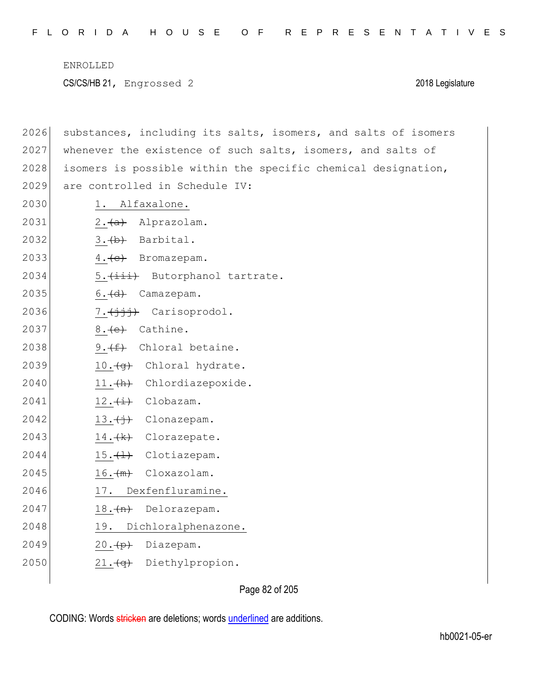2026 substances, including its salts, isomers, and salts of isomers 2027 whenever the existence of such salts, isomers, and salts of isomers is possible within the specific chemical designation, 2029 are controlled in Schedule IV: 1. Alfaxalone.  $2.4a$  Alprazolam.  $\left| \right. 3. \left\langle \cdot \right|$  Barbital.  $\left( 4. \left\{ e \right\}$  Bromazepam. 5.  $(iii)$  Butorphanol tartrate. 6.  $\left(\frac{d}{d}\right)$  Camazepam.  $7.(\frac{1}{1}, \frac{1}{1})$  Carisoprodol. 2037 8. (e) Cathine. 2038 9.  $(f)$  Chloral betaine. 10.  $\left(\frac{q}{q}\right)$  Chloral hydrate. 2040 11. (h) Chlordiazepoxide.  $12.(\pm)$  Clobazam.  $13.\overbrace{1}$  Clonazepam.  $14. \frac{1}{k}$  Clorazepate. 15.  $\leftarrow$  Clotiazepam. 16. $\frac{m}{m}$  Cloxazolam. 2046 17. Dexfenfluramine. 18. $(n)$  Delorazepam. 2048 19. Dichloralphenazone.  $20 \cdot (p)$  Diazepam. 2050 21. (q) Diethylpropion.

Page 82 of 205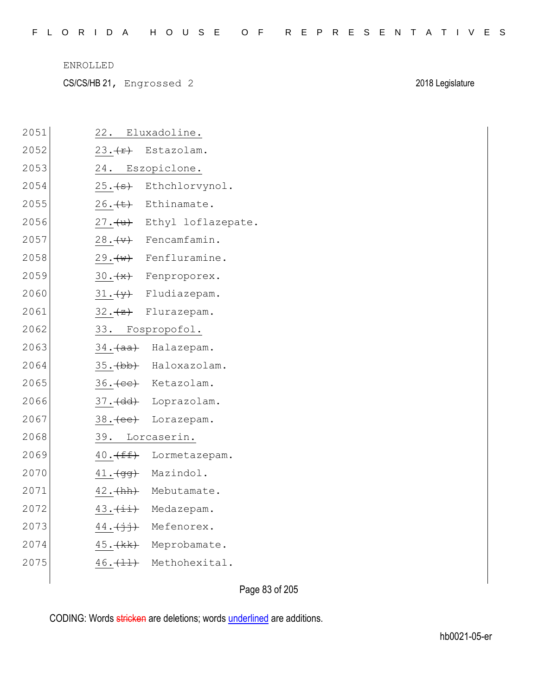|  |  |  |  |  |  | FLORIDA HOUSE OF REPRESENTATIVES |  |  |  |  |  |  |  |  |
|--|--|--|--|--|--|----------------------------------|--|--|--|--|--|--|--|--|
|  |  |  |  |  |  |                                  |  |  |  |  |  |  |  |  |

CS/CS/HB 21, Engrossed 2 2018 Legislature

| 2051 | 22. Eluxadoline.                         |
|------|------------------------------------------|
| 2052 | $23. \rightarrow \rightarrow$ Estazolam. |
| 2053 | 24. Eszopiclone.                         |
| 2054 | 25. (s) Ethchlorvynol.                   |
| 2055 | $26.$ $\leftrightarrow$ Ethinamate.      |
| 2056 | 27. (u) Ethyl loflazepate.               |
| 2057 | $28. (v)$ Fencamfamin.                   |
| 2058 | $29. \text{ (w)}$ Fenfluramine.          |
| 2059 | 30. (*) Fenproporex.                     |
| 2060 | $31.\frac{y}{y}$ Fludiazepam.            |
| 2061 | 32. (z) Flurazepam.                      |
| 2062 | 33. Fospropofol.                         |
| 2063 | 34. (aa) Halazepam.                      |
| 2064 | 35. (bb) Haloxazolam.                    |
| 2065 | 36. (ee) Ketazolam.                      |
| 2066 | 37. (dd) Loprazolam.                     |
| 2067 | 38. (ee) Lorazepam.                      |
| 2068 | 39. Lorcaserin.                          |
| 2069 | 40. (ff) Lormetazepam.                   |
| 2070 | 41. (gg) Mazindol.                       |
| 2071 | 42. (hh) Mebutamate.                     |
| 2072 | 43. (ii) Medazepam.                      |
| 2073 | 44. (jj) Mefenorex.                      |
| 2074 | 45. (kk) Meprobamate.                    |
| 2075 | 46. (11) Methohexital.                   |
|      |                                          |

Page 83 of 205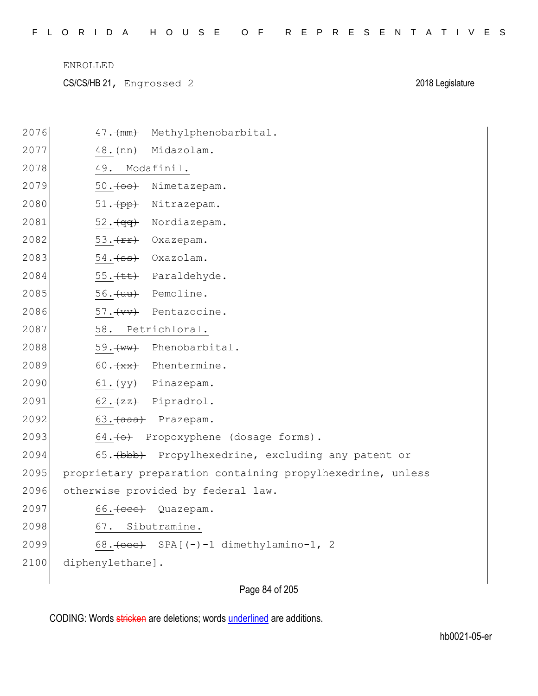|  |  |  |  |  |  |  |  |  |  |  |  |  |  | FLORIDA HOUSE OF REPRESENTATIVES |  |  |  |  |  |  |  |  |  |  |  |  |  |  |  |  |  |  |
|--|--|--|--|--|--|--|--|--|--|--|--|--|--|----------------------------------|--|--|--|--|--|--|--|--|--|--|--|--|--|--|--|--|--|--|
|--|--|--|--|--|--|--|--|--|--|--|--|--|--|----------------------------------|--|--|--|--|--|--|--|--|--|--|--|--|--|--|--|--|--|--|

CS/CS/HB 21, Engrossed 2 2018 Legislature

| 2076 | Methylphenobarbital.<br>$47.$ (mm)                         |
|------|------------------------------------------------------------|
| 2077 | 48. (nn)<br>Midazolam.                                     |
| 2078 | 49. Modafinil.                                             |
| 2079 | $50. (+00)$<br>Nimetazepam.                                |
| 2080 | 51. (pp) Nitrazepam.                                       |
| 2081 | 52. (qq) Nordiazepam.                                      |
| 2082 | 53. (rr) Oxazepam.                                         |
| 2083 | 54. (ss) Oxazolam.                                         |
| 2084 | 55. (tt) Paraldehyde.                                      |
| 2085 | 56. (uu) Pemoline.                                         |
| 2086 | 57. (vv) Pentazocine.                                      |
| 2087 | 58. Petrichloral.                                          |
| 2088 | 59. (ww) Phenobarbital.                                    |
| 2089 | 60. (**) Phentermine.                                      |
| 2090 | 61. (yy) Pinazepam.                                        |
| 2091 | $62.$ $(zz)$ Pipradrol.                                    |
| 2092 | 63. (aaa) Prazepam.                                        |
| 2093 | 64. (o) Propoxyphene (dosage forms).                       |
| 2094 | 65. (bbb) Propylhexedrine, excluding any patent or         |
| 2095 | proprietary preparation containing propylhexedrine, unless |
| 2096 | otherwise provided by federal law.                         |
| 2097 | 66. (cee) Quazepam.                                        |
| 2098 | 67. Sibutramine.                                           |
| 2099 | 68. $\text{(eee)}$ SPA[(-)-1 dimethylamino-1, 2            |
| 2100 | diphenylethane].                                           |
|      |                                                            |

# Page 84 of 205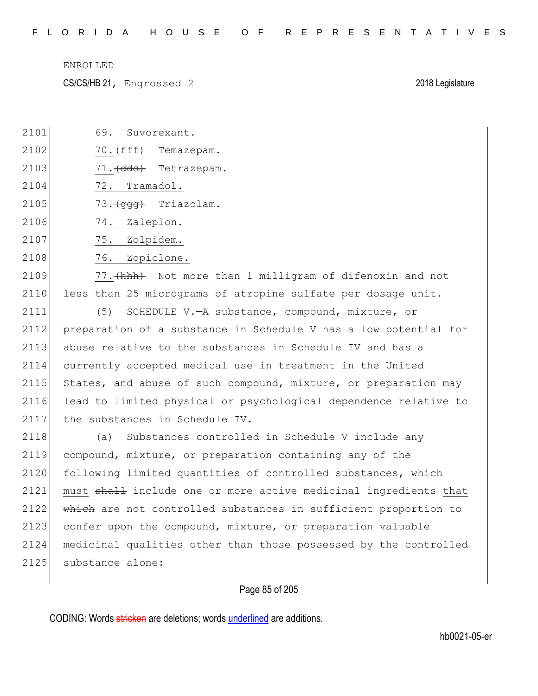CS/CS/HB 21, Engrossed 2 2018 Legislature

2101 69. Suvorexant.

| 2102 | 70. <del>(fff)</del><br>Temazepam.                                    |
|------|-----------------------------------------------------------------------|
| 2103 | 71. (ddd) Tetrazepam.                                                 |
| 2104 | 72.<br>Tramadol.                                                      |
| 2105 | 73. (ggg) Triazolam.                                                  |
| 2106 | 74.<br>Zaleplon.                                                      |
| 2107 | 75.<br>Zolpidem.                                                      |
| 2108 | 76.<br>Zopiclone.                                                     |
| 2109 | 77. (hhh) Not more than 1 milligram of difenoxin and not              |
| 2110 | less than 25 micrograms of atropine sulfate per dosage unit.          |
| 2111 | (5)<br>SCHEDULE V.-A substance, compound, mixture, or                 |
| 2112 | preparation of a substance in Schedule V has a low potential for      |
| 2113 | abuse relative to the substances in Schedule IV and has a             |
| 2114 | currently accepted medical use in treatment in the United             |
| 2115 | States, and abuse of such compound, mixture, or preparation may       |
| 2116 | lead to limited physical or psychological dependence relative to      |
| 2117 | the substances in Schedule IV.                                        |
| 2118 | Substances controlled in Schedule V include any<br>(a)                |
| 2119 | compound, mixture, or preparation containing any of the               |
| 2120 | following limited quantities of controlled substances, which          |
| 2121 | must shall include one or more active medicinal ingredients that      |
| 2122 | which are not controlled substances in sufficient proportion to       |
| 2123 | confer upon the compound, mixture, or preparation valuable            |
| 2124 | medicinal qualities other than those possessed by the controlled      |
| 2125 | substance alone:                                                      |
|      | Page 85 of 205                                                        |
|      | CODING: Words stricken are deletions; words underlined are additions. |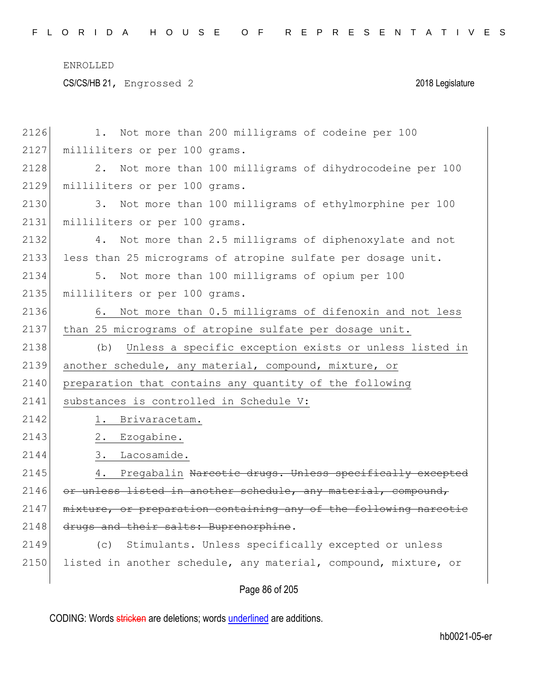CS/CS/HB 21, Engrossed 2 2018 Legislature

| 2126 | Not more than 200 milligrams of codeine per 100                  |
|------|------------------------------------------------------------------|
| 2127 | milliliters or per 100 grams.                                    |
| 2128 | 2. Not more than 100 milligrams of dihydrocodeine per 100        |
| 2129 | milliliters or per 100 grams.                                    |
| 2130 | 3. Not more than 100 milligrams of ethylmorphine per 100         |
| 2131 | milliliters or per 100 grams.                                    |
| 2132 | Not more than 2.5 milligrams of diphenoxylate and not<br>4.      |
| 2133 | less than 25 micrograms of atropine sulfate per dosage unit.     |
| 2134 | 5. Not more than 100 milligrams of opium per 100                 |
| 2135 | milliliters or per 100 grams.                                    |
| 2136 | 6. Not more than 0.5 milligrams of difenoxin and not less        |
| 2137 | than 25 micrograms of atropine sulfate per dosage unit.          |
| 2138 | Unless a specific exception exists or unless listed in<br>(b)    |
| 2139 | another schedule, any material, compound, mixture, or            |
| 2140 | preparation that contains any quantity of the following          |
| 2141 | substances is controlled in Schedule V:                          |
| 2142 | 1. Brivaracetam.                                                 |
| 2143 | 2.<br>Ezogabine.                                                 |
| 2144 | 3.<br>Lacosamide.                                                |
| 2145 | 4.<br>Pregabalin Narcotic drugs. Unless specifically excepted    |
| 2146 | or unless listed in another schedule, any material, compound,    |
| 2147 | mixture, or preparation containing any of the following narcotie |
| 2148 | drugs and their salts: Buprenorphine.                            |
| 2149 | Stimulants. Unless specifically excepted or unless<br>(c)        |
| 2150 | listed in another schedule, any material, compound, mixture, or  |
|      | Page 86 of 205                                                   |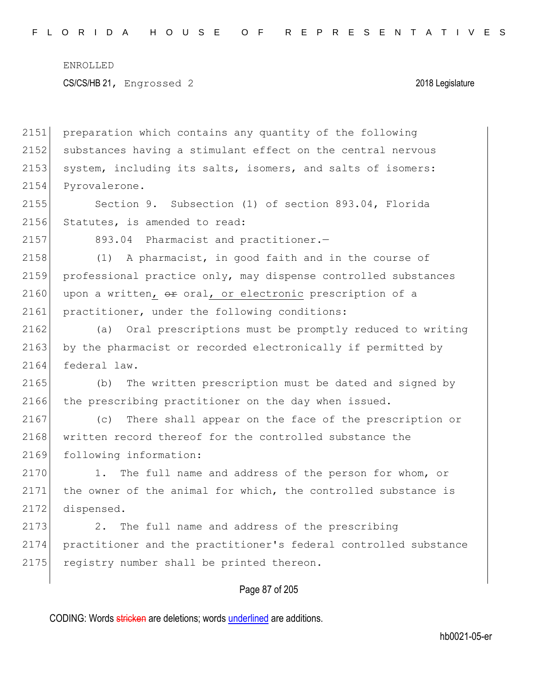2151 preparation which contains any quantity of the following 2152 substances having a stimulant effect on the central nervous 2153 system, including its salts, isomers, and salts of isomers: 2154 Pyrovalerone.

2155 Section 9. Subsection (1) of section 893.04, Florida 2156 Statutes, is amended to read:

2157 893.04 Pharmacist and practitioner.-

2158 (1) A pharmacist, in good faith and in the course of 2159 professional practice only, may dispense controlled substances 2160 upon a written,  $\theta$  oral, or electronic prescription of a 2161 practitioner, under the following conditions:

2162 (a) Oral prescriptions must be promptly reduced to writing 2163 by the pharmacist or recorded electronically if permitted by 2164 federal law.

2165 (b) The written prescription must be dated and signed by 2166 the prescribing practitioner on the day when issued.

2167 (c) There shall appear on the face of the prescription or 2168 written record thereof for the controlled substance the 2169 following information:

2170 1. The full name and address of the person for whom, or 2171 the owner of the animal for which, the controlled substance is 2172 dispensed.

2173 2. The full name and address of the prescribing 2174 practitioner and the practitioner's federal controlled substance 2175 registry number shall be printed thereon.

## Page 87 of 205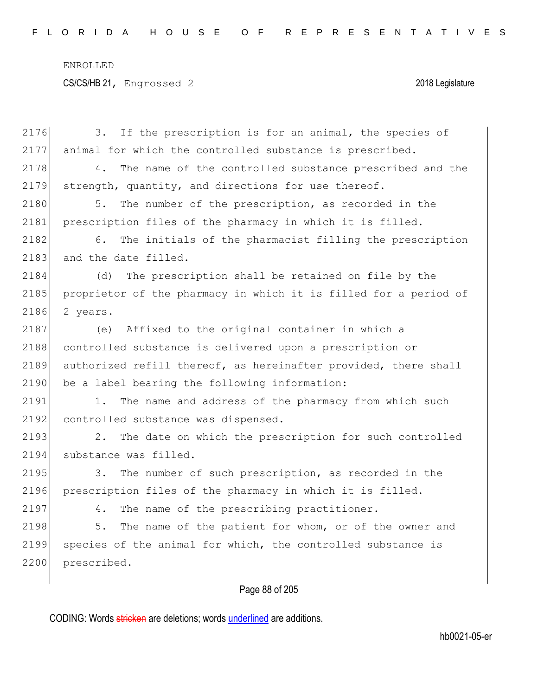|      | Page 88 of 205                                                   |
|------|------------------------------------------------------------------|
| 2200 | prescribed.                                                      |
| 2199 | species of the animal for which, the controlled substance is     |
| 2198 | The name of the patient for whom, or of the owner and<br>5.      |
| 2197 | The name of the prescribing practitioner.<br>4.                  |
| 2196 | prescription files of the pharmacy in which it is filled.        |
| 2195 | The number of such prescription, as recorded in the<br>3.        |
| 2194 | substance was filled.                                            |
| 2193 | 2.<br>The date on which the prescription for such controlled     |
| 2192 | controlled substance was dispensed.                              |
| 2191 | The name and address of the pharmacy from which such<br>1.       |
| 2190 | be a label bearing the following information:                    |
| 2189 | authorized refill thereof, as hereinafter provided, there shall  |
| 2188 | controlled substance is delivered upon a prescription or         |
| 2187 | Affixed to the original container in which a<br>(e)              |
| 2186 | 2 years.                                                         |
| 2185 | proprietor of the pharmacy in which it is filled for a period of |
| 2184 | The prescription shall be retained on file by the<br>(d)         |
| 2183 | and the date filled.                                             |
| 2182 | The initials of the pharmacist filling the prescription<br>6.    |
| 2181 | prescription files of the pharmacy in which it is filled.        |
| 2180 | The number of the prescription, as recorded in the<br>5.         |
| 2179 | strength, quantity, and directions for use thereof.              |
| 2178 | 4.<br>The name of the controlled substance prescribed and the    |
| 2177 | animal for which the controlled substance is prescribed.         |
| 2176 | If the prescription is for an animal, the species of<br>3.       |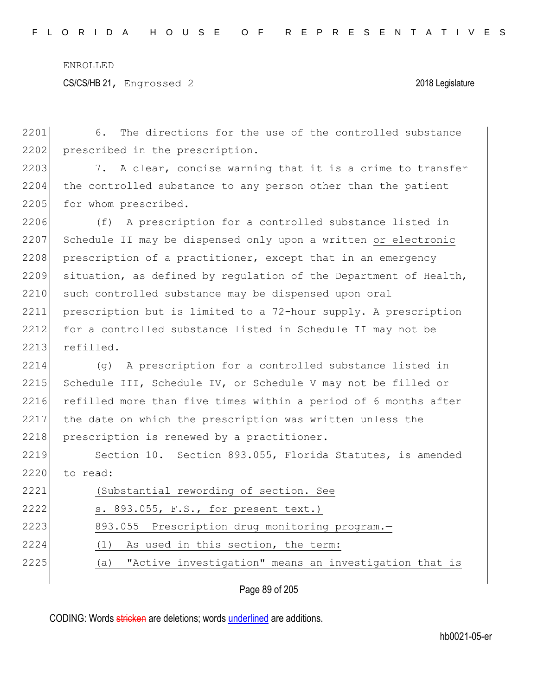2201 6. The directions for the use of the controlled substance 2202 prescribed in the prescription. 2203 7. A clear, concise warning that it is a crime to transfer 2204 the controlled substance to any person other than the patient 2205 for whom prescribed.

2206 (f) A prescription for a controlled substance listed in 2207 Schedule II may be dispensed only upon a written or electronic 2208 prescription of a practitioner, except that in an emergency 2209 situation, as defined by regulation of the Department of Health, 2210 such controlled substance may be dispensed upon oral 2211 prescription but is limited to a 72-hour supply. A prescription 2212 for a controlled substance listed in Schedule II may not be 2213 refilled.

2214 (g) A prescription for a controlled substance listed in 2215 Schedule III, Schedule IV, or Schedule V may not be filled or 2216 refilled more than five times within a period of 6 months after 2217 the date on which the prescription was written unless the 2218 prescription is renewed by a practitioner.

2219 Section 10. Section 893.055, Florida Statutes, is amended  $2220$  to read:

2221 (Substantial rewording of section. See 2222 s. 893.055, F.S., for present text.) 2223 893.055 Prescription drug monitoring program.— 2224 (1) As used in this section, the term: 2225 (a) "Active investigation" means an investigation that is

Page 89 of 205

CODING: Words stricken are deletions; words underlined are additions.

hb0021-05-er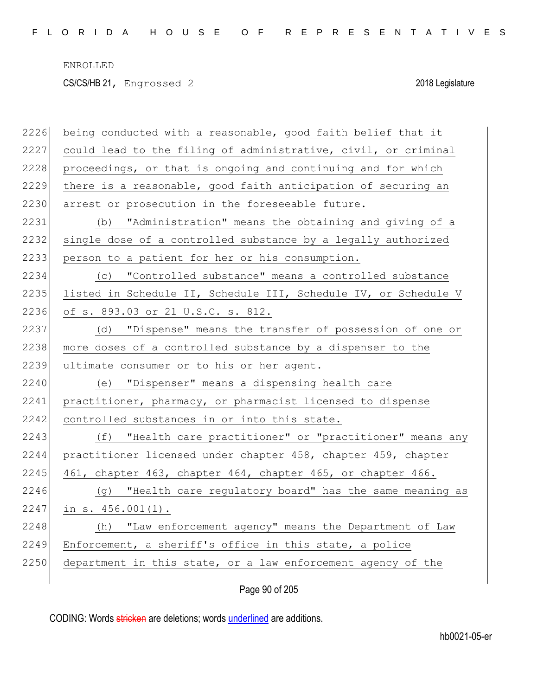CS/CS/HB 21, Engrossed 2 2018 Legislature

| 2226 | being conducted with a reasonable, good faith belief that it    |
|------|-----------------------------------------------------------------|
| 2227 | could lead to the filing of administrative, civil, or criminal  |
| 2228 | proceedings, or that is ongoing and continuing and for which    |
| 2229 | there is a reasonable, good faith anticipation of securing an   |
| 2230 | arrest or prosecution in the foreseeable future.                |
| 2231 | "Administration" means the obtaining and giving of a<br>(b)     |
| 2232 | single dose of a controlled substance by a legally authorized   |
| 2233 | person to a patient for her or his consumption.                 |
| 2234 | (c) "Controlled substance" means a controlled substance         |
| 2235 | listed in Schedule II, Schedule III, Schedule IV, or Schedule V |
| 2236 | of s. 893.03 or 21 U.S.C. s. 812.                               |
| 2237 | (d) "Dispense" means the transfer of possession of one or       |
| 2238 | more doses of a controlled substance by a dispenser to the      |
| 2239 | ultimate consumer or to his or her agent.                       |
| 2240 | (e) "Dispenser" means a dispensing health care                  |
| 2241 | practitioner, pharmacy, or pharmacist licensed to dispense      |
| 2242 | controlled substances in or into this state.                    |
| 2243 | (f) "Health care practitioner" or "practitioner" means any      |
| 2244 | practitioner licensed under chapter 458, chapter 459, chapter   |
| 2245 | 461, chapter 463, chapter 464, chapter 465, or chapter 466.     |
| 2246 | (g) "Health care regulatory board" has the same meaning as      |
| 2247 | in $s. 456.001(1)$ .                                            |
| 2248 | "Law enforcement agency" means the Department of Law<br>(h)     |
| 2249 | Enforcement, a sheriff's office in this state, a police         |
| 2250 | department in this state, or a law enforcement agency of the    |
|      |                                                                 |

Page 90 of 205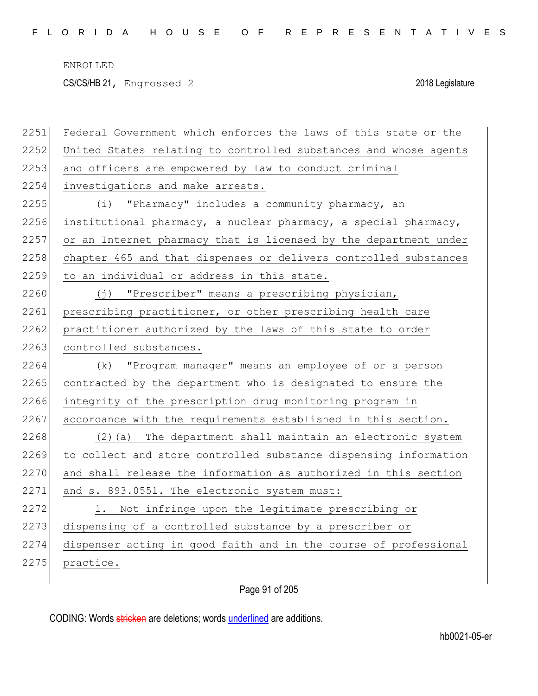CS/CS/HB 21, Engrossed 2 2018 Legislature

| 2251 | Federal Government which enforces the laws of this state or the  |
|------|------------------------------------------------------------------|
| 2252 | United States relating to controlled substances and whose agents |
| 2253 | and officers are empowered by law to conduct criminal            |
| 2254 | investigations and make arrests.                                 |
| 2255 | (i) "Pharmacy" includes a community pharmacy, an                 |
| 2256 | institutional pharmacy, a nuclear pharmacy, a special pharmacy,  |
| 2257 | or an Internet pharmacy that is licensed by the department under |
| 2258 | chapter 465 and that dispenses or delivers controlled substances |
| 2259 | to an individual or address in this state.                       |
| 2260 | "Prescriber" means a prescribing physician,<br>(j)               |
| 2261 | prescribing practitioner, or other prescribing health care       |
| 2262 | practitioner authorized by the laws of this state to order       |
| 2263 | controlled substances.                                           |
|      |                                                                  |
| 2264 | "Program manager" means an employee of or a person<br>(k)        |
| 2265 | contracted by the department who is designated to ensure the     |
| 2266 | integrity of the prescription drug monitoring program in         |
| 2267 | accordance with the requirements established in this section.    |
| 2268 | (2) (a) The department shall maintain an electronic system       |
| 2269 | to collect and store controlled substance dispensing information |
| 2270 | and shall release the information as authorized in this section  |
| 2271 | and s. 893.0551. The electronic system must:                     |
| 2272 | Not infringe upon the legitimate prescribing or<br>1.            |
| 2273 | dispensing of a controlled substance by a prescriber or          |
| 2274 | dispenser acting in good faith and in the course of professional |
| 2275 | practice.                                                        |

Page 91 of 205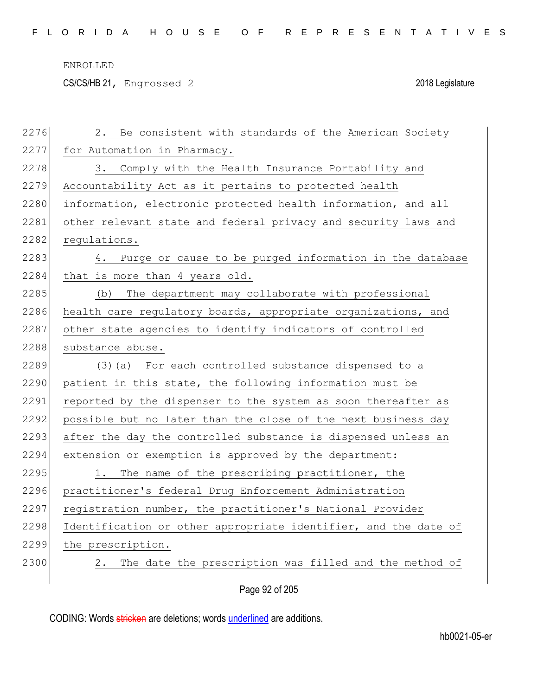CS/CS/HB 21, Engrossed 2 2018 Legislature

| 2276 | Be consistent with standards of the American Society<br>2.      |
|------|-----------------------------------------------------------------|
| 2277 | for Automation in Pharmacy.                                     |
| 2278 | 3. Comply with the Health Insurance Portability and             |
| 2279 | Accountability Act as it pertains to protected health           |
| 2280 | information, electronic protected health information, and all   |
| 2281 | other relevant state and federal privacy and security laws and  |
| 2282 | requlations.                                                    |
| 2283 | Purge or cause to be purged information in the database<br>4.   |
| 2284 | that is more than 4 years old.                                  |
| 2285 | The department may collaborate with professional<br>(b)         |
| 2286 | health care regulatory boards, appropriate organizations, and   |
| 2287 | other state agencies to identify indicators of controlled       |
| 2288 | substance abuse.                                                |
| 2289 | (3) (a) For each controlled substance dispensed to a            |
| 2290 | patient in this state, the following information must be        |
| 2291 | reported by the dispenser to the system as soon thereafter as   |
| 2292 | possible but no later than the close of the next business day   |
| 2293 | after the day the controlled substance is dispensed unless an   |
| 2294 | extension or exemption is approved by the department:           |
| 2295 | 1. The name of the prescribing practitioner, the                |
| 2296 | practitioner's federal Drug Enforcement Administration          |
| 2297 | registration number, the practitioner's National Provider       |
| 2298 | Identification or other appropriate identifier, and the date of |
| 2299 | the prescription.                                               |
| 2300 | The date the prescription was filled and the method of<br>2.    |
|      | Page 92 of 205                                                  |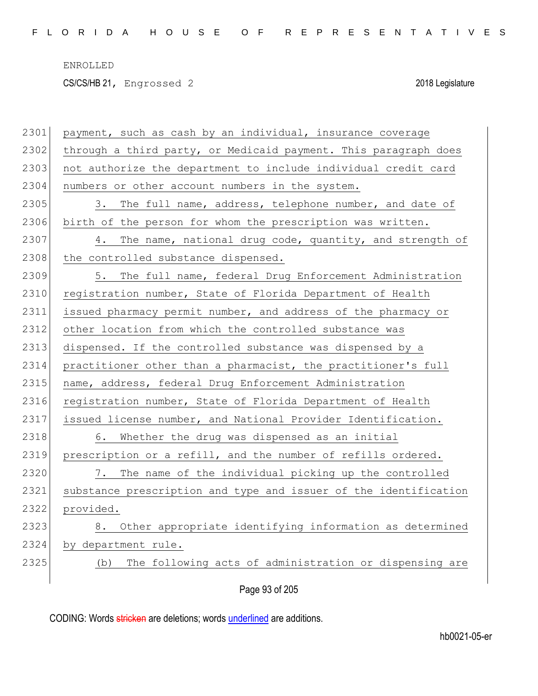CS/CS/HB 21, Engrossed 2 2018 Legislature

| 2301 | payment, such as cash by an individual, insurance coverage       |
|------|------------------------------------------------------------------|
| 2302 | through a third party, or Medicaid payment. This paragraph does  |
| 2303 | not authorize the department to include individual credit card   |
| 2304 | numbers or other account numbers in the system.                  |
| 2305 | The full name, address, telephone number, and date of<br>3.      |
| 2306 | birth of the person for whom the prescription was written.       |
| 2307 | The name, national drug code, quantity, and strength of<br>4.    |
| 2308 | the controlled substance dispensed.                              |
| 2309 | 5. The full name, federal Drug Enforcement Administration        |
| 2310 | registration number, State of Florida Department of Health       |
| 2311 | issued pharmacy permit number, and address of the pharmacy or    |
| 2312 | other location from which the controlled substance was           |
| 2313 | dispensed. If the controlled substance was dispensed by a        |
| 2314 | practitioner other than a pharmacist, the practitioner's full    |
| 2315 | name, address, federal Drug Enforcement Administration           |
| 2316 | registration number, State of Florida Department of Health       |
| 2317 | issued license number, and National Provider Identification.     |
| 2318 | 6. Whether the drug was dispensed as an initial                  |
| 2319 | prescription or a refill, and the number of refills ordered.     |
| 2320 | 7. The name of the individual picking up the controlled          |
| 2321 | substance prescription and type and issuer of the identification |
| 2322 | provided.                                                        |
| 2323 | Other appropriate identifying information as determined<br>8.    |
| 2324 | by department rule.                                              |
| 2325 | The following acts of administration or dispensing are<br>(b)    |
|      | Page 93 of 205                                                   |
|      |                                                                  |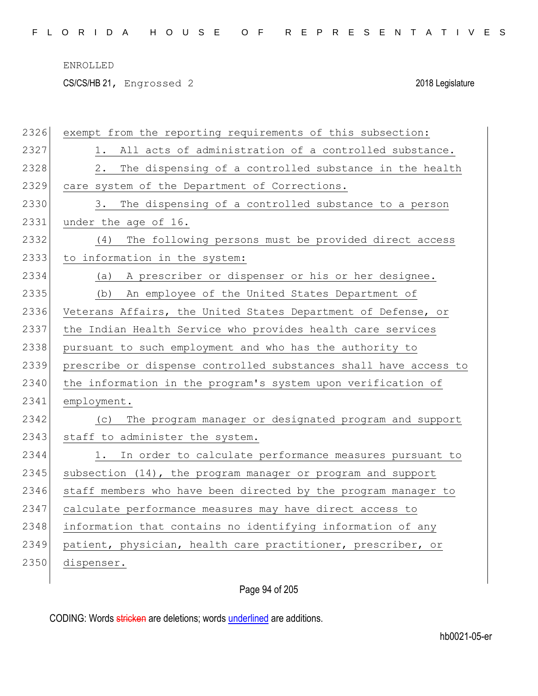CS/CS/HB 21, Engrossed 2 2018 Legislature

| 2326 | exempt from the reporting requirements of this subsection:       |
|------|------------------------------------------------------------------|
| 2327 | 1. All acts of administration of a controlled substance.         |
| 2328 | The dispensing of a controlled substance in the health<br>2.     |
| 2329 | care system of the Department of Corrections.                    |
| 2330 | The dispensing of a controlled substance to a person<br>3.       |
| 2331 | under the age of 16.                                             |
| 2332 | The following persons must be provided direct access<br>(4)      |
| 2333 | to information in the system:                                    |
| 2334 | A prescriber or dispenser or his or her designee.<br>(a)         |
| 2335 | An employee of the United States Department of<br>(b)            |
| 2336 | Veterans Affairs, the United States Department of Defense, or    |
| 2337 | the Indian Health Service who provides health care services      |
| 2338 | pursuant to such employment and who has the authority to         |
| 2339 | prescribe or dispense controlled substances shall have access to |
| 2340 | the information in the program's system upon verification of     |
| 2341 | employment.                                                      |
| 2342 | The program manager or designated program and support<br>(C)     |
| 2343 | staff to administer the system.                                  |
| 2344 | In order to calculate performance measures pursuant to<br>1.     |
| 2345 | subsection $(14)$ , the program manager or program and support   |
| 2346 | staff members who have been directed by the program manager to   |
| 2347 | calculate performance measures may have direct access to         |
| 2348 | information that contains no identifying information of any      |
| 2349 | patient, physician, health care practitioner, prescriber, or     |
| 2350 | dispenser.                                                       |
|      |                                                                  |

Page 94 of 205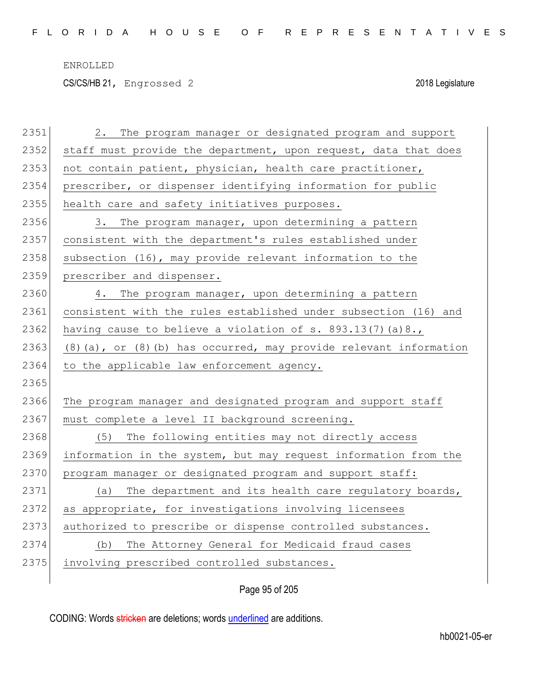CS/CS/HB 21, Engrossed 2 2018 Legislature

| 2351 | The program manager or designated program and support<br>2.            |
|------|------------------------------------------------------------------------|
| 2352 | staff must provide the department, upon request, data that does        |
| 2353 | not contain patient, physician, health care practitioner,              |
| 2354 | prescriber, or dispenser identifying information for public            |
| 2355 | health care and safety initiatives purposes.                           |
| 2356 | The program manager, upon determining a pattern<br>3.                  |
| 2357 | consistent with the department's rules established under               |
| 2358 | subsection (16), may provide relevant information to the               |
| 2359 | prescriber and dispenser.                                              |
| 2360 | The program manager, upon determining a pattern<br>4.                  |
| 2361 | consistent with the rules established under subsection (16) and        |
| 2362 | having cause to believe a violation of $s. 893.13(7)$ (a) $8.$ ,       |
| 2363 | $(8)$ (a), or $(8)$ (b) has occurred, may provide relevant information |
|      |                                                                        |
| 2364 | to the applicable law enforcement agency.                              |
| 2365 |                                                                        |
| 2366 | The program manager and designated program and support staff           |
| 2367 | must complete a level II background screening.                         |
| 2368 | (5) The following entities may not directly access                     |
| 2369 | information in the system, but may request information from the        |
| 2370 | program manager or designated program and support staff:               |
| 2371 | The department and its health care regulatory boards,<br>(a)           |
| 2372 | as appropriate, for investigations involving licensees                 |
| 2373 | authorized to prescribe or dispense controlled substances.             |
| 2374 | The Attorney General for Medicaid fraud cases<br>(b)                   |
| 2375 | involving prescribed controlled substances.                            |

Page 95 of 205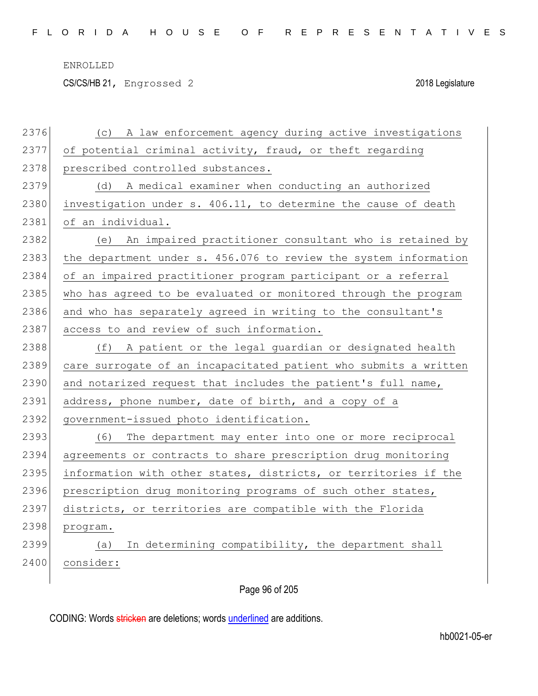CS/CS/HB 21, Engrossed 2 2018 Legislature

| 2376 | A law enforcement agency during active investigations<br>(C)     |
|------|------------------------------------------------------------------|
| 2377 | of potential criminal activity, fraud, or theft regarding        |
| 2378 | prescribed controlled substances.                                |
| 2379 | (d) A medical examiner when conducting an authorized             |
| 2380 | investigation under s. 406.11, to determine the cause of death   |
| 2381 | of an individual.                                                |
| 2382 | (e) An impaired practitioner consultant who is retained by       |
| 2383 | the department under s. 456.076 to review the system information |
| 2384 | of an impaired practitioner program participant or a referral    |
| 2385 | who has agreed to be evaluated or monitored through the program  |
| 2386 | and who has separately agreed in writing to the consultant's     |
| 2387 | access to and review of such information.                        |
| 2388 | A patient or the legal guardian or designated health<br>(f)      |
| 2389 | care surrogate of an incapacitated patient who submits a written |
| 2390 | and notarized request that includes the patient's full name,     |
| 2391 | address, phone number, date of birth, and a copy of a            |
| 2392 | government-issued photo identification.                          |
| 2393 | The department may enter into one or more reciprocal<br>(6)      |
| 2394 | agreements or contracts to share prescription drug monitoring    |
| 2395 | information with other states, districts, or territories if the  |
| 2396 | prescription drug monitoring programs of such other states,      |
| 2397 | districts, or territories are compatible with the Florida        |
| 2398 | program.                                                         |
| 2399 | In determining compatibility, the department shall<br>(a)        |
| 2400 | consider:                                                        |
|      |                                                                  |

Page 96 of 205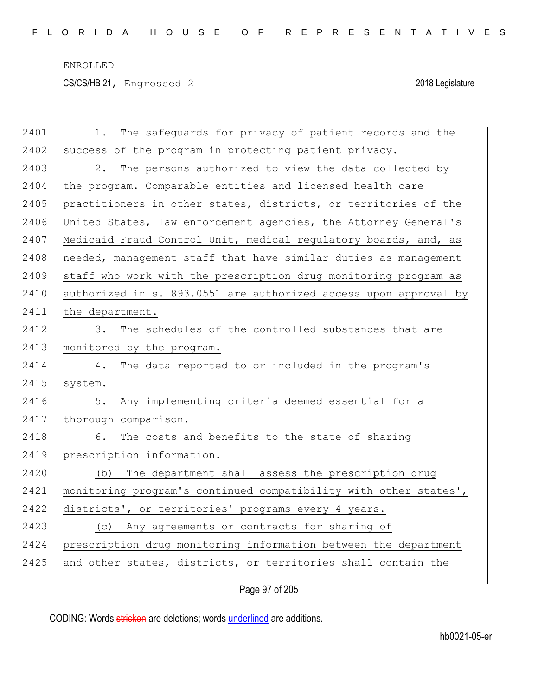CS/CS/HB 21, Engrossed 2 2018 Legislature

| 2401 | The safeguards for privacy of patient records and the<br>1.      |
|------|------------------------------------------------------------------|
| 2402 | success of the program in protecting patient privacy.            |
| 2403 | 2. The persons authorized to view the data collected by          |
| 2404 | the program. Comparable entities and licensed health care        |
| 2405 | practitioners in other states, districts, or territories of the  |
| 2406 | United States, law enforcement agencies, the Attorney General's  |
| 2407 | Medicaid Fraud Control Unit, medical regulatory boards, and, as  |
| 2408 | needed, management staff that have similar duties as management  |
| 2409 | staff who work with the prescription drug monitoring program as  |
| 2410 | authorized in s. 893.0551 are authorized access upon approval by |
| 2411 | the department.                                                  |
| 2412 | 3. The schedules of the controlled substances that are           |
| 2413 | monitored by the program.                                        |
| 2414 | 4. The data reported to or included in the program's             |
| 2415 | system.                                                          |
| 2416 | 5. Any implementing criteria deemed essential for a              |
| 2417 | thorough comparison.                                             |
| 2418 | 6. The costs and benefits to the state of sharing                |
| 2419 | prescription information.                                        |
| 2420 | The department shall assess the prescription drug<br>(b)         |
| 2421 | monitoring program's continued compatibility with other states', |
| 2422 | districts', or territories' programs every 4 years.              |
| 2423 | (c) Any agreements or contracts for sharing of                   |
| 2424 | prescription drug monitoring information between the department  |
| 2425 | and other states, districts, or territories shall contain the    |
|      |                                                                  |

Page 97 of 205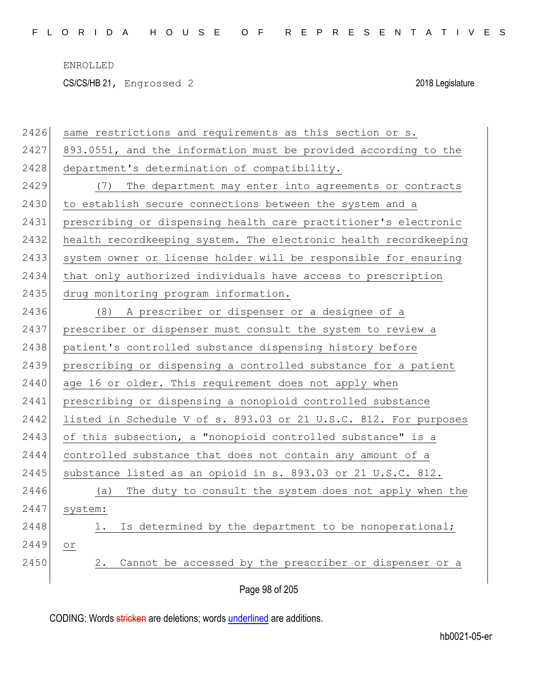CS/CS/HB 21, Engrossed 2 2018 Legislature

| 2426 | same restrictions and requirements as this section or s.         |
|------|------------------------------------------------------------------|
| 2427 | 893.0551, and the information must be provided according to the  |
| 2428 | department's determination of compatibility.                     |
| 2429 | The department may enter into agreements or contracts<br>(7)     |
| 2430 | to establish secure connections between the system and a         |
| 2431 | prescribing or dispensing health care practitioner's electronic  |
| 2432 | health recordkeeping system. The electronic health recordkeeping |
| 2433 | system owner or license holder will be responsible for ensuring  |
| 2434 | that only authorized individuals have access to prescription     |
| 2435 | drug monitoring program information.                             |
| 2436 | (8) A prescriber or dispenser or a designee of a                 |
| 2437 | prescriber or dispenser must consult the system to review a      |
| 2438 | patient's controlled substance dispensing history before         |
| 2439 | prescribing or dispensing a controlled substance for a patient   |
| 2440 | age 16 or older. This requirement does not apply when            |
| 2441 | prescribing or dispensing a nonopioid controlled substance       |
| 2442 | listed in Schedule V of s. 893.03 or 21 U.S.C. 812. For purposes |
| 2443 | of this subsection, a "nonopioid controlled substance" is a      |
| 2444 | controlled substance that does not contain any amount of a       |
| 2445 | substance listed as an opioid in s. 893.03 or 21 U.S.C. 812.     |
| 2446 | The duty to consult the system does not apply when the<br>(a)    |
| 2447 | system:                                                          |
| 2448 | Is determined by the department to be nonoperational;            |
| 2449 | Оr                                                               |
| 2450 | Cannot be accessed by the prescriber or dispenser or a<br>2.     |
|      | Page 98 of 205                                                   |
|      |                                                                  |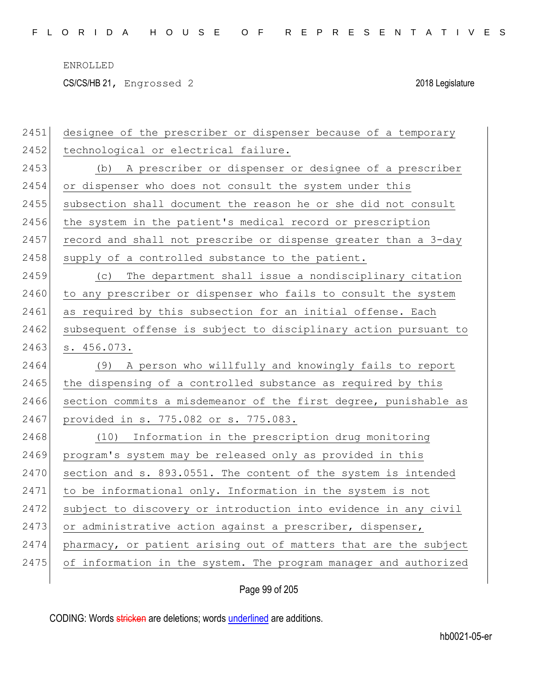CS/CS/HB 21, Engrossed 2 2018 Legislature

| 2451 | designee of the prescriber or dispenser because of a temporary   |
|------|------------------------------------------------------------------|
| 2452 | technological or electrical failure.                             |
| 2453 | (b) A prescriber or dispenser or designee of a prescriber        |
| 2454 | or dispenser who does not consult the system under this          |
| 2455 | subsection shall document the reason he or she did not consult   |
| 2456 | the system in the patient's medical record or prescription       |
| 2457 | record and shall not prescribe or dispense greater than a 3-day  |
| 2458 | supply of a controlled substance to the patient.                 |
| 2459 | The department shall issue a nondisciplinary citation<br>(C)     |
| 2460 | to any prescriber or dispenser who fails to consult the system   |
| 2461 | as required by this subsection for an initial offense. Each      |
| 2462 | subsequent offense is subject to disciplinary action pursuant to |
| 2463 | s. 456.073.                                                      |
|      |                                                                  |
| 2464 | A person who willfully and knowingly fails to report<br>(9)      |
| 2465 | the dispensing of a controlled substance as required by this     |
| 2466 | section commits a misdemeanor of the first degree, punishable as |
| 2467 | provided in s. 775.082 or s. 775.083.                            |
| 2468 | Information in the prescription drug monitoring<br>(10)          |
| 2469 | program's system may be released only as provided in this        |
| 2470 | section and s. 893.0551. The content of the system is intended   |
| 2471 | to be informational only. Information in the system is not       |
| 2472 | subject to discovery or introduction into evidence in any civil  |
| 2473 | or administrative action against a prescriber, dispenser,        |
| 2474 | pharmacy, or patient arising out of matters that are the subject |
| 2475 | of information in the system. The program manager and authorized |

Page 99 of 205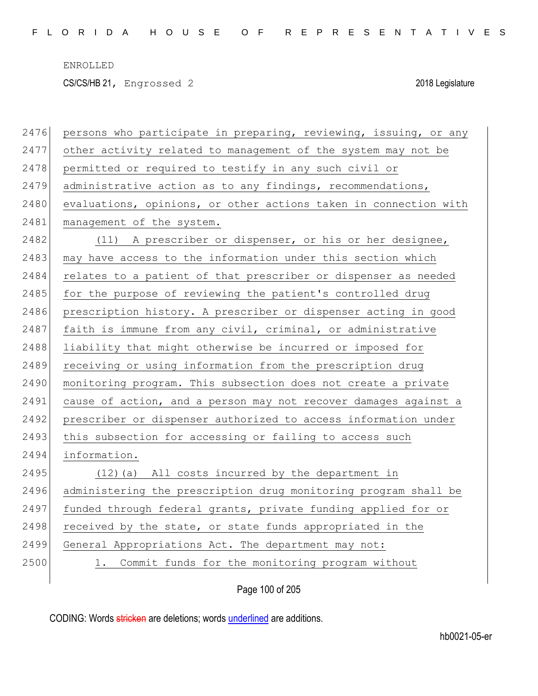CS/CS/HB 21, Engrossed 2 2018 Legislature

| 2476 | persons who participate in preparing, reviewing, issuing, or any |
|------|------------------------------------------------------------------|
| 2477 | other activity related to management of the system may not be    |
| 2478 | permitted or required to testify in any such civil or            |
| 2479 | administrative action as to any findings, recommendations,       |
| 2480 | evaluations, opinions, or other actions taken in connection with |
| 2481 | management of the system.                                        |
| 2482 | (11) A prescriber or dispenser, or his or her designee,          |
| 2483 | may have access to the information under this section which      |
| 2484 | relates to a patient of that prescriber or dispenser as needed   |
| 2485 | for the purpose of reviewing the patient's controlled drug       |
| 2486 | prescription history. A prescriber or dispenser acting in good   |
| 2487 | faith is immune from any civil, criminal, or administrative      |
| 2488 | liability that might otherwise be incurred or imposed for        |
| 2489 | receiving or using information from the prescription drug        |
| 2490 | monitoring program. This subsection does not create a private    |
| 2491 | cause of action, and a person may not recover damages against a  |
| 2492 | prescriber or dispenser authorized to access information under   |
| 2493 | this subsection for accessing or failing to access such          |
| 2494 | information.                                                     |
| 2495 | (12) (a) All costs incurred by the department in                 |
| 2496 | administering the prescription drug monitoring program shall be  |
| 2497 | funded through federal grants, private funding applied for or    |
| 2498 | received by the state, or state funds appropriated in the        |
| 2499 | General Appropriations Act. The department may not:              |
| 2500 | Commit funds for the monitoring program without<br>1.            |
|      |                                                                  |

Page 100 of 205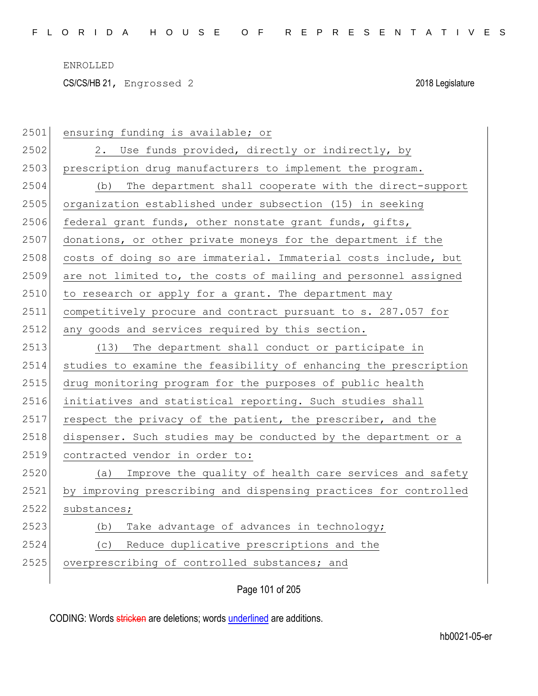CS/CS/HB 21, Engrossed 2 2018 Legislature

| 2501 | ensuring funding is available; or                                |
|------|------------------------------------------------------------------|
| 2502 | 2. Use funds provided, directly or indirectly, by                |
| 2503 | prescription drug manufacturers to implement the program.        |
| 2504 | The department shall cooperate with the direct-support<br>(b)    |
| 2505 | organization established under subsection (15) in seeking        |
| 2506 | federal grant funds, other nonstate grant funds, gifts,          |
| 2507 | donations, or other private moneys for the department if the     |
| 2508 | costs of doing so are immaterial. Immaterial costs include, but  |
| 2509 | are not limited to, the costs of mailing and personnel assigned  |
| 2510 | to research or apply for a grant. The department may             |
| 2511 | competitively procure and contract pursuant to s. 287.057 for    |
| 2512 | any goods and services required by this section.                 |
| 2513 | The department shall conduct or participate in<br>(13)           |
| 2514 | studies to examine the feasibility of enhancing the prescription |
| 2515 | drug monitoring program for the purposes of public health        |
| 2516 | initiatives and statistical reporting. Such studies shall        |
| 2517 | respect the privacy of the patient, the prescriber, and the      |
| 2518 | dispenser. Such studies may be conducted by the department or a  |
| 2519 | contracted vendor in order to:                                   |
| 2520 | Improve the quality of health care services and safety<br>(a)    |
| 2521 | by improving prescribing and dispensing practices for controlled |
| 2522 | substances;                                                      |
| 2523 | Take advantage of advances in technology;<br>(b)                 |
| 2524 | Reduce duplicative prescriptions and the<br>(C)                  |
| 2525 | overprescribing of controlled substances; and                    |
|      |                                                                  |

Page 101 of 205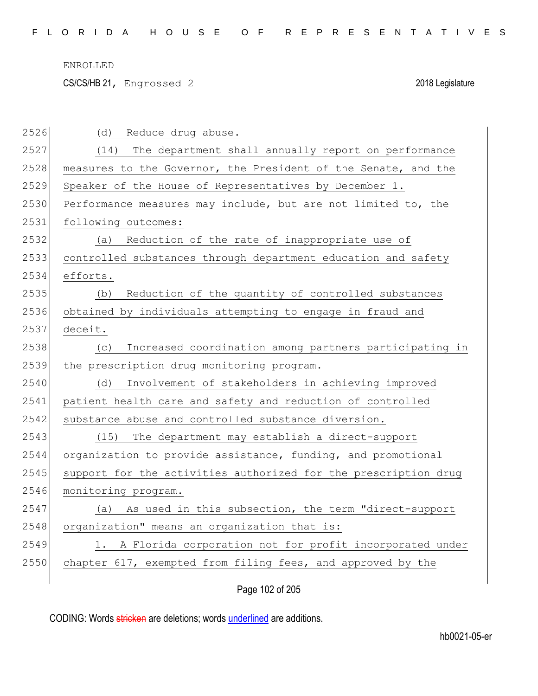CS/CS/HB 21, Engrossed 2 2018 Legislature

| 2526 | (d)<br>Reduce drug abuse.                                       |
|------|-----------------------------------------------------------------|
| 2527 | The department shall annually report on performance<br>(14)     |
| 2528 | measures to the Governor, the President of the Senate, and the  |
| 2529 | Speaker of the House of Representatives by December 1.          |
| 2530 | Performance measures may include, but are not limited to, the   |
| 2531 | following outcomes:                                             |
| 2532 | Reduction of the rate of inappropriate use of<br>(a)            |
| 2533 | controlled substances through department education and safety   |
| 2534 | efforts.                                                        |
| 2535 | Reduction of the quantity of controlled substances<br>(b)       |
| 2536 | obtained by individuals attempting to engage in fraud and       |
| 2537 | deceit.                                                         |
| 2538 | Increased coordination among partners participating in<br>(C)   |
|      |                                                                 |
| 2539 | the prescription drug monitoring program.                       |
| 2540 | Involvement of stakeholders in achieving improved<br>(d)        |
| 2541 | patient health care and safety and reduction of controlled      |
| 2542 | substance abuse and controlled substance diversion.             |
| 2543 | (15) The department may establish a direct-support              |
| 2544 | organization to provide assistance, funding, and promotional    |
| 2545 | support for the activities authorized for the prescription drug |
| 2546 | monitoring program.                                             |
| 2547 | As used in this subsection, the term "direct-support<br>(a)     |
| 2548 | organization" means an organization that is:                    |
| 2549 | 1. A Florida corporation not for profit incorporated under      |
| 2550 | chapter 617, exempted from filing fees, and approved by the     |

Page 102 of 205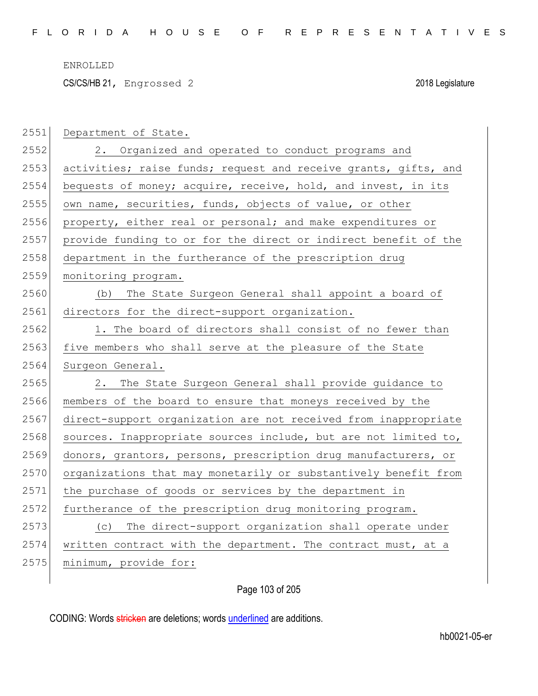CS/CS/HB 21, Engrossed 2 2018 Legislature

| 2551 | Department of State.                                            |
|------|-----------------------------------------------------------------|
| 2552 | 2. Organized and operated to conduct programs and               |
| 2553 | activities; raise funds; request and receive grants, gifts, and |
| 2554 | bequests of money; acquire, receive, hold, and invest, in its   |
| 2555 | own name, securities, funds, objects of value, or other         |
| 2556 | property, either real or personal; and make expenditures or     |
| 2557 | provide funding to or for the direct or indirect benefit of the |
| 2558 | department in the furtherance of the prescription drug          |
| 2559 | monitoring program.                                             |
| 2560 | The State Surgeon General shall appoint a board of<br>(b)       |
| 2561 | directors for the direct-support organization.                  |
| 2562 | 1. The board of directors shall consist of no fewer than        |
| 2563 | five members who shall serve at the pleasure of the State       |
|      |                                                                 |
| 2564 | Surgeon General.                                                |
| 2565 | The State Surgeon General shall provide guidance to<br>2.       |
| 2566 | members of the board to ensure that moneys received by the      |
| 2567 | direct-support organization are not received from inappropriate |
| 2568 | sources. Inappropriate sources include, but are not limited to, |
| 2569 | donors, grantors, persons, prescription drug manufacturers, or  |
| 2570 | organizations that may monetarily or substantively benefit from |
| 2571 | the purchase of goods or services by the department in          |
| 2572 | furtherance of the prescription drug monitoring program.        |
| 2573 | The direct-support organization shall operate under<br>(C)      |
| 2574 | written contract with the department. The contract must, at a   |
| 2575 | minimum, provide for:                                           |

Page 103 of 205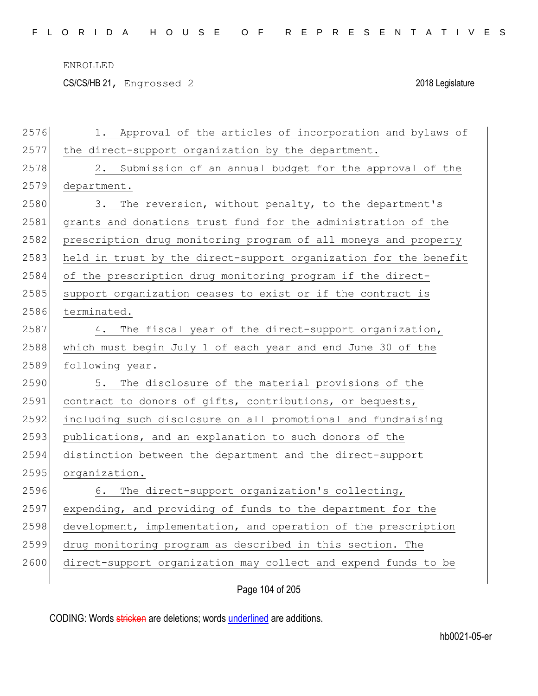CS/CS/HB 21, Engrossed 2 2018 Legislature

| 2576 | Approval of the articles of incorporation and bylaws of<br>1.    |
|------|------------------------------------------------------------------|
| 2577 | the direct-support organization by the department.               |
| 2578 | 2. Submission of an annual budget for the approval of the        |
| 2579 | department.                                                      |
| 2580 | 3. The reversion, without penalty, to the department's           |
| 2581 | grants and donations trust fund for the administration of the    |
| 2582 | prescription drug monitoring program of all moneys and property  |
| 2583 | held in trust by the direct-support organization for the benefit |
| 2584 | of the prescription drug monitoring program if the direct-       |
| 2585 | support organization ceases to exist or if the contract is       |
| 2586 | terminated.                                                      |
| 2587 | 4. The fiscal year of the direct-support organization,           |
| 2588 | which must begin July 1 of each year and end June 30 of the      |
| 2589 | following year.                                                  |
| 2590 | 5. The disclosure of the material provisions of the              |
| 2591 | contract to donors of gifts, contributions, or bequests,         |
| 2592 | including such disclosure on all promotional and fundraising     |
| 2593 | publications, and an explanation to such donors of the           |
| 2594 | distinction between the department and the direct-support        |
| 2595 | organization.                                                    |
| 2596 | 6. The direct-support organization's collecting,                 |
| 2597 | expending, and providing of funds to the department for the      |
| 2598 | development, implementation, and operation of the prescription   |
| 2599 | drug monitoring program as described in this section. The        |
| 2600 | direct-support organization may collect and expend funds to be   |
|      |                                                                  |

Page 104 of 205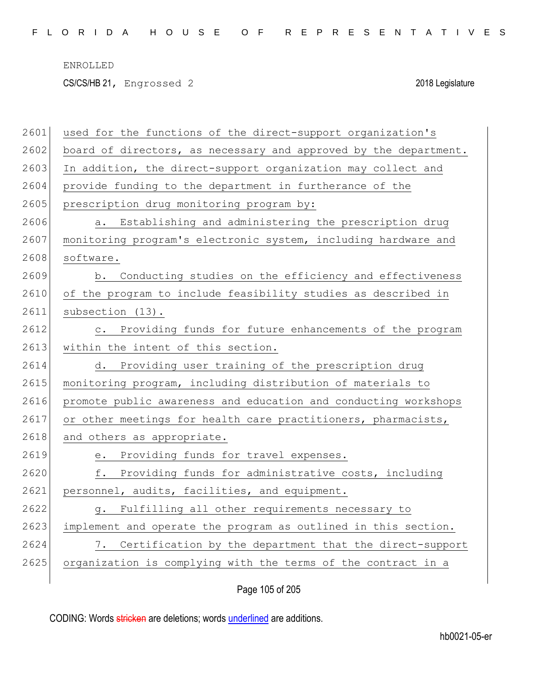CS/CS/HB 21, Engrossed 2 2018 Legislature

| 2601 | used for the functions of the direct-support organization's      |
|------|------------------------------------------------------------------|
| 2602 | board of directors, as necessary and approved by the department. |
| 2603 | In addition, the direct-support organization may collect and     |
| 2604 | provide funding to the department in furtherance of the          |
| 2605 | prescription drug monitoring program by:                         |
| 2606 | a. Establishing and administering the prescription drug          |
| 2607 | monitoring program's electronic system, including hardware and   |
| 2608 | software.                                                        |
| 2609 | Conducting studies on the efficiency and effectiveness<br>b.     |
| 2610 | of the program to include feasibility studies as described in    |
| 2611 | subsection (13).                                                 |
| 2612 | c. Providing funds for future enhancements of the program        |
| 2613 | within the intent of this section.                               |
| 2614 | d. Providing user training of the prescription drug              |
| 2615 | monitoring program, including distribution of materials to       |
| 2616 | promote public awareness and education and conducting workshops  |
| 2617 | or other meetings for health care practitioners, pharmacists,    |
| 2618 | and others as appropriate.                                       |
| 2619 | e. Providing funds for travel expenses.                          |
| 2620 | Providing funds for administrative costs, including<br>f.        |
| 2621 | personnel, audits, facilities, and equipment.                    |
| 2622 | Fulfilling all other requirements necessary to<br>q.             |
| 2623 | implement and operate the program as outlined in this section.   |
| 2624 | Certification by the department that the direct-support<br>7.    |
| 2625 | organization is complying with the terms of the contract in a    |
|      |                                                                  |

Page 105 of 205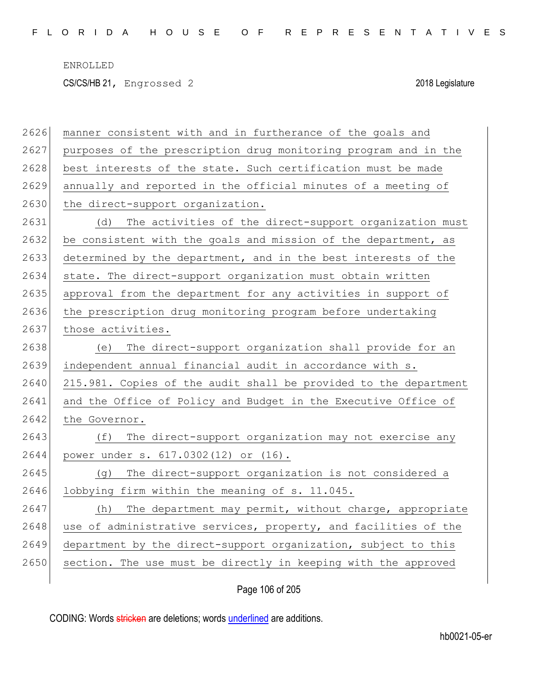CS/CS/HB 21, Engrossed 2 2018 Legislature

| 2626 | manner consistent with and in furtherance of the goals and       |
|------|------------------------------------------------------------------|
| 2627 | purposes of the prescription drug monitoring program and in the  |
| 2628 | best interests of the state. Such certification must be made     |
| 2629 | annually and reported in the official minutes of a meeting of    |
| 2630 | the direct-support organization.                                 |
| 2631 | The activities of the direct-support organization must<br>(d)    |
| 2632 | be consistent with the goals and mission of the department, as   |
| 2633 | determined by the department, and in the best interests of the   |
| 2634 | state. The direct-support organization must obtain written       |
| 2635 | approval from the department for any activities in support of    |
| 2636 | the prescription drug monitoring program before undertaking      |
| 2637 | those activities.                                                |
| 2638 | The direct-support organization shall provide for an<br>(e)      |
| 2639 | independent annual financial audit in accordance with s.         |
| 2640 | 215.981. Copies of the audit shall be provided to the department |
| 2641 | and the Office of Policy and Budget in the Executive Office of   |
| 2642 | the Governor.                                                    |
| 2643 | The direct-support organization may not exercise any<br>(f)      |
| 2644 | power under s. 617.0302(12) or (16).                             |
| 2645 | The direct-support organization is not considered a<br>(g)       |
| 2646 | lobbying firm within the meaning of s. 11.045.                   |
| 2647 | The department may permit, without charge, appropriate<br>(h)    |
| 2648 | use of administrative services, property, and facilities of the  |
| 2649 | department by the direct-support organization, subject to this   |
| 2650 | section. The use must be directly in keeping with the approved   |
|      |                                                                  |

Page 106 of 205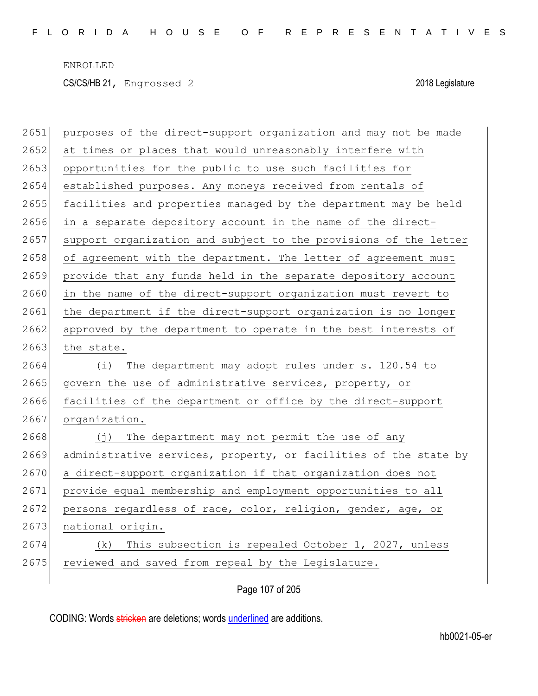| 2651 | purposes of the direct-support organization and may not be made  |
|------|------------------------------------------------------------------|
| 2652 | at times or places that would unreasonably interfere with        |
| 2653 | opportunities for the public to use such facilities for          |
| 2654 | established purposes. Any moneys received from rentals of        |
| 2655 | facilities and properties managed by the department may be held  |
| 2656 | in a separate depository account in the name of the direct-      |
| 2657 | support organization and subject to the provisions of the letter |
| 2658 | of agreement with the department. The letter of agreement must   |
| 2659 | provide that any funds held in the separate depository account   |
| 2660 | in the name of the direct-support organization must revert to    |
| 2661 | the department if the direct-support organization is no longer   |
| 2662 | approved by the department to operate in the best interests of   |
| 2663 | the state.                                                       |
| 2664 | The department may adopt rules under s. 120.54 to<br>(i)         |
| 2665 | govern the use of administrative services, property, or          |
| 2666 | facilities of the department or office by the direct-support     |
| 2667 | organization.                                                    |
| 2668 | (j) The department may not permit the use of any                 |
| 2669 | administrative services, property, or facilities of the state by |
| 2670 | a direct-support organization if that organization does not      |
| 2671 | provide equal membership and employment opportunities to all     |
| 2672 | persons regardless of race, color, religion, gender, age, or     |
| 2673 | national origin.                                                 |
| 2674 | This subsection is repealed October 1, 2027, unless<br>(k)       |
| 2675 | reviewed and saved from repeal by the Legislature.               |
|      |                                                                  |

Page 107 of 205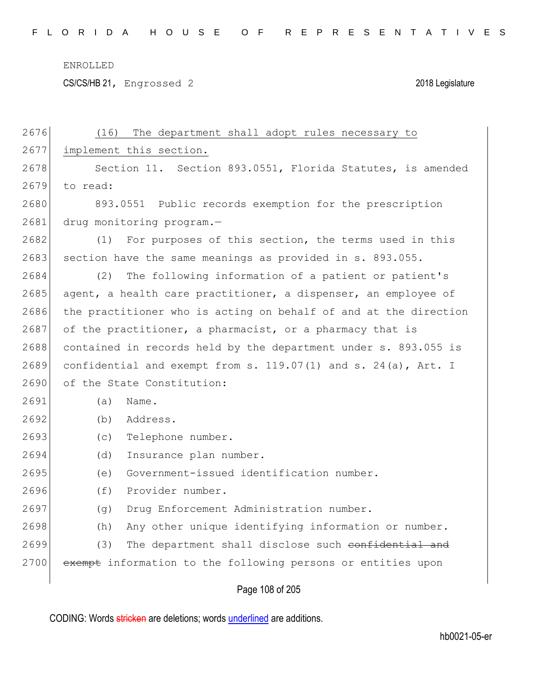CS/CS/HB 21, Engrossed 2 2018 Legislature

| 2676 | The department shall adopt rules necessary to<br>(16)            |
|------|------------------------------------------------------------------|
| 2677 | implement this section.                                          |
| 2678 | Section 11. Section 893.0551, Florida Statutes, is amended       |
| 2679 | to read:                                                         |
| 2680 | 893.0551 Public records exemption for the prescription           |
| 2681 | drug monitoring program.-                                        |
| 2682 | For purposes of this section, the terms used in this<br>(1)      |
| 2683 | section have the same meanings as provided in s. 893.055.        |
| 2684 | The following information of a patient or patient's<br>(2)       |
| 2685 | agent, a health care practitioner, a dispenser, an employee of   |
| 2686 | the practitioner who is acting on behalf of and at the direction |
| 2687 | of the practitioner, a pharmacist, or a pharmacy that is         |
| 2688 | contained in records held by the department under s. 893.055 is  |
| 2689 | confidential and exempt from s. 119.07(1) and s. 24(a), Art. I   |
| 2690 | of the State Constitution:                                       |
| 2691 | (a)<br>Name.                                                     |
| 2692 | Address.<br>(b)                                                  |
| 2693 | Telephone number.<br>(c)                                         |
| 2694 | Insurance plan number.<br>(d)                                    |
| 2695 | Government-issued identification number.<br>(e)                  |
| 2696 | (f)<br>Provider number.                                          |
| 2697 | Drug Enforcement Administration number.<br>(q)                   |
| 2698 | Any other unique identifying information or number.<br>(h)       |
| 2699 | (3)<br>The department shall disclose such confidential and       |
| 2700 | exempt information to the following persons or entities upon     |
|      |                                                                  |

Page 108 of 205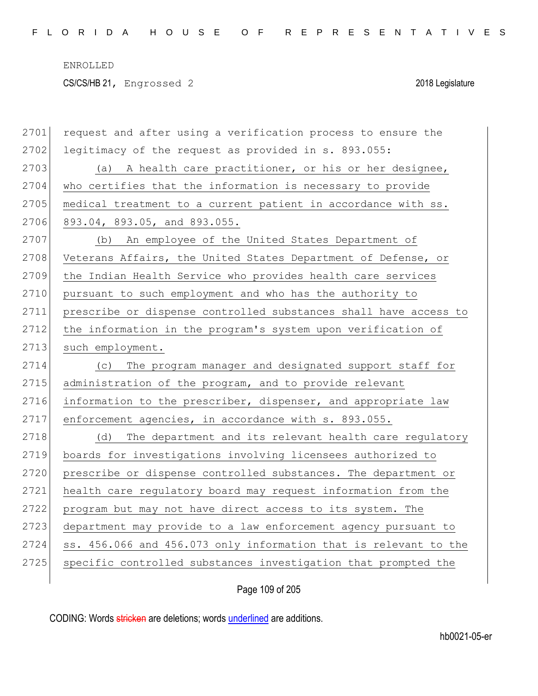| 2701 | request and after using a verification process to ensure the     |
|------|------------------------------------------------------------------|
| 2702 | legitimacy of the request as provided in s. 893.055:             |
| 2703 | (a) A health care practitioner, or his or her designee,          |
| 2704 | who certifies that the information is necessary to provide       |
| 2705 | medical treatment to a current patient in accordance with ss.    |
| 2706 | 893.04, 893.05, and 893.055.                                     |
| 2707 | (b) An employee of the United States Department of               |
| 2708 | Veterans Affairs, the United States Department of Defense, or    |
| 2709 | the Indian Health Service who provides health care services      |
| 2710 | pursuant to such employment and who has the authority to         |
| 2711 | prescribe or dispense controlled substances shall have access to |
| 2712 | the information in the program's system upon verification of     |
| 2713 | such employment.                                                 |
|      |                                                                  |
| 2714 | The program manager and designated support staff for<br>(C)      |
| 2715 | administration of the program, and to provide relevant           |
| 2716 | information to the prescriber, dispenser, and appropriate law    |
| 2717 | enforcement agencies, in accordance with s. 893.055.             |
| 2718 | The department and its relevant health care regulatory<br>(d)    |
| 2719 | boards for investigations involving licensees authorized to      |
| 2720 | prescribe or dispense controlled substances. The department or   |
| 2721 | health care regulatory board may request information from the    |
| 2722 | program but may not have direct access to its system. The        |
| 2723 | department may provide to a law enforcement agency pursuant to   |
| 2724 | ss. 456.066 and 456.073 only information that is relevant to the |
| 2725 | specific controlled substances investigation that prompted the   |

Page 109 of 205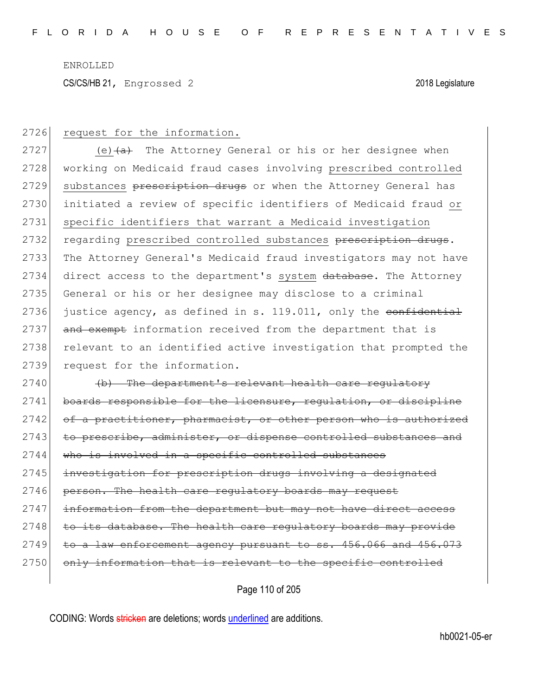CS/CS/HB 21, Engrossed 2 2018 Legislature

2726 request for the information.

2727 (e) $(a + b)$  The Attorney General or his or her designee when 2728 working on Medicaid fraud cases involving prescribed controlled 2729 substances prescription drugs or when the Attorney General has 2730 initiated a review of specific identifiers of Medicaid fraud or 2731 specific identifiers that warrant a Medicaid investigation 2732 regarding prescribed controlled substances prescription drugs. 2733 The Attorney General's Medicaid fraud investigators may not have 2734 direct access to the department's system database. The Attorney 2735 General or his or her designee may disclose to a criminal 2736 justice agency, as defined in s. 119.011, only the confidential 2737 and exempt information received from the department that is 2738 relevant to an identified active investigation that prompted the 2739 request for the information.

2740 (b) The department's relevant health care regulatory 2741 boards responsible for the licensure, regulation, or discipline 2742 of a practitioner, pharmacist, or other person who is authorized 2743 to prescribe, administer, or dispense controlled substances and 2744 who is involved in a specific controlled substances 2745 investigation for prescription drugs involving a designated 2746 person. The health care requiatory boards may request 2747 information from the department but may not have direct access  $2748$  to its database. The health care regulatory boards may provide  $2749$  to a law enforcement agency pursuant to ss.  $456.066$  and  $456.073$ 2750 only information that is relevant to the specific controlled

Page 110 of 205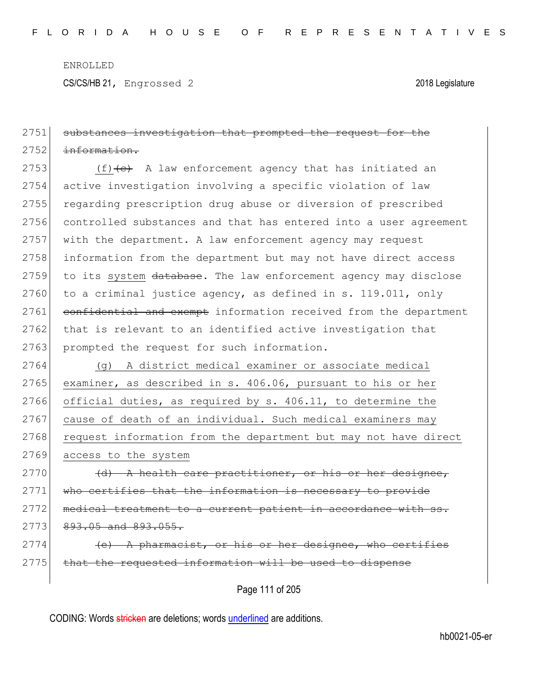CS/CS/HB 21, Engrossed 2 2018 Legislature

## 2751 substances investigation that prompted the request for the 2752 information.

2753  $(f)$  (f)  $(e)$  A law enforcement agency that has initiated an 2754 active investigation involving a specific violation of law 2755 regarding prescription drug abuse or diversion of prescribed 2756 controlled substances and that has entered into a user agreement 2757 with the department. A law enforcement agency may request 2758 information from the department but may not have direct access 2759 to its system database. The law enforcement agency may disclose 2760 to a criminal justice agency, as defined in s. 119.011, only 2761 confidential and exempt information received from the department 2762 that is relevant to an identified active investigation that 2763 prompted the request for such information.

2764 (g) A district medical examiner or associate medical 2765 examiner, as described in s. 406.06, pursuant to his or her 2766 official duties, as required by s. 406.11, to determine the 2767 cause of death of an individual. Such medical examiners may 2768 request information from the department but may not have direct 2769 access to the system

 $2770$  (d) A health care practitioner, or his or her designee, 2771 who certifies that the information is necessary to provide 2772 medical treatment to a current patient in accordance with ss.  $2773$   $893.05$  and  $893.055$ .

 $2774$  (e) A pharmacist, or his or her designee, who certifies  $2775$  that the requested information will be used to dispense

Page 111 of 205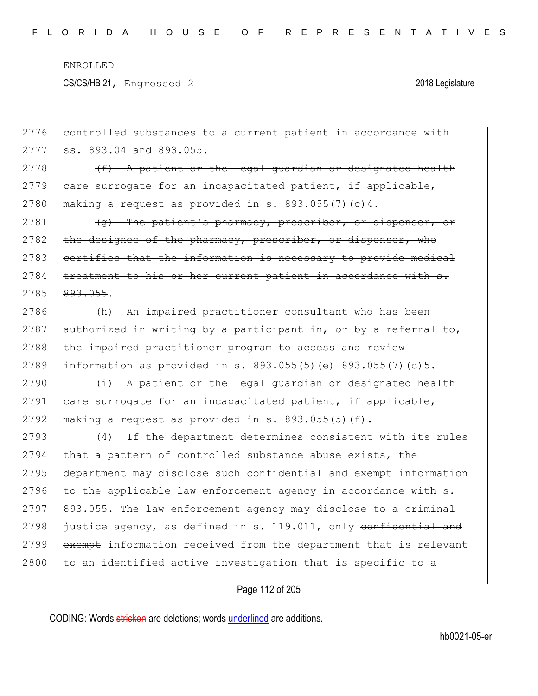CS/CS/HB 21, Engrossed 2 2018 Legislature

| 2776 | controlled substances to a current patient in accordance with    |
|------|------------------------------------------------------------------|
| 2777 | ss. 893.04 and 893.055.                                          |
| 2778 | $(f)$ A patient or the legal quardian or designated health       |
| 2779 | care surrogate for an incapacitated patient, if applicable,      |
| 2780 | making a request as provided in s. 893.055(7) (c) 4.             |
| 2781 | (g) The patient's pharmacy, prescriber, or dispenser, or         |
| 2782 | the designee of the pharmacy, prescriber, or dispenser, who      |
| 2783 | certifies that the information is necessary to provide medical   |
| 2784 | treatment to his or her current patient in accordance with s.    |
| 2785 | 893.055.                                                         |
| 2786 | An impaired practitioner consultant who has been<br>(h)          |
| 2787 | authorized in writing by a participant in, or by a referral to,  |
| 2788 | the impaired practitioner program to access and review           |
| 2789 | information as provided in s. 893.055(5) (e) $893.055(7)$ (e) 5. |
| 2790 | (i) A patient or the legal guardian or designated health         |
| 2791 | care surrogate for an incapacitated patient, if applicable,      |
| 2792 | making a request as provided in s. 893.055(5)(f).                |
| 2793 | If the department determines consistent with its rules<br>(4)    |
| 2794 | that a pattern of controlled substance abuse exists, the         |
| 2795 | department may disclose such confidential and exempt information |
| 2796 | to the applicable law enforcement agency in accordance with s.   |
| 2797 | 893.055. The law enforcement agency may disclose to a criminal   |
| 2798 | justice agency, as defined in s. 119.011, only confidential and  |
| 2799 | exempt information received from the department that is relevant |
| 2800 | to an identified active investigation that is specific to a      |
|      | Page 112 of 205                                                  |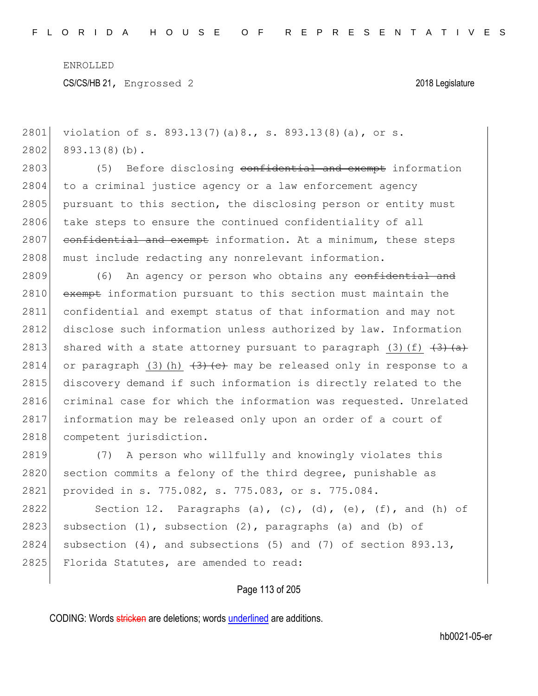```
2801 violation of s. 893.13(7)(a)8., s. 893.13(8)(a), or s.
2802 893.13(8)(b).
2803 (5) Before disclosing confidential and exempt information
2804 to a criminal justice agency or a law enforcement agency
2805 pursuant to this section, the disclosing person or entity must
2806 take steps to ensure the continued confidentiality of all
2807 confidential and exempt information. At a minimum, these steps
2808 must include redacting any nonrelevant information.
2809 (6) An agency or person who obtains any confidential and
```
2810 exempt information pursuant to this section must maintain the 2811 confidential and exempt status of that information and may not 2812 disclose such information unless authorized by law. Information 2813 shared with a state attorney pursuant to paragraph (3)(f)  $\left(3\right)$   $\left(4\right)$ 2814 or paragraph (3)(h)  $\left(3\right)$  (c) may be released only in response to a 2815 discovery demand if such information is directly related to the 2816 criminal case for which the information was requested. Unrelated 2817 information may be released only upon an order of a court of 2818 competent jurisdiction.

2819 (7) A person who willfully and knowingly violates this 2820 section commits a felony of the third degree, punishable as 2821 provided in s. 775.082, s. 775.083, or s. 775.084.

2822 Section 12. Paragraphs (a), (c), (d), (e), (f), and (h) of 2823 subsection  $(1)$ , subsection  $(2)$ , paragraphs  $(a)$  and  $(b)$  of 2824 subsection  $(4)$ , and subsections  $(5)$  and  $(7)$  of section 893.13, 2825 Florida Statutes, are amended to read:

### Page 113 of 205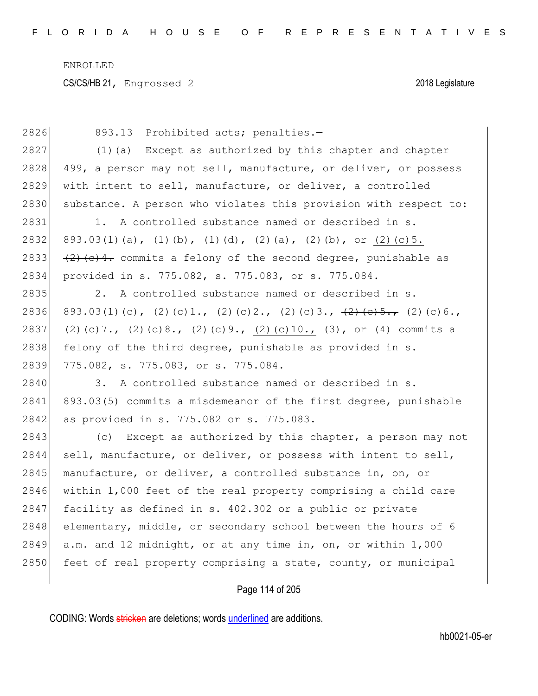| 2826 | Prohibited acts; penalties.-<br>893.13                                              |
|------|-------------------------------------------------------------------------------------|
| 2827 | (1) (a) Except as authorized by this chapter and chapter                            |
| 2828 | 499, a person may not sell, manufacture, or deliver, or possess                     |
| 2829 | with intent to sell, manufacture, or deliver, a controlled                          |
| 2830 | substance. A person who violates this provision with respect to:                    |
| 2831 | 1. A controlled substance named or described in s.                                  |
| 2832 | $893.03(1)(a)$ , $(1)(b)$ , $(1)(d)$ , $(2)(a)$ , $(2)(b)$ , or $(2)(c)5$ .         |
| 2833 | $\frac{1}{2}$ (e) 4. commits a felony of the second degree, punishable as           |
| 2834 | provided in s. 775.082, s. 775.083, or s. 775.084.                                  |
| 2835 | 2. A controlled substance named or described in s.                                  |
| 2836 | 893.03(1)(c), (2)(c)1., (2)(c)2., (2)(c)3., $\frac{1}{2}$ (e)5., (2)(c)6.,          |
| 2837 | $(2)$ (c) 7., $(2)$ (c) 8., $(2)$ (c) 9., $(2)$ (c) 10., $(3)$ , or $(4)$ commits a |
| 2838 | felony of the third degree, punishable as provided in s.                            |
| 2839 | 775.082, s. 775.083, or s. 775.084.                                                 |
| 2840 | 3. A controlled substance named or described in s.                                  |
| 2841 | 893.03(5) commits a misdemeanor of the first degree, punishable                     |
| 2842 | as provided in s. 775.082 or s. 775.083.                                            |
| 2843 | Except as authorized by this chapter, a person may not<br>(C)                       |
| 2844 | sell, manufacture, or deliver, or possess with intent to sell,                      |
| 2845 | manufacture, or deliver, a controlled substance in, on, or                          |
| 2846 | within 1,000 feet of the real property comprising a child care                      |
| 2847 | facility as defined in s. 402.302 or a public or private                            |
| 2848 | elementary, middle, or secondary school between the hours of 6                      |
| 2849 | a.m. and 12 midnight, or at any time in, on, or within 1,000                        |
| 2850 | feet of real property comprising a state, county, or municipal                      |
|      |                                                                                     |

# Page 114 of 205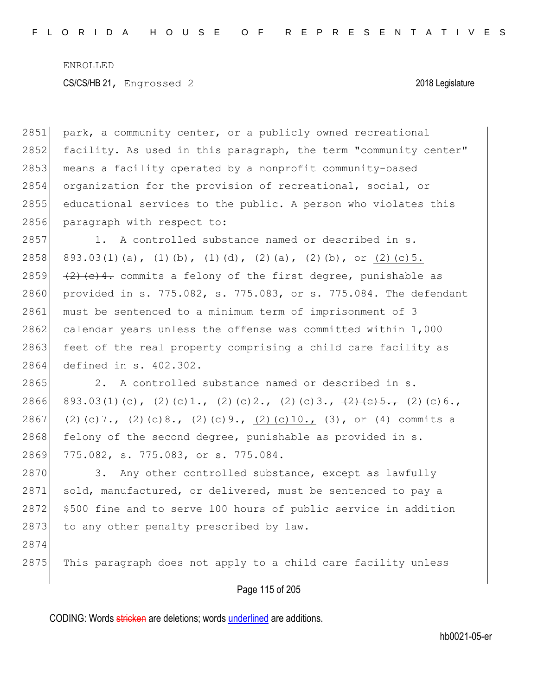2851 park, a community center, or a publicly owned recreational 2852 facility. As used in this paragraph, the term "community center" 2853 means a facility operated by a nonprofit community-based 2854 organization for the provision of recreational, social, or 2855 educational services to the public. A person who violates this 2856 paragraph with respect to: 2857 1. A controlled substance named or described in s. 2858 893.03(1)(a), (1)(b), (1)(d), (2)(a), (2)(b), or (2)(c)5. 2859  $(2)$   $(2)$   $(2)$   $(2)$   $(2)$   $(2)$   $(2)$   $(2)$   $(2)$   $(2)$   $(2)$   $(2)$   $(2)$   $(2)$   $(2)$   $(2)$   $(2)$   $(2)$   $(2)$   $(2)$   $(2)$   $(2)$   $(2)$   $(2)$   $(2)$   $(2)$   $(2)$   $(2)$   $(2)$   $(2)$   $(2)$   $(2)$   $(2)$   $(2)$   $(2)$   $(2)$  2860 provided in s. 775.082, s. 775.083, or s. 775.084. The defendant 2861 must be sentenced to a minimum term of imprisonment of 3 2862 calendar years unless the offense was committed within  $1,000$ 2863 feet of the real property comprising a child care facility as 2864 defined in s. 402.302. 2865 2. A controlled substance named or described in s. 2866 893.03(1)(c), (2)(c)1., (2)(c)2., (2)(c)3.,  $\frac{1}{2}$ (e)5., (2)(c)6., 2867 (2)(c)7., (2)(c)8., (2)(c)9., (2)(c)10., (3), or (4) commits a  $2868$  felony of the second degree, punishable as provided in s. 2869 775.082, s. 775.083, or s. 775.084. 2870 3. Any other controlled substance, except as lawfully 2871 sold, manufactured, or delivered, must be sentenced to pay a 2872 \$500 fine and to serve 100 hours of public service in addition 2873 to any other penalty prescribed by law. 2874  $2875$  This paragraph does not apply to a child care facility unless

Page 115 of 205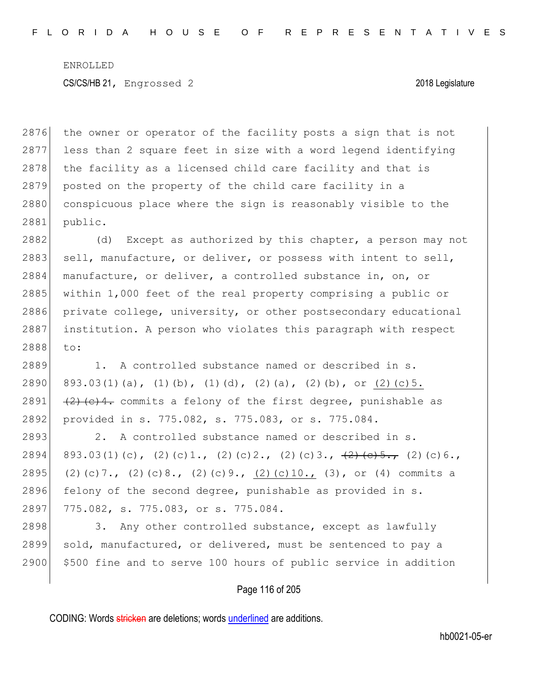2876 the owner or operator of the facility posts a sign that is not 2877 less than 2 square feet in size with a word legend identifying 2878 the facility as a licensed child care facility and that is 2879 posted on the property of the child care facility in a 2880 conspicuous place where the sign is reasonably visible to the 2881 public.

2882 (d) Except as authorized by this chapter, a person may not 2883 sell, manufacture, or deliver, or possess with intent to sell, 2884 manufacture, or deliver, a controlled substance in, on, or 2885 within 1,000 feet of the real property comprising a public or  $2886$  private college, university, or other postsecondary educational 2887 institution. A person who violates this paragraph with respect 2888 to:

2889 1. A controlled substance named or described in s. 2890 893.03(1)(a), (1)(b), (1)(d), (2)(a), (2)(b), or (2)(c)5. 2891  $(2)$  (c)4. commits a felony of the first degree, punishable as 2892 provided in s. 775.082, s. 775.083, or s. 775.084.

2893 2. A controlled substance named or described in s. 2894 893.03(1)(c), (2)(c)1., (2)(c)2., (2)(c)3.,  $\frac{1}{2}$ (e)5., (2)(c)6., 2895 (2)(c)7., (2)(c)8., (2)(c)9., (2)(c)10., (3), or (4) commits a 2896 felony of the second degree, punishable as provided in s. 2897 775.082, s. 775.083, or s. 775.084.

2898 3. Any other controlled substance, except as lawfully 2899 sold, manufactured, or delivered, must be sentenced to pay a 2900 \$500 fine and to serve 100 hours of public service in addition

### Page 116 of 205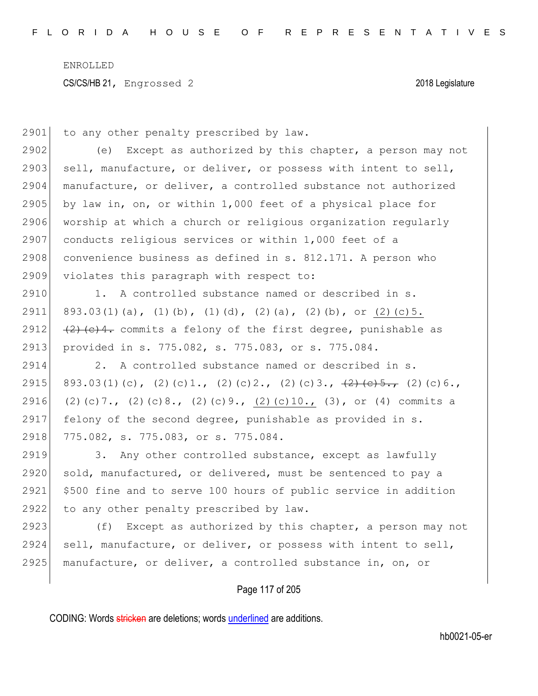2901 to any other penalty prescribed by law.

2902 (e) Except as authorized by this chapter, a person may not 2903 sell, manufacture, or deliver, or possess with intent to sell, 2904 manufacture, or deliver, a controlled substance not authorized 2905 by law in, on, or within 1,000 feet of a physical place for 2906 worship at which a church or religious organization regularly 2907 conducts religious services or within 1,000 feet of a  $2908$  convenience business as defined in s.  $812.171$ . A person who 2909 violates this paragraph with respect to:

2910 1. A controlled substance named or described in s. 2911 893.03(1)(a), (1)(b), (1)(d), (2)(a), (2)(b), or (2)(c)5. 2912  $(2)$   $(2)$   $(2)$   $(2)$   $(2)$   $(2)$   $(2)$   $(2)$   $(2)$   $(2)$   $(2)$   $(2)$   $(2)$   $(2)$   $(2)$   $(2)$   $(2)$   $(2)$   $(2)$   $(2)$   $(2)$   $(2)$   $(2)$   $(2)$   $(2)$   $(2)$   $(2)$   $(2)$   $(2)$   $(2)$   $(2)$   $(2)$   $(2)$   $(2)$   $(2)$   $(2)$  2913 provided in s. 775.082, s. 775.083, or s. 775.084.

2914 2. A controlled substance named or described in s. 2915 893.03(1)(c), (2)(c)1., (2)(c)2., (2)(c)3.,  $\frac{1}{2}$ (e)5., (2)(c)6., 2916 (2)(c)7., (2)(c)8., (2)(c)9., (2)(c)10., (3), or (4) commits a 2917 felony of the second degree, punishable as provided in s. 2918 775.082, s. 775.083, or s. 775.084.

2919 3. Any other controlled substance, except as lawfully 2920 sold, manufactured, or delivered, must be sentenced to pay a 2921 \$500 fine and to serve 100 hours of public service in addition 2922 to any other penalty prescribed by law.

2923  $( f )$  Except as authorized by this chapter, a person may not 2924 sell, manufacture, or deliver, or possess with intent to sell, 2925 manufacture, or deliver, a controlled substance in, on, or

### Page 117 of 205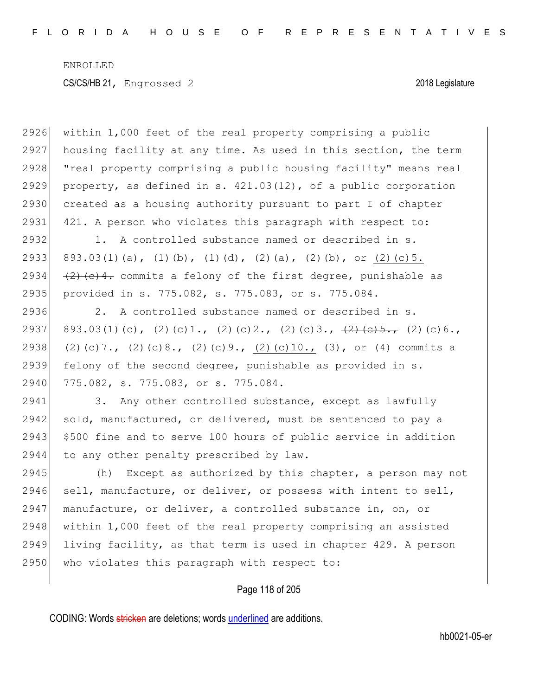2926 within 1,000 feet of the real property comprising a public 2927 housing facility at any time. As used in this section, the term 2928 "real property comprising a public housing facility" means real 2929 property, as defined in s.  $421.03(12)$ , of a public corporation 2930 created as a housing authority pursuant to part I of chapter 2931 421. A person who violates this paragraph with respect to: 2932 1. A controlled substance named or described in s. 2933 893.03(1)(a), (1)(b), (1)(d), (2)(a), (2)(b), or (2)(c)5. 2934  $(2)$   $(2)$   $(2)$   $(2)$   $(2)$   $(2)$   $(2)$   $(2)$   $(2)$   $(2)$   $(2)$   $(2)$   $(2)$   $(2)$   $(2)$   $(2)$   $(2)$   $(2)$   $(2)$   $(2)$   $(2)$   $(2)$   $(2)$   $(2)$   $(2)$   $(2)$   $(2)$   $(2)$   $(2)$   $(2)$   $(2)$   $(2)$   $(2)$   $(2)$   $(2)$   $(2)$  2935 provided in s. 775.082, s. 775.083, or s. 775.084. 2936 2. A controlled substance named or described in s. 2937 893.03(1)(c), (2)(c)1., (2)(c)2., (2)(c)3.,  $\frac{12}{5}$ , (2)(c)6., 2938 (2)(c)7., (2)(c)8., (2)(c)9., (2)(c)10., (3), or (4) commits a 2939 felony of the second degree, punishable as provided in s. 2940 775.082, s. 775.083, or s. 775.084. 2941 3. Any other controlled substance, except as lawfully 2942 sold, manufactured, or delivered, must be sentenced to pay a 2943 \$500 fine and to serve 100 hours of public service in addition 2944 to any other penalty prescribed by law. 2945 (h) Except as authorized by this chapter, a person may not 2946 sell, manufacture, or deliver, or possess with intent to sell, 2947 manufacture, or deliver, a controlled substance in, on, or 2948 within 1,000 feet of the real property comprising an assisted 2949 living facility, as that term is used in chapter 429. A person 2950 who violates this paragraph with respect to:

Page 118 of 205

CODING: Words stricken are deletions; words underlined are additions.

hb0021-05-er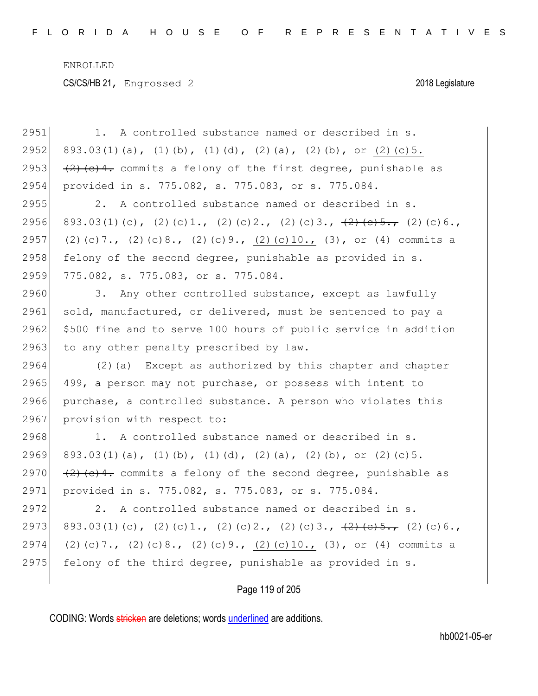| 2951 | 1. A controlled substance named or described in s.                                  |
|------|-------------------------------------------------------------------------------------|
| 2952 | $893.03(1)(a)$ , $(1)(b)$ , $(1)(d)$ , $(2)(a)$ , $(2)(b)$ , or $(2)(c)5$ .         |
| 2953 | $(2)$ (e)4. commits a felony of the first degree, punishable as                     |
| 2954 | provided in s. 775.082, s. 775.083, or s. 775.084.                                  |
| 2955 | 2. A controlled substance named or described in s.                                  |
| 2956 | 893.03(1)(c), (2)(c)1., (2)(c)2., (2)(c)3., $\frac{1}{2}$ (e)5., (2)(c)6.,          |
| 2957 | $(2)$ (c) 7., $(2)$ (c) 8., $(2)$ (c) 9., $(2)$ (c) 10., $(3)$ , or $(4)$ commits a |
| 2958 | felony of the second degree, punishable as provided in s.                           |
| 2959 | 775.082, s. 775.083, or s. 775.084.                                                 |
| 2960 | 3. Any other controlled substance, except as lawfully                               |
| 2961 | sold, manufactured, or delivered, must be sentenced to pay a                        |
| 2962 | \$500 fine and to serve 100 hours of public service in addition                     |
| 2963 | to any other penalty prescribed by law.                                             |
| 2964 | (2) (a) Except as authorized by this chapter and chapter                            |
| 2965 | 499, a person may not purchase, or possess with intent to                           |
| 2966 | purchase, a controlled substance. A person who violates this                        |
| 2967 | provision with respect to:                                                          |
| 2968 | 1. A controlled substance named or described in s.                                  |
| 2969 | $893.03(1)(a)$ , $(1)(b)$ , $(1)(d)$ , $(2)(a)$ , $(2)(b)$ , or $(2)(c)5$ .         |
| 2970 | $\frac{1}{2}$ (e) 4. commits a felony of the second degree, punishable as           |
| 2971 | provided in s. 775.082, s. 775.083, or s. 775.084.                                  |
| 2972 | 2. A controlled substance named or described in s.                                  |
| 2973 | 893.03(1)(c), (2)(c)1., (2)(c)2., (2)(c)3., <del>(2)(e)5.,</del> (2)(c)6.,          |
| 2974 | $(2)$ (c) 7., (2) (c) 8., (2) (c) 9., (2) (c) 10., (3), or (4) commits a            |
| 2975 | felony of the third degree, punishable as provided in s.                            |
|      | Page 119 of 205                                                                     |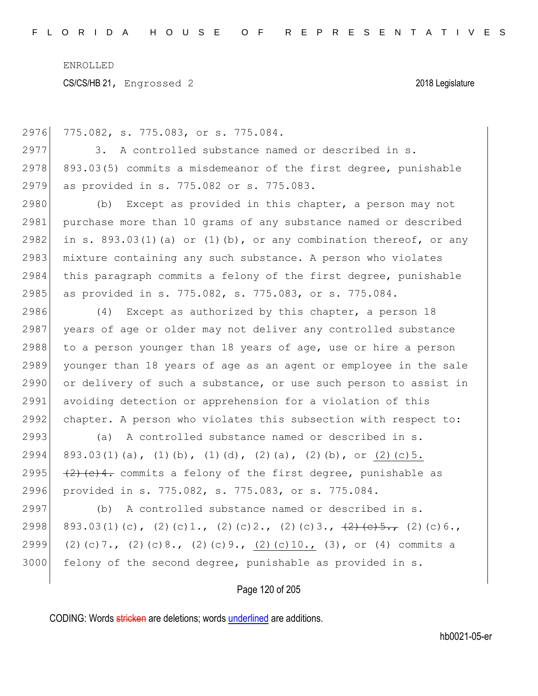2976 775.082, s. 775.083, or s. 775.084.

2977 3. A controlled substance named or described in s.  $2978$  893.03(5) commits a misdemeanor of the first degree, punishable 2979 as provided in s. 775.082 or s. 775.083.

2980 (b) Except as provided in this chapter, a person may not 2981 purchase more than 10 grams of any substance named or described 2982 in s. 893.03(1)(a) or (1)(b), or any combination thereof, or any 2983 mixture containing any such substance. A person who violates 2984 this paragraph commits a felony of the first degree, punishable 2985 as provided in s. 775.082, s. 775.083, or s. 775.084.

2986 (4) Except as authorized by this chapter, a person 18 2987 years of age or older may not deliver any controlled substance 2988 to a person younger than 18 years of age, use or hire a person 2989 younger than 18 years of age as an agent or employee in the sale 2990 or delivery of such a substance, or use such person to assist in 2991 avoiding detection or apprehension for a violation of this 2992 chapter. A person who violates this subsection with respect to:

 (a) A controlled substance named or described in s. 2994 893.03(1)(a), (1)(b), (1)(d), (2)(a), (2)(b), or (2)(c)5.  $(2)$   $(2)$   $(2)$   $(2)$   $(2)$   $(2)$   $(2)$   $(2)$   $(2)$   $(2)$   $(2)$   $(2)$   $(2)$   $(2)$   $(2)$   $(2)$   $(2)$   $(2)$   $(2)$   $(2)$   $(2)$   $(2)$   $(2)$   $(2)$   $(2)$   $(2)$   $(2)$   $(2)$   $(2)$   $(2)$   $(2)$   $(2)$   $(2)$   $(2)$   $(2)$   $(2)$  provided in s. 775.082, s. 775.083, or s. 775.084.

 (b) A controlled substance named or described in s. 2998 893.03(1)(c), (2)(c)1., (2)(c)2., (2)(c)3.,  $\frac{12}{(2.5 \cdot 5.7)}$  (2)(c)6., (2)(c)7., (2)(c)8., (2)(c)9., (2)(c)10., (3), or (4) commits a felony of the second degree, punishable as provided in s.

Page 120 of 205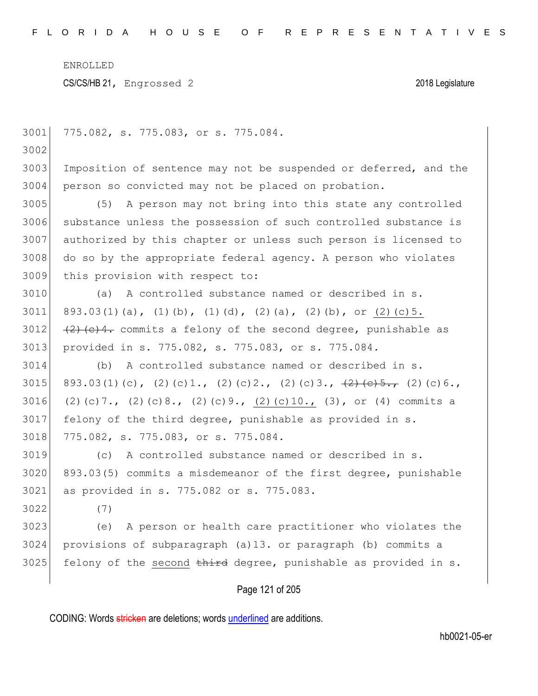| 3001 | 775.082, s. 775.083, or s. 775.084.                                                 |
|------|-------------------------------------------------------------------------------------|
| 3002 |                                                                                     |
| 3003 | Imposition of sentence may not be suspended or deferred, and the                    |
| 3004 | person so convicted may not be placed on probation.                                 |
| 3005 | (5)<br>A person may not bring into this state any controlled                        |
| 3006 | substance unless the possession of such controlled substance is                     |
| 3007 | authorized by this chapter or unless such person is licensed to                     |
| 3008 | do so by the appropriate federal agency. A person who violates                      |
| 3009 | this provision with respect to:                                                     |
| 3010 | A controlled substance named or described in s.<br>(a)                              |
| 3011 | 893.03(1)(a), (1)(b), (1)(d), (2)(a), (2)(b), or (2)(c)5.                           |
| 3012 | (2) (c) 4. commits a felony of the second degree, punishable as                     |
| 3013 | provided in s. 775.082, s. 775.083, or s. 775.084.                                  |
| 3014 | (b) A controlled substance named or described in s.                                 |
| 3015 | 893.03(1)(c), (2)(c)1., (2)(c)2., (2)(c)3., $\frac{1}{2}$ (e)5., (2)(c)6.,          |
| 3016 | $(2)$ (c) 7., $(2)$ (c) 8., $(2)$ (c) 9., $(2)$ (c) 10., $(3)$ , or $(4)$ commits a |
| 3017 | felony of the third degree, punishable as provided in s.                            |
| 3018 | 775.082, s. 775.083, or s. 775.084.                                                 |
| 3019 | A controlled substance named or described in s.<br>(C)                              |
| 3020 | 893.03(5) commits a misdemeanor of the first degree, punishable                     |
| 3021 | as provided in s. 775.082 or s. 775.083.                                            |
| 3022 | (7)                                                                                 |
| 3023 | (e) A person or health care practitioner who violates the                           |
| 3024 | provisions of subparagraph (a)13. or paragraph (b) commits a                        |
| 3025 | felony of the second third degree, punishable as provided in s.                     |
|      |                                                                                     |

# Page 121 of 205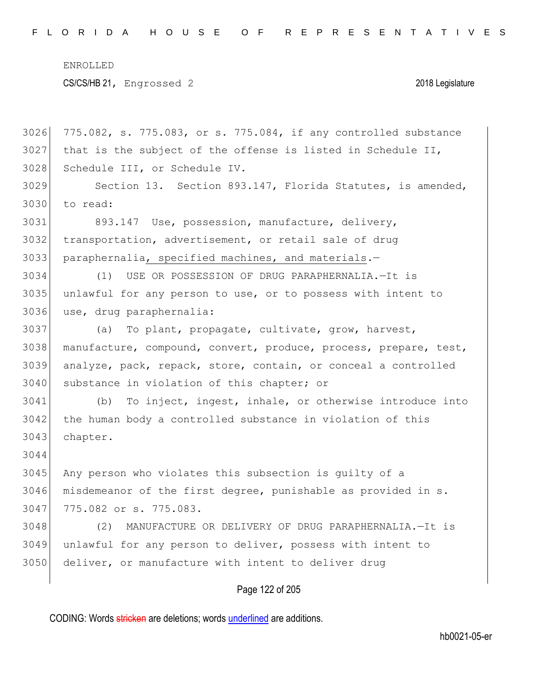775.082, s. 775.083, or s. 775.084, if any controlled substance that is the subject of the offense is listed in Schedule II, Schedule III, or Schedule IV. Section 13. Section 893.147, Florida Statutes, is amended, to read: 893.147 Use, possession, manufacture, delivery, transportation, advertisement, or retail sale of drug paraphernalia, specified machines, and materials.— (1) USE OR POSSESSION OF DRUG PARAPHERNALIA.—It is unlawful for any person to use, or to possess with intent to use, drug paraphernalia: (a) To plant, propagate, cultivate, grow, harvest, manufacture, compound, convert, produce, process, prepare, test, analyze, pack, repack, store, contain, or conceal a controlled 3040 substance in violation of this chapter; or (b) To inject, ingest, inhale, or otherwise introduce into 3042 the human body a controlled substance in violation of this 3043 chapter. Any person who violates this subsection is guilty of a misdemeanor of the first degree, punishable as provided in s. 775.082 or s. 775.083. (2) MANUFACTURE OR DELIVERY OF DRUG PARAPHERNALIA.—It is unlawful for any person to deliver, possess with intent to deliver, or manufacture with intent to deliver drug

### Page 122 of 205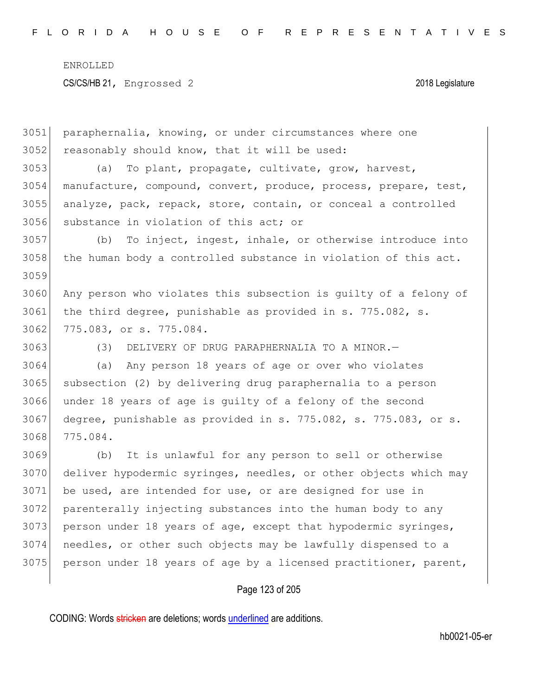paraphernalia, knowing, or under circumstances where one reasonably should know, that it will be used: (a) To plant, propagate, cultivate, grow, harvest, manufacture, compound, convert, produce, process, prepare, test, analyze, pack, repack, store, contain, or conceal a controlled substance in violation of this act; or (b) To inject, ingest, inhale, or otherwise introduce into 3058 the human body a controlled substance in violation of this act. 3060 Any person who violates this subsection is quilty of a felony of the third degree, punishable as provided in s. 775.082, s. 3062 775.083, or s. 775.084. 3063 (3) DELIVERY OF DRUG PARAPHERNALIA TO A MINOR. (a) Any person 18 years of age or over who violates subsection (2) by delivering drug paraphernalia to a person under 18 years of age is guilty of a felony of the second degree, punishable as provided in s. 775.082, s. 775.083, or s. 775.084. (b) It is unlawful for any person to sell or otherwise deliver hypodermic syringes, needles, or other objects which may be used, are intended for use, or are designed for use in parenterally injecting substances into the human body to any person under 18 years of age, except that hypodermic syringes, needles, or other such objects may be lawfully dispensed to a 3075 person under 18 years of age by a licensed practitioner, parent,

### Page 123 of 205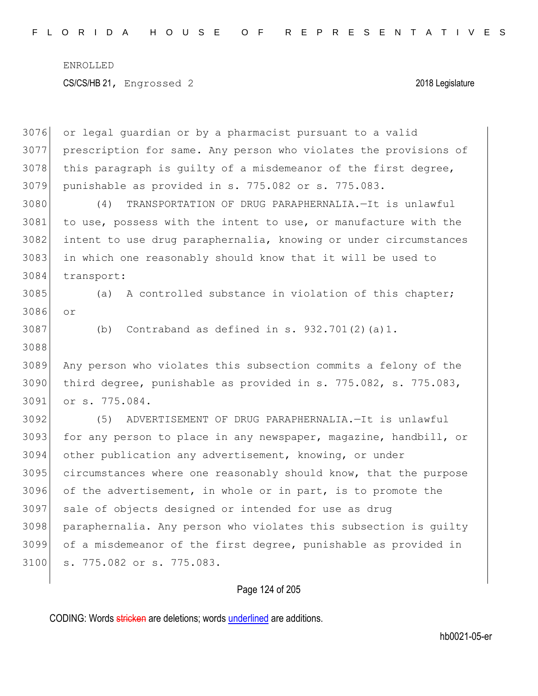or legal guardian or by a pharmacist pursuant to a valid prescription for same. Any person who violates the provisions of this paragraph is quilty of a misdemeanor of the first degree, punishable as provided in s. 775.082 or s. 775.083. (4) TRANSPORTATION OF DRUG PARAPHERNALIA.—It is unlawful 3081 to use, possess with the intent to use, or manufacture with the intent to use drug paraphernalia, knowing or under circumstances in which one reasonably should know that it will be used to transport: 3085 (a) A controlled substance in violation of this chapter; or (b) Contraband as defined in s.  $932.701(2)(a)1$ . Any person who violates this subsection commits a felony of the third degree, punishable as provided in s. 775.082, s. 775.083, or s. 775.084. (5) ADVERTISEMENT OF DRUG PARAPHERNALIA.—It is unlawful 3093 for any person to place in any newspaper, magazine, handbill, or other publication any advertisement, knowing, or under circumstances where one reasonably should know, that the purpose of the advertisement, in whole or in part, is to promote the sale of objects designed or intended for use as drug paraphernalia. Any person who violates this subsection is guilty of a misdemeanor of the first degree, punishable as provided in s. 775.082 or s. 775.083.

Page 124 of 205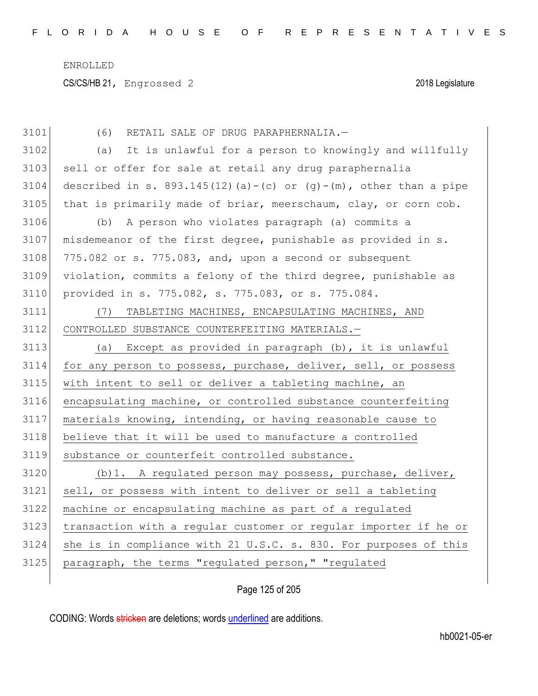| 3101 | (6)<br>RETAIL SALE OF DRUG PARAPHERNALIA.-                          |
|------|---------------------------------------------------------------------|
| 3102 | It is unlawful for a person to knowingly and willfully<br>(a)       |
| 3103 | sell or offer for sale at retail any drug paraphernalia             |
| 3104 | described in s. 893.145(12)(a)-(c) or $(g)$ -(m), other than a pipe |
| 3105 | that is primarily made of briar, meerschaum, clay, or corn cob.     |
| 3106 | A person who violates paragraph (a) commits a<br>(b)                |
| 3107 | misdemeanor of the first degree, punishable as provided in s.       |
| 3108 | 775.082 or s. 775.083, and, upon a second or subsequent             |
| 3109 | violation, commits a felony of the third degree, punishable as      |
| 3110 | provided in s. 775.082, s. 775.083, or s. 775.084.                  |
| 3111 | TABLETING MACHINES, ENCAPSULATING MACHINES, AND<br>(7)              |
| 3112 | CONTROLLED SUBSTANCE COUNTERFEITING MATERIALS.-                     |
| 3113 | Except as provided in paragraph (b), it is unlawful<br>(a)          |
| 3114 | for any person to possess, purchase, deliver, sell, or possess      |
| 3115 | with intent to sell or deliver a tableting machine, an              |
| 3116 | encapsulating machine, or controlled substance counterfeiting       |
| 3117 | materials knowing, intending, or having reasonable cause to         |
| 3118 | believe that it will be used to manufacture a controlled            |
| 3119 | substance or counterfeit controlled substance.                      |
| 3120 | (b) 1. A regulated person may possess, purchase, deliver,           |
| 3121 | sell, or possess with intent to deliver or sell a tableting         |
| 3122 | machine or encapsulating machine as part of a regulated             |
| 3123 | transaction with a regular customer or regular importer if he or    |
| 3124 | she is in compliance with 21 U.S.C. s. 830. For purposes of this    |
| 3125 | paragraph, the terms "regulated person," "regulated                 |
|      |                                                                     |

Page 125 of 205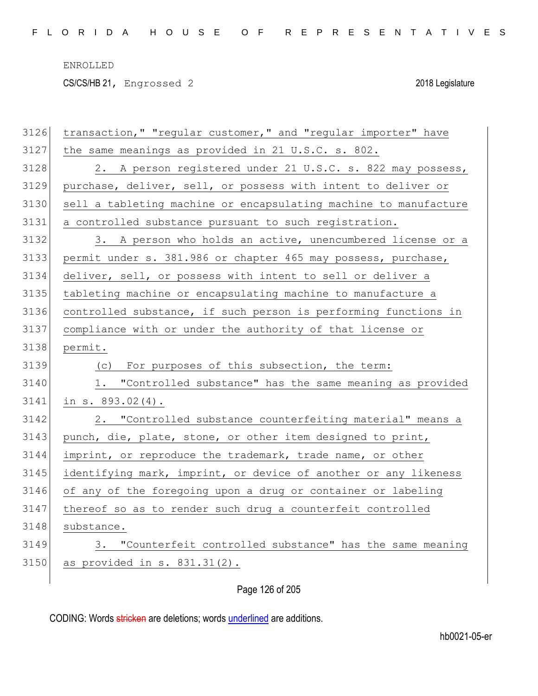CS/CS/HB 21, Engrossed 2 2018 Legislature

| 3126 | transaction, " "regular customer, " and "regular importer" have  |
|------|------------------------------------------------------------------|
| 3127 | the same meanings as provided in 21 U.S.C. s. 802.               |
| 3128 | 2. A person registered under 21 U.S.C. s. 822 may possess,       |
| 3129 | purchase, deliver, sell, or possess with intent to deliver or    |
| 3130 | sell a tableting machine or encapsulating machine to manufacture |
| 3131 | a controlled substance pursuant to such registration.            |
| 3132 | 3. A person who holds an active, unencumbered license or a       |
| 3133 | permit under s. 381.986 or chapter 465 may possess, purchase,    |
| 3134 | deliver, sell, or possess with intent to sell or deliver a       |
| 3135 | tableting machine or encapsulating machine to manufacture a      |
| 3136 | controlled substance, if such person is performing functions in  |
| 3137 | compliance with or under the authority of that license or        |
| 3138 | permit.                                                          |
| 3139 | For purposes of this subsection, the term:<br>(C)                |
| 3140 | 1. "Controlled substance" has the same meaning as provided       |
| 3141 | in s. 893.02(4).                                                 |
| 3142 | 2. "Controlled substance counterfeiting material" means a        |
| 3143 | punch, die, plate, stone, or other item designed to print,       |
| 3144 | imprint, or reproduce the trademark, trade name, or other        |
| 3145 | identifying mark, imprint, or device of another or any likeness  |
| 3146 | of any of the foregoing upon a drug or container or labeling     |
| 3147 | thereof so as to render such drug a counterfeit controlled       |
| 3148 | substance.                                                       |
| 3149 | 3. "Counterfeit controlled substance" has the same meaning       |
| 3150 | as provided in $s. 831.31(2)$ .                                  |
|      |                                                                  |

Page 126 of 205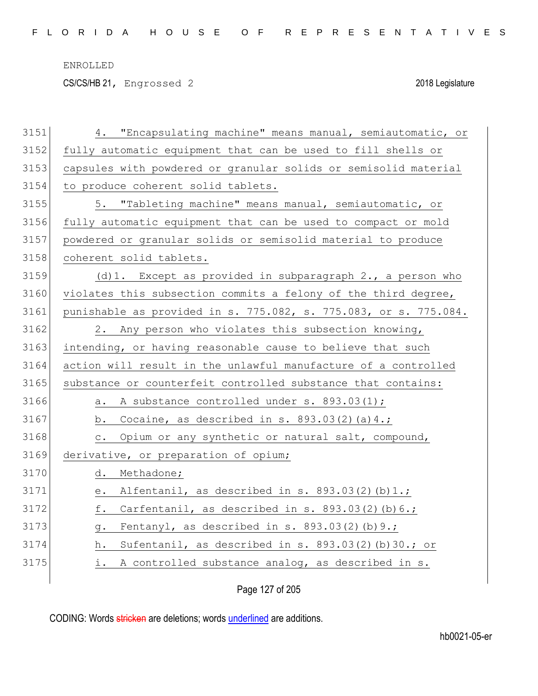CS/CS/HB 21, Engrossed 2 2018 Legislature

| 3151 | 4. "Encapsulating machine" means manual, semiautomatic, or       |
|------|------------------------------------------------------------------|
| 3152 | fully automatic equipment that can be used to fill shells or     |
| 3153 | capsules with powdered or granular solids or semisolid material  |
| 3154 | to produce coherent solid tablets.                               |
| 3155 | 5. "Tableting machine" means manual, semiautomatic, or           |
| 3156 | fully automatic equipment that can be used to compact or mold    |
| 3157 | powdered or granular solids or semisolid material to produce     |
| 3158 | coherent solid tablets.                                          |
| 3159 | $(d) 1.$ Except as provided in subparagraph 2., a person who     |
| 3160 | violates this subsection commits a felony of the third degree,   |
| 3161 | punishable as provided in s. 775.082, s. 775.083, or s. 775.084. |
| 3162 | 2. Any person who violates this subsection knowing,              |
| 3163 | intending, or having reasonable cause to believe that such       |
| 3164 | action will result in the unlawful manufacture of a controlled   |
| 3165 | substance or counterfeit controlled substance that contains:     |
| 3166 | A substance controlled under s. 893.03(1);<br>а.                 |
| 3167 | b. Cocaine, as described in s. $893.03(2)(a)4.$ ;                |
| 3168 | c. Opium or any synthetic or natural salt, compound,             |
| 3169 | derivative, or preparation of opium;                             |
| 3170 | d.<br>Methadone;                                                 |
| 3171 | Alfentanil, as described in $s. 893.03(2)(b)1.$ ;<br>е.          |
| 3172 | Carfentanil, as described in $s. 893.03(2)(b)6.$ ;<br>f.         |
| 3173 | Fentanyl, as described in s. 893.03(2)(b) 9.;<br>g.              |
| 3174 | Sufentanil, as described in s. 893.03(2)(b)30.; or<br>h.         |
| 3175 | i. A controlled substance analog, as described in s.             |
|      |                                                                  |

Page 127 of 205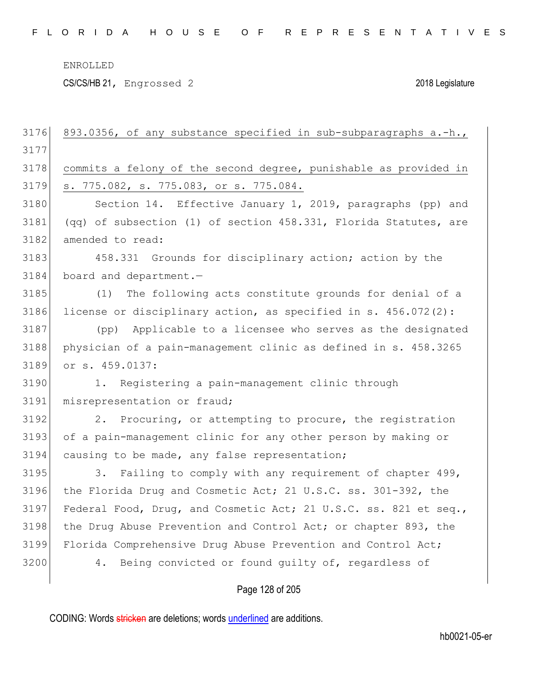CS/CS/HB 21, Engrossed 2 2018 Legislature

| 3176 | 893.0356, of any substance specified in sub-subparagraphs a.-h.,  |
|------|-------------------------------------------------------------------|
| 3177 |                                                                   |
| 3178 | commits a felony of the second degree, punishable as provided in  |
| 3179 | s. 775.082, s. 775.083, or s. 775.084.                            |
| 3180 | Section 14. Effective January 1, 2019, paragraphs (pp) and        |
| 3181 | (qq) of subsection (1) of section 458.331, Florida Statutes, are  |
| 3182 | amended to read:                                                  |
| 3183 | 458.331 Grounds for disciplinary action; action by the            |
| 3184 | board and department.-                                            |
| 3185 | The following acts constitute grounds for denial of a<br>(1)      |
| 3186 | license or disciplinary action, as specified in s. $456.072(2)$ : |
| 3187 | Applicable to a licensee who serves as the designated<br>(pp)     |
| 3188 | physician of a pain-management clinic as defined in s. 458.3265   |
| 3189 | or s. 459.0137:                                                   |
| 3190 | 1. Registering a pain-management clinic through                   |
| 3191 | misrepresentation or fraud;                                       |
| 3192 | 2. Procuring, or attempting to procure, the registration          |
| 3193 | of a pain-management clinic for any other person by making or     |
| 3194 | causing to be made, any false representation;                     |
| 3195 | 3. Failing to comply with any requirement of chapter 499,         |
| 3196 | the Florida Drug and Cosmetic Act; 21 U.S.C. ss. 301-392, the     |
| 3197 | Federal Food, Drug, and Cosmetic Act; 21 U.S.C. ss. 821 et seq.,  |
| 3198 | the Drug Abuse Prevention and Control Act; or chapter 893, the    |
| 3199 | Florida Comprehensive Drug Abuse Prevention and Control Act;      |
| 3200 | Being convicted or found quilty of, regardless of<br>4.           |
|      | Page 128 of 205                                                   |
|      |                                                                   |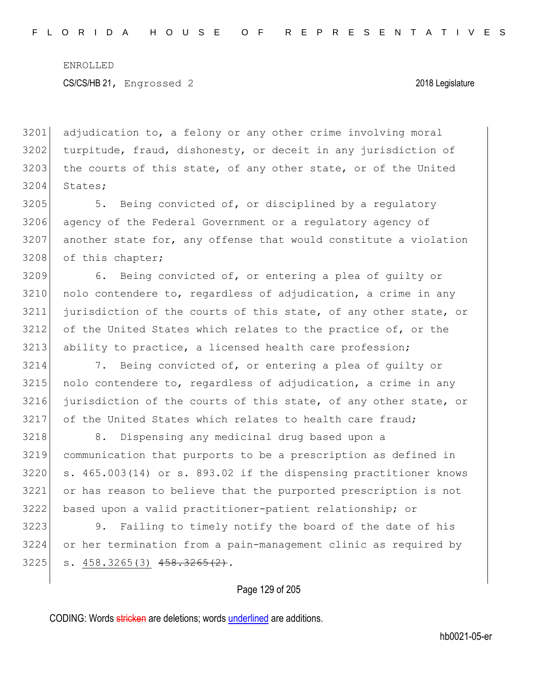adjudication to, a felony or any other crime involving moral turpitude, fraud, dishonesty, or deceit in any jurisdiction of the courts of this state, of any other state, or of the United 3204 States;

3205 5. Being convicted of, or disciplined by a regulatory 3206 agency of the Federal Government or a regulatory agency of  $3207$  another state for, any offense that would constitute a violation 3208 of this chapter;

3209 6. Being convicted of, or entering a plea of guilty or  $3210$  nolo contendere to, regardless of adjudication, a crime in any 3211 jurisdiction of the courts of this state, of any other state, or 3212 of the United States which relates to the practice of, or the 3213 ability to practice, a licensed health care profession;

 7. Being convicted of, or entering a plea of guilty or nolo contendere to, regardless of adjudication, a crime in any jurisdiction of the courts of this state, of any other state, or 3217 of the United States which relates to health care fraud;

3218 8. Dispensing any medicinal drug based upon a communication that purports to be a prescription as defined in s. 465.003(14) or s. 893.02 if the dispensing practitioner knows or has reason to believe that the purported prescription is not based upon a valid practitioner-patient relationship; or

3223 9. Failing to timely notify the board of the date of his 3224 or her termination from a pain-management clinic as required by  $3225$  s.  $458.3265(3)$   $458.3265(2)$ .

Page 129 of 205

CODING: Words stricken are deletions; words underlined are additions.

hb0021-05-er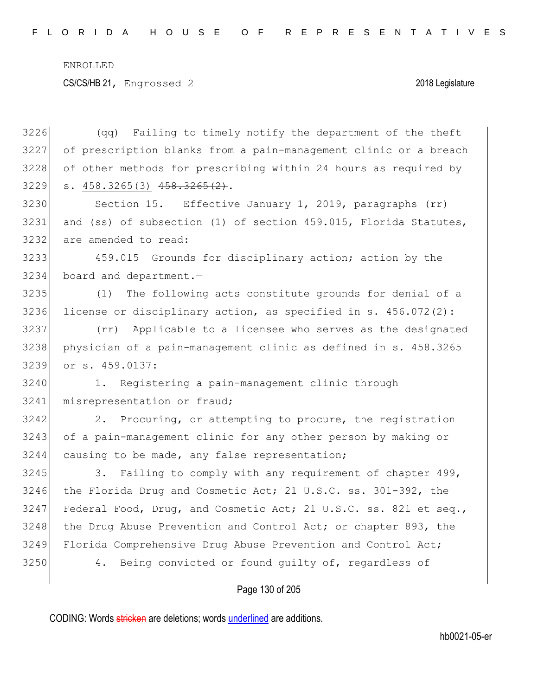CS/CS/HB 21, Engrossed 2 2018 Legislature

 (qq) Failing to timely notify the department of the theft of prescription blanks from a pain-management clinic or a breach of other methods for prescribing within 24 hours as required by s.  $458.3265(3)$   $458.3265(2)$ . 3230 Section 15. Effective January 1, 2019, paragraphs (rr) and (ss) of subsection (1) of section 459.015, Florida Statutes, are amended to read: 459.015 Grounds for disciplinary action; action by the board and department.— (1) The following acts constitute grounds for denial of a license or disciplinary action, as specified in s. 456.072(2): (rr) Applicable to a licensee who serves as the designated physician of a pain-management clinic as defined in s. 458.3265 or s. 459.0137: 1. Registering a pain-management clinic through misrepresentation or fraud; 3242 2. Procuring, or attempting to procure, the registration 3243 of a pain-management clinic for any other person by making or 3244 causing to be made, any false representation; 3245 3. Failing to comply with any requirement of chapter 499, the Florida Drug and Cosmetic Act; 21 U.S.C. ss. 301-392, the 3247 Federal Food, Drug, and Cosmetic Act; 21 U.S.C. ss. 821 et seq., 3248 the Drug Abuse Prevention and Control Act; or chapter 893, the 3249 Florida Comprehensive Drug Abuse Prevention and Control Act;

3250 4. Being convicted or found quilty of, regardless of

Page 130 of 205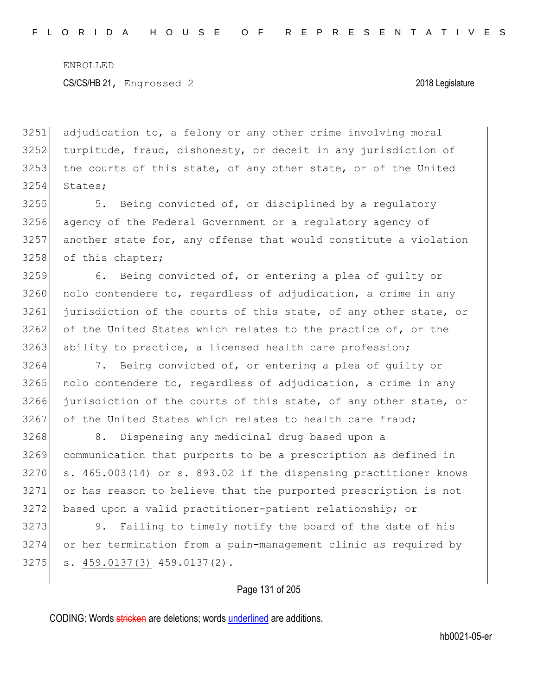3251 adjudication to, a felony or any other crime involving moral 3252 turpitude, fraud, dishonesty, or deceit in any jurisdiction of 3253 the courts of this state, of any other state, or of the United 3254 States;

3255 5. Being convicted of, or disciplined by a regulatory 3256 agency of the Federal Government or a regulatory agency of  $3257$  another state for, any offense that would constitute a violation 3258 of this chapter;

3259 6. Being convicted of, or entering a plea of guilty or  $3260$  nolo contendere to, regardless of adjudication, a crime in any 3261 jurisdiction of the courts of this state, of any other state, or 3262 of the United States which relates to the practice of, or the 3263 ability to practice, a licensed health care profession;

 7. Being convicted of, or entering a plea of guilty or nolo contendere to, regardless of adjudication, a crime in any jurisdiction of the courts of this state, of any other state, or 3267 of the United States which relates to health care fraud;

3268 8. Dispensing any medicinal drug based upon a communication that purports to be a prescription as defined in s. 465.003(14) or s. 893.02 if the dispensing practitioner knows or has reason to believe that the purported prescription is not based upon a valid practitioner-patient relationship; or

3273 9. Failing to timely notify the board of the date of his 3274 or her termination from a pain-management clinic as required by  $3275$  s.  $459.0137(3)$   $459.0137(2)$ .

Page 131 of 205

CODING: Words stricken are deletions; words underlined are additions.

hb0021-05-er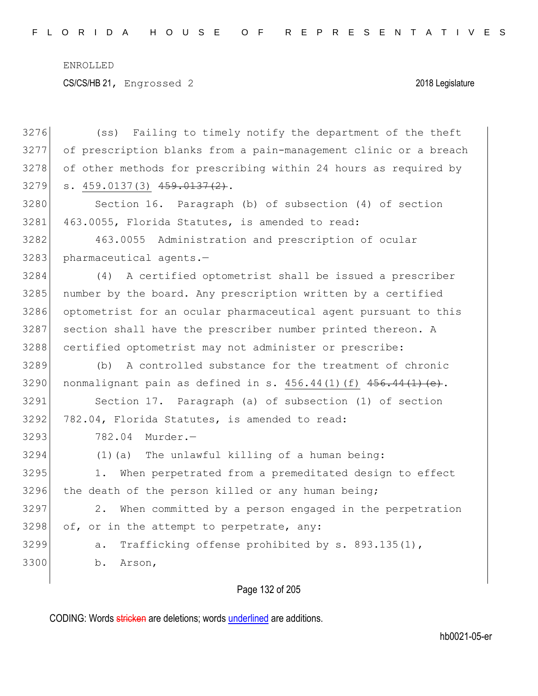CS/CS/HB 21, Engrossed 2 2018 Legislature

| 3276 | Failing to timely notify the department of the theft<br>(s <sub>S</sub> ) |
|------|---------------------------------------------------------------------------|
| 3277 | of prescription blanks from a pain-management clinic or a breach          |
| 3278 | of other methods for prescribing within 24 hours as required by           |
| 3279 | s. 459.0137(3) 459.0137(2).                                               |
| 3280 | Section 16. Paragraph (b) of subsection (4) of section                    |
| 3281 | 463.0055, Florida Statutes, is amended to read:                           |
| 3282 | 463.0055<br>Administration and prescription of ocular                     |
| 3283 | pharmaceutical agents.-                                                   |
| 3284 | A certified optometrist shall be issued a prescriber<br>(4)               |
| 3285 | number by the board. Any prescription written by a certified              |
| 3286 | optometrist for an ocular pharmaceutical agent pursuant to this           |
| 3287 | section shall have the prescriber number printed thereon. A               |
| 3288 | certified optometrist may not administer or prescribe:                    |
| 3289 | A controlled substance for the treatment of chronic<br>(b)                |
| 3290 | nonmalignant pain as defined in s. $456.44(1)$ (f) $456.44(1)$ (e).       |
| 3291 | Section 17. Paragraph (a) of subsection (1) of section                    |
| 3292 | 782.04, Florida Statutes, is amended to read:                             |
| 3293 | 782.04<br>Murder.-                                                        |
| 3294 | (1) (a) The unlawful killing of a human being:                            |
| 3295 | When perpetrated from a premeditated design to effect<br>1.               |
| 3296 | the death of the person killed or any human being;                        |
| 3297 | When committed by a person engaged in the perpetration<br>2.              |
| 3298 | of, or in the attempt to perpetrate, any:                                 |
| 3299 | Trafficking offense prohibited by s. 893.135(1),<br>a.                    |
| 3300 | b.<br>Arson,                                                              |
|      |                                                                           |

# Page 132 of 205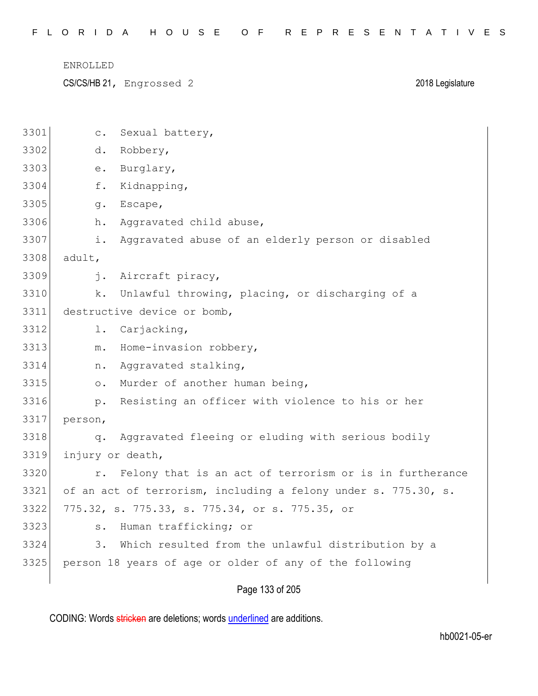CS/CS/HB 21, Engrossed 2 2018 Legislature

| 3301 | Sexual battery,<br>$\circ$ .                                      |
|------|-------------------------------------------------------------------|
| 3302 | d.<br>Robbery,                                                    |
| 3303 | Burglary,<br>е.                                                   |
| 3304 | f.<br>Kidnapping,                                                 |
| 3305 | Escape,<br>g.                                                     |
| 3306 | Aggravated child abuse,<br>h.                                     |
| 3307 | Aggravated abuse of an elderly person or disabled<br>i.           |
| 3308 | adult,                                                            |
| 3309 | i.<br>Aircraft piracy,                                            |
| 3310 | Unlawful throwing, placing, or discharging of a<br>k.             |
| 3311 | destructive device or bomb,                                       |
| 3312 | Carjacking,<br>l.                                                 |
| 3313 | Home-invasion robbery,<br>$m$ .                                   |
| 3314 | Aggravated stalking,<br>n.                                        |
| 3315 | Murder of another human being,<br>$\circ$ .                       |
| 3316 | Resisting an officer with violence to his or her<br>$p_{\bullet}$ |
| 3317 | person,                                                           |
| 3318 | Aggravated fleeing or eluding with serious bodily<br>q.           |
| 3319 | injury or death,                                                  |
| 3320 | Felony that is an act of terrorism or is in furtherance<br>$r$ .  |
| 3321 | of an act of terrorism, including a felony under s. 775.30, s.    |
| 3322 | 775.32, s. 775.33, s. 775.34, or s. 775.35, or                    |
| 3323 | Human trafficking; or<br>$S$ .                                    |
| 3324 | Which resulted from the unlawful distribution by a<br>3.          |
| 3325 | person 18 years of age or older of any of the following           |
|      |                                                                   |

Page 133 of 205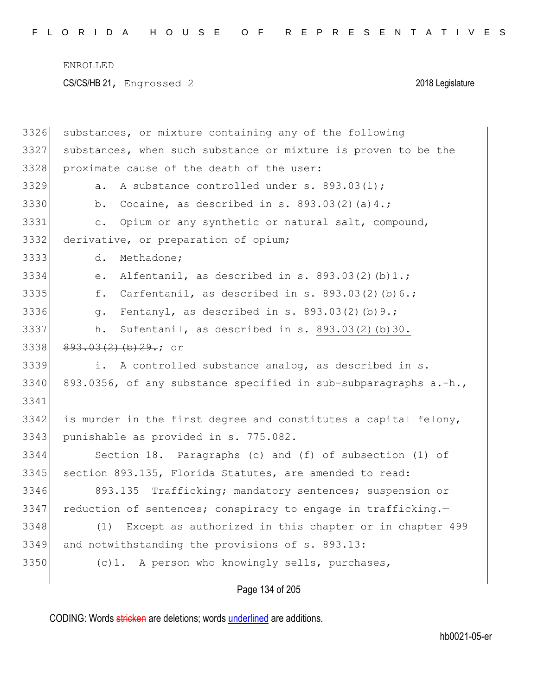| 3326 | substances, or mixture containing any of the following              |
|------|---------------------------------------------------------------------|
| 3327 | substances, when such substance or mixture is proven to be the      |
| 3328 | proximate cause of the death of the user:                           |
| 3329 | A substance controlled under s. 893.03(1);<br>$a$ .                 |
| 3330 | Cocaine, as described in s. $893.03(2)(a)4.$ ;<br>b.                |
| 3331 | Opium or any synthetic or natural salt, compound,<br>$\mathsf{C}$ . |
| 3332 | derivative, or preparation of opium;                                |
| 3333 | d.<br>Methadone;                                                    |
| 3334 | Alfentanil, as described in s. $893.03(2)(b)1.$ ;<br>е.             |
| 3335 | Carfentanil, as described in s. $893.03(2)(b)6.$ ;<br>f.            |
| 3336 | Fentanyl, as described in s. $893.03(2)(b)9.$ ;<br>q.               |
| 3337 | Sufentanil, as described in s. 893.03(2)(b)30.<br>h.                |
| 3338 | $893.03(2)$ (b) $29.7$ or                                           |
| 3339 | i. A controlled substance analog, as described in s.                |
| 3340 | 893.0356, of any substance specified in sub-subparagraphs a.-h.,    |
| 3341 |                                                                     |
| 3342 | is murder in the first degree and constitutes a capital felony,     |
| 3343 | punishable as provided in s. 775.082.                               |
| 3344 | Section 18. Paragraphs (c) and (f) of subsection (1) of             |
| 3345 | section 893.135, Florida Statutes, are amended to read:             |
| 3346 | 893.135 Trafficking; mandatory sentences; suspension or             |
| 3347 | reduction of sentences; conspiracy to engage in trafficking.-       |
| 3348 | Except as authorized in this chapter or in chapter 499<br>(1)       |
| 3349 | and notwithstanding the provisions of s. 893.13:                    |
| 3350 | (c)1. A person who knowingly sells, purchases,                      |
|      |                                                                     |

Page 134 of 205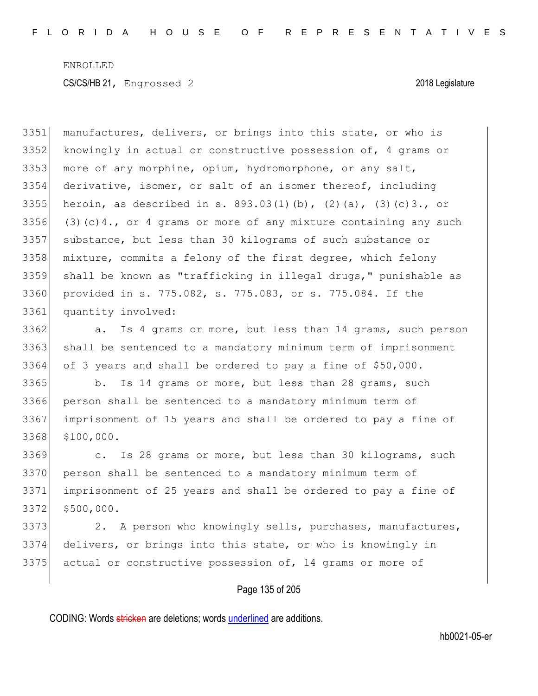manufactures, delivers, or brings into this state, or who is knowingly in actual or constructive possession of, 4 grams or 3353 more of any morphine, opium, hydromorphone, or any salt, derivative, isomer, or salt of an isomer thereof, including 3355 heroin, as described in s.  $893.03(1)(b)$ ,  $(2)(a)$ ,  $(3)(c)3$ ., or 3356 (3)(c)4., or 4 grams or more of any mixture containing any such substance, but less than 30 kilograms of such substance or mixture, commits a felony of the first degree, which felony shall be known as "trafficking in illegal drugs," punishable as provided in s. 775.082, s. 775.083, or s. 775.084. If the quantity involved:

3362 a. Is 4 grams or more, but less than 14 grams, such person 3363 shall be sentenced to a mandatory minimum term of imprisonment 3364 of 3 years and shall be ordered to pay a fine of \$50,000.

3365 b. Is 14 grams or more, but less than 28 grams, such person shall be sentenced to a mandatory minimum term of imprisonment of 15 years and shall be ordered to pay a fine of \$100,000.

3369 c. Is 28 grams or more, but less than 30 kilograms, such person shall be sentenced to a mandatory minimum term of imprisonment of 25 years and shall be ordered to pay a fine of \$500,000.

3373 2. A person who knowingly sells, purchases, manufactures, 3374 delivers, or brings into this state, or who is knowingly in 3375 actual or constructive possession of, 14 grams or more of

### Page 135 of 205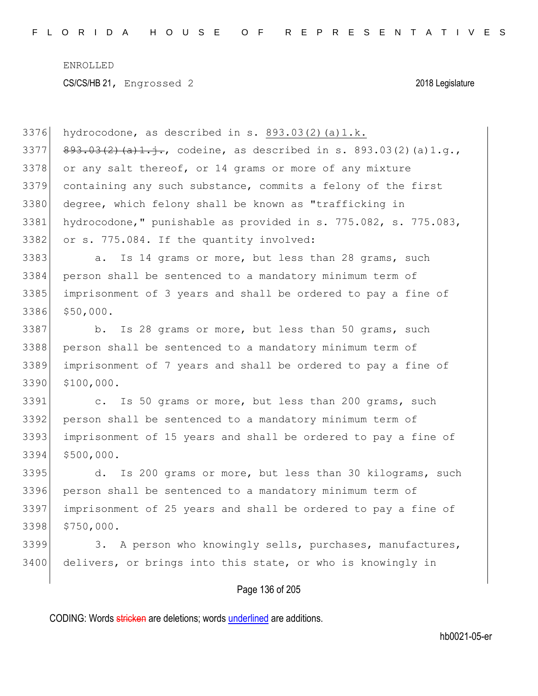3376 hydrocodone, as described in s.  $893.03(2)(a)1.k.$ 3377 893.03(2)(a)1.j., codeine, as described in s. 893.03(2)(a)1.g., 3378 or any salt thereof, or 14 grams or more of any mixture 3379 containing any such substance, commits a felony of the first 3380 degree, which felony shall be known as "trafficking in 3381 hydrocodone," punishable as provided in s. 775.082, s. 775.083, 3382 or s. 775.084. If the quantity involved: 3383 a. Is 14 grams or more, but less than 28 grams, such 3384 person shall be sentenced to a mandatory minimum term of 3385 imprisonment of 3 years and shall be ordered to pay a fine of 3386 \$50,000. 3387 b. Is 28 grams or more, but less than 50 grams, such 3388 person shall be sentenced to a mandatory minimum term of 3389 imprisonment of 7 years and shall be ordered to pay a fine of 3390 \$100,000. 3391 c. Is 50 grams or more, but less than 200 grams, such 3392 person shall be sentenced to a mandatory minimum term of 3393 imprisonment of 15 years and shall be ordered to pay a fine of 3394 \$500,000. 3395 d. Is 200 grams or more, but less than 30 kilograms, such 3396 person shall be sentenced to a mandatory minimum term of 3397 imprisonment of 25 years and shall be ordered to pay a fine of 3398 \$750,000. 3399 3. A person who knowingly sells, purchases, manufactures, 3400 delivers, or brings into this state, or who is knowingly in

### Page 136 of 205

CODING: Words stricken are deletions; words underlined are additions.

hb0021-05-er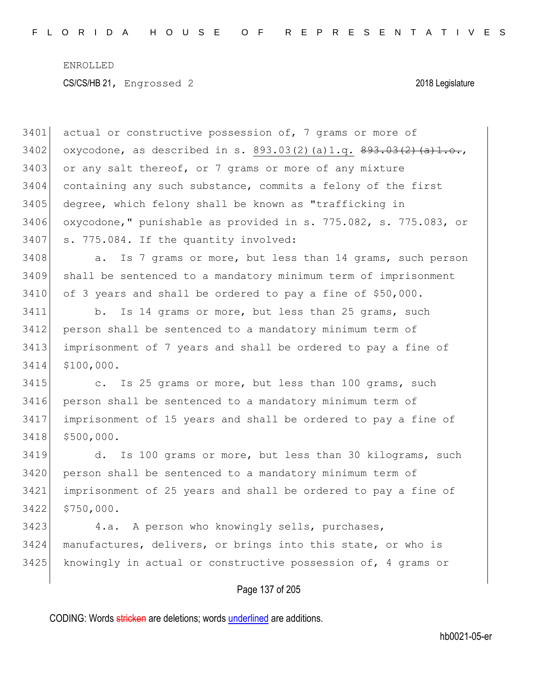Page 137 of 205 3401 actual or constructive possession of, 7 grams or more of 3402 oxycodone, as described in s. 893.03(2)(a)1.g.  $893.03(2)$  (a)1.9. or any salt thereof, or 7 grams or more of any mixture containing any such substance, commits a felony of the first degree, which felony shall be known as "trafficking in oxycodone," punishable as provided in s. 775.082, s. 775.083, or 3407 s. 775.084. If the quantity involved: 3408 a. Is 7 grams or more, but less than 14 grams, such person shall be sentenced to a mandatory minimum term of imprisonment of 3 years and shall be ordered to pay a fine of \$50,000. b. Is 14 grams or more, but less than 25 grams, such person shall be sentenced to a mandatory minimum term of imprisonment of 7 years and shall be ordered to pay a fine of \$100,000. 3415 c. Is 25 grams or more, but less than 100 grams, such person shall be sentenced to a mandatory minimum term of imprisonment of 15 years and shall be ordered to pay a fine of \$500,000. d. Is 100 grams or more, but less than 30 kilograms, such person shall be sentenced to a mandatory minimum term of imprisonment of 25 years and shall be ordered to pay a fine of \$750,000. 3423 4.a. A person who knowingly sells, purchases, manufactures, delivers, or brings into this state, or who is 3425 knowingly in actual or constructive possession of, 4 grams or

CODING: Words stricken are deletions; words underlined are additions.

hb0021-05-er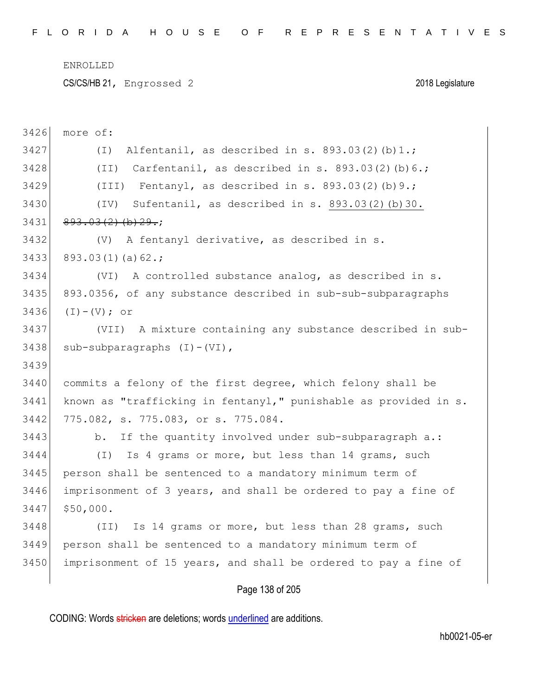CS/CS/HB 21, Engrossed 2 2018 Legislature

| 3426 | more of:                                                         |
|------|------------------------------------------------------------------|
| 3427 | Alfentanil, as described in s. 893.03(2)(b)1.;<br>$(\top)$       |
| 3428 | (II) Carfentanil, as described in s. $893.03(2)$ (b) $6.$ ;      |
| 3429 | (III) Fentanyl, as described in s. 893.03(2)(b) 9.;              |
| 3430 | Sufentanil, as described in s. 893.03(2)(b)30.<br>(TV)           |
| 3431 | $893.03(2)$ (b) $29.$ ;                                          |
| 3432 | (V)<br>A fentanyl derivative, as described in s.                 |
| 3433 | $893.03(1)(a)62$ .;                                              |
| 3434 | A controlled substance analog, as described in s.<br>(VI)        |
| 3435 | 893.0356, of any substance described in sub-sub-subparagraphs    |
| 3436 | $(I) - (V)$ ; or                                                 |
| 3437 | (VII) A mixture containing any substance described in sub-       |
| 3438 | $sub-subparagraphs (I) - (VI)$ ,                                 |
| 3439 |                                                                  |
| 3440 | commits a felony of the first degree, which felony shall be      |
| 3441 | known as "trafficking in fentanyl," punishable as provided in s. |
| 3442 | 775.082, s. 775.083, or s. 775.084.                              |
| 3443 | If the quantity involved under sub-subparagraph a.:<br>b.        |
| 3444 | Is 4 grams or more, but less than 14 grams, such<br>$(\top)$     |
| 3445 | person shall be sentenced to a mandatory minimum term of         |
| 3446 | imprisonment of 3 years, and shall be ordered to pay a fine of   |
| 3447 | \$50,000.                                                        |
| 3448 | Is 14 grams or more, but less than 28 grams, such<br>(TI)        |
| 3449 | person shall be sentenced to a mandatory minimum term of         |
| 3450 | imprisonment of 15 years, and shall be ordered to pay a fine of  |
|      |                                                                  |

Page 138 of 205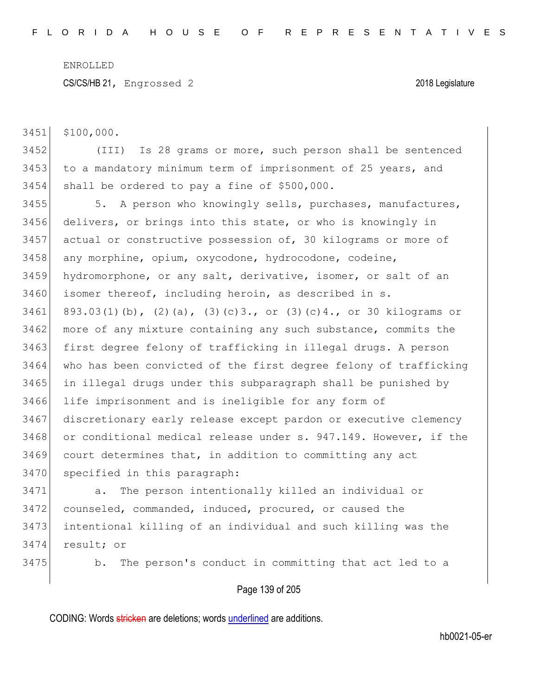CS/CS/HB 21, Engrossed 2 2018 Legislature

3451 \$100,000.

3452 (III) Is 28 grams or more, such person shall be sentenced 3453 to a mandatory minimum term of imprisonment of 25 years, and 3454 shall be ordered to pay a fine of \$500,000.

3455 5. A person who knowingly sells, purchases, manufactures, delivers, or brings into this state, or who is knowingly in actual or constructive possession of, 30 kilograms or more of any morphine, opium, oxycodone, hydrocodone, codeine, hydromorphone, or any salt, derivative, isomer, or salt of an 3460 isomer thereof, including heroin, as described in s. 3461 893.03(1)(b), (2)(a), (3)(c)3., or (3)(c)4., or 30 kilograms or 3462 more of any mixture containing any such substance, commits the 3463 first degree felony of trafficking in illegal drugs. A person who has been convicted of the first degree felony of trafficking in illegal drugs under this subparagraph shall be punished by life imprisonment and is ineligible for any form of discretionary early release except pardon or executive clemency 3468 or conditional medical release under s. 947.149. However, if the court determines that, in addition to committing any act specified in this paragraph:

 a. The person intentionally killed an individual or counseled, commanded, induced, procured, or caused the intentional killing of an individual and such killing was the result; or

3475 b. The person's conduct in committing that act led to a

### Page 139 of 205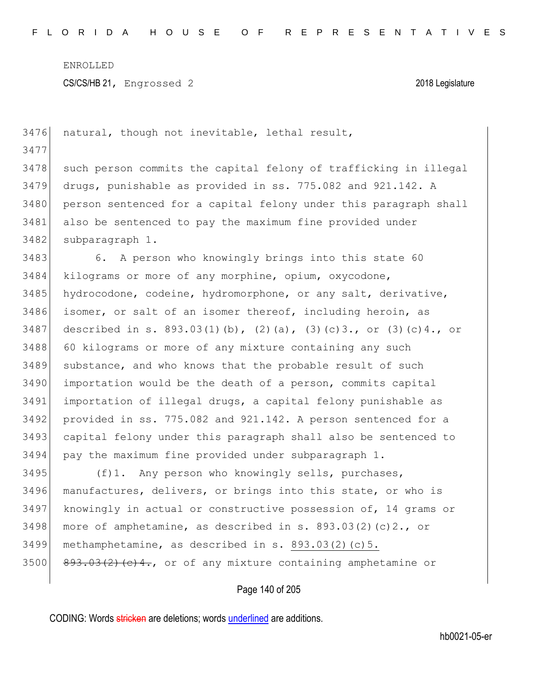| 3476 | natural, though not inevitable, lethal result,                              |
|------|-----------------------------------------------------------------------------|
| 3477 |                                                                             |
| 3478 | such person commits the capital felony of trafficking in illegal            |
| 3479 | drugs, punishable as provided in ss. 775.082 and 921.142. A                 |
| 3480 | person sentenced for a capital felony under this paragraph shall            |
| 3481 | also be sentenced to pay the maximum fine provided under                    |
| 3482 | subparagraph 1.                                                             |
| 3483 | 6. A person who knowingly brings into this state 60                         |
| 3484 | kilograms or more of any morphine, opium, oxycodone,                        |
| 3485 | hydrocodone, codeine, hydromorphone, or any salt, derivative,               |
| 3486 | isomer, or salt of an isomer thereof, including heroin, as                  |
| 3487 | described in s. $893.03(1)(b)$ , $(2)(a)$ , $(3)(c)3$ ., or $(3)(c)4$ ., or |
| 3488 | 60 kilograms or more of any mixture containing any such                     |
| 3489 | substance, and who knows that the probable result of such                   |
| 3490 | importation would be the death of a person, commits capital                 |
| 3491 | importation of illegal drugs, a capital felony punishable as                |
| 3492 | provided in ss. 775.082 and 921.142. A person sentenced for a               |
| 3493 | capital felony under this paragraph shall also be sentenced to              |
| 3494 | pay the maximum fine provided under subparagraph 1.                         |
| 3495 | (f)1. Any person who knowingly sells, purchases,                            |
| 3496 | manufactures, delivers, or brings into this state, or who is                |
| 3497 | knowingly in actual or constructive possession of, 14 grams or              |
| 3498 | more of amphetamine, as described in s. $893.03(2)(c)2.$ , or               |
| 3499 | methamphetamine, as described in s. 893.03(2)(c)5.                          |
| 3500 | 893.03(2)(c)4., or of any mixture containing amphetamine or                 |
|      | Page 140 of 205                                                             |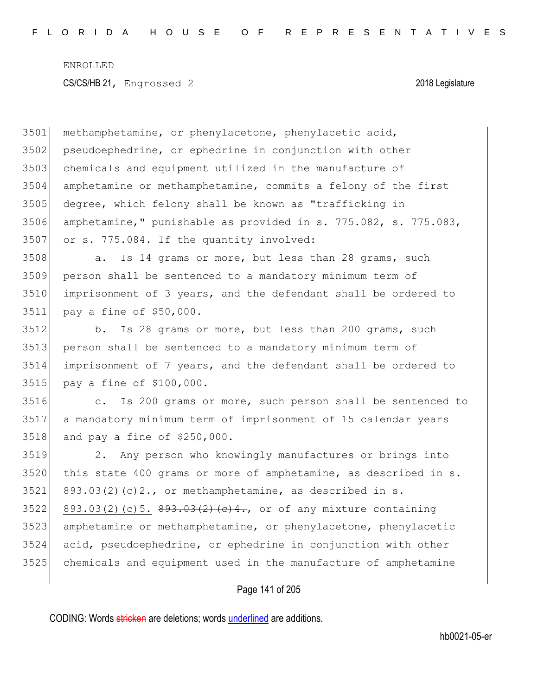methamphetamine, or phenylacetone, phenylacetic acid, pseudoephedrine, or ephedrine in conjunction with other 3503 chemicals and equipment utilized in the manufacture of amphetamine or methamphetamine, commits a felony of the first degree, which felony shall be known as "trafficking in amphetamine," punishable as provided in s. 775.082, s. 775.083, or s. 775.084. If the quantity involved:

3508 a. Is 14 grams or more, but less than 28 grams, such person shall be sentenced to a mandatory minimum term of imprisonment of 3 years, and the defendant shall be ordered to pay a fine of \$50,000.

3512 b. Is 28 grams or more, but less than 200 grams, such person shall be sentenced to a mandatory minimum term of imprisonment of 7 years, and the defendant shall be ordered to pay a fine of \$100,000.

 c. Is 200 grams or more, such person shall be sentenced to a mandatory minimum term of imprisonment of 15 calendar years and pay a fine of \$250,000.

 2. Any person who knowingly manufactures or brings into this state 400 grams or more of amphetamine, as described in s. 893.03(2)(c)2., or methamphetamine, as described in s. 3522 893.03(2)(c)5.  $893.03(2)$  (c) 3.  $893.03(2)$  (e) 4., or of any mixture containing amphetamine or methamphetamine, or phenylacetone, phenylacetic acid, pseudoephedrine, or ephedrine in conjunction with other chemicals and equipment used in the manufacture of amphetamine

### Page 141 of 205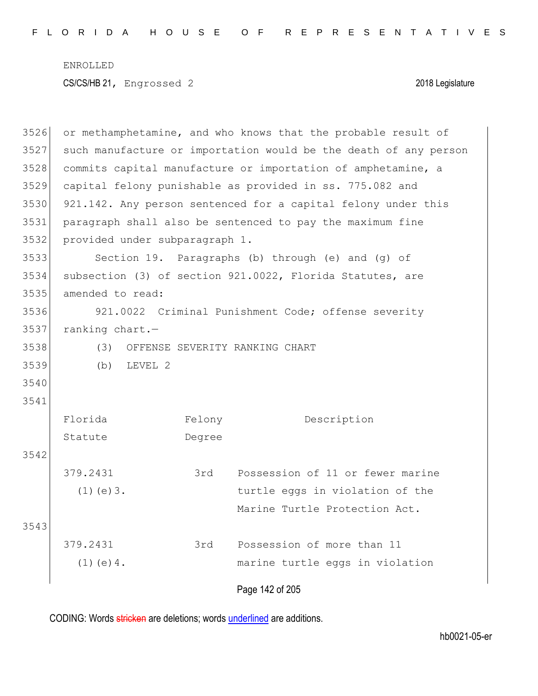Page 142 of 205 3526 or methamphetamine, and who knows that the probable result of 3527 such manufacture or importation would be the death of any person 3528 commits capital manufacture or importation of amphetamine, a 3529 capital felony punishable as provided in ss. 775.082 and 3530 921.142. Any person sentenced for a capital felony under this 3531 paragraph shall also be sentenced to pay the maximum fine 3532 provided under subparagraph 1. 3533 Section 19. Paragraphs (b) through (e) and (g) of 3534 subsection (3) of section 921.0022, Florida Statutes, are 3535 amended to read: 3536 921.0022 Criminal Punishment Code; offense severity 3537 ranking chart.— 3538 (3) OFFENSE SEVERITY RANKING CHART 3539 (b) LEVEL 2 3540 3541 Florida Statute Felony Degree Description 3542 379.2431  $(1)(e)3.$ 3rd Possession of 11 or fewer marine turtle eggs in violation of the Marine Turtle Protection Act. 3543 379.2431  $(1)(e)4.$ 3rd Possession of more than 11 marine turtle eggs in violation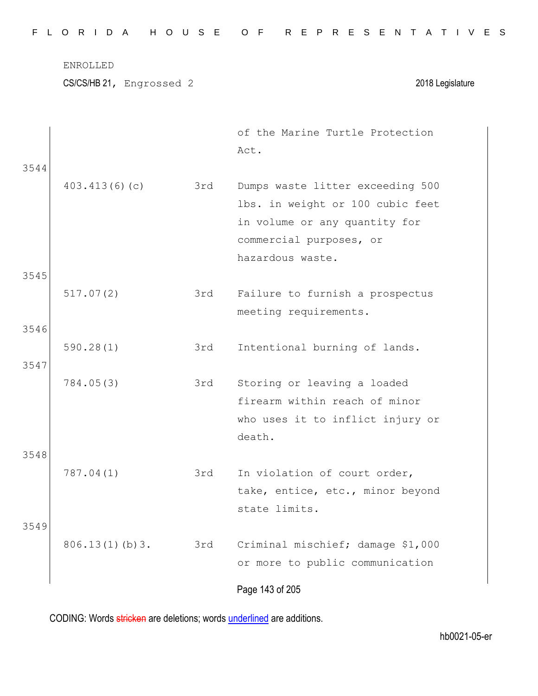|  |  |  |  |  |  | FLORIDA HOUSE OF REPRESENTATIVES |  |  |  |  |  |  |  |  |
|--|--|--|--|--|--|----------------------------------|--|--|--|--|--|--|--|--|
|  |  |  |  |  |  |                                  |  |  |  |  |  |  |  |  |

|      |                |     | of the Marine Turtle Protection<br>Act.                              |
|------|----------------|-----|----------------------------------------------------------------------|
| 3544 | 403.413(6)(c)  | 3rd | Dumps waste litter exceeding 500<br>lbs. in weight or 100 cubic feet |
|      |                |     | in volume or any quantity for                                        |
|      |                |     | commercial purposes, or                                              |
|      |                |     | hazardous waste.                                                     |
| 3545 |                |     |                                                                      |
|      | 517.07(2)      | 3rd | Failure to furnish a prospectus                                      |
| 3546 |                |     | meeting requirements.                                                |
|      | 590.28(1)      | 3rd | Intentional burning of lands.                                        |
| 3547 |                |     |                                                                      |
|      | 784.05(3)      | 3rd | Storing or leaving a loaded                                          |
|      |                |     | firearm within reach of minor                                        |
|      |                |     | who uses it to inflict injury or                                     |
|      |                |     | death.                                                               |
| 3548 |                |     |                                                                      |
|      | 787.04(1)      | 3rd | In violation of court order,                                         |
|      |                |     | take, entice, etc., minor beyond<br>state limits.                    |
| 3549 |                |     |                                                                      |
|      | 806.13(1)(b)3. | 3rd | Criminal mischief; damage \$1,000                                    |
|      |                |     | or more to public communication                                      |
|      |                |     | Page 143 of 205                                                      |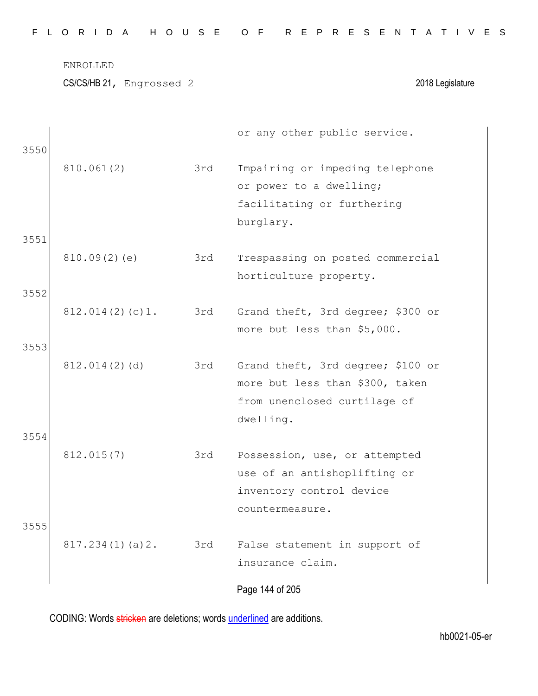CS/CS/HB 21, Engrossed 2 2018 Legislature

| 3550         |                 |     | or any other public service.                                                                                      |
|--------------|-----------------|-----|-------------------------------------------------------------------------------------------------------------------|
| 3551         | 810.061(2)      | 3rd | Impairing or impeding telephone<br>or power to a dwelling;<br>facilitating or furthering<br>burglary.             |
|              | 810.09(2)(e)    | 3rd | Trespassing on posted commercial<br>horticulture property.                                                        |
| 3552         | 812.014(2)(c)1. | 3rd | Grand theft, 3rd degree; \$300 or<br>more but less than \$5,000.                                                  |
| 3553<br>3554 | 812.014(2)(d)   | 3rd | Grand theft, 3rd degree; \$100 or<br>more but less than \$300, taken<br>from unenclosed curtilage of<br>dwelling. |
|              | 812.015(7)      | 3rd | Possession, use, or attempted<br>use of an antishoplifting or<br>inventory control device<br>countermeasure.      |
| 3555         | 817.234(1)(a)2. | 3rd | False statement in support of<br>insurance claim.<br>Page 144 of 205                                              |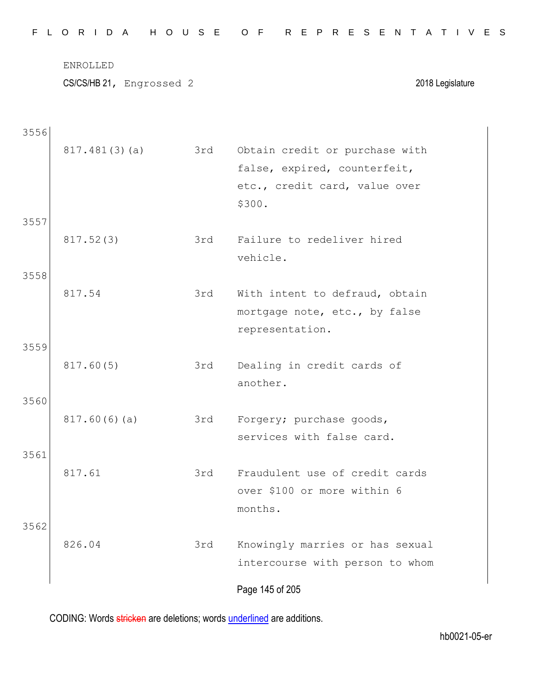|  |  |  |  |  |  | FLORIDA HOUSE OF REPRESENTATIVES |  |  |  |  |  |  |  |  |
|--|--|--|--|--|--|----------------------------------|--|--|--|--|--|--|--|--|
|  |  |  |  |  |  |                                  |  |  |  |  |  |  |  |  |

CS/CS/HB 21, Engrossed 2 2018 Legislature

| 3556 |               |     |                                                                 |
|------|---------------|-----|-----------------------------------------------------------------|
|      | 817.481(3)(a) | 3rd | Obtain credit or purchase with<br>false, expired, counterfeit,  |
|      |               |     | etc., credit card, value over<br>\$300.                         |
| 3557 |               |     |                                                                 |
|      | 817.52(3)     | 3rd | Failure to redeliver hired<br>vehicle.                          |
| 3558 |               |     |                                                                 |
|      | 817.54        | 3rd | With intent to defraud, obtain<br>mortgage note, etc., by false |
|      |               |     | representation.                                                 |
| 3559 |               |     |                                                                 |
|      | 817.60(5)     | 3rd | Dealing in credit cards of                                      |
|      |               |     | another.                                                        |
| 3560 |               |     |                                                                 |
|      | 817.60(6)(a)  | 3rd | Forgery; purchase goods,                                        |
|      |               |     | services with false card.                                       |
| 3561 | 817.61        |     | Fraudulent use of credit cards                                  |
|      |               | 3rd | over \$100 or more within 6                                     |
|      |               |     | months.                                                         |
| 3562 |               |     |                                                                 |
|      | 826.04        | 3rd | Knowingly marries or has sexual                                 |
|      |               |     | intercourse with person to whom                                 |
|      |               |     | Page 145 of 205                                                 |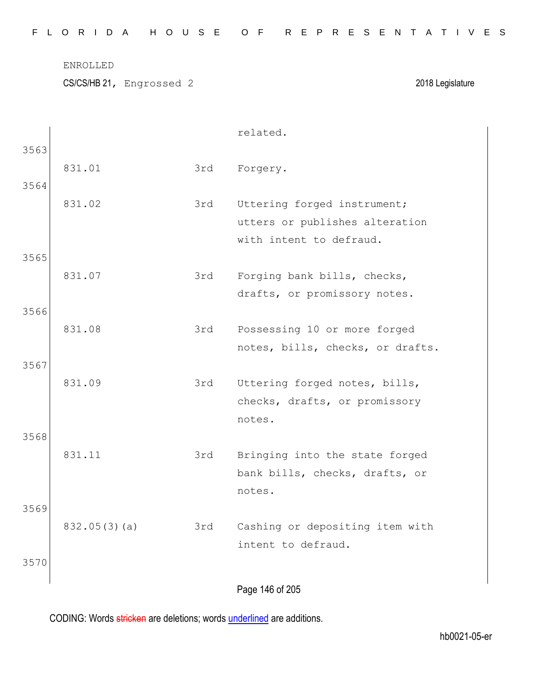| FLORIDA HOUSE OF REPRESENTATIVES |  |  |  |  |  |  |  |  |  |  |  |  |  |  |  |  |  |  |  |  |  |  |  |  |  |  |  |
|----------------------------------|--|--|--|--|--|--|--|--|--|--|--|--|--|--|--|--|--|--|--|--|--|--|--|--|--|--|--|
|----------------------------------|--|--|--|--|--|--|--|--|--|--|--|--|--|--|--|--|--|--|--|--|--|--|--|--|--|--|--|

CS/CS/HB 21, Engrossed 2 2018 Legislature

|      |              |     | related.                                                    |
|------|--------------|-----|-------------------------------------------------------------|
| 3563 |              |     |                                                             |
|      | 831.01       | 3rd | Forgery.                                                    |
| 3564 |              |     |                                                             |
|      | 831.02       | 3rd | Uttering forged instrument;                                 |
|      |              |     | utters or publishes alteration                              |
|      |              |     | with intent to defraud.                                     |
| 3565 | 831.07       | 3rd |                                                             |
|      |              |     | Forging bank bills, checks,<br>drafts, or promissory notes. |
| 3566 |              |     |                                                             |
|      | 831.08       | 3rd | Possessing 10 or more forged                                |
|      |              |     | notes, bills, checks, or drafts.                            |
| 3567 |              |     |                                                             |
|      | 831.09       | 3rd | Uttering forged notes, bills,                               |
|      |              |     | checks, drafts, or promissory                               |
|      |              |     | notes.                                                      |
| 3568 |              |     |                                                             |
|      | 831.11       | 3rd | Bringing into the state forged                              |
|      |              |     | bank bills, checks, drafts, or                              |
|      |              |     | notes.                                                      |
| 3569 |              |     |                                                             |
|      | 832.05(3)(a) | 3rd | Cashing or depositing item with<br>intent to defraud.       |
| 3570 |              |     |                                                             |
|      |              |     |                                                             |
|      |              |     | Page 146 of 205                                             |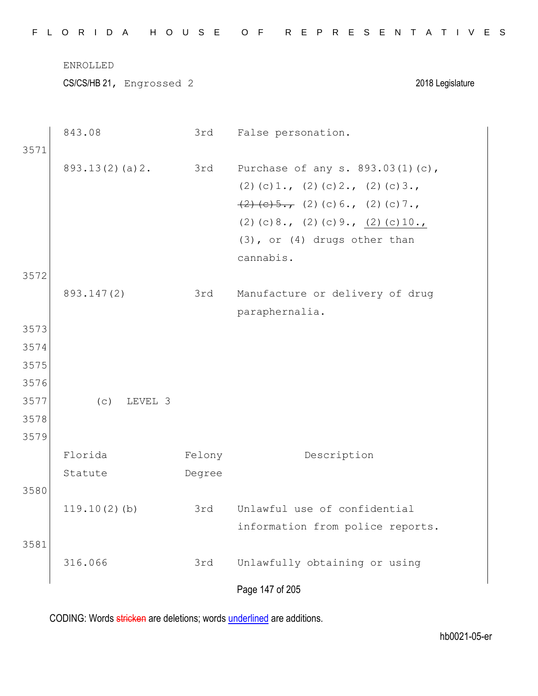|--|

|      | 843.08          | 3rd    | False personation.                         |
|------|-----------------|--------|--------------------------------------------|
| 3571 |                 |        |                                            |
|      | 893.13(2)(a)2.  | 3rd    | Purchase of any s. 893.03(1)(c),           |
|      |                 |        | $(2)$ (c) 1., (2) (c) 2., (2) (c) 3.,      |
|      |                 |        | $\frac{(2)(c)5.7}{(2)(c)6.7}$ (2) (c) 7.,  |
|      |                 |        | (2) (c) $8.7$ (2) (c) $9.7$ (2) (c) $10.7$ |
|      |                 |        | (3), or (4) drugs other than               |
|      |                 |        | cannabis.                                  |
| 3572 |                 |        |                                            |
|      | 893.147(2)      | 3rd    | Manufacture or delivery of drug            |
|      |                 |        | paraphernalia.                             |
| 3573 |                 |        |                                            |
| 3574 |                 |        |                                            |
| 3575 |                 |        |                                            |
| 3576 |                 |        |                                            |
| 3577 | (c)<br>LEVEL 3  |        |                                            |
| 3578 |                 |        |                                            |
| 3579 |                 |        |                                            |
|      | Florida         | Felony | Description                                |
|      | Statute         | Degree |                                            |
| 3580 |                 |        |                                            |
|      | $119.10(2)$ (b) | 3rd    | Unlawful use of confidential               |
|      |                 |        | information from police reports.           |
| 3581 |                 |        |                                            |
|      | 316.066         | 3rd    | Unlawfully obtaining or using              |
|      |                 |        | Page 147 of 205                            |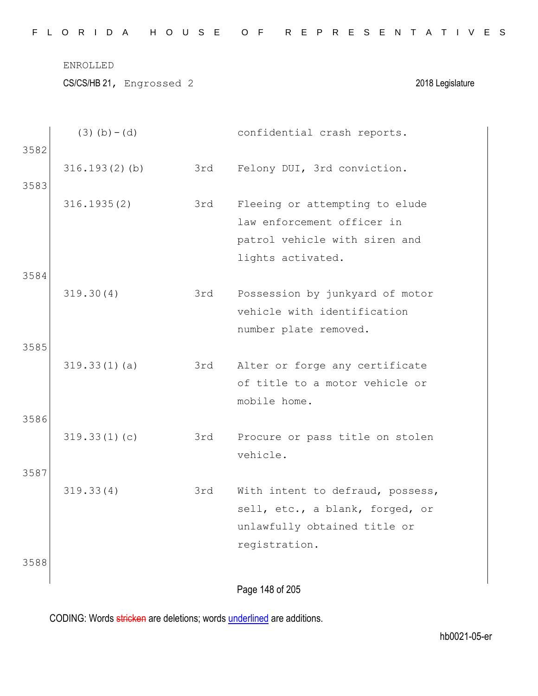|  |  |  |  |  |  | FLORIDA HOUSE OF REPRESENTATIVES |  |  |  |  |  |  |  |  |
|--|--|--|--|--|--|----------------------------------|--|--|--|--|--|--|--|--|
|  |  |  |  |  |  |                                  |  |  |  |  |  |  |  |  |

|      | $(3)$ (b) – (d)  |     | confidential crash reports.                                  |
|------|------------------|-----|--------------------------------------------------------------|
| 3582 |                  |     |                                                              |
|      | $316.193(2)$ (b) | 3rd | Felony DUI, 3rd conviction.                                  |
| 3583 |                  |     |                                                              |
|      | 316.1935(2)      | 3rd | Fleeing or attempting to elude<br>law enforcement officer in |
|      |                  |     | patrol vehicle with siren and                                |
|      |                  |     | lights activated.                                            |
| 3584 |                  |     |                                                              |
|      | 319.30(4)        | 3rd | Possession by junkyard of motor                              |
|      |                  |     | vehicle with identification                                  |
|      |                  |     | number plate removed.                                        |
| 3585 |                  |     |                                                              |
|      | 319.33(1)(a)     | 3rd | Alter or forge any certificate                               |
|      |                  |     | of title to a motor vehicle or                               |
|      |                  |     | mobile home.                                                 |
| 3586 |                  |     |                                                              |
|      | 319.33(1)(c)     | 3rd | Procure or pass title on stolen                              |
| 3587 |                  |     | vehicle.                                                     |
|      | 319.33(4)        | 3rd | With intent to defraud, possess,                             |
|      |                  |     | sell, etc., a blank, forged, or                              |
|      |                  |     | unlawfully obtained title or                                 |
|      |                  |     | registration.                                                |
| 3588 |                  |     |                                                              |
|      |                  |     |                                                              |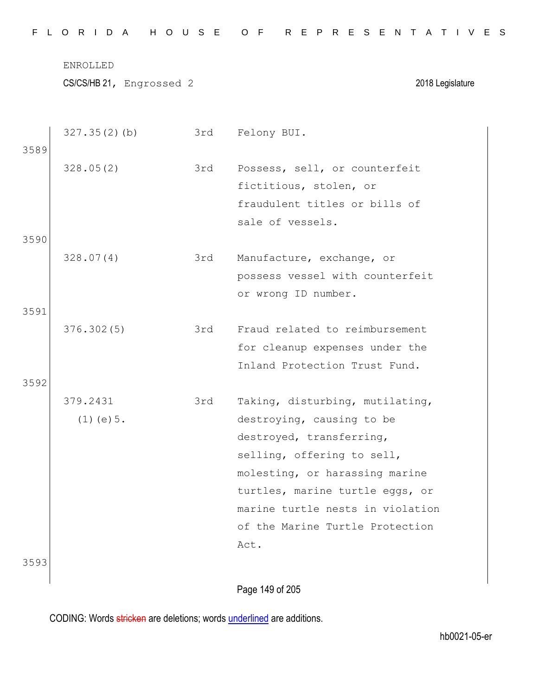CS/CS/HB 21, Engrossed 2 2018 Legislature

|      | 327.35(2)(b)    | 3rd | Felony BUI.                      |
|------|-----------------|-----|----------------------------------|
| 3589 |                 |     |                                  |
|      | 328.05(2)       | 3rd | Possess, sell, or counterfeit    |
|      |                 |     | fictitious, stolen, or           |
|      |                 |     | fraudulent titles or bills of    |
|      |                 |     | sale of vessels.                 |
| 3590 |                 |     |                                  |
|      | 328.07(4)       | 3rd | Manufacture, exchange, or        |
|      |                 |     | possess vessel with counterfeit  |
|      |                 |     | or wrong ID number.              |
| 3591 |                 |     |                                  |
|      | 376.302(5)      | 3rd | Fraud related to reimbursement   |
|      |                 |     | for cleanup expenses under the   |
|      |                 |     | Inland Protection Trust Fund.    |
| 3592 |                 |     |                                  |
|      | 379.2431        | 3rd | Taking, disturbing, mutilating,  |
|      | $(1)$ (e) $5$ . |     | destroying, causing to be        |
|      |                 |     | destroyed, transferring,         |
|      |                 |     | selling, offering to sell,       |
|      |                 |     | molesting, or harassing marine   |
|      |                 |     | turtles, marine turtle eggs, or  |
|      |                 |     | marine turtle nests in violation |
|      |                 |     | of the Marine Turtle Protection  |
|      |                 |     | Act.                             |
| 3593 |                 |     |                                  |
|      |                 |     |                                  |

Page 149 of 205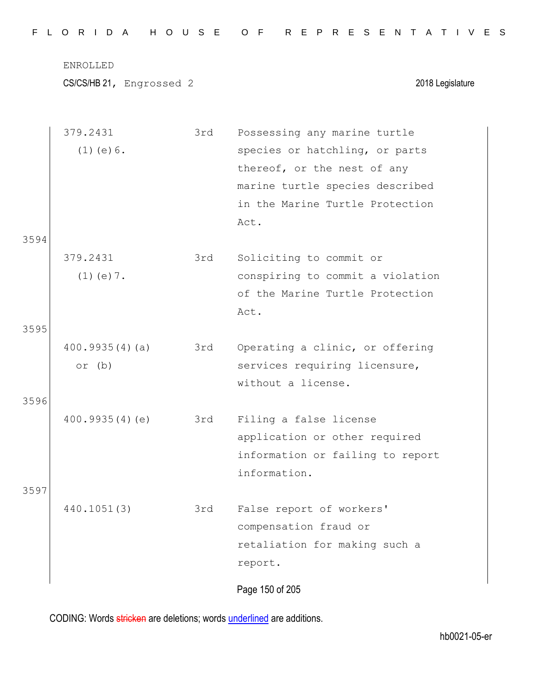|  |  |  |  |  |  | FLORIDA HOUSE OF REPRESENTATIVES |  |  |  |  |  |  |  |  |  |
|--|--|--|--|--|--|----------------------------------|--|--|--|--|--|--|--|--|--|
|  |  |  |  |  |  |                                  |  |  |  |  |  |  |  |  |  |

CS/CS/HB 21, Engrossed 2 2018 Legislature

|      | 379.2431        | 3rd | Possessing any marine turtle     |
|------|-----------------|-----|----------------------------------|
|      | $(1)$ (e) $6$ . |     | species or hatchling, or parts   |
|      |                 |     | thereof, or the nest of any      |
|      |                 |     | marine turtle species described  |
|      |                 |     | in the Marine Turtle Protection  |
|      |                 |     | Act.                             |
| 3594 |                 |     |                                  |
|      | 379.2431        | 3rd | Soliciting to commit or          |
|      | $(1)$ (e) 7.    |     | conspiring to commit a violation |
|      |                 |     | of the Marine Turtle Protection  |
|      |                 |     | Act.                             |
| 3595 |                 |     |                                  |
|      | 400.9935(4)(a)  | 3rd | Operating a clinic, or offering  |
|      | or (b)          |     | services requiring licensure,    |
|      |                 |     | without a license.               |
| 3596 |                 |     |                                  |
|      | 400.9935(4)(e)  | 3rd | Filing a false license           |
|      |                 |     | application or other required    |
|      |                 |     | information or failing to report |
|      |                 |     | information.                     |
| 3597 |                 |     |                                  |
|      | 440.1051(3)     | 3rd | False report of workers'         |
|      |                 |     | compensation fraud or            |
|      |                 |     | retaliation for making such a    |
|      |                 |     | report.                          |
|      |                 |     | Page 150 of 205                  |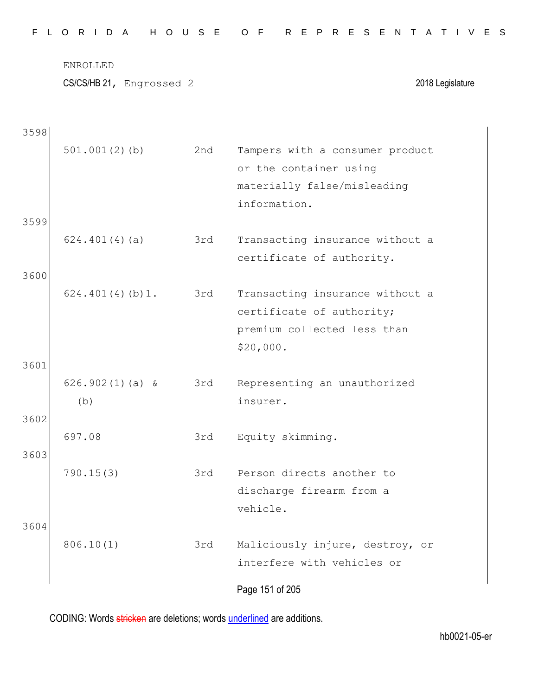CS/CS/HB 21, Engrossed 2 2018 Legislature

| 3598 |                          |     |                                                                                                          |
|------|--------------------------|-----|----------------------------------------------------------------------------------------------------------|
|      | $501.001(2)$ (b)         | 2nd | Tampers with a consumer product<br>or the container using<br>materially false/misleading<br>information. |
| 3599 |                          |     |                                                                                                          |
|      | 624.401(4)(a)            | 3rd | Transacting insurance without a<br>certificate of authority.                                             |
| 3600 |                          |     |                                                                                                          |
|      | 624.401(4)(b)1.          | 3rd | Transacting insurance without a<br>certificate of authority;<br>premium collected less than<br>\$20,000. |
| 3601 |                          |     |                                                                                                          |
|      | $626.902(1)(a)$ &<br>(b) | 3rd | Representing an unauthorized<br>insurer.                                                                 |
| 3602 |                          |     |                                                                                                          |
| 3603 | 697.08                   | 3rd | Equity skimming.                                                                                         |
|      | 790.15(3)                | 3rd | Person directs another to<br>discharge firearm from a<br>vehicle.                                        |
| 3604 | 806.10(1)                | 3rd | Maliciously injure, destroy, or<br>interfere with vehicles or                                            |
|      |                          |     | Page 151 of 205                                                                                          |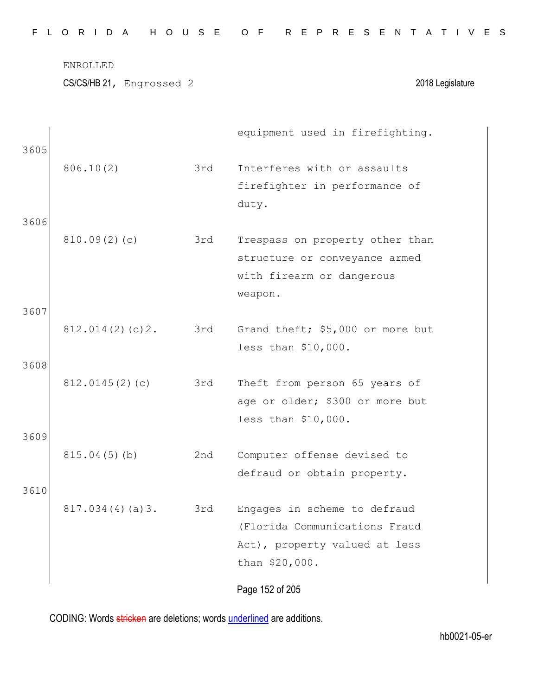|  |  |  | FLORIDA HOUSE OF REPRESENTATIVES |  |  |  |  |  |  |  |  |  |  |  |  |
|--|--|--|----------------------------------|--|--|--|--|--|--|--|--|--|--|--|--|
|  |  |  |                                  |  |  |  |  |  |  |  |  |  |  |  |  |

| 3605 |                 |     | equipment used in firefighting.  |
|------|-----------------|-----|----------------------------------|
|      | 806.10(2)       | 3rd | Interferes with or assaults      |
|      |                 |     | firefighter in performance of    |
|      |                 |     | duty.                            |
| 3606 |                 |     |                                  |
|      | 810.09(2)(c)    | 3rd | Trespass on property other than  |
|      |                 |     | structure or conveyance armed    |
|      |                 |     | with firearm or dangerous        |
| 3607 |                 |     | weapon.                          |
|      | 812.014(2)(c)2. | 3rd | Grand theft; \$5,000 or more but |
|      |                 |     | less than \$10,000.              |
| 3608 |                 |     |                                  |
|      | 812.0145(2)(c)  | 3rd | Theft from person 65 years of    |
|      |                 |     | age or older; \$300 or more but  |
|      |                 |     | less than \$10,000.              |
| 3609 |                 |     |                                  |
|      | $815.04(5)$ (b) | 2nd | Computer offense devised to      |
|      |                 |     | defraud or obtain property.      |
| 3610 |                 |     |                                  |
|      | 817.034(4)(a)3. | 3rd | Engages in scheme to defraud     |
|      |                 |     | (Florida Communications Fraud    |
|      |                 |     | Act), property valued at less    |
|      |                 |     | than \$20,000.                   |
|      |                 |     | Page 152 of 205                  |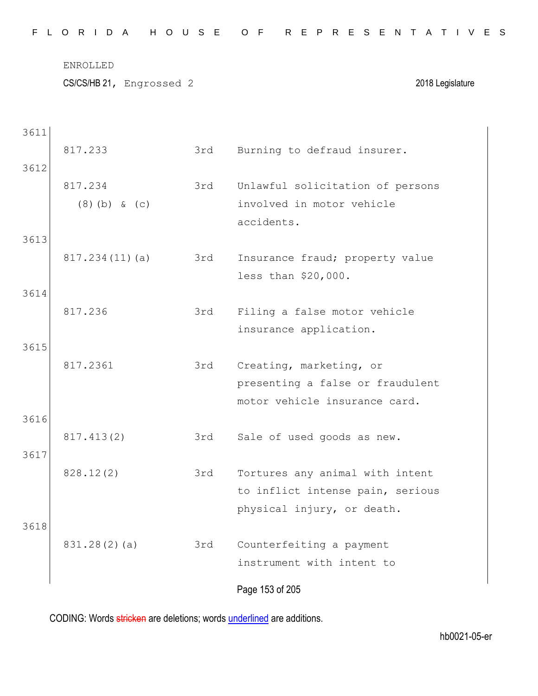|  |  |  |  |  |  | FLORIDA HOUSE OF REPRESENTATIVES |  |  |  |  |  |  |  |  |
|--|--|--|--|--|--|----------------------------------|--|--|--|--|--|--|--|--|
|  |  |  |  |  |  |                                  |  |  |  |  |  |  |  |  |

CS/CS/HB 21, Engrossed 2 2018 Legislature

| 3611 |                 |     |                                  |
|------|-----------------|-----|----------------------------------|
|      | 817.233         | 3rd | Burning to defraud insurer.      |
| 3612 |                 |     |                                  |
|      | 817.234         | 3rd | Unlawful solicitation of persons |
|      | $(8)$ (b) & (c) |     | involved in motor vehicle        |
|      |                 |     | accidents.                       |
| 3613 |                 |     |                                  |
|      | 817.234(11)(a)  | 3rd | Insurance fraud; property value  |
|      |                 |     | less than \$20,000.              |
| 3614 |                 |     |                                  |
|      | 817.236         | 3rd | Filing a false motor vehicle     |
|      |                 |     | insurance application.           |
| 3615 |                 |     |                                  |
|      | 817.2361        | 3rd | Creating, marketing, or          |
|      |                 |     | presenting a false or fraudulent |
|      |                 |     | motor vehicle insurance card.    |
| 3616 |                 |     |                                  |
|      | 817.413(2)      | 3rd | Sale of used goods as new.       |
| 3617 |                 |     |                                  |
|      | 828.12(2)       | 3rd | Tortures any animal with intent  |
|      |                 |     | to inflict intense pain, serious |
|      |                 |     | physical injury, or death.       |
| 3618 |                 |     |                                  |
|      | 831.28(2)(a)    | 3rd | Counterfeiting a payment         |
|      |                 |     | instrument with intent to        |
|      |                 |     | Page 153 of 205                  |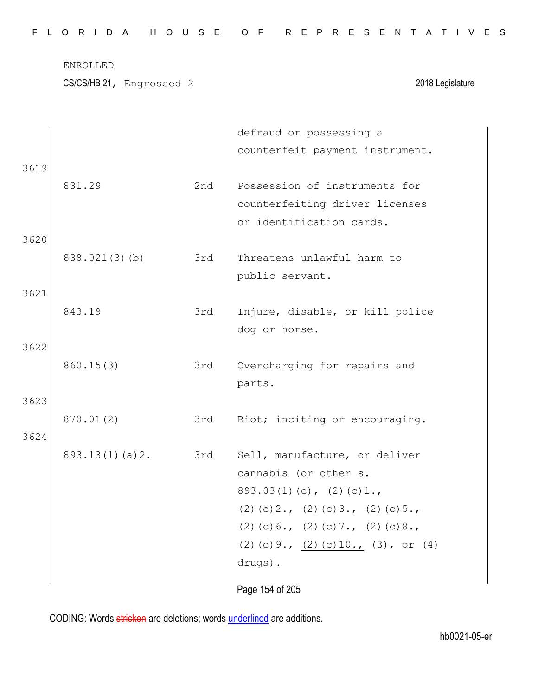|  |  |  |  |  |  | FLORIDA HOUSE OF REPRESENTATIVES |  |  |  |  |  |  |  |  |
|--|--|--|--|--|--|----------------------------------|--|--|--|--|--|--|--|--|
|  |  |  |  |  |  |                                  |  |  |  |  |  |  |  |  |

CS/CS/HB 21, Engrossed 2 2018 Legislature

| 3619         |                |     | defraud or possessing a<br>counterfeit payment instrument.                                                                                                                                                                                                   |
|--------------|----------------|-----|--------------------------------------------------------------------------------------------------------------------------------------------------------------------------------------------------------------------------------------------------------------|
|              | 831.29         | 2nd | Possession of instruments for<br>counterfeiting driver licenses<br>or identification cards.                                                                                                                                                                  |
| 3620         | 838.021(3)(b)  | 3rd | Threatens unlawful harm to<br>public servant.                                                                                                                                                                                                                |
| 3621<br>3622 | 843.19         | 3rd | Injure, disable, or kill police<br>dog or horse.                                                                                                                                                                                                             |
| 3623         | 860.15(3)      | 3rd | Overcharging for repairs and<br>parts.                                                                                                                                                                                                                       |
| 3624         | 870.01(2)      | 3rd | Riot; inciting or encouraging.                                                                                                                                                                                                                               |
|              | 893.13(1)(a)2. | 3rd | Sell, manufacture, or deliver<br>cannabis (or other s.<br>$893.03(1)(c)$ , $(2)(c)1.$<br>(2) (c) $2 \cdot$ , (2) (c) $3 \cdot$ , $\frac{2}{2}$ (e) $5 \cdot$ ,<br>$(2)$ (c) 6., (2) (c) 7., (2) (c) 8.,<br>(2) (c) 9., $(2)$ (c) 10., (3), or (4)<br>drugs). |
|              |                |     | Page 154 of 205                                                                                                                                                                                                                                              |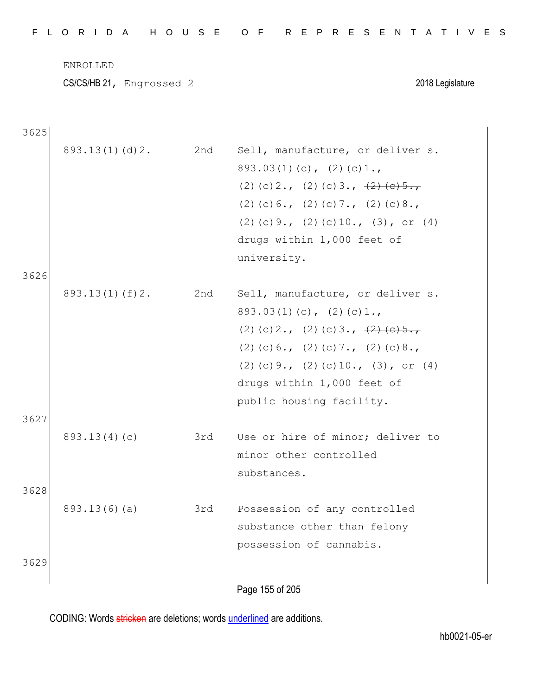CS/CS/HB 21, Engrossed 2 2018 Legislature

3625

| 3626         | 893.13(1)(d)2.     | 2nd | Sell, manufacture, or deliver s.<br>$893.03(1)(c)$ , $(2)(c)1.$<br>(2) (c) $2 \cdot$ , (2) (c) $3 \cdot$ , $\frac{2}{2}$ (e) $5 \cdot$ ,<br>$(2)$ (c) 6., (2) (c) 7., (2) (c) 8.,<br>(2) (c) 9., $(2)$ (c) 10., (3), or (4)<br>drugs within 1,000 feet of<br>university. |
|--------------|--------------------|-----|--------------------------------------------------------------------------------------------------------------------------------------------------------------------------------------------------------------------------------------------------------------------------|
|              | $893.13(1)$ (f) 2. | 2nd | Sell, manufacture, or deliver s.<br>$893.03(1)(c)$ , $(2)(c)1.$<br>(2) (c) 2., (2) (c) 3., $\frac{2}{2}$ (e) 5.,<br>$(2)$ (c) 6., (2) (c) 7., (2) (c) 8.,<br>(2) (c) $9.7$ (2) (c) $10.7$ (3), or (4)<br>drugs within 1,000 feet of<br>public housing facility.          |
| 3627<br>3628 | 893.13(4)(c)       | 3rd | Use or hire of minor; deliver to<br>minor other controlled<br>substances.                                                                                                                                                                                                |
| 3629         | 893.13(6)(a)       | 3rd | Possession of any controlled<br>substance other than felony<br>possession of cannabis.                                                                                                                                                                                   |
|              |                    |     | Page 155 of 205                                                                                                                                                                                                                                                          |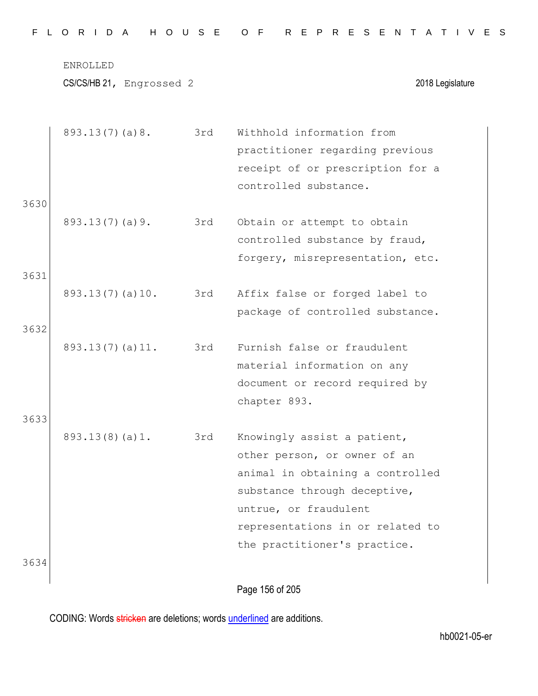|  |  |  |  |  |  | FLORIDA HOUSE OF REPRESENTATIVES |  |  |  |  |  |  |  |  |
|--|--|--|--|--|--|----------------------------------|--|--|--|--|--|--|--|--|
|  |  |  |  |  |  |                                  |  |  |  |  |  |  |  |  |

|      | 893.13(7)(a)8.  | 3rd | Withhold information from        |
|------|-----------------|-----|----------------------------------|
|      |                 |     | practitioner regarding previous  |
|      |                 |     | receipt of or prescription for a |
|      |                 |     | controlled substance.            |
| 3630 |                 |     |                                  |
|      | 893.13(7)(a)9.  | 3rd | Obtain or attempt to obtain      |
|      |                 |     | controlled substance by fraud,   |
|      |                 |     | forgery, misrepresentation, etc. |
| 3631 |                 |     |                                  |
|      | 893.13(7)(a)10. | 3rd | Affix false or forged label to   |
|      |                 |     | package of controlled substance. |
| 3632 |                 |     |                                  |
|      | 893.13(7)(a)11. | 3rd | Furnish false or fraudulent      |
|      |                 |     | material information on any      |
|      |                 |     | document or record required by   |
|      |                 |     | chapter 893.                     |
| 3633 |                 |     |                                  |
|      | 893.13(8)(a)1.  | 3rd | Knowingly assist a patient,      |
|      |                 |     | other person, or owner of an     |
|      |                 |     | animal in obtaining a controlled |
|      |                 |     | substance through deceptive,     |
|      |                 |     | untrue, or fraudulent            |
|      |                 |     | representations in or related to |
|      |                 |     | the practitioner's practice.     |
| 3634 |                 |     |                                  |
|      |                 |     |                                  |

Page 156 of 205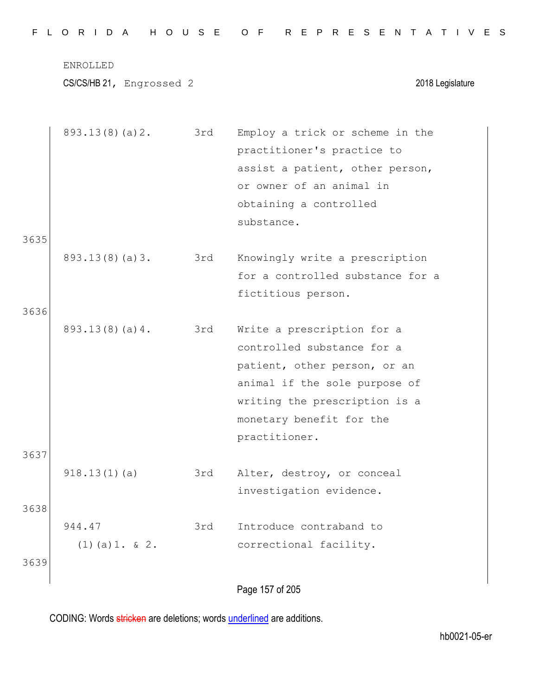|  |  |  |  |  |  | FLORIDA HOUSE OF REPRESENTATIVES |  |  |  |  |  |  |  |  |  |
|--|--|--|--|--|--|----------------------------------|--|--|--|--|--|--|--|--|--|
|  |  |  |  |  |  |                                  |  |  |  |  |  |  |  |  |  |

CS/CS/HB 21, Engrossed 2 2018 Legislature

|      | 893.13(8)(a)2.    | 3rd | Employ a trick or scheme in the  |
|------|-------------------|-----|----------------------------------|
|      |                   |     | practitioner's practice to       |
|      |                   |     | assist a patient, other person,  |
|      |                   |     | or owner of an animal in         |
|      |                   |     | obtaining a controlled           |
|      |                   |     | substance.                       |
| 3635 |                   |     |                                  |
|      | 893.13(8)(a)3.    | 3rd | Knowingly write a prescription   |
|      |                   |     | for a controlled substance for a |
|      |                   |     | fictitious person.               |
| 3636 |                   |     |                                  |
|      | 893.13(8)(a)4.    | 3rd | Write a prescription for a       |
|      |                   |     | controlled substance for a       |
|      |                   |     | patient, other person, or an     |
|      |                   |     | animal if the sole purpose of    |
|      |                   |     | writing the prescription is a    |
|      |                   |     | monetary benefit for the         |
|      |                   |     | practitioner.                    |
| 3637 |                   |     |                                  |
|      | 918.13(1)(a)      | 3rd | Alter, destroy, or conceal       |
|      |                   |     | investigation evidence.          |
| 3638 |                   |     |                                  |
|      | 944.47            | 3rd | Introduce contraband to          |
|      | $(1)$ (a) 1. & 2. |     | correctional facility.           |
| 3639 |                   |     |                                  |
|      |                   |     |                                  |
|      |                   |     | Page 157 of 205                  |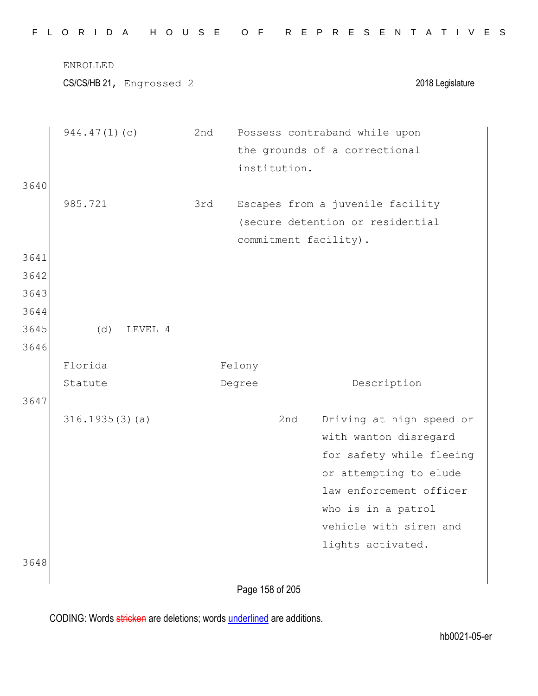|      | CS/CS/HB 21, Engrossed 2 |     |                       | 2018 Legislature                                  |
|------|--------------------------|-----|-----------------------|---------------------------------------------------|
|      | 944.47(1)(c)             | 2nd |                       | Possess contraband while upon                     |
|      |                          |     |                       | the grounds of a correctional                     |
|      |                          |     | institution.          |                                                   |
| 3640 |                          |     |                       |                                                   |
|      | 985.721                  | 3rd |                       | Escapes from a juvenile facility                  |
|      |                          |     |                       | (secure detention or residential                  |
|      |                          |     | commitment facility). |                                                   |
| 3641 |                          |     |                       |                                                   |
| 3642 |                          |     |                       |                                                   |
| 3643 |                          |     |                       |                                                   |
| 3644 |                          |     |                       |                                                   |
| 3645 | (d)<br>LEVEL 4           |     |                       |                                                   |
| 3646 |                          |     |                       |                                                   |
|      | Florida                  |     | Felony                |                                                   |
|      | Statute                  |     | Degree                | Description                                       |
| 3647 |                          |     |                       |                                                   |
|      | 316.1935(3)(a)           |     | 2nd                   | Driving at high speed or                          |
|      |                          |     |                       | with wanton disregard                             |
|      |                          |     |                       | for safety while fleeing                          |
|      |                          |     |                       | or attempting to elude<br>law enforcement officer |
|      |                          |     |                       | who is in a patrol                                |
|      |                          |     |                       | vehicle with siren and                            |
|      |                          |     |                       | lights activated.                                 |
| 3648 |                          |     |                       |                                                   |
|      |                          |     |                       |                                                   |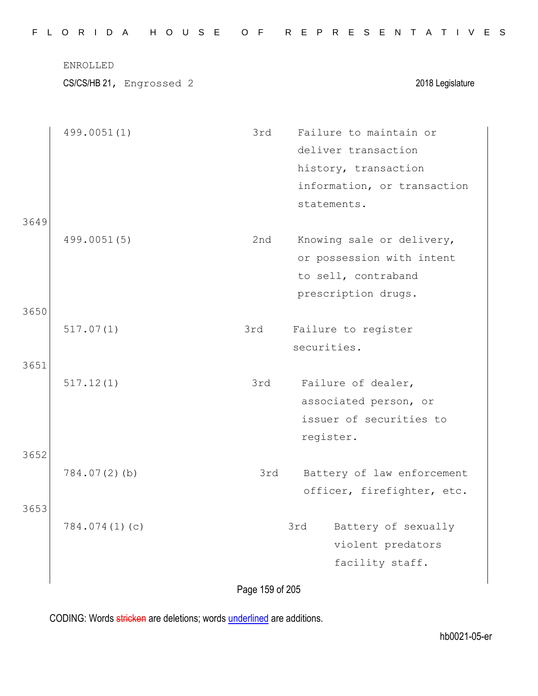|              | ENROLLED<br>CS/CS/HB 21, Engrossed 2 |     | 2018 Legislature                                                                                                    |
|--------------|--------------------------------------|-----|---------------------------------------------------------------------------------------------------------------------|
|              | 499.0051(1)                          | 3rd | Failure to maintain or<br>deliver transaction<br>history, transaction<br>information, or transaction<br>statements. |
| 3649<br>3650 | 499.0051(5)                          | 2nd | Knowing sale or delivery,<br>or possession with intent<br>to sell, contraband<br>prescription drugs.                |
|              | 517.07(1)                            | 3rd | Failure to register<br>securities.                                                                                  |
| 3651<br>3652 | 517.12(1)                            | 3rd | Failure of dealer,<br>associated person, or<br>issuer of securities to<br>register.                                 |
| 3653         | $784.07(2)$ (b)                      | 3rd | Battery of law enforcement<br>officer, firefighter, etc.                                                            |
|              | 784.074(1)(c)                        |     | 3rd<br>Battery of sexually<br>violent predators<br>facility staff.                                                  |

Page 159 of 205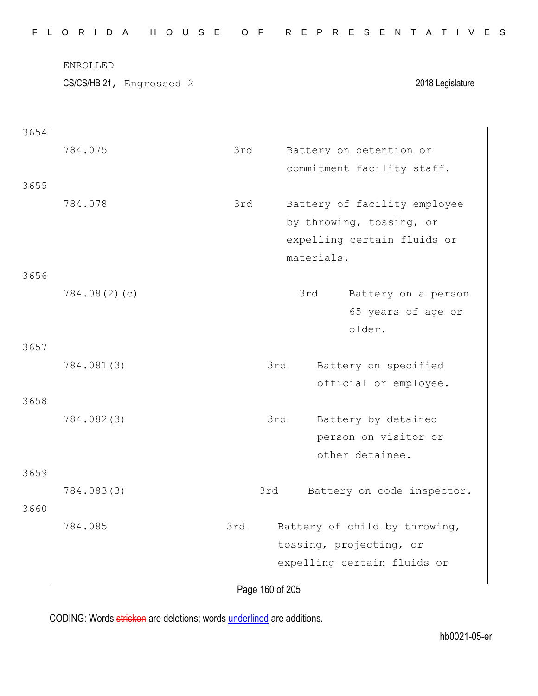|      | H O U S E<br>L O R I D A<br>ENROLLED |     | R E P R E S E N T                 |
|------|--------------------------------------|-----|-----------------------------------|
|      | CS/CS/HB 21, Engrossed 2             |     | 2018 Legislature                  |
| 3654 |                                      |     |                                   |
|      | 784.075                              | 3rd | Battery on detention or           |
|      |                                      |     | commitment facility staff.        |
| 3655 |                                      |     |                                   |
|      | 784.078                              | 3rd | Battery of facility employee      |
|      |                                      |     | by throwing, tossing, or          |
|      |                                      |     | expelling certain fluids or       |
|      |                                      |     | materials.                        |
| 3656 |                                      |     |                                   |
|      | 784.08(2)(c)                         |     | 3rd<br>Battery on a person        |
|      |                                      |     | 65 years of age or<br>older.      |
| 3657 |                                      |     |                                   |
|      | 784.081(3)                           |     | Battery on specified<br>3rd       |
|      |                                      |     | official or employee.             |
| 3658 |                                      |     |                                   |
|      | 784.082(3)                           |     | 3rd<br>Battery by detained        |
|      |                                      |     | person on visitor or              |
|      |                                      |     | other detainee.                   |
| 3659 |                                      |     |                                   |
|      | 784.083(3)                           |     | 3rd<br>Battery on code inspector. |
| 3660 |                                      |     |                                   |
|      | 784.085                              | 3rd | Battery of child by throwing,     |
|      |                                      |     | tossing, projecting, or           |
|      |                                      |     | expelling certain fluids or       |
|      |                                      |     | Page 160 of 205                   |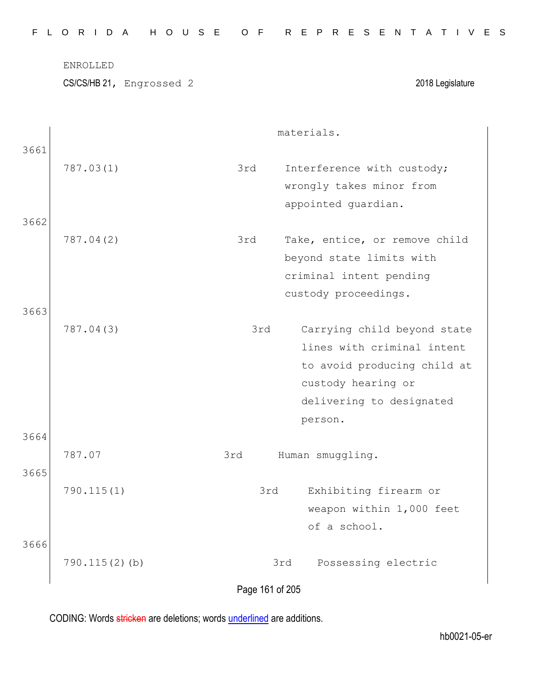| FLORIDA HOUSE OF REPRESENTATIVES |  |
|----------------------------------|--|
|----------------------------------|--|

materials.

|              | 787.03(1)        | 3rd<br>Interference with custody;<br>wrongly takes minor from<br>appointed guardian.                                                                         |
|--------------|------------------|--------------------------------------------------------------------------------------------------------------------------------------------------------------|
| 3662         | 787.04(2)        | 3rd<br>Take, entice, or remove child<br>beyond state limits with<br>criminal intent pending<br>custody proceedings.                                          |
| 3663         | 787.04(3)        | 3rd<br>Carrying child beyond state<br>lines with criminal intent<br>to avoid producing child at<br>custody hearing or<br>delivering to designated<br>person. |
| 3664<br>3665 | 787.07           | 3rd<br>Human smuggling.                                                                                                                                      |
| 3666         | 790.115(1)       | Exhibiting firearm or<br>3rd<br>weapon within 1,000 feet<br>of a school.                                                                                     |
|              | $790.115(2)$ (b) | 3rd<br>Possessing electric<br>Page 161 of 205                                                                                                                |

CODING: Words stricken are deletions; words underlined are additions.

3661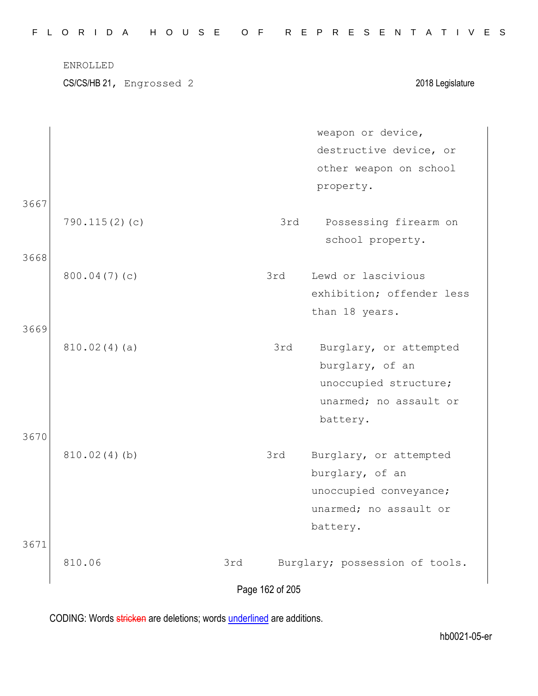|      | ENROLLED                 |     |     |                                |
|------|--------------------------|-----|-----|--------------------------------|
|      | CS/CS/HB 21, Engrossed 2 |     |     | 2018 Legislature               |
|      |                          |     |     | weapon or device,              |
|      |                          |     |     | destructive device, or         |
|      |                          |     |     | other weapon on school         |
|      |                          |     |     | property.                      |
| 3667 |                          |     |     |                                |
|      | 790.115(2)(c)            |     | 3rd | Possessing firearm on          |
|      |                          |     |     | school property.               |
| 3668 |                          |     |     |                                |
|      | 800.04(7)(c)             |     | 3rd | Lewd or lascivious             |
|      |                          |     |     | exhibition; offender less      |
|      |                          |     |     | than 18 years.                 |
| 3669 |                          |     |     |                                |
|      | 810.02(4)(a)             |     | 3rd | Burglary, or attempted         |
|      |                          |     |     | burglary, of an                |
|      |                          |     |     | unoccupied structure;          |
|      |                          |     |     | unarmed; no assault or         |
|      |                          |     |     | battery.                       |
| 3670 |                          |     |     |                                |
|      | 810.02(4)(b)             |     | 3rd | Burglary, or attempted         |
|      |                          |     |     | burglary, of an                |
|      |                          |     |     | unoccupied conveyance;         |
|      |                          |     |     | unarmed; no assault or         |
|      |                          |     |     | battery.                       |
| 3671 |                          |     |     |                                |
|      | 810.06                   | 3rd |     | Burglary; possession of tools. |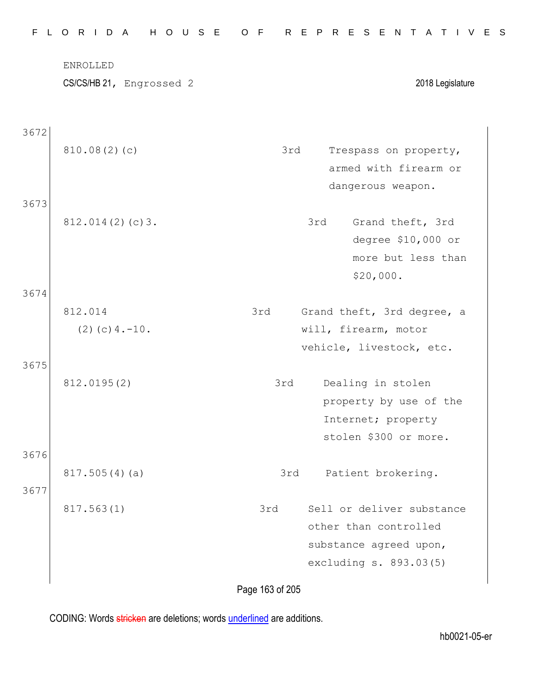|      | ENROLLED<br>CS/CS/HB 21, Engrossed 2 |     | 2018 Legislature           |
|------|--------------------------------------|-----|----------------------------|
| 3672 |                                      |     |                            |
|      | 810.08(2)(c)                         | 3rd | Trespass on property,      |
|      |                                      |     | armed with firearm or      |
|      |                                      |     | dangerous weapon.          |
| 3673 | 812.014(2)(c)3.                      |     | Grand theft, 3rd<br>3rd    |
|      |                                      |     | degree \$10,000 or         |
|      |                                      |     | more but less than         |
|      |                                      |     | \$20,000.                  |
| 3674 |                                      |     |                            |
|      | 812.014                              | 3rd | Grand theft, 3rd degree, a |
|      | $(2)$ (c) $4. -10$ .                 |     | will, firearm, motor       |
|      |                                      |     | vehicle, livestock, etc.   |
| 3675 |                                      |     |                            |
|      | 812.0195(2)                          | 3rd | Dealing in stolen          |
|      |                                      |     | property by use of the     |
|      |                                      |     | Internet; property         |
|      |                                      |     | stolen \$300 or more.      |
| 3676 |                                      |     |                            |
|      | 817.505(4)(a)                        | 3rd | Patient brokering.         |
| 3677 |                                      |     |                            |
|      | 817.563(1)                           | 3rd | Sell or deliver substance  |
|      |                                      |     | other than controlled      |
|      |                                      |     | substance agreed upon,     |
|      |                                      |     | excluding s. 893.03(5)     |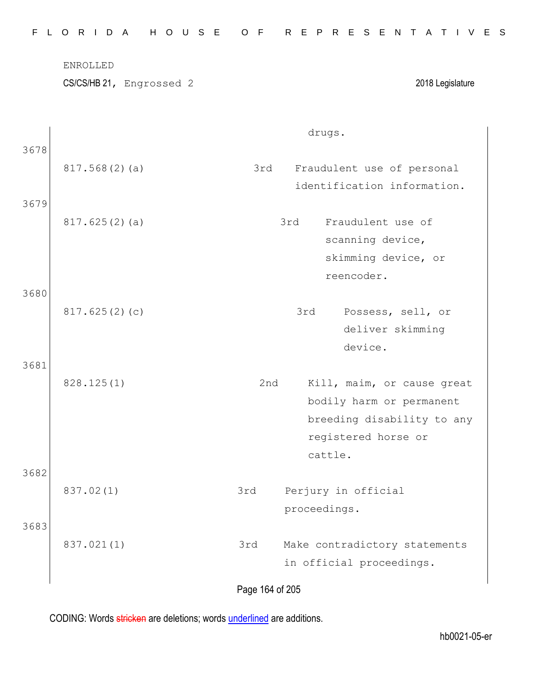|              | ENROLLED<br>CS/CS/HB 21, Engrossed 2 |     | 2018 Legislature                                                                                                       |
|--------------|--------------------------------------|-----|------------------------------------------------------------------------------------------------------------------------|
| 3678         |                                      |     | drugs.                                                                                                                 |
|              | 817.568(2)(a)                        | 3rd | Fraudulent use of personal<br>identification information.                                                              |
| 3679<br>3680 | 817.625(2)(a)                        |     | Fraudulent use of<br>3rd<br>scanning device,<br>skimming device, or<br>reencoder.                                      |
| 3681         | 817.625(2)(c)                        |     | 3rd<br>Possess, sell, or<br>deliver skimming<br>device.                                                                |
|              | 828.125(1)                           | 2nd | Kill, maim, or cause great<br>bodily harm or permanent<br>breeding disability to any<br>registered horse or<br>cattle. |
| 3682         | 837.02(1)                            | 3rd | Perjury in official<br>proceedings.                                                                                    |
| 3683         | 837.021(1)                           | 3rd | Make contradictory statements<br>in official proceedings.                                                              |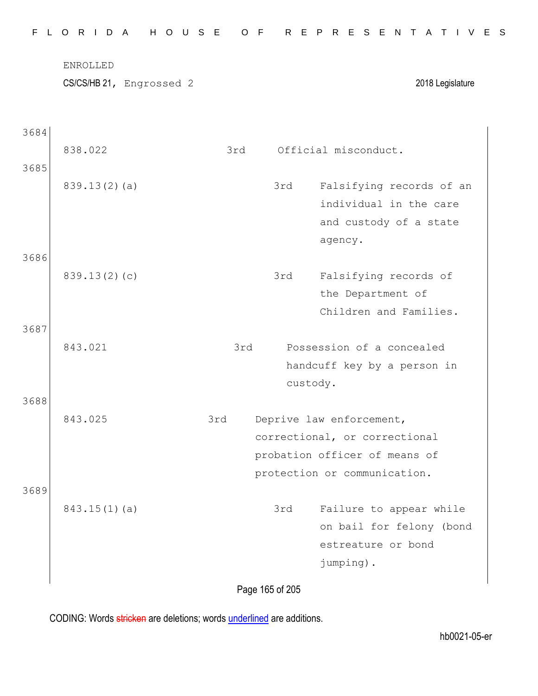| F.   | $\circ$                  | R I D A |  | H O U S E |  |     |     | $-F$<br>$\circ$ |                                                           |                      |          |         |           | R E P R E S E N    |  | A                         | $\top$                      | IVES                     |  |
|------|--------------------------|---------|--|-----------|--|-----|-----|-----------------|-----------------------------------------------------------|----------------------|----------|---------|-----------|--------------------|--|---------------------------|-----------------------------|--------------------------|--|
|      | ENROLLED                 |         |  |           |  |     |     |                 |                                                           |                      |          |         |           |                    |  |                           |                             |                          |  |
|      | CS/CS/HB 21, Engrossed 2 |         |  |           |  |     |     |                 |                                                           |                      |          |         |           |                    |  |                           |                             | 2018 Legislature         |  |
|      |                          |         |  |           |  |     |     |                 |                                                           |                      |          |         |           |                    |  |                           |                             |                          |  |
| 3684 |                          |         |  |           |  |     |     |                 |                                                           |                      |          |         |           |                    |  |                           |                             |                          |  |
|      | 838.022                  |         |  |           |  |     | 3rd |                 |                                                           | Official misconduct. |          |         |           |                    |  |                           |                             |                          |  |
| 3685 |                          |         |  |           |  |     |     |                 |                                                           |                      |          |         |           |                    |  |                           |                             |                          |  |
|      | 839.13(2)(a)             |         |  |           |  |     |     |                 |                                                           | 3rd                  |          |         |           |                    |  |                           |                             | Falsifying records of an |  |
|      |                          |         |  |           |  |     |     |                 |                                                           |                      |          |         |           |                    |  |                           | individual in the care      |                          |  |
|      |                          |         |  |           |  |     |     |                 |                                                           |                      |          |         |           |                    |  |                           | and custody of a state      |                          |  |
|      |                          |         |  |           |  |     |     |                 |                                                           |                      |          | agency. |           |                    |  |                           |                             |                          |  |
| 3686 |                          |         |  |           |  |     |     |                 |                                                           |                      |          |         |           |                    |  |                           |                             |                          |  |
|      | 839.13(2)(c)             |         |  |           |  |     |     |                 |                                                           | 3rd                  |          |         |           |                    |  | Falsifying records of     |                             |                          |  |
|      |                          |         |  |           |  |     |     |                 |                                                           |                      |          |         |           | the Department of  |  |                           |                             |                          |  |
|      |                          |         |  |           |  |     |     |                 |                                                           |                      |          |         |           |                    |  |                           | Children and Families.      |                          |  |
| 3687 |                          |         |  |           |  |     |     |                 |                                                           |                      |          |         |           |                    |  |                           |                             |                          |  |
|      | 843.021                  |         |  |           |  |     | 3rd |                 |                                                           |                      |          |         |           |                    |  | Possession of a concealed |                             |                          |  |
|      |                          |         |  |           |  |     |     |                 |                                                           |                      |          |         |           |                    |  |                           | handcuff key by a person in |                          |  |
|      |                          |         |  |           |  |     |     |                 |                                                           |                      | custody. |         |           |                    |  |                           |                             |                          |  |
| 3688 | 843.025                  |         |  |           |  | 3rd |     |                 |                                                           |                      |          |         |           |                    |  |                           |                             |                          |  |
|      |                          |         |  |           |  |     |     |                 | Deprive law enforcement,<br>correctional, or correctional |                      |          |         |           |                    |  |                           |                             |                          |  |
|      |                          |         |  |           |  |     |     |                 | probation officer of means of                             |                      |          |         |           |                    |  |                           |                             |                          |  |
|      |                          |         |  |           |  |     |     |                 | protection or communication.                              |                      |          |         |           |                    |  |                           |                             |                          |  |
| 3689 |                          |         |  |           |  |     |     |                 |                                                           |                      |          |         |           |                    |  |                           |                             |                          |  |
|      | $843.15(1)$ (a)          |         |  |           |  |     |     |                 |                                                           | 3rd                  |          |         |           |                    |  |                           | Failure to appear while     |                          |  |
|      |                          |         |  |           |  |     |     |                 |                                                           |                      |          |         |           |                    |  |                           |                             | on bail for felony (bond |  |
|      |                          |         |  |           |  |     |     |                 |                                                           |                      |          |         |           | estreature or bond |  |                           |                             |                          |  |
|      |                          |         |  |           |  |     |     |                 |                                                           |                      |          |         | jumping). |                    |  |                           |                             |                          |  |
|      |                          |         |  |           |  |     |     |                 |                                                           |                      |          |         |           |                    |  |                           |                             |                          |  |
|      |                          |         |  |           |  |     |     | Page 165 of 205 |                                                           |                      |          |         |           |                    |  |                           |                             |                          |  |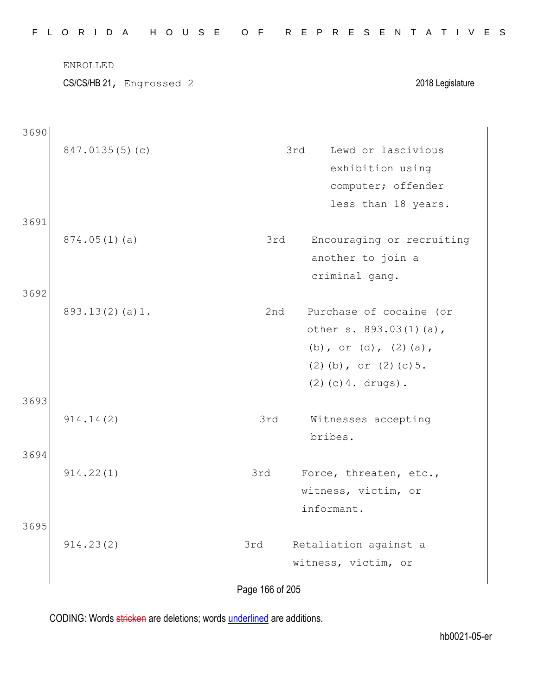|      | ENROLLED<br>CS/CS/HB 21, Engrossed 2 |     | 2018 Legislature           |
|------|--------------------------------------|-----|----------------------------|
| 3690 |                                      |     |                            |
|      | 847.0135(5)(c)                       |     | Lewd or lascivious<br>3rd  |
|      |                                      |     | exhibition using           |
|      |                                      |     | computer; offender         |
|      |                                      |     | less than 18 years.        |
| 3691 |                                      |     |                            |
|      | 874.05(1)(a)                         | 3rd | Encouraging or recruiting  |
|      |                                      |     | another to join a          |
|      |                                      |     | criminal gang.             |
| 3692 |                                      |     |                            |
|      | 893.13(2)(a)1.                       | 2nd | Purchase of cocaine (or    |
|      |                                      |     | other s. 893.03(1)(a),     |
|      |                                      |     | (b), or (d), $(2)$ (a),    |
|      |                                      |     | $(2)$ (b), or $(2)$ (c) 5. |
|      |                                      |     | $(2)$ (c) 4. drugs).       |
| 3693 |                                      |     |                            |
|      | 914.14(2)                            | 3rd | Witnesses accepting        |
|      |                                      |     | bribes.                    |
| 3694 |                                      |     |                            |
|      | 914.22(1)                            | 3rd | Force, threaten, etc.,     |
|      |                                      |     | witness, victim, or        |
|      |                                      |     | informant.                 |
| 3695 |                                      |     |                            |
|      | 914.23(2)                            | 3rd | Retaliation against a      |
|      |                                      |     | witness, victim, or        |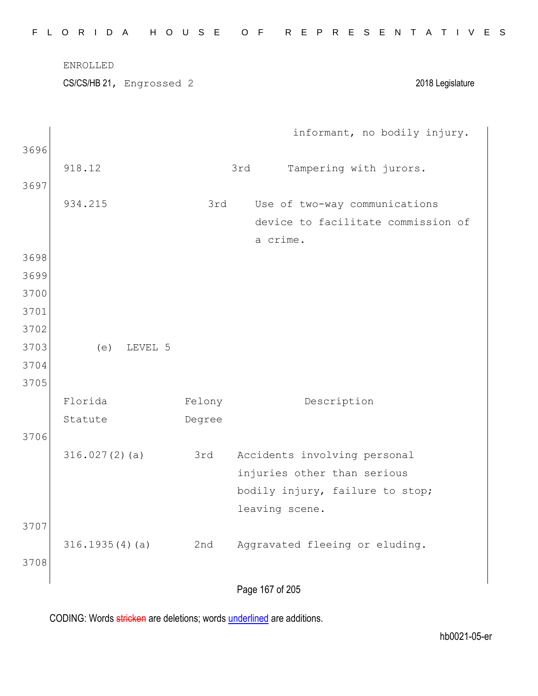|              | CS/CS/HB 21, Engrossed 2 |        | 2018 Legislature                   |
|--------------|--------------------------|--------|------------------------------------|
|              |                          |        | informant, no bodily injury.       |
| 3696         |                          |        |                                    |
|              | 918.12                   |        | 3rd<br>Tampering with jurors.      |
| 3697         |                          |        |                                    |
|              | 934.215                  | 3rd    | Use of two-way communications      |
|              |                          |        | device to facilitate commission of |
|              |                          |        | a crime.                           |
| 3698         |                          |        |                                    |
| 3699         |                          |        |                                    |
| 3700<br>3701 |                          |        |                                    |
| 3702         |                          |        |                                    |
| 3703         | (e)<br>LEVEL 5           |        |                                    |
| 3704         |                          |        |                                    |
| 3705         |                          |        |                                    |
|              | Florida                  | Felony | Description                        |
|              | Statute                  | Degree |                                    |
| 3706         |                          |        |                                    |
|              | 316.027(2)(a)            | 3rd    | Accidents involving personal       |
|              |                          |        | injuries other than serious        |
|              |                          |        | bodily injury, failure to stop;    |
|              |                          |        | leaving scene.                     |
| 3707         |                          |        |                                    |
|              | 316.1935(4)(a)           | 2nd    | Aggravated fleeing or eluding.     |
| 3708         |                          |        |                                    |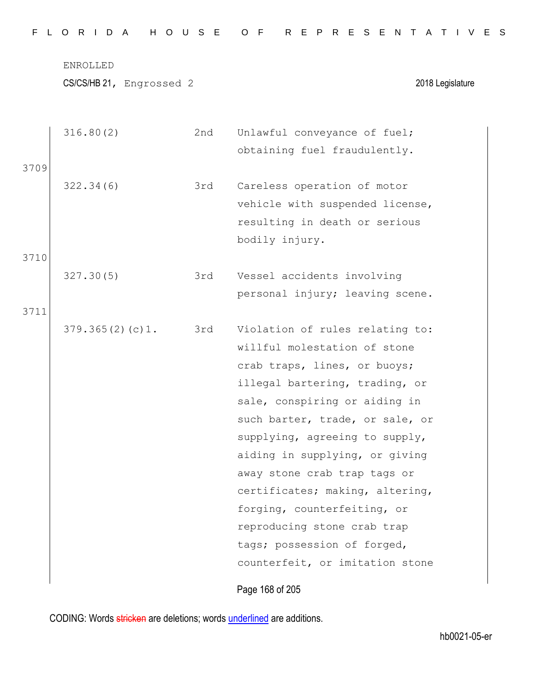|      | 316.80(2)       | 2nd | Unlawful conveyance of fuel;    |
|------|-----------------|-----|---------------------------------|
|      |                 |     | obtaining fuel fraudulently.    |
| 3709 |                 |     |                                 |
|      | 322.34(6)       | 3rd | Careless operation of motor     |
|      |                 |     | vehicle with suspended license, |
|      |                 |     | resulting in death or serious   |
|      |                 |     | bodily injury.                  |
| 3710 |                 |     |                                 |
|      | 327.30(5)       | 3rd | Vessel accidents involving      |
|      |                 |     | personal injury; leaving scene. |
| 3711 |                 |     |                                 |
|      | 379.365(2)(c)1. | 3rd | Violation of rules relating to: |
|      |                 |     | willful molestation of stone    |
|      |                 |     | crab traps, lines, or buoys;    |
|      |                 |     | illegal bartering, trading, or  |
|      |                 |     | sale, conspiring or aiding in   |
|      |                 |     | such barter, trade, or sale, or |
|      |                 |     | supplying, agreeing to supply,  |
|      |                 |     | aiding in supplying, or giving  |
|      |                 |     | away stone crab trap tags or    |
|      |                 |     | certificates; making, altering, |
|      |                 |     | forging, counterfeiting, or     |
|      |                 |     | reproducing stone crab trap     |
|      |                 |     | tags; possession of forged,     |
|      |                 |     | counterfeit, or imitation stone |
|      |                 |     |                                 |
|      |                 |     | Page 168 of 205                 |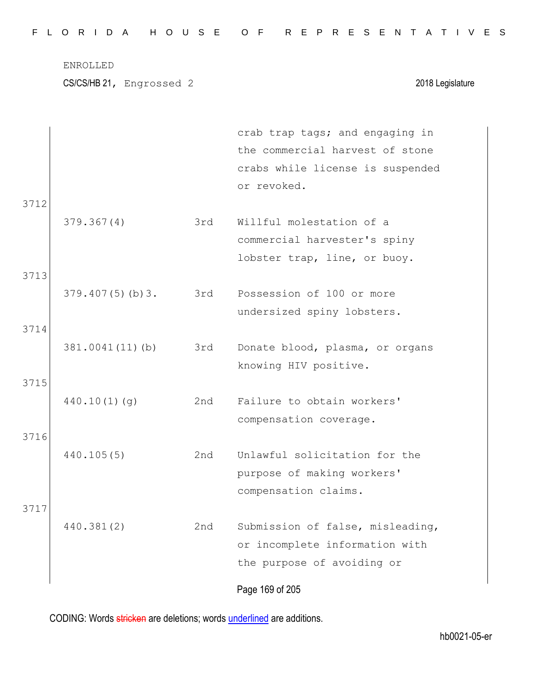|  |  |  |  |  |  | FLORIDA HOUSE OF REPRESENTATIVES |  |  |  |  |  |  |  |  |
|--|--|--|--|--|--|----------------------------------|--|--|--|--|--|--|--|--|
|  |  |  |  |  |  |                                  |  |  |  |  |  |  |  |  |

|              |                 |     | crab trap tags; and engaging in<br>the commercial harvest of stone<br>crabs while license is suspended<br>or revoked. |
|--------------|-----------------|-----|-----------------------------------------------------------------------------------------------------------------------|
| 3712         | 379.367(4)      | 3rd | Willful molestation of a<br>commercial harvester's spiny<br>lobster trap, line, or buoy.                              |
| 3713         | 379.407(5)(b)3. | 3rd | Possession of 100 or more<br>undersized spiny lobsters.                                                               |
| 3714<br>3715 | 381.0041(11)(b) | 3rd | Donate blood, plasma, or organs<br>knowing HIV positive.                                                              |
| 3716         | 440.10(1)(q)    | 2nd | Failure to obtain workers'<br>compensation coverage.                                                                  |
|              | 440.105(5)      | 2nd | Unlawful solicitation for the<br>purpose of making workers'<br>compensation claims.                                   |
| 3717         | 440.381(2)      | 2nd | Submission of false, misleading,<br>or incomplete information with<br>the purpose of avoiding or                      |
|              |                 |     | Page 169 of 205                                                                                                       |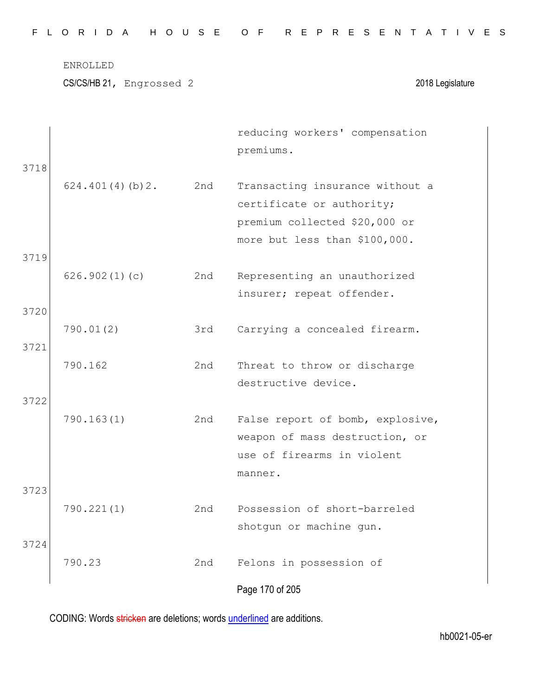|  |  |  |  |  |  | FLORIDA HOUSE OF REPRESENTATIVES |  |  |  |  |  |  |  |  |  |
|--|--|--|--|--|--|----------------------------------|--|--|--|--|--|--|--|--|--|
|  |  |  |  |  |  |                                  |  |  |  |  |  |  |  |  |  |

| 3718         |                 |     | reducing workers' compensation<br>premiums.                                                                                    |
|--------------|-----------------|-----|--------------------------------------------------------------------------------------------------------------------------------|
|              | 624.401(4)(b)2. | 2nd | Transacting insurance without a<br>certificate or authority;<br>premium collected \$20,000 or<br>more but less than \$100,000. |
| 3719<br>3720 | 626.902(1)(c)   | 2nd | Representing an unauthorized<br>insurer; repeat offender.                                                                      |
| 3721         | 790.01(2)       | 3rd | Carrying a concealed firearm.                                                                                                  |
| 3722         | 790.162         | 2nd | Threat to throw or discharge<br>destructive device.                                                                            |
|              | 790.163(1)      | 2nd | False report of bomb, explosive,<br>weapon of mass destruction, or<br>use of firearms in violent<br>manner.                    |
| 3723<br>3724 | 790.221(1)      | 2nd | Possession of short-barreled<br>shotgun or machine gun.                                                                        |
|              | 790.23          | 2nd | Felons in possession of<br>Page 170 of 205                                                                                     |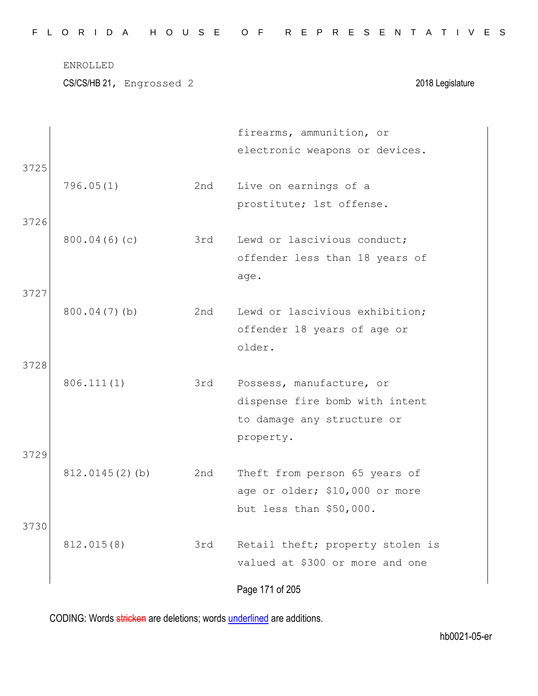|  |  |  | FLORIDA HOUSE OF REPRESENTATIVES |  |  |  |  |  |  |  |  |  |  |  |  |
|--|--|--|----------------------------------|--|--|--|--|--|--|--|--|--|--|--|--|
|  |  |  |                                  |  |  |  |  |  |  |  |  |  |  |  |  |

CS/CS/HB 21, Engrossed 2 2018 Legislature

|      |                   |     | firearms, ammunition, or         |
|------|-------------------|-----|----------------------------------|
|      |                   |     | electronic weapons or devices.   |
| 3725 |                   |     |                                  |
|      | 796.05(1)         | 2nd | Live on earnings of a            |
|      |                   |     | prostitute; 1st offense.         |
| 3726 |                   |     |                                  |
|      | 800.04(6)(c)      | 3rd | Lewd or lascivious conduct;      |
|      |                   |     | offender less than 18 years of   |
|      |                   |     | age.                             |
| 3727 |                   |     |                                  |
|      | $800.04(7)$ (b)   | 2nd | Lewd or lascivious exhibition;   |
|      |                   |     | offender 18 years of age or      |
|      |                   |     | older.                           |
| 3728 |                   |     |                                  |
|      | 806.111(1)        | 3rd | Possess, manufacture, or         |
|      |                   |     | dispense fire bomb with intent   |
|      |                   |     | to damage any structure or       |
|      |                   |     | property.                        |
| 3729 |                   |     |                                  |
|      | $812.0145(2)$ (b) | 2nd | Theft from person 65 years of    |
|      |                   |     | age or older; \$10,000 or more   |
|      |                   |     | but less than \$50,000.          |
| 3730 |                   |     |                                  |
|      | 812.015(8)        | 3rd | Retail theft; property stolen is |
|      |                   |     | valued at \$300 or more and one  |
|      |                   |     |                                  |
|      |                   |     | Page 171 of 205                  |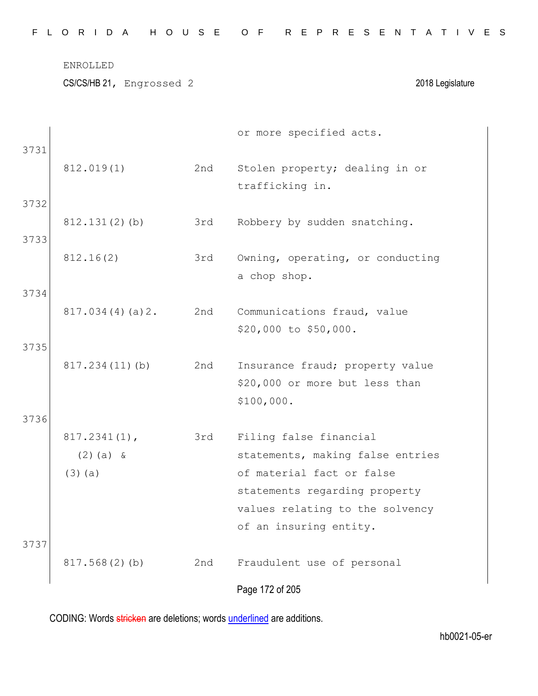CS/CS/HB 21, Engrossed 2 2018 Legislature

| 3731 |                                             |     | or more specified acts.                                                                                                  |
|------|---------------------------------------------|-----|--------------------------------------------------------------------------------------------------------------------------|
|      | 812.019(1)                                  | 2nd | Stolen property; dealing in or<br>trafficking in.                                                                        |
| 3732 |                                             |     |                                                                                                                          |
|      | $812.131(2)$ (b)                            | 3rd | Robbery by sudden snatching.                                                                                             |
| 3733 |                                             |     |                                                                                                                          |
|      | 812.16(2)                                   | 3rd | Owning, operating, or conducting                                                                                         |
| 3734 |                                             |     | a chop shop.                                                                                                             |
|      | 817.034(4)(a)2.                             | 2nd | Communications fraud, value<br>\$20,000 to \$50,000.                                                                     |
| 3735 |                                             |     |                                                                                                                          |
|      | 817.234(11)(b)                              | 2nd | Insurance fraud; property value<br>\$20,000 or more but less than<br>\$100,000.                                          |
| 3736 |                                             |     |                                                                                                                          |
|      | $817.2341(1)$ ,<br>$(2)$ (a) &<br>$(3)$ (a) | 3rd | Filing false financial<br>statements, making false entries<br>of material fact or false<br>statements regarding property |
|      |                                             |     | values relating to the solvency<br>of an insuring entity.                                                                |
| 3737 | 817.568(2)(b)                               | 2nd | Fraudulent use of personal                                                                                               |
|      |                                             |     | Page 172 of 205                                                                                                          |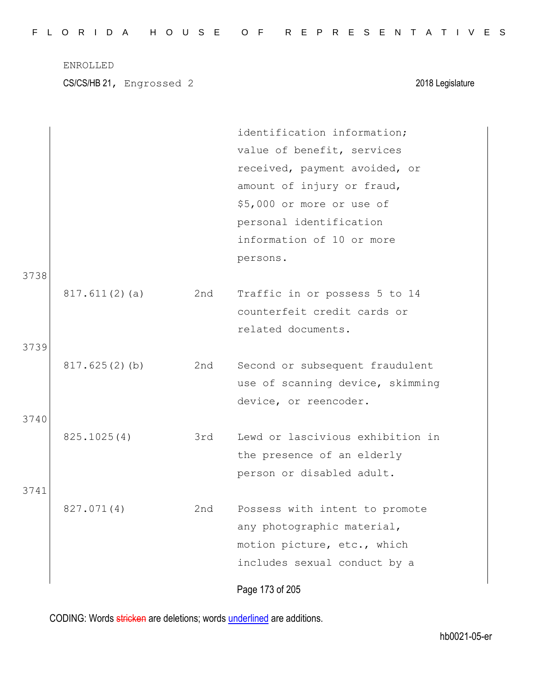|  |  |  |  |  |  | FLORIDA HOUSE OF REPRESENTATIVES |  |  |  |  |  |  |  |  |  |
|--|--|--|--|--|--|----------------------------------|--|--|--|--|--|--|--|--|--|
|  |  |  |  |  |  |                                  |  |  |  |  |  |  |  |  |  |

CS/CS/HB 21, Engrossed 2 2018 Legislature

|      |               |     | identification information;      |
|------|---------------|-----|----------------------------------|
|      |               |     | value of benefit, services       |
|      |               |     | received, payment avoided, or    |
|      |               |     | amount of injury or fraud,       |
|      |               |     | \$5,000 or more or use of        |
|      |               |     | personal identification          |
|      |               |     | information of 10 or more        |
|      |               |     | persons.                         |
| 3738 |               |     |                                  |
|      | 817.611(2)(a) | 2nd | Traffic in or possess 5 to 14    |
|      |               |     | counterfeit credit cards or      |
|      |               |     | related documents.               |
| 3739 |               |     |                                  |
|      | 817.625(2)(b) | 2nd | Second or subsequent fraudulent  |
|      |               |     | use of scanning device, skimming |
|      |               |     | device, or reencoder.            |
| 3740 |               |     |                                  |
|      | 825.1025(4)   | 3rd | Lewd or lascivious exhibition in |
|      |               |     | the presence of an elderly       |
|      |               |     | person or disabled adult.        |
| 3741 |               |     |                                  |
|      | 827.071(4)    | 2nd | Possess with intent to promote   |
|      |               |     | any photographic material,       |
|      |               |     | motion picture, etc., which      |
|      |               |     | includes sexual conduct by a     |
|      |               |     |                                  |
|      |               |     | Page 173 of 205                  |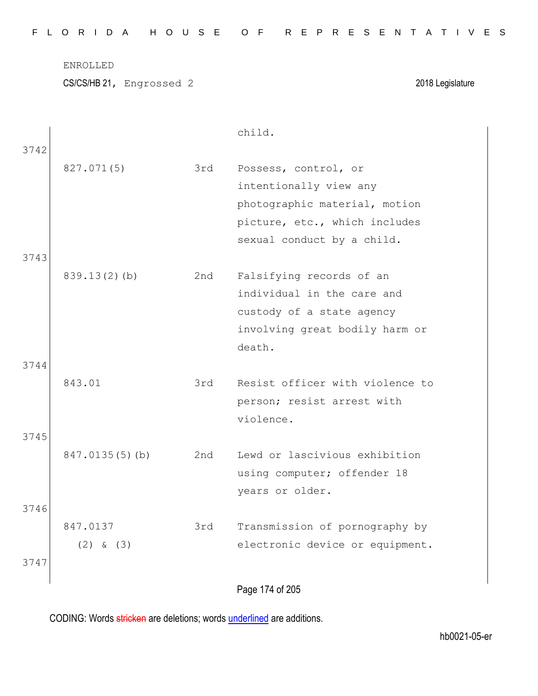| FLORIDA HOUSE OF REPRESENTATIVES |  |
|----------------------------------|--|
|----------------------------------|--|

CS/CS/HB 21, Engrossed 2 2018 Legislature

|      |                 |     | child.                          |  |
|------|-----------------|-----|---------------------------------|--|
| 3742 | 827.071(5)      | 3rd | Possess, control, or            |  |
|      |                 |     | intentionally view any          |  |
|      |                 |     | photographic material, motion   |  |
|      |                 |     | picture, etc., which includes   |  |
|      |                 |     | sexual conduct by a child.      |  |
| 3743 |                 |     |                                 |  |
|      | $839.13(2)$ (b) | 2nd | Falsifying records of an        |  |
|      |                 |     | individual in the care and      |  |
|      |                 |     | custody of a state agency       |  |
|      |                 |     | involving great bodily harm or  |  |
|      |                 |     | death.                          |  |
| 3744 |                 |     |                                 |  |
|      | 843.01          | 3rd | Resist officer with violence to |  |
|      |                 |     | person; resist arrest with      |  |
|      |                 |     | violence.                       |  |
| 3745 |                 |     |                                 |  |
|      | 847.0135(5)(b)  | 2nd | Lewd or lascivious exhibition   |  |
|      |                 |     | using computer; offender 18     |  |
| 3746 |                 |     | years or older.                 |  |
|      | 847.0137        | 3rd | Transmission of pornography by  |  |
|      | $(2)$ & $(3)$   |     | electronic device or equipment. |  |
| 3747 |                 |     |                                 |  |
|      |                 |     |                                 |  |
|      |                 |     | Page 174 of 205                 |  |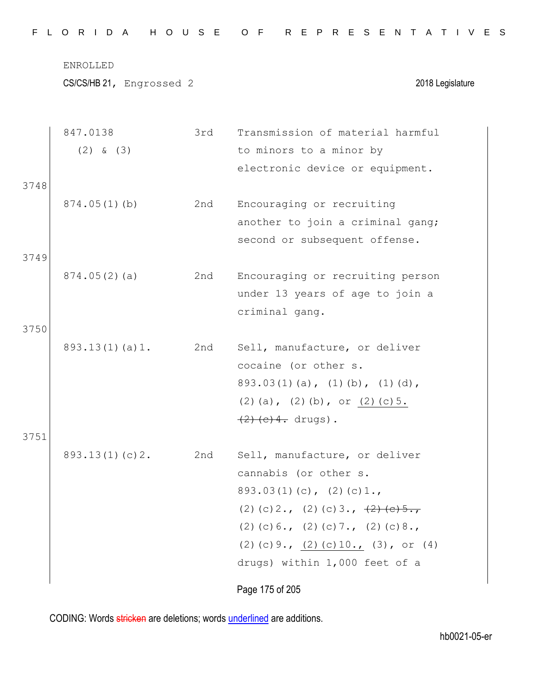| FLORIDA HOUSE OF REPRESENTATIVES |
|----------------------------------|
|----------------------------------|

|      | 847.0138       | 3rd | Transmission of material harmful                                      |
|------|----------------|-----|-----------------------------------------------------------------------|
|      | $(2)$ & $(3)$  |     | to minors to a minor by                                               |
|      |                |     | electronic device or equipment.                                       |
| 3748 |                |     |                                                                       |
|      | 874.05(1)(b)   | 2nd | Encouraging or recruiting                                             |
|      |                |     | another to join a criminal gang;                                      |
|      |                |     | second or subsequent offense.                                         |
| 3749 |                |     |                                                                       |
|      | 874.05(2)(a)   | 2nd | Encouraging or recruiting person                                      |
|      |                |     | under 13 years of age to join a                                       |
|      |                |     | criminal gang.                                                        |
| 3750 |                |     |                                                                       |
|      | 893.13(1)(a)1. | 2nd | Sell, manufacture, or deliver                                         |
|      |                |     | cocaine (or other s.                                                  |
|      |                |     | $893.03(1)(a)$ , $(1)(b)$ , $(1)(d)$ ,                                |
|      |                |     | $(2)$ (a), $(2)$ (b), or $(2)$ (c) 5.                                 |
|      |                |     | $(2)$ (c) 4. drugs).                                                  |
| 3751 |                |     |                                                                       |
|      | 893.13(1)(c)2. | 2nd | Sell, manufacture, or deliver                                         |
|      |                |     | cannabis (or other s.                                                 |
|      |                |     | $893.03(1)(c)$ , $(2)(c)1.$                                           |
|      |                |     | (2) (c) $2 \cdot$ , (2) (c) $3 \cdot$ , $\frac{2}{2}$ (e) $5 \cdot$ , |
|      |                |     | $(2)$ (c) 6., (2) (c) 7., (2) (c) 8.,                                 |
|      |                |     | (2) (c) 9., $(2)$ (c) 10., (3), or (4)                                |
|      |                |     | drugs) within 1,000 feet of a                                         |
|      |                |     | Page 175 of 205                                                       |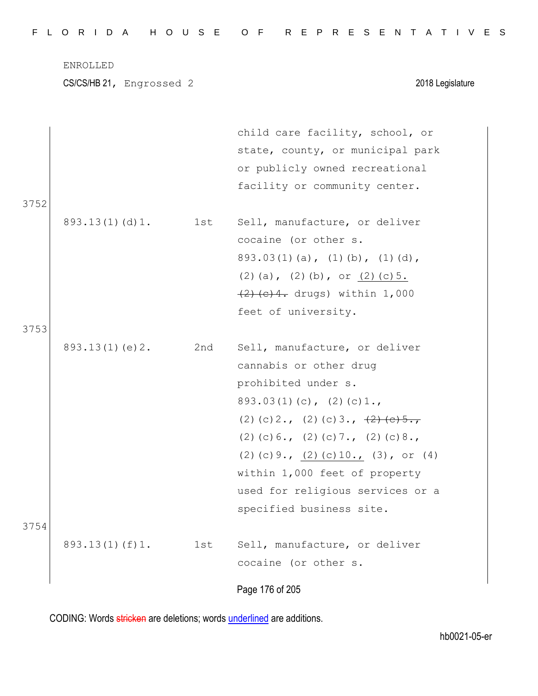| FLORIDA HOUSE OF REPRESENTATIVES |
|----------------------------------|
|----------------------------------|

ENROLLED CS/CS/HB 21, Engrossed 2 2018 Legislature child care facility, school, or state, county, or municipal park or publicly owned recreational facility or community center. 3752 893.13(1)(d)1. 1st Sell, manufacture, or deliver cocaine (or other s. 893.03(1)(a), (1)(b), (1)(d), (2)(a), (2)(b), or (2)(c) $5.$ (2)(c)4. drugs) within 1,000 feet of university. 3753 893.13(1)(e)2. 2nd Sell, manufacture, or deliver cannabis or other drug prohibited under s.  $893.03(1)(c)$ ,  $(2)(c)1.$ (2)(c)2., (2)(c)3.,  $\frac{2}{2}$ (e)5., (2)(c)6., (2)(c)7., (2)(c)8., (2)(c)9., (2)(c)10., (3), or (4) within 1,000 feet of property used for religious services or a

Page 176 of 205 specified business site. 3754 893.13(1)(f)1. 1st Sell, manufacture, or deliver cocaine (or other s.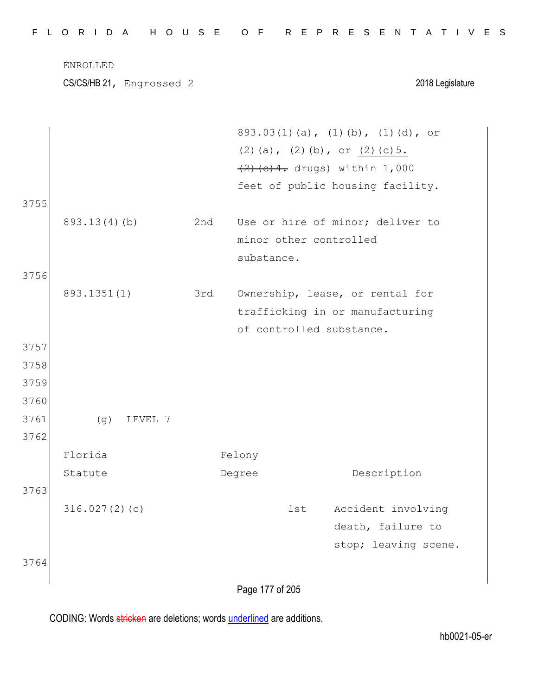|      | ENROLLED<br>CS/CS/HB 21, Engrossed 2 |     |            |     | 2018 Legislature                      |
|------|--------------------------------------|-----|------------|-----|---------------------------------------|
|      |                                      |     |            |     |                                       |
|      |                                      |     |            |     | 893.03(1)(a), (1)(b), (1)(d), or      |
|      |                                      |     |            |     | $(2)$ (a), $(2)$ (b), or $(2)$ (c) 5. |
|      |                                      |     |            |     | $(2)$ (c) 4. drugs) within 1,000      |
|      |                                      |     |            |     | feet of public housing facility.      |
| 3755 |                                      |     |            |     |                                       |
|      | 893.13(4)(b)                         | 2nd |            |     | Use or hire of minor; deliver to      |
|      |                                      |     |            |     | minor other controlled                |
|      |                                      |     | substance. |     |                                       |
| 3756 |                                      |     |            |     |                                       |
|      | 893.1351(1)                          | 3rd |            |     | Ownership, lease, or rental for       |
|      |                                      |     |            |     | trafficking in or manufacturing       |
|      |                                      |     |            |     | of controlled substance.              |
| 3757 |                                      |     |            |     |                                       |
| 3758 |                                      |     |            |     |                                       |
| 3759 |                                      |     |            |     |                                       |
| 3760 |                                      |     |            |     |                                       |
| 3761 | (g)<br>LEVEL<br>$\frac{1}{2}$        |     |            |     |                                       |
| 3762 |                                      |     |            |     |                                       |
|      | Florida                              |     | Felony     |     |                                       |
|      | Statute                              |     | Degree     |     | Description                           |
| 3763 |                                      |     |            |     |                                       |
|      | 316.027(2)(c)                        |     |            | 1st | Accident involving                    |
|      |                                      |     |            |     | death, failure to                     |
|      |                                      |     |            |     | stop; leaving scene.                  |
| 3764 |                                      |     |            |     |                                       |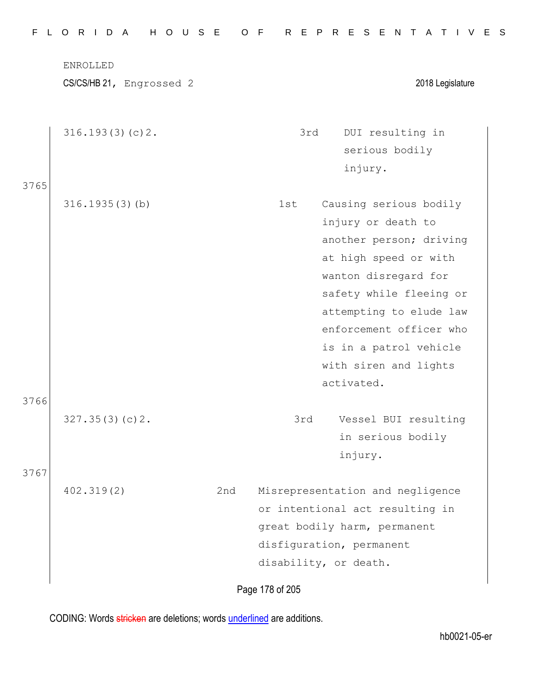|      | ENROLLED<br>CS/CS/HB 21, Engrossed 2 |     |     | 2018 Legislature                                                                                                                                                                                                                                                           |
|------|--------------------------------------|-----|-----|----------------------------------------------------------------------------------------------------------------------------------------------------------------------------------------------------------------------------------------------------------------------------|
| 3765 | 316.193(3)(c)2.                      |     | 3rd | DUI resulting in<br>serious bodily<br>injury.                                                                                                                                                                                                                              |
|      | $316.1935(3)$ (b)                    |     | 1st | Causing serious bodily<br>injury or death to<br>another person; driving<br>at high speed or with<br>wanton disregard for<br>safety while fleeing or<br>attempting to elude law<br>enforcement officer who<br>is in a patrol vehicle<br>with siren and lights<br>activated. |
| 3766 | 327.35(3)(c)2.                       |     | 3rd | Vessel BUI resulting<br>in serious bodily<br>injury.                                                                                                                                                                                                                       |
| 3767 | 402.319(2)                           | 2nd |     | Misrepresentation and negligence<br>or intentional act resulting in<br>great bodily harm, permanent<br>disfiguration, permanent<br>disability, or death.                                                                                                                   |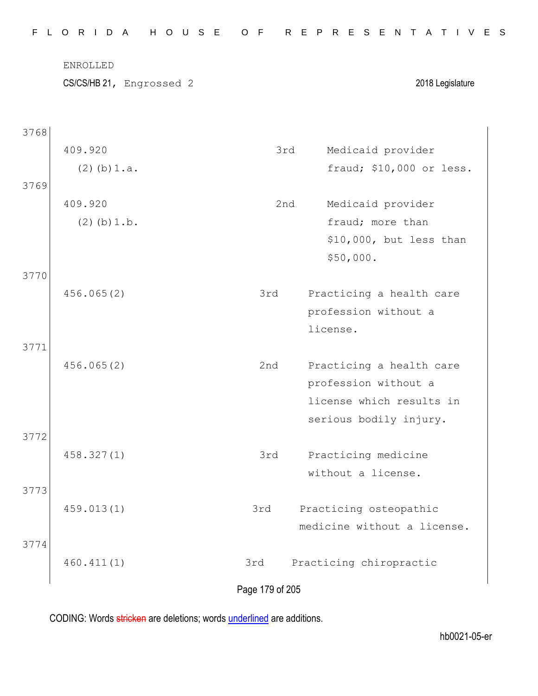| ENROLLED | CS/CS/HB 21, Engrossed 2 |     | 2018 Legislature            |
|----------|--------------------------|-----|-----------------------------|
|          |                          |     |                             |
| 3768     |                          |     |                             |
| 409.920  |                          | 3rd | Medicaid provider           |
|          | $(2)$ (b) $1.a.$         |     | fraud; \$10,000 or less.    |
| 3769     |                          |     |                             |
| 409.920  |                          | 2nd | Medicaid provider           |
|          | $(2)$ (b) $1.b.$         |     | fraud; more than            |
|          |                          |     | \$10,000, but less than     |
|          |                          |     | \$50,000.                   |
| 3770     |                          |     |                             |
|          | 456.065(2)               | 3rd | Practicing a health care    |
|          |                          |     | profession without a        |
|          |                          |     | license.                    |
| 3771     |                          |     |                             |
|          | 456.065(2)               | 2nd | Practicing a health care    |
|          |                          |     | profession without a        |
|          |                          |     | license which results in    |
|          |                          |     | serious bodily injury.      |
| 3772     |                          |     |                             |
|          | 458.327(1)               | 3rd | Practicing medicine         |
|          |                          |     | without a license.          |
| 3773     |                          |     |                             |
|          | 459.013(1)               | 3rd | Practicing osteopathic      |
|          |                          |     | medicine without a license. |
| 3774     |                          |     |                             |
|          | 460.411(1)               | 3rd | Practicing chiropractic     |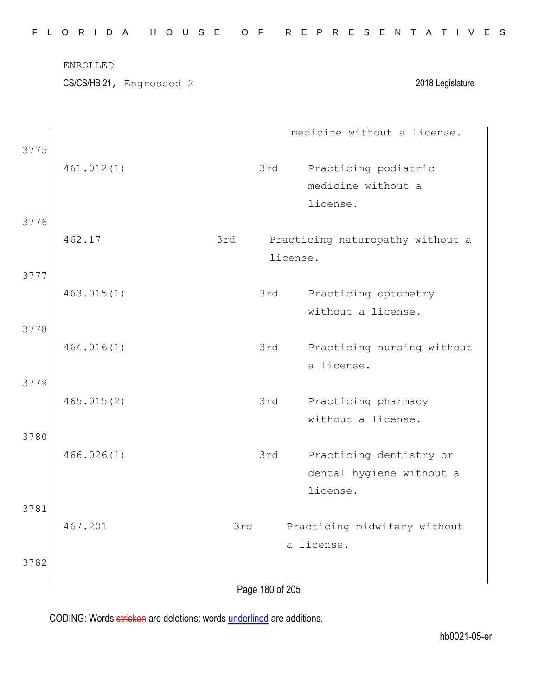| 461.012(1)<br>462.17 | 3rd                                                             | 3rd | medicine without a license.<br>Practicing podiatric<br>medicine without a<br>license. |
|----------------------|-----------------------------------------------------------------|-----|---------------------------------------------------------------------------------------|
|                      |                                                                 |     |                                                                                       |
|                      |                                                                 |     |                                                                                       |
|                      |                                                                 |     | Practicing naturopathy without a                                                      |
|                      |                                                                 | 3rd | Practicing optometry<br>without a license.                                            |
|                      |                                                                 | 3rd | Practicing nursing without<br>a license.                                              |
|                      |                                                                 | 3rd | Practicing pharmacy<br>without a license.                                             |
|                      |                                                                 | 3rd | Practicing dentistry or<br>dental hygiene without a                                   |
|                      | 3rd                                                             |     | license.<br>Practicing midwifery without                                              |
|                      |                                                                 |     | a license.                                                                            |
|                      | 463.015(1)<br>464.016(1)<br>465.015(2)<br>466.026(1)<br>467.201 |     | license.<br>Page 180 of 205                                                           |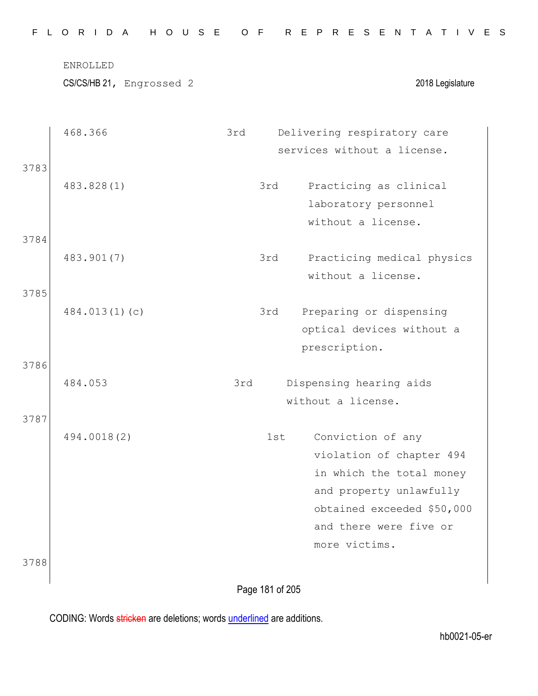|      | ENROLLED                 |     |                 |                    |                    |  |                             |                  |  |
|------|--------------------------|-----|-----------------|--------------------|--------------------|--|-----------------------------|------------------|--|
|      | CS/CS/HB 21, Engrossed 2 |     |                 |                    |                    |  |                             | 2018 Legislature |  |
|      | 468.366                  | 3rd |                 |                    |                    |  | Delivering respiratory care |                  |  |
|      |                          |     |                 |                    |                    |  | services without a license. |                  |  |
| 3783 |                          |     |                 |                    |                    |  |                             |                  |  |
|      | 483.828(1)               |     | 3rd             |                    |                    |  | Practicing as clinical      |                  |  |
|      |                          |     |                 |                    |                    |  | laboratory personnel        |                  |  |
|      |                          |     |                 |                    | without a license. |  |                             |                  |  |
| 3784 |                          |     |                 |                    |                    |  |                             |                  |  |
|      | 483.901(7)               |     | 3rd             |                    | without a license. |  | Practicing medical physics  |                  |  |
| 3785 |                          |     |                 |                    |                    |  |                             |                  |  |
|      | 484.013(1)(c)            |     | 3rd             |                    |                    |  | Preparing or dispensing     |                  |  |
|      |                          |     |                 |                    |                    |  | optical devices without a   |                  |  |
|      |                          |     |                 | prescription.      |                    |  |                             |                  |  |
| 3786 |                          |     |                 |                    |                    |  |                             |                  |  |
|      | 484.053                  | 3rd |                 |                    |                    |  | Dispensing hearing aids     |                  |  |
|      |                          |     |                 | without a license. |                    |  |                             |                  |  |
| 3787 |                          |     |                 |                    |                    |  |                             |                  |  |
|      | 494.0018(2)              |     | 1st             |                    | Conviction of any  |  |                             |                  |  |
|      |                          |     |                 |                    |                    |  | violation of chapter 494    |                  |  |
|      |                          |     |                 |                    |                    |  | in which the total money    |                  |  |
|      |                          |     |                 |                    |                    |  | and property unlawfully     |                  |  |
|      |                          |     |                 |                    |                    |  | obtained exceeded \$50,000  |                  |  |
|      |                          |     |                 |                    |                    |  | and there were five or      |                  |  |
|      |                          |     |                 |                    | more victims.      |  |                             |                  |  |
| 3788 |                          |     |                 |                    |                    |  |                             |                  |  |
|      |                          |     | Page 181 of 205 |                    |                    |  |                             |                  |  |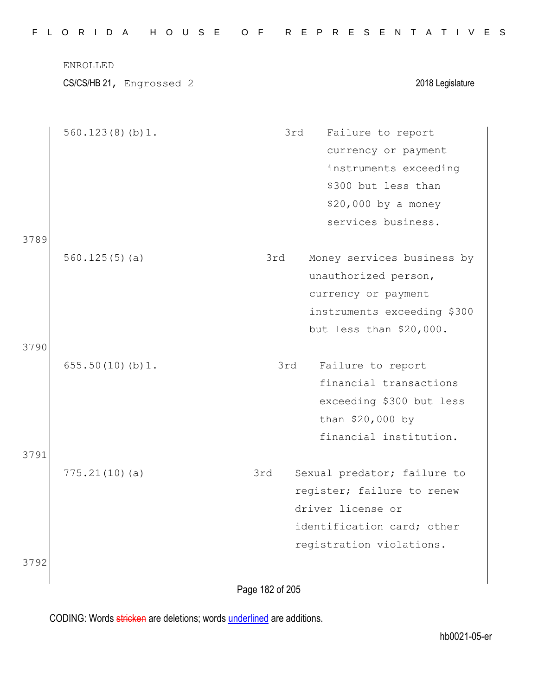| ENROLLED<br>CS/CS/HB 21, Engrossed 2 | 2018 Legislature                   |
|--------------------------------------|------------------------------------|
|                                      |                                    |
| 560.123(8)(b)1.                      | 3rd<br>Failure to report           |
|                                      | currency or payment                |
|                                      | instruments exceeding              |
|                                      | \$300 but less than                |
|                                      | $$20,000$ by a money               |
|                                      | services business.                 |
| 3789                                 |                                    |
| 560.125(5)(a)                        | 3rd<br>Money services business by  |
|                                      | unauthorized person,               |
|                                      | currency or payment                |
|                                      | instruments exceeding \$300        |
|                                      | but less than \$20,000.            |
| 3790<br>655.50(10)(b)1.              | Failure to report<br>3rd           |
|                                      | financial transactions             |
|                                      | exceeding \$300 but less           |
|                                      | than \$20,000 by                   |
|                                      | financial institution.             |
| 3791                                 |                                    |
| 775.21(10)(a)                        | 3rd<br>Sexual predator; failure to |
|                                      | register; failure to renew         |
|                                      | driver license or                  |
|                                      | identification card; other         |
|                                      | registration violations.           |
| 3792                                 |                                    |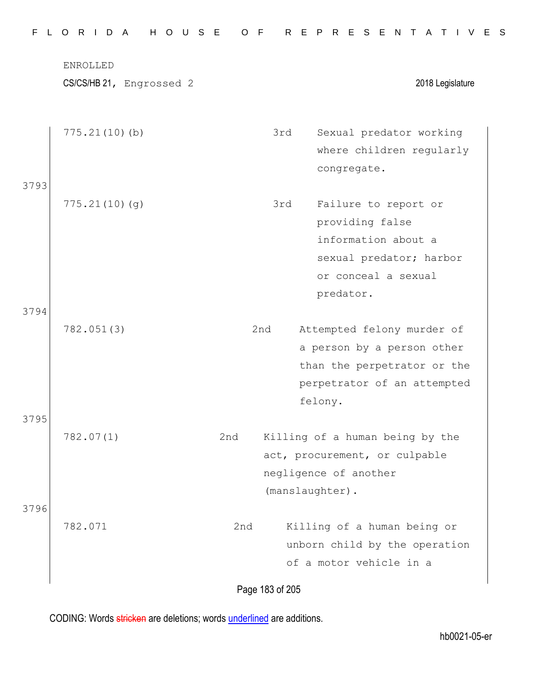|      | ENROLLED<br>CS/CS/HB 21, Engrossed 2 |     |     | 2018 Legislature                                                                                                                               |
|------|--------------------------------------|-----|-----|------------------------------------------------------------------------------------------------------------------------------------------------|
|      | 775.21(10)(b)                        |     | 3rd | Sexual predator working<br>where children regularly<br>congregate.                                                                             |
| 3793 | 775.21(10)(q)                        |     | 3rd | Failure to report or<br>providing false<br>information about a<br>sexual predator; harbor<br>or conceal a sexual                               |
| 3794 | 782.051(3)                           |     | 2nd | predator.<br>Attempted felony murder of<br>a person by a person other<br>than the perpetrator or the<br>perpetrator of an attempted<br>felony. |
| 3795 | 782.07(1)                            | 2nd |     | Killing of a human being by the<br>act, procurement, or culpable<br>negligence of another                                                      |
| 3796 | 782.071                              | 2nd |     | (manslaughter).<br>Killing of a human being or<br>unborn child by the operation<br>of a motor vehicle in a                                     |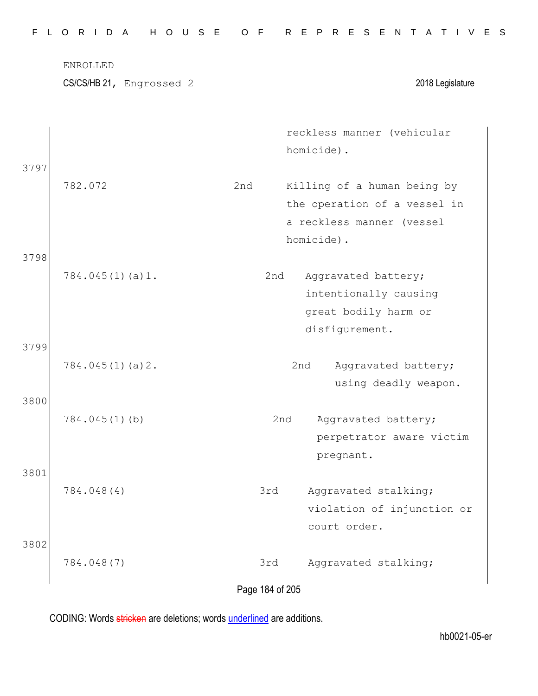| F.           | H O U S E<br>L O R I D A<br>ENROLLED<br>CS/CS/HB 21, Engrossed 2 | O F                    | R E P R E S E N T A T I V E S<br>2018 Legislature                                                      |
|--------------|------------------------------------------------------------------|------------------------|--------------------------------------------------------------------------------------------------------|
| 3797         |                                                                  |                        | reckless manner (vehicular<br>homicide).                                                               |
| 3798         | 782.072                                                          | 2nd                    | Killing of a human being by<br>the operation of a vessel in<br>a reckless manner (vessel<br>homicide). |
|              | 784.045(1)(a)1.                                                  | 2nd                    | Aggravated battery;<br>intentionally causing<br>great bodily harm or<br>disfigurement.                 |
| 3799<br>3800 | 784.045(1)(a)2.                                                  |                        | 2nd<br>Aggravated battery;<br>using deadly weapon.                                                     |
|              | 784.045(1)(b)                                                    |                        | 2nd<br>Aggravated battery;<br>perpetrator aware victim<br>pregnant.                                    |
| 3801         | 784.048(4)                                                       | 3rd                    | Aggravated stalking;<br>violation of injunction or<br>court order.                                     |
| 3802         | 784.048(7)                                                       | 3rd<br>Page 184 of 205 | Aggravated stalking;                                                                                   |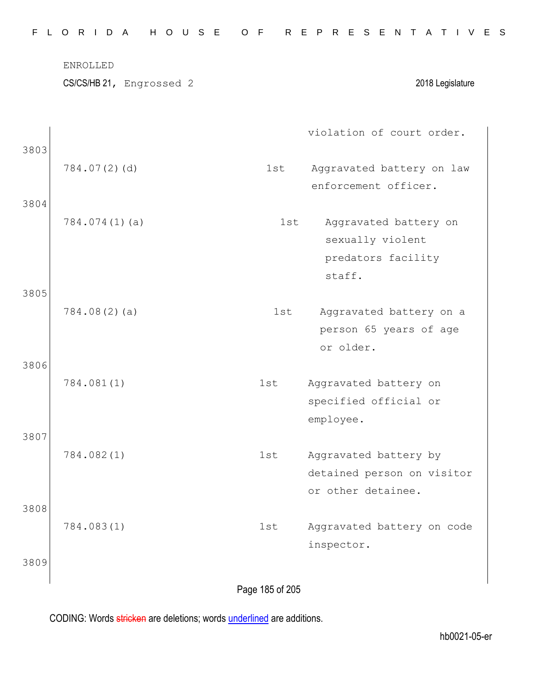|              | ENROLLED<br>CS/CS/HB 21, Engrossed 2 |     | 2018 Legislature                                                          |
|--------------|--------------------------------------|-----|---------------------------------------------------------------------------|
| 3803         |                                      |     | violation of court order.                                                 |
|              | 784.07(2)(d)                         | 1st | Aggravated battery on law<br>enforcement officer.                         |
| 3804         | 784.074(1)(a)                        | 1st | Aggravated battery on<br>sexually violent<br>predators facility<br>staff. |
| 3805<br>3806 | 784.08(2)(a)                         | 1st | Aggravated battery on a<br>person 65 years of age<br>or older.            |
|              | 784.081(1)                           | 1st | Aggravated battery on<br>specified official or<br>employee.               |
| 3807<br>3808 | 784.082(1)                           | 1st | Aggravated battery by<br>detained person on visitor<br>or other detainee. |
| 3809         | 784.083(1)                           | 1st | Aggravated battery on code<br>inspector.                                  |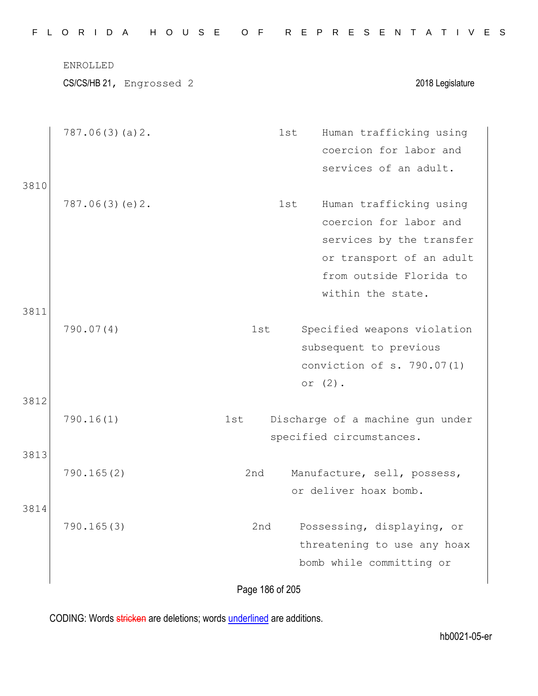|      | CS/CS/HB 21, Engrossed 2 |     |     | 2018 Legislature                 |
|------|--------------------------|-----|-----|----------------------------------|
|      | 787.06(3)(a)2.           |     | 1st | Human trafficking using          |
|      |                          |     |     | coercion for labor and           |
| 3810 |                          |     |     | services of an adult.            |
|      | 787.06(3)(e)2.           |     | 1st | Human trafficking using          |
|      |                          |     |     | coercion for labor and           |
|      |                          |     |     | services by the transfer         |
|      |                          |     |     | or transport of an adult         |
|      |                          |     |     | from outside Florida to          |
| 3811 |                          |     |     | within the state.                |
|      | 790.07(4)                | 1st |     | Specified weapons violation      |
|      |                          |     |     | subsequent to previous           |
|      |                          |     |     | conviction of s. 790.07(1)       |
|      |                          |     |     | or $(2)$ .                       |
| 3812 |                          |     |     |                                  |
|      | 790.16(1)                | 1st |     | Discharge of a machine gun under |
|      |                          |     |     | specified circumstances.         |
| 3813 |                          |     |     |                                  |
|      | 790.165(2)               | 2nd |     | Manufacture, sell, possess,      |
|      |                          |     |     | or deliver hoax bomb.            |
| 3814 | 790.165(3)               | 2nd |     | Possessing, displaying, or       |
|      |                          |     |     | threatening to use any hoax      |
|      |                          |     |     | bomb while committing or         |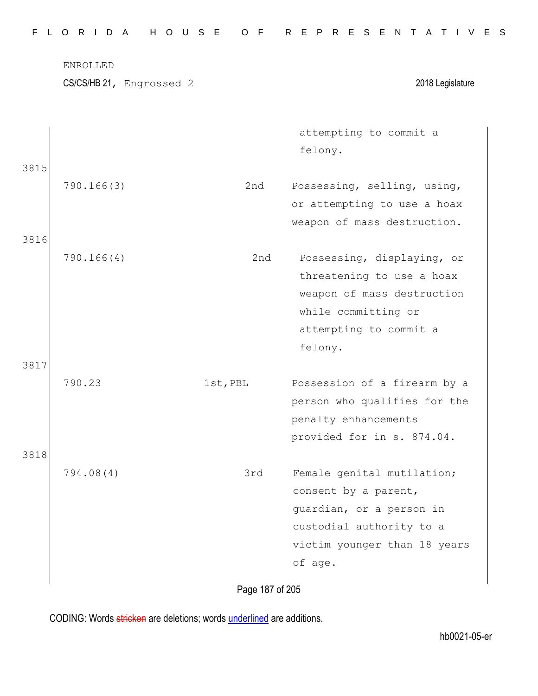ENROLLED

3815

3816

3817

3818

CS/CS/HB 21, Engrossed 2 2018 Legislature

attempting to commit a felony.

- 790.166(3) 2nd Possessing, selling, using, or attempting to use a hoax weapon of mass destruction.
- 790.166(4) 2nd Possessing, displaying, or threatening to use a hoax weapon of mass destruction while committing or attempting to commit a felony.
- 790.23 1st,PBL Possession of a firearm by a person who qualifies for the penalty enhancements provided for in s. 874.04.
- 794.08(4) 3rd Female genital mutilation; consent by a parent, guardian, or a person in custodial authority to a victim younger than 18 years of age.

Page 187 of 205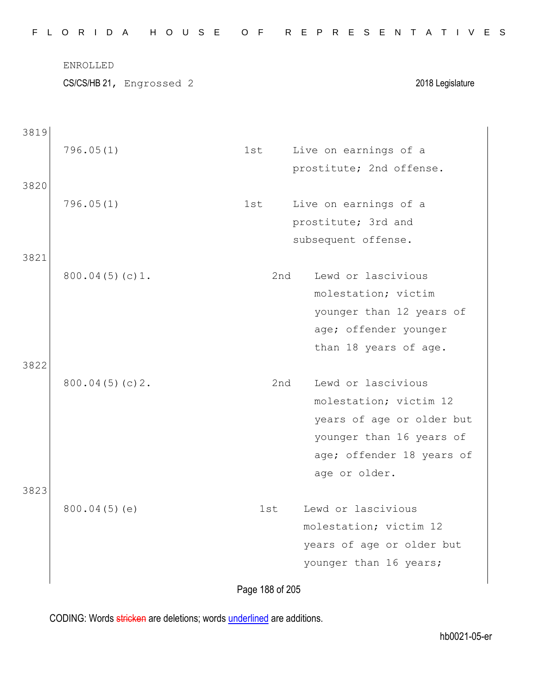|      | ENROLLED<br>CS/CS/HB 21, Engrossed 2 |     | 2018 Legislature                               |
|------|--------------------------------------|-----|------------------------------------------------|
| 3819 |                                      |     |                                                |
|      | 796.05(1)                            | 1st | Live on earnings of a                          |
|      |                                      |     | prostitute; 2nd offense.                       |
| 3820 |                                      |     |                                                |
|      | 796.05(1)                            | 1st | Live on earnings of a                          |
|      |                                      |     | prostitute; 3rd and                            |
|      |                                      |     | subsequent offense.                            |
| 3821 |                                      |     |                                                |
|      | 800.04(5)(c)1.                       | 2nd | Lewd or lascivious                             |
|      |                                      |     | molestation; victim                            |
|      |                                      |     | younger than 12 years of                       |
|      |                                      |     | age; offender younger<br>than 18 years of age. |
| 3822 |                                      |     |                                                |
|      | $800.04(5)(c)2$ .                    | 2nd | Lewd or lascivious                             |
|      |                                      |     | molestation; victim 12                         |
|      |                                      |     | years of age or older but                      |
|      |                                      |     | younger than 16 years of                       |
|      |                                      |     | age; offender 18 years of                      |
|      |                                      |     | age or older.                                  |
| 3823 |                                      |     |                                                |
|      | 800.04(5)(e)                         | 1st | Lewd or lascivious                             |
|      |                                      |     | molestation; victim 12                         |
|      |                                      |     | years of age or older but                      |
|      |                                      |     | younger than 16 years;                         |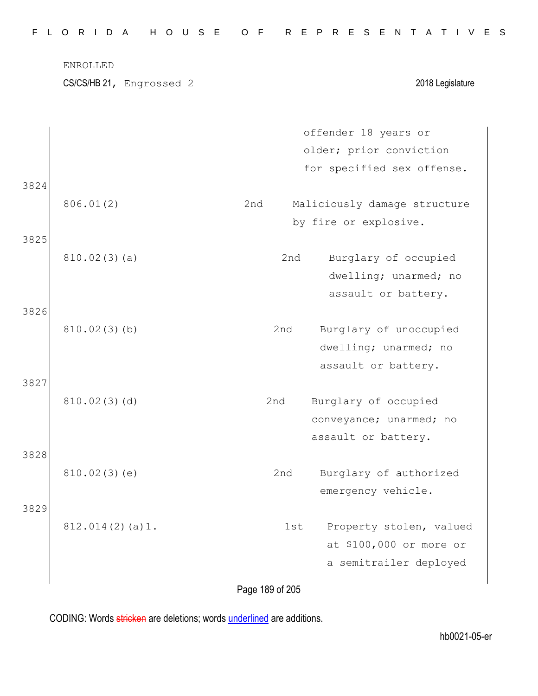|      | CS/CS/HB 21, Engrossed 2 |     | 2018 Legislature             |
|------|--------------------------|-----|------------------------------|
|      |                          |     | offender 18 years or         |
|      |                          |     | older; prior conviction      |
|      |                          |     | for specified sex offense.   |
| 3824 | 806.01(2)                | 2nd | Maliciously damage structure |
|      |                          |     | by fire or explosive.        |
| 3825 |                          |     |                              |
|      | 810.02(3)(a)             | 2nd | Burglary of occupied         |
|      |                          |     | dwelling; unarmed; no        |
|      |                          |     | assault or battery.          |
| 3826 |                          |     |                              |
|      | 810.02(3)(b)             | 2nd | Burglary of unoccupied       |
|      |                          |     | dwelling; unarmed; no        |
|      |                          |     | assault or battery.          |
| 3827 |                          |     |                              |
|      | 810.02(3)(d)             | 2nd | Burglary of occupied         |
|      |                          |     | conveyance; unarmed; no      |
| 3828 |                          |     | assault or battery.          |
|      | 810.02(3)(e)             | 2nd | Burglary of authorized       |
|      |                          |     | emergency vehicle.           |
| 3829 |                          |     |                              |
|      | 812.014(2)(a)1.          | 1st | Property stolen, valued      |
|      |                          |     | at \$100,000 or more or      |
|      |                          |     | a semitrailer deployed       |

hb0021-05-er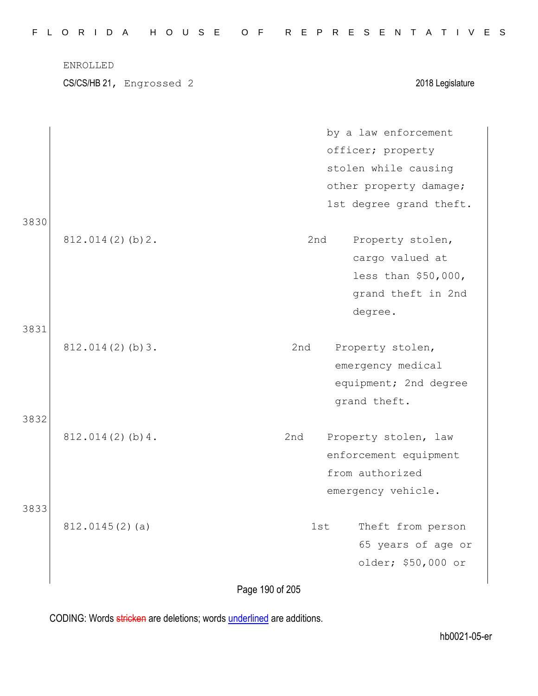|      | ENROLLED<br>CS/CS/HB 21, Engrossed 2 | 2018 Legislature            |
|------|--------------------------------------|-----------------------------|
|      |                                      |                             |
|      |                                      | by a law enforcement        |
|      |                                      | officer; property           |
|      |                                      | stolen while causing        |
|      |                                      | other property damage;      |
| 3830 |                                      | 1st degree grand theft.     |
|      | $812.014(2)$ (b) 2.                  | Property stolen,<br>2nd     |
|      |                                      | cargo valued at             |
|      |                                      | less than \$50,000,         |
|      |                                      | grand theft in 2nd          |
|      |                                      | degree.                     |
| 3831 | $812.014(2)$ (b) 3.                  | Property stolen,<br>2nd     |
|      |                                      | emergency medical           |
|      |                                      | equipment; 2nd degree       |
|      |                                      | grand theft.                |
| 3832 | 812.014(2)(b)4.                      | 2nd<br>Property stolen, law |
|      |                                      | enforcement equipment       |
|      |                                      | from authorized             |
|      |                                      | emergency vehicle.          |
| 3833 |                                      |                             |
|      | $812.0145(2)$ (a)                    | Theft from person<br>1st    |
|      |                                      | 65 years of age or          |
|      |                                      | older; \$50,000 or          |

Page 190 of 205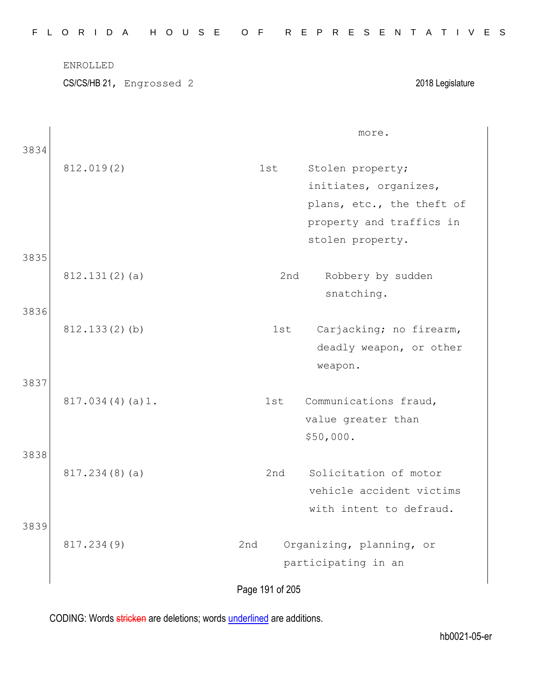|      | ENROLLED<br>CS/CS/HB 21, Engrossed 2 | 2018 Legislature                                                                                                              |
|------|--------------------------------------|-------------------------------------------------------------------------------------------------------------------------------|
| 3834 |                                      | more.                                                                                                                         |
|      | 812.019(2)                           | 1st<br>Stolen property;<br>initiates, organizes,<br>plans, etc., the theft of<br>property and traffics in<br>stolen property. |
| 3835 |                                      |                                                                                                                               |
|      | 812.131(2)(a)                        | 2nd<br>Robbery by sudden<br>snatching.                                                                                        |
| 3836 | 812.133(2)(b)                        | Carjacking; no firearm,<br>1st<br>deadly weapon, or other<br>weapon.                                                          |
| 3837 | 817.034(4)(a)1.                      | Communications fraud,<br>1st<br>value greater than<br>\$50,000.                                                               |
| 3838 | 817.234(8)(a)                        | Solicitation of motor<br>2nd<br>vehicle accident victims<br>with intent to defraud.                                           |
| 3839 | 817.234(9)                           | Organizing, planning, or<br>2nd<br>participating in an                                                                        |
|      |                                      | Page 191 of 205                                                                                                               |

F L O R I D A H O U S E O F R E P R E S E N T A T I V E S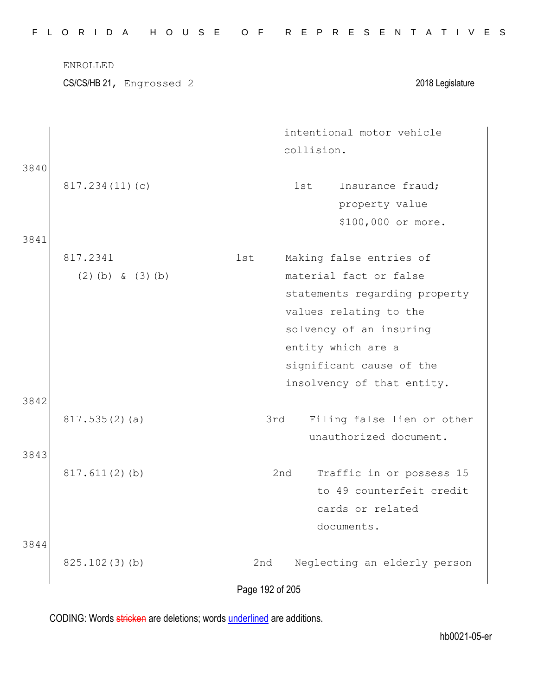|      | ENROLLED<br>CS/CS/HB 21, Engrossed 2 | 2018 Legislature                                                                                                                                                                                                               |
|------|--------------------------------------|--------------------------------------------------------------------------------------------------------------------------------------------------------------------------------------------------------------------------------|
|      |                                      | intentional motor vehicle<br>collision.                                                                                                                                                                                        |
| 3840 | 817.234(11)(c)                       | Insurance fraud;<br>1st<br>property value<br>\$100,000 or more.                                                                                                                                                                |
| 3841 |                                      |                                                                                                                                                                                                                                |
|      | 817.2341<br>$(2)$ (b) & $(3)$ (b)    | Making false entries of<br>1st<br>material fact or false<br>statements regarding property<br>values relating to the<br>solvency of an insuring<br>entity which are a<br>significant cause of the<br>insolvency of that entity. |
| 3842 | 817.535(2)(a)                        | Filing false lien or other<br>3rd<br>unauthorized document.                                                                                                                                                                    |
| 3843 | $817.611(2)$ (b)                     | Traffic in or possess 15<br>2nd<br>to 49 counterfeit credit<br>cards or related<br>documents.                                                                                                                                  |
| 3844 | 825.102(3)(b)                        | 2nd<br>Neglecting an elderly person<br>Page 192 of 205                                                                                                                                                                         |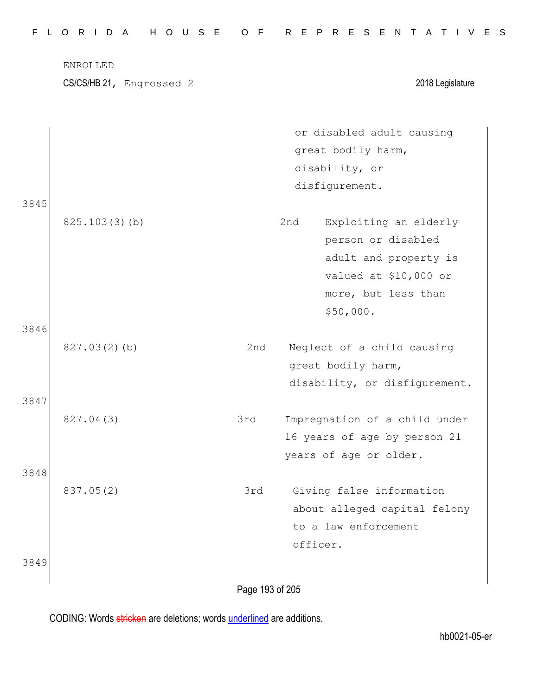|              | ENROLLED<br>CS/CS/HB 21, Engrossed 2 |     | 2018 Legislature                                                                                                                         |
|--------------|--------------------------------------|-----|------------------------------------------------------------------------------------------------------------------------------------------|
|              |                                      |     | or disabled adult causing<br>great bodily harm,<br>disability, or<br>disfigurement.                                                      |
| 3845         | 825.103(3)(b)                        |     | 2nd<br>Exploiting an elderly<br>person or disabled<br>adult and property is<br>valued at \$10,000 or<br>more, but less than<br>\$50,000. |
| 3846<br>3847 | 827.03(2)(b)                         | 2nd | Neglect of a child causing<br>great bodily harm,<br>disability, or disfigurement.                                                        |
| 3848         | 827.04(3)                            | 3rd | Impregnation of a child under<br>16 years of age by person 21<br>years of age or older.                                                  |
|              | 837.05(2)                            | 3rd | Giving false information<br>about alleged capital felony<br>to a law enforcement<br>officer.                                             |
| 3849         |                                      |     |                                                                                                                                          |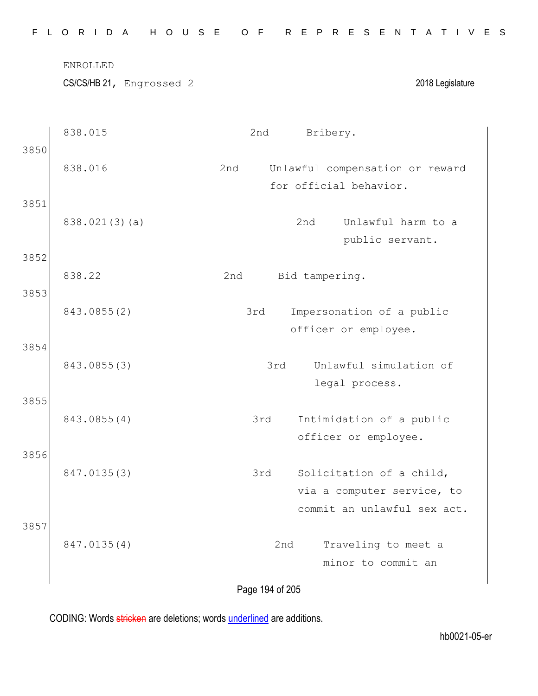|  |  |  |  |  |  | FLORIDA HOUSE OF REPRESENTATIVES |  |  |  |  |  |  |  |  |
|--|--|--|--|--|--|----------------------------------|--|--|--|--|--|--|--|--|
|  |  |  |  |  |  |                                  |  |  |  |  |  |  |  |  |

ENROLLED

CS/CS/HB 21, Engrossed 2 2018 Legislature

|      | 838.015       | 2nd<br>Bribery.                                         |
|------|---------------|---------------------------------------------------------|
| 3850 | 838.016       | Unlawful compensation or reward<br>2nd                  |
|      |               | for official behavior.                                  |
| 3851 |               |                                                         |
|      | 838.021(3)(a) | 2nd<br>Unlawful harm to a                               |
| 3852 |               | public servant.                                         |
|      | 838.22        | 2nd<br>Bid tampering.                                   |
| 3853 |               |                                                         |
|      | 843.0855(2)   | 3rd<br>Impersonation of a public                        |
| 3854 |               | officer or employee.                                    |
|      | 843.0855(3)   | Unlawful simulation of<br>3rd                           |
|      |               | legal process.                                          |
| 3855 |               |                                                         |
|      | 843.0855(4)   | Intimidation of a public<br>3rd<br>officer or employee. |
| 3856 |               |                                                         |
|      | 847.0135(3)   | Solicitation of a child,<br>3rd                         |
|      |               | via a computer service, to                              |
| 3857 |               | commit an unlawful sex act.                             |
|      | 847.0135(4)   | 2nd<br>Traveling to meet a                              |
|      |               | minor to commit an                                      |
|      |               |                                                         |

Page 194 of 205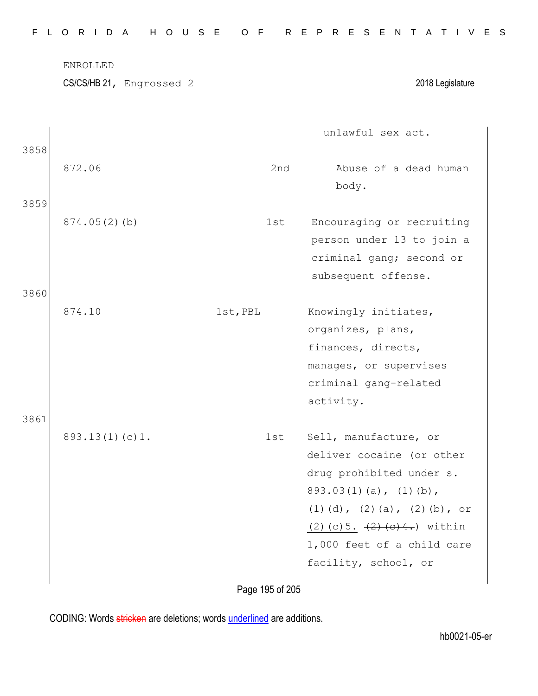|              | ENROLLED       | CS/CS/HB 21, Engrossed 2 |          |     | 2018 Legislature                                                                                                                                                                                                                                                              |
|--------------|----------------|--------------------------|----------|-----|-------------------------------------------------------------------------------------------------------------------------------------------------------------------------------------------------------------------------------------------------------------------------------|
| 3858         |                |                          |          |     | unlawful sex act.                                                                                                                                                                                                                                                             |
|              | 872.06         |                          |          | 2nd | Abuse of a dead human<br>body.                                                                                                                                                                                                                                                |
| 3859<br>3860 | 874.05(2)(b)   |                          |          | 1st | Encouraging or recruiting<br>person under 13 to join a<br>criminal gang; second or<br>subsequent offense.                                                                                                                                                                     |
| 3861         | 874.10         |                          | 1st, PBL |     | Knowingly initiates,<br>organizes, plans,<br>finances, directs,<br>manages, or supervises<br>criminal gang-related<br>activity.                                                                                                                                               |
|              | 893.13(1)(c)1. |                          |          | 1st | Sell, manufacture, or<br>deliver cocaine (or other<br>drug prohibited under s.<br>$893.03(1)(a)$ , $(1)(b)$ ,<br>$(1)$ $(d)$ , $(2)$ $(a)$ , $(2)$ $(b)$ , or<br>(2) (c) 5. $\left( \frac{2}{2} \right)$ (e) 4.) within<br>1,000 feet of a child care<br>facility, school, or |

Page 195 of 205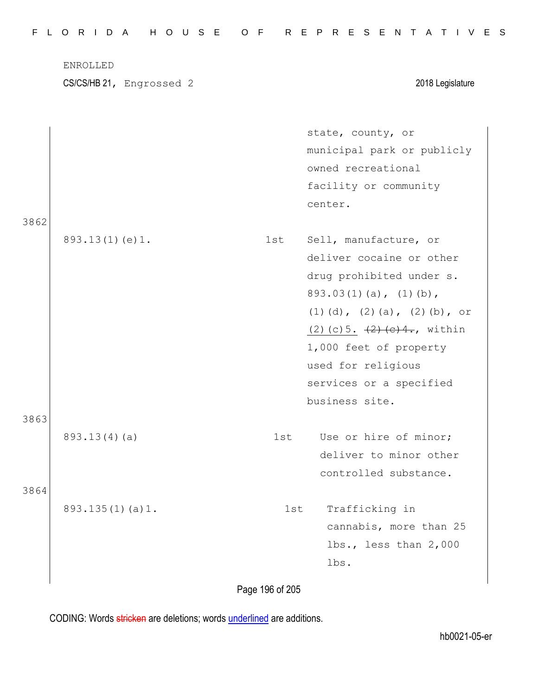|      | ENROLLED<br>CS/CS/HB 21, Engrossed 2 |     | 2018 Legislature                                |
|------|--------------------------------------|-----|-------------------------------------------------|
|      |                                      |     | state, county, or<br>municipal park or publicly |
|      |                                      |     | owned recreational                              |
|      |                                      |     | facility or community                           |
|      |                                      |     | center.                                         |
| 3862 |                                      |     |                                                 |
|      | 893.13(1)(e)1.                       | 1st | Sell, manufacture, or                           |
|      |                                      |     | deliver cocaine or other                        |
|      |                                      |     | drug prohibited under s.                        |
|      |                                      |     | $893.03(1)(a)$ , $(1)(b)$ ,                     |
|      |                                      |     | $(1)$ $(d)$ , $(2)$ $(a)$ , $(2)$ $(b)$ , or    |
|      |                                      |     | $(2)$ (c) 5. $(2)$ (e) 4., within               |
|      |                                      |     | 1,000 feet of property                          |
|      |                                      |     | used for religious                              |
|      |                                      |     | services or a specified                         |
|      |                                      |     | business site.                                  |
| 3863 |                                      |     |                                                 |
|      | 893.13(4)(a)                         | 1st | Use or hire of minor;                           |
|      |                                      |     | deliver to minor other                          |
|      |                                      |     | controlled substance.                           |
| 3864 |                                      |     |                                                 |
|      | 893.135(1)(a)1.                      | 1st | Trafficking in                                  |
|      |                                      |     | cannabis, more than 25                          |
|      |                                      |     | $lbs.,$ less than $2,000$                       |
|      |                                      |     | lbs.                                            |

Page 196 of 205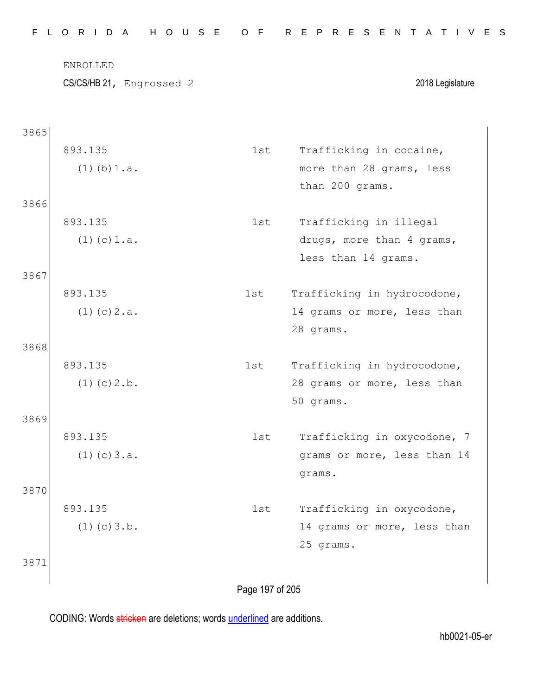|      | ENROLLED                 |     |                                                  |
|------|--------------------------|-----|--------------------------------------------------|
|      | CS/CS/HB 21, Engrossed 2 |     | 2018 Legislature                                 |
| 3865 |                          |     |                                                  |
|      | 893.135                  | 1st | Trafficking in cocaine,                          |
|      | $(1)$ (b) $1.a.$         |     | more than 28 grams, less<br>than 200 grams.      |
| 3866 |                          |     |                                                  |
|      | 893.135                  | 1st | Trafficking in illegal                           |
|      | $(1)$ (c) $1.a.$         |     | drugs, more than 4 grams,<br>less than 14 grams. |
| 3867 |                          |     |                                                  |
|      | 893.135                  | 1st | Trafficking in hydrocodone,                      |
|      | $(1)$ (c) $2.a.$         |     | 14 grams or more, less than<br>28 grams.         |
| 3868 |                          |     |                                                  |
|      | 893.135                  | 1st | Trafficking in hydrocodone,                      |
|      | $(1)$ (c) $2.b.$         |     | 28 grams or more, less than<br>50 grams.         |
| 3869 |                          |     |                                                  |
|      | 893.135                  | 1st | Trafficking in oxycodone, 7                      |
|      | $(1)$ (c) $3.a.$         |     | grams or more, less than 14<br>grams.            |
| 3870 |                          |     |                                                  |
|      | 893.135                  | 1st | Trafficking in oxycodone,                        |
|      | $(1)$ (c) $3.b.$         |     | 14 grams or more, less than<br>25 grams.         |
| 3871 |                          |     |                                                  |
|      |                          |     |                                                  |

Page 197 of 205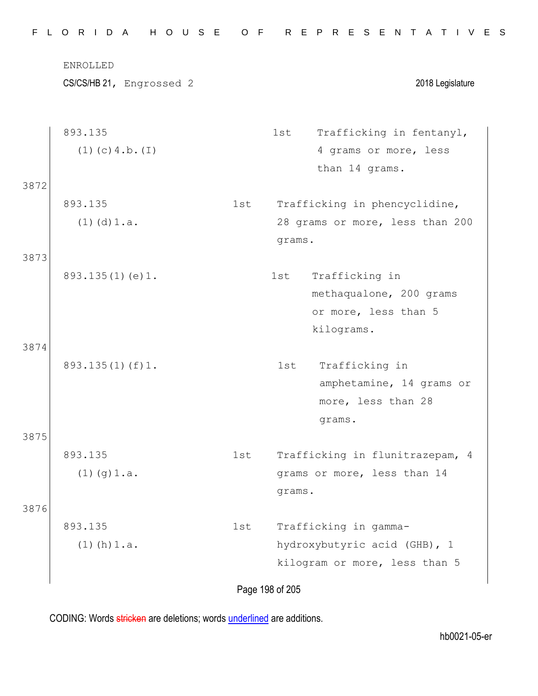|      | ENROLLED                 |     |                                 |
|------|--------------------------|-----|---------------------------------|
|      | CS/CS/HB 21, Engrossed 2 |     | 2018 Legislature                |
|      | 893.135                  |     | Trafficking in fentanyl,<br>1st |
|      | $(1)$ (c) 4.b. $(I)$     |     | 4 grams or more, less           |
|      |                          |     | than 14 grams.                  |
| 3872 |                          |     |                                 |
|      | 893.135                  | 1st | Trafficking in phencyclidine,   |
|      | $(1)$ $(d)$ $1.a.$       |     | 28 grams or more, less than 200 |
|      |                          |     | grams.                          |
| 3873 |                          |     |                                 |
|      | 893.135(1)(e)1.          |     | Trafficking in<br>1st           |
|      |                          |     | methaqualone, 200 grams         |
|      |                          |     | or more, less than 5            |
| 3874 |                          |     | kilograms.                      |
|      | $893.135(1)$ (f) 1.      |     | Trafficking in<br>1st           |
|      |                          |     | amphetamine, 14 grams or        |
|      |                          |     | more, less than 28              |
|      |                          |     | grams.                          |
| 3875 |                          |     |                                 |
|      | 893.135                  | 1st | Trafficking in flunitrazepam, 4 |
|      | $(1)$ (g) $1.a.$         |     | grams or more, less than 14     |
|      |                          |     | grams.                          |
| 3876 |                          |     |                                 |
|      | 893.135                  | 1st | Trafficking in gamma-           |
|      | $(1)$ (h) $1.a.$         |     | hydroxybutyric acid (GHB), 1    |
|      |                          |     | kilogram or more, less than 5   |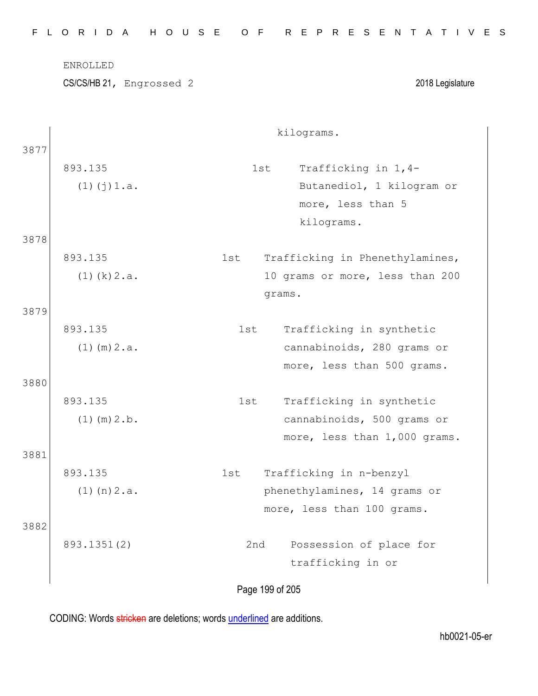|      | ENROLLED                 |     |                                 |
|------|--------------------------|-----|---------------------------------|
|      | CS/CS/HB 21, Engrossed 2 |     | 2018 Legislature                |
|      |                          |     | kilograms.                      |
| 3877 |                          |     |                                 |
|      | 893.135                  |     | Trafficking in 1,4-<br>1st      |
|      | $(1)$ $(j)$ $1.a.$       |     | Butanediol, 1 kilogram or       |
|      |                          |     | more, less than 5               |
|      |                          |     | kilograms.                      |
| 3878 |                          |     |                                 |
|      | 893.135                  | 1st | Trafficking in Phenethylamines, |
|      | $(1)$ (k) $2.a.$         |     | 10 grams or more, less than 200 |
|      |                          |     | grams.                          |
| 3879 |                          |     |                                 |
|      | 893.135                  | 1st | Trafficking in synthetic        |
|      | $(1)$ (m) $2.a.$         |     | cannabinoids, 280 grams or      |
|      |                          |     | more, less than 500 grams.      |
| 3880 |                          |     |                                 |
|      | 893.135                  | 1st | Trafficking in synthetic        |
|      | $(1)$ (m) $2.b.$         |     | cannabinoids, 500 grams or      |
|      |                          |     | more, less than 1,000 grams.    |
| 3881 |                          |     |                                 |
|      | 893.135                  | 1st | Trafficking in n-benzyl         |
|      | $(1)$ (n) $2.a.$         |     | phenethylamines, 14 grams or    |
|      |                          |     | more, less than 100 grams.      |
| 3882 |                          |     |                                 |
|      | 893.1351(2)              | 2nd | Possession of place for         |
|      |                          |     | trafficking in or               |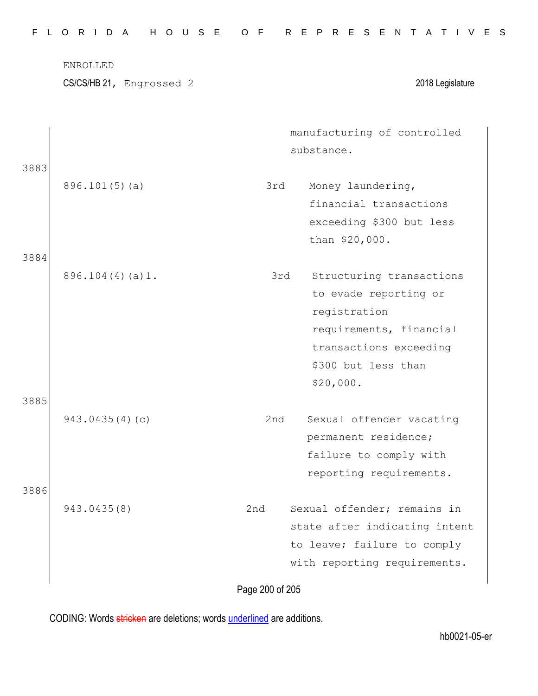|      | CS/CS/HB 21, Engrossed 2 |     | 2018 Legislature              |
|------|--------------------------|-----|-------------------------------|
|      |                          |     | manufacturing of controlled   |
|      |                          |     | substance.                    |
| 3883 |                          |     |                               |
|      | $896.101(5)$ (a)         | 3rd | Money laundering,             |
|      |                          |     | financial transactions        |
|      |                          |     | exceeding \$300 but less      |
|      |                          |     | than \$20,000.                |
| 3884 |                          |     |                               |
|      | 896.104(4)(a)1.          | 3rd | Structuring transactions      |
|      |                          |     | to evade reporting or         |
|      |                          |     | registration                  |
|      |                          |     | requirements, financial       |
|      |                          |     | transactions exceeding        |
|      |                          |     | \$300 but less than           |
|      |                          |     | \$20,000.                     |
| 3885 |                          |     |                               |
|      | 943.0435(4)(c)           | 2nd | Sexual offender vacating      |
|      |                          |     | permanent residence;          |
|      |                          |     | failure to comply with        |
|      |                          |     | reporting requirements.       |
| 3886 |                          |     |                               |
|      | 943.0435(8)              | 2nd | Sexual offender; remains in   |
|      |                          |     | state after indicating intent |
|      |                          |     | to leave; failure to comply   |
|      |                          |     | with reporting requirements.  |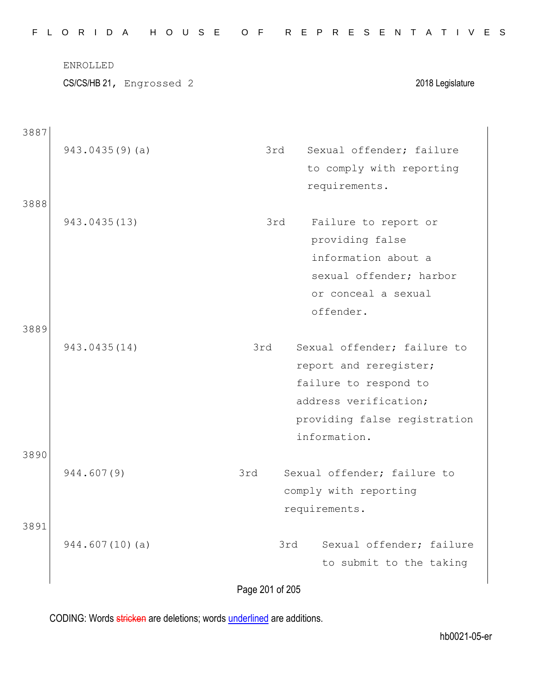|      | <b>ENROLLED</b><br>CS/CS/HB 21, Engrossed 2 | 2018 Legislature                               |
|------|---------------------------------------------|------------------------------------------------|
| 3887 |                                             |                                                |
|      | 943.0435(9)(a)                              | Sexual offender; failure<br>3rd                |
|      |                                             | to comply with reporting                       |
| 3888 |                                             | requirements.                                  |
|      | 943.0435(13)                                | 3rd<br>Failure to report or<br>providing false |
|      |                                             | information about a                            |
|      |                                             | sexual offender; harbor                        |
|      |                                             | or conceal a sexual                            |
|      |                                             | offender.                                      |
| 3889 |                                             |                                                |
|      | 943.0435(14)                                | Sexual offender; failure to<br>3rd             |
|      |                                             | report and reregister;                         |
|      |                                             | failure to respond to                          |
|      |                                             | address verification;                          |
|      |                                             | providing false registration                   |
|      |                                             | information.                                   |
| 3890 | 944.607(9)                                  | Sexual offender; failure to<br>3rd             |
|      |                                             | comply with reporting                          |
|      |                                             | requirements.                                  |
| 3891 |                                             |                                                |
|      | 944.607(10)(a)                              | Sexual offender; failure<br>3rd                |
|      |                                             | to submit to the taking                        |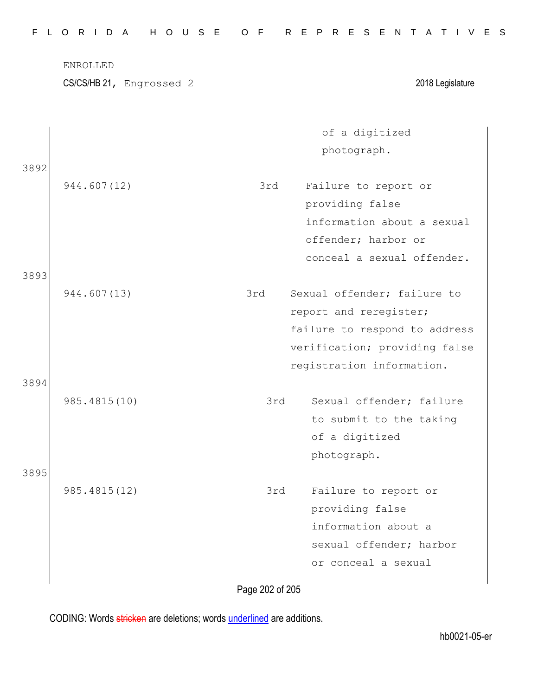|      | <b>ENROLLED</b><br>CS/CS/HB 21, Engrossed 2 |                 | 2018 Legislature                                                                                                                                     |
|------|---------------------------------------------|-----------------|------------------------------------------------------------------------------------------------------------------------------------------------------|
| 3892 |                                             |                 | of a digitized<br>photograph.                                                                                                                        |
|      | 944.607(12)                                 | 3rd             | Failure to report or<br>providing false<br>information about a sexual<br>offender; harbor or<br>conceal a sexual offender.                           |
| 3893 | 944.607(13)                                 | 3rd             | Sexual offender; failure to<br>report and reregister;<br>failure to respond to address<br>verification; providing false<br>registration information. |
| 3894 | 985.4815(10)                                | 3rd             | Sexual offender; failure<br>to submit to the taking<br>of a digitized<br>photograph.                                                                 |
| 3895 | 985.4815(12)                                | 3rd             | Failure to report or<br>providing false<br>information about a<br>sexual offender; harbor<br>or conceal a sexual                                     |
|      |                                             | Page 202 of 205 |                                                                                                                                                      |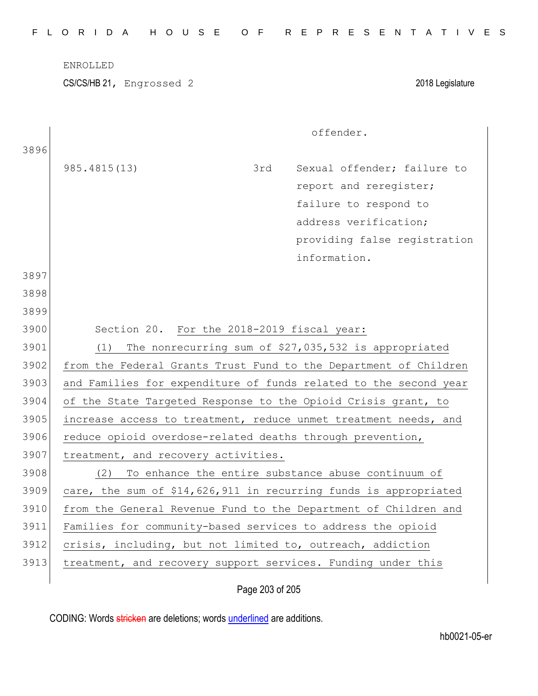|  |  |  | FLORIDA HOUSE OF REPRESENTATIVES |  |  |  |  |  |  |  |  |  |  |  |  |
|--|--|--|----------------------------------|--|--|--|--|--|--|--|--|--|--|--|--|
|  |  |  |                                  |  |  |  |  |  |  |  |  |  |  |  |  |

ENROLLED

CS/CS/HB 21, Engrossed 2 2018 Legislature

|      |                                                                  |     | offender.                                                        |
|------|------------------------------------------------------------------|-----|------------------------------------------------------------------|
| 3896 |                                                                  |     |                                                                  |
|      | 985.4815(13)                                                     | 3rd | Sexual offender; failure to                                      |
|      |                                                                  |     | report and reregister;                                           |
|      |                                                                  |     | failure to respond to                                            |
|      |                                                                  |     | address verification;                                            |
|      |                                                                  |     | providing false registration                                     |
|      |                                                                  |     | information.                                                     |
| 3897 |                                                                  |     |                                                                  |
| 3898 |                                                                  |     |                                                                  |
| 3899 |                                                                  |     |                                                                  |
| 3900 | Section 20. For the 2018-2019 fiscal year:                       |     |                                                                  |
| 3901 | (1)                                                              |     | The nonrecurring sum of \$27,035,532 is appropriated             |
| 3902 | from the Federal Grants Trust Fund to the Department of Children |     |                                                                  |
| 3903 | and Families for expenditure of funds related to the second year |     |                                                                  |
| 3904 | of the State Targeted Response to the Opioid Crisis grant, to    |     |                                                                  |
| 3905 | increase access to treatment, reduce unmet treatment needs, and  |     |                                                                  |
| 3906 | reduce opioid overdose-related deaths through prevention,        |     |                                                                  |
| 3907 | treatment, and recovery activities.                              |     |                                                                  |
| 3908 | (2)                                                              |     | To enhance the entire substance abuse continuum of               |
| 3909 |                                                                  |     | care, the sum of \$14,626,911 in recurring funds is appropriated |
| 3910 |                                                                  |     | from the General Revenue Fund to the Department of Children and  |
| 3911 | Families for community-based services to address the opioid      |     |                                                                  |
| 3912 | crisis, including, but not limited to, outreach, addiction       |     |                                                                  |
| 3913 | treatment, and recovery support services. Funding under this     |     |                                                                  |
|      |                                                                  |     |                                                                  |

Page 203 of 205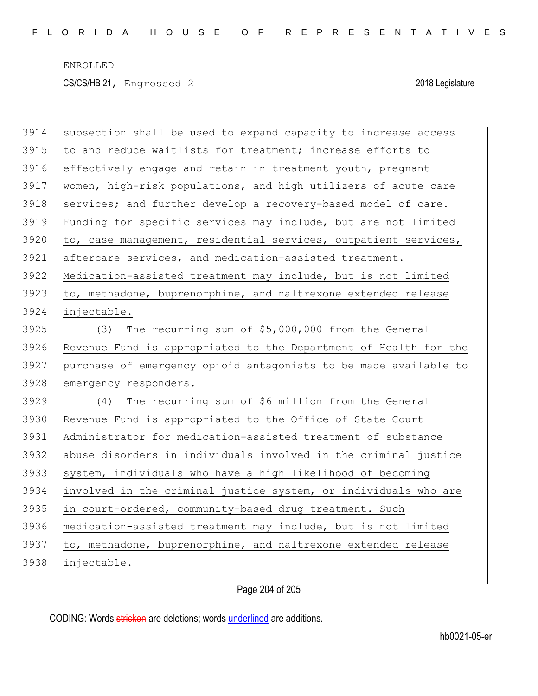ENROLLED CS/CS/HB 21, Engrossed 2 2018 Legislature

| 3914 | subsection shall be used to expand capacity to increase access   |  |  |
|------|------------------------------------------------------------------|--|--|
| 3915 | to and reduce waitlists for treatment; increase efforts to       |  |  |
| 3916 | effectively engage and retain in treatment youth, pregnant       |  |  |
| 3917 | women, high-risk populations, and high utilizers of acute care   |  |  |
| 3918 | services; and further develop a recovery-based model of care.    |  |  |
| 3919 | Funding for specific services may include, but are not limited   |  |  |
| 3920 | to, case management, residential services, outpatient services,  |  |  |
| 3921 | aftercare services, and medication-assisted treatment.           |  |  |
| 3922 | Medication-assisted treatment may include, but is not limited    |  |  |
| 3923 | to, methadone, buprenorphine, and naltrexone extended release    |  |  |
| 3924 | injectable.                                                      |  |  |
| 3925 | The recurring sum of \$5,000,000 from the General<br>(3)         |  |  |
| 3926 | Revenue Fund is appropriated to the Department of Health for the |  |  |
| 3927 | purchase of emergency opioid antagonists to be made available to |  |  |
| 3928 | emergency responders.                                            |  |  |
| 3929 | The recurring sum of \$6 million from the General<br>(4)         |  |  |
| 3930 | Revenue Fund is appropriated to the Office of State Court        |  |  |
| 3931 | Administrator for medication-assisted treatment of substance     |  |  |
| 3932 | abuse disorders in individuals involved in the criminal justice  |  |  |
| 3933 | system, individuals who have a high likelihood of becoming       |  |  |
| 3934 | involved in the criminal justice system, or individuals who are  |  |  |
| 3935 | in court-ordered, community-based drug treatment. Such           |  |  |
| 3936 | medication-assisted treatment may include, but is not limited    |  |  |
| 3937 | to, methadone, buprenorphine, and naltrexone extended release    |  |  |
| 3938 | injectable.                                                      |  |  |

Page 204 of 205

CODING: Words stricken are deletions; words underlined are additions.

 $\overline{\phantom{a}}$